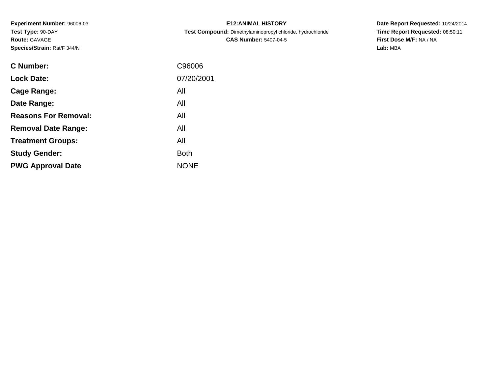**Experiment Number:** 96006-03**Test Type:** 90-DAY**Route:** GAVAGE**Species/Strain:** Rat/F 344/N

| <b>E12: ANIMAL HISTORY</b>                                 |  |  |  |  |  |  |
|------------------------------------------------------------|--|--|--|--|--|--|
| Test Compound: Dimethylaminopropyl chloride, hydrochloride |  |  |  |  |  |  |
| <b>CAS Number: 5407-04-5</b>                               |  |  |  |  |  |  |

| C Number:                   | C96006      |
|-----------------------------|-------------|
| <b>Lock Date:</b>           | 07/20/2001  |
| Cage Range:                 | All         |
| Date Range:                 | All         |
| <b>Reasons For Removal:</b> | All         |
| <b>Removal Date Range:</b>  | All         |
| <b>Treatment Groups:</b>    | All         |
| <b>Study Gender:</b>        | <b>Both</b> |
| <b>PWG Approval Date</b>    | <b>NONE</b> |
|                             |             |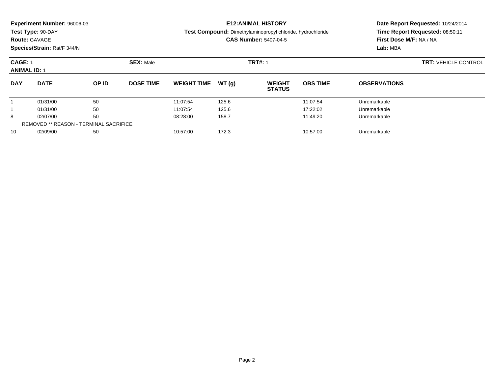| <b>Experiment Number: 96006-03</b> | <b>E12:ANIMAL HISTORY</b>                                         |
|------------------------------------|-------------------------------------------------------------------|
| Test Type: 90-DAY                  | <b>Test Compound:</b> Dimethylaminopropyl chloride, hydrochloride |
| <b>Route: GAVAGE</b>               | <b>CAS Number: 5407-04-5</b>                                      |

**Species/Strain:** Rat/F 344/N

### **Date Report Requested:** 10/24/2014**Time Report Requested:** 08:50:11**First Dose M/F:** NA / NA**Lab:** MBA

#### **CAGE:** 1 **SEX:** Male **TRT#:** <sup>1</sup> **TRT:** VEHICLE CONTROL **ANIMAL ID:** 1**DAY DATE OP IDDOSE TIME WEIGHT TIME WT** (g) **STATUSOBS TIME OBSERVATIONS** 11 01/31/00 50 50 11:07:54 125.6 125.6 11:07:54 Unremarkable 11 01/31/00 50 50 11:07:54 125.6 125.6 17:22:02 Unremarkable 88 02/07/00 50 50 08:28:00 158.7 158.7 11:49:20 Unremarkable REMOVED \*\* REASON - TERMINAL SACRIFICE10

0 02/09/00 50 50 10:57:00 172.3 12.3 10:57:00 Diremarkable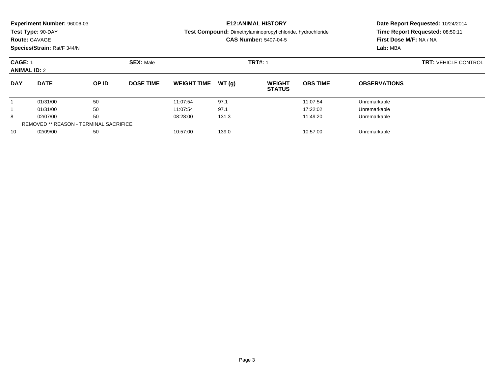### **Route:** GAVAGE

**Species/Strain:** Rat/F 344/N

#### **E12:ANIMAL HISTORY**

**Test Compound:** Dimethylaminopropyl chloride, hydrochloride

**CAS Number:** 5407-04-5

| <b>CAGE: 1</b><br><b>ANIMAL ID: 2</b>         |             |              | <b>SEX: Male</b> |                    | <b>TRT#: 1</b> |                                |                 |                     | <b>TRT: VEHICLE CONTROL</b> |
|-----------------------------------------------|-------------|--------------|------------------|--------------------|----------------|--------------------------------|-----------------|---------------------|-----------------------------|
| <b>DAY</b>                                    | <b>DATE</b> | <b>OP ID</b> | <b>DOSE TIME</b> | <b>WEIGHT TIME</b> | WT(g)          | <b>WEIGHT</b><br><b>STATUS</b> | <b>OBS TIME</b> | <b>OBSERVATIONS</b> |                             |
|                                               | 01/31/00    | 50           |                  | 11:07:54           | 97.1           |                                | 11:07:54        | Unremarkable        |                             |
|                                               | 01/31/00    | 50           |                  | 11:07:54           | 97.1           |                                | 17:22:02        | Unremarkable        |                             |
| 8                                             | 02/07/00    | 50           |                  | 08:28:00           | 131.3          |                                | 11:49:20        | Unremarkable        |                             |
| <b>REMOVED ** REASON - TERMINAL SACRIFICE</b> |             |              |                  |                    |                |                                |                 |                     |                             |
| 10                                            | 02/09/00    | 50           |                  | 10:57:00           | 139.0          |                                | 10:57:00        | Unremarkable        |                             |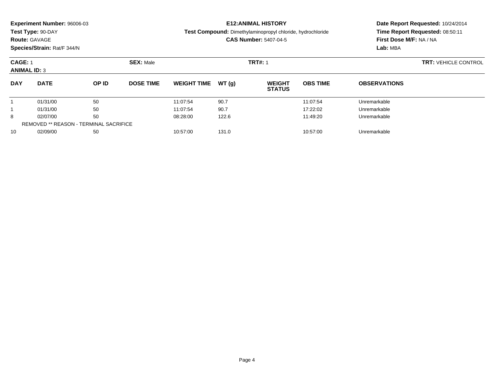|                  |                                                                   | Date Report Requested: 10/24/2014 |  |  |
|------------------|-------------------------------------------------------------------|-----------------------------------|--|--|
|                  | <b>Test Compound:</b> Dimethylaminopropyl chloride, hydrochloride | Time Report Requested: 08:50:11   |  |  |
|                  | <b>CAS Number: 5407-04-5</b>                                      | <b>First Dose M/F: NA / NA</b>    |  |  |
|                  |                                                                   | Lab: MBA                          |  |  |
| <b>SEX: Male</b> | <b>TRT#: 1</b>                                                    | <b>TRT: VEHICLE CONTROL</b>       |  |  |
|                  |                                                                   |                                   |  |  |
|                  |                                                                   | <b>E12:ANIMAL HISTORY</b>         |  |  |

**STATUS**

**OBS TIME**

**OBSERVATIONS**

**DOSE TIME WEIGHT TIME WT** (g)

1 01/31/00 50 50 11:07:54 90.7 11:07:54 11:07:54 Unremarkable

1 01/31/00 50 50 11:07:54 90.7 11:07:54 50 17:22:02 Unremarkable

8 02/07/00 50 50 08:28:00 122.6 11:49:20 11:49:20 Unremarkable

**DAY**

1

1

8

**DATE OP ID**

|    | REMOVED ** REASON - TERMINAL SACRIFICE |    |          |       |          |              |  |  |  |  |
|----|----------------------------------------|----|----------|-------|----------|--------------|--|--|--|--|
| 10 | 02/09/00                               | 50 | 10:57:00 | 131.0 | 10:57:00 | Unremarkable |  |  |  |  |
|    |                                        |    |          |       |          |              |  |  |  |  |
|    |                                        |    |          |       |          |              |  |  |  |  |
|    |                                        |    |          |       |          |              |  |  |  |  |
|    |                                        |    |          |       |          |              |  |  |  |  |
|    |                                        |    |          |       |          |              |  |  |  |  |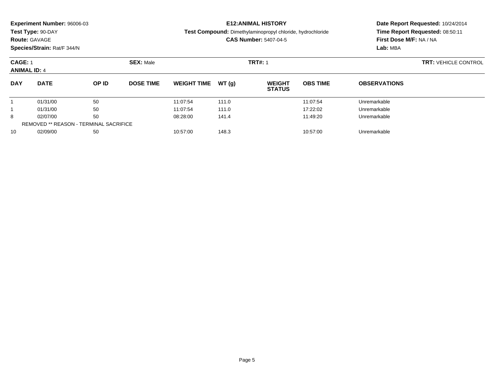| Experiment Number: 96006-03 |  |  |
|-----------------------------|--|--|
|-----------------------------|--|--|

**Route:** GAVAGE

**Species/Strain:** Rat/F 344/N

**E12:ANIMAL HISTORY**

**Test Compound:** Dimethylaminopropyl chloride, hydrochloride

**CAS Number:** 5407-04-5

| <b>CAGE: 1</b><br><b>ANIMAL ID: 4</b> |                                               |       | <b>SEX: Male</b> |                    |       | <b>TRT#: 1</b>                 |                 |                     | <b>TRT: VEHICLE CONTROL</b> |
|---------------------------------------|-----------------------------------------------|-------|------------------|--------------------|-------|--------------------------------|-----------------|---------------------|-----------------------------|
| <b>DAY</b>                            | <b>DATE</b>                                   | OP ID | <b>DOSE TIME</b> | <b>WEIGHT TIME</b> | WT(g) | <b>WEIGHT</b><br><b>STATUS</b> | <b>OBS TIME</b> | <b>OBSERVATIONS</b> |                             |
|                                       | 01/31/00                                      | 50    |                  | 11:07:54           | 111.0 |                                | 11:07:54        | Unremarkable        |                             |
|                                       | 01/31/00                                      | 50    |                  | 11:07:54           | 111.0 |                                | 17:22:02        | Unremarkable        |                             |
| 8                                     | 02/07/00                                      | 50    |                  | 08:28:00           | 141.4 |                                | 11:49:20        | Unremarkable        |                             |
|                                       | <b>REMOVED ** REASON - TERMINAL SACRIFICE</b> |       |                  |                    |       |                                |                 |                     |                             |
| 10                                    | 02/09/00                                      | 50    |                  | 10:57:00           | 148.3 |                                | 10:57:00        | Unremarkable        |                             |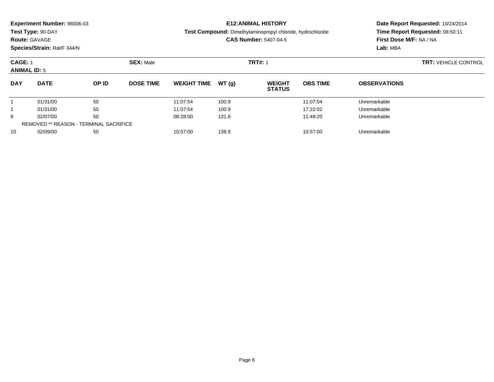| Experiment Number: 96006-03 |
|-----------------------------|
|-----------------------------|

## **Route:** GAVAGE

**Species/Strain:** Rat/F 344/N

### **E12:ANIMAL HISTORY**

**Test Compound:** Dimethylaminopropyl chloride, hydrochloride

**CAS Number:** 5407-04-5

| <b>CAGE: 1</b><br><b>ANIMAL ID: 5</b>         |             |              | <b>SEX: Male</b> |                    |        | <b>TRT#: 1</b>                 |                 |                     | <b>TRT: VEHICLE CONTROL</b> |
|-----------------------------------------------|-------------|--------------|------------------|--------------------|--------|--------------------------------|-----------------|---------------------|-----------------------------|
| <b>DAY</b>                                    | <b>DATE</b> | <b>OP ID</b> | <b>DOSE TIME</b> | <b>WEIGHT TIME</b> | WT (a) | <b>WEIGHT</b><br><b>STATUS</b> | <b>OBS TIME</b> | <b>OBSERVATIONS</b> |                             |
|                                               | 01/31/00    | 50           |                  | 11:07:54           | 100.9  |                                | 11:07:54        | Unremarkable        |                             |
|                                               | 01/31/00    | 50           |                  | 11:07:54           | 100.9  |                                | 17:22:02        | Unremarkable        |                             |
| 8                                             | 02/07/00    | 50           |                  | 08:28:00           | 131.8  |                                | 11:49:20        | Unremarkable        |                             |
| <b>REMOVED ** REASON - TERMINAL SACRIFICE</b> |             |              |                  |                    |        |                                |                 |                     |                             |
| 10                                            | 02/09/00    | 50           |                  | 10:57:00           | 138.9  |                                | 10:57:00        | Unremarkable        |                             |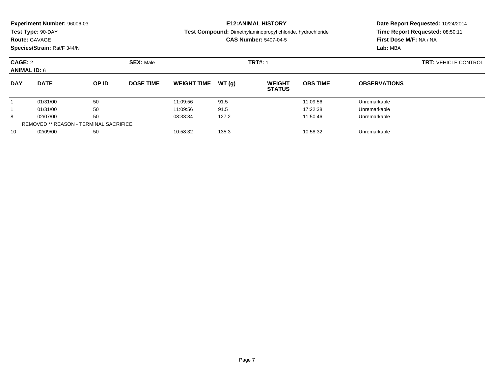## **Route:** GAVAGE

**Species/Strain:** Rat/F 344/N

### **E12:ANIMAL HISTORY**

**Test Compound:** Dimethylaminopropyl chloride, hydrochloride

### **CAS Number:** 5407-04-5

| CAGE: 2<br><b>ANIMAL ID: 6</b> |                                        |       | <b>SEX: Male</b> |                    |       | <b>TRT#: 1</b>                 | <b>TRT: VEHICLE CONTROL</b> |                     |  |
|--------------------------------|----------------------------------------|-------|------------------|--------------------|-------|--------------------------------|-----------------------------|---------------------|--|
| <b>DAY</b>                     | <b>DATE</b>                            | OP ID | <b>DOSE TIME</b> | <b>WEIGHT TIME</b> | WT(g) | <b>WEIGHT</b><br><b>STATUS</b> | <b>OBS TIME</b>             | <b>OBSERVATIONS</b> |  |
|                                | 01/31/00                               | 50    |                  | 11:09:56           | 91.5  |                                | 11:09:56                    | Unremarkable        |  |
|                                | 01/31/00                               | 50    |                  | 11:09:56           | 91.5  |                                | 17:22:38                    | Unremarkable        |  |
| 8                              | 02/07/00                               | 50    |                  | 08:33:34           | 127.2 |                                | 11:50:46                    | Unremarkable        |  |
|                                | REMOVED ** REASON - TERMINAL SACRIFICE |       |                  |                    |       |                                |                             |                     |  |
| 10                             | 02/09/00                               | 50    |                  | 10:58:32           | 135.3 |                                | 10:58:32                    | Unremarkable        |  |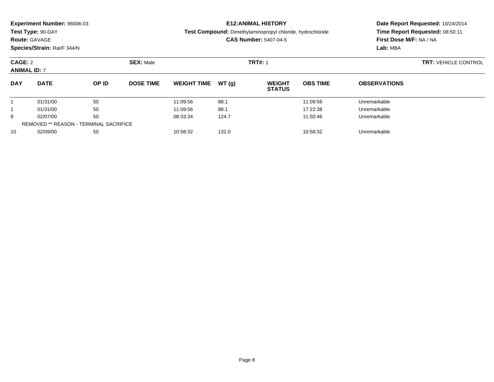|                                | <b>Experiment Number: 96006-03</b> |       | <b>E12:ANIMAL HISTORY</b> |                    |                                                                                                   |                                | Date Report Requested: 10/24/2014 |                             |                                                            |  |  |
|--------------------------------|------------------------------------|-------|---------------------------|--------------------|---------------------------------------------------------------------------------------------------|--------------------------------|-----------------------------------|-----------------------------|------------------------------------------------------------|--|--|
|                                | Test Type: 90-DAY                  |       |                           |                    | <b>Test Compound:</b> Dimethylaminopropyl chloride, hydrochloride<br><b>CAS Number: 5407-04-5</b> |                                |                                   |                             | Time Report Requested: 08:50:11<br>First Dose M/F: NA / NA |  |  |
|                                | <b>Route: GAVAGE</b>               |       |                           |                    |                                                                                                   |                                |                                   |                             |                                                            |  |  |
|                                | Species/Strain: Rat/F 344/N        |       |                           |                    |                                                                                                   |                                |                                   | Lab: MBA                    |                                                            |  |  |
| CAGE: 2<br><b>ANIMAL ID: 7</b> |                                    |       | <b>SEX: Male</b>          |                    |                                                                                                   | <b>TRT#: 1</b>                 |                                   | <b>TRT: VEHICLE CONTROL</b> |                                                            |  |  |
| <b>DAY</b>                     | <b>DATE</b>                        | OP ID | <b>DOSE TIME</b>          | <b>WEIGHT TIME</b> | WT (a)                                                                                            | <b>WEIGHT</b><br><b>STATUS</b> | <b>OBS TIME</b>                   | <b>OBSERVATIONS</b>         |                                                            |  |  |
|                                | 01/31/00                           | 50    |                           | 11:09:56           | 88.1                                                                                              |                                | 11:09:56                          | Unremarkable                |                                                            |  |  |

1 01/31/00 50 50 11:09:56 88.1 17:22:38 Unremarkable

8 02/07/00 50 50 08:33:34 124.7 124.7 11:50:46 Unremarkable

0 02/09/00 50 50 10:58:32 132.0 132.0 132.0 1358:32 Unremarkable

1

8

10

REMOVED \*\* REASON - TERMINAL SACRIFICE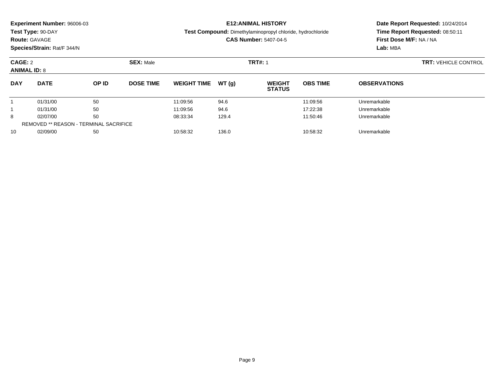| <b>Experiment Number: 96006-03</b> |                  | <b>E12:ANIMAL HISTORY</b>                                         | Date Report Requested: 10/24/2014 |  |  |
|------------------------------------|------------------|-------------------------------------------------------------------|-----------------------------------|--|--|
| Test Type: 90-DAY                  |                  | <b>Test Compound:</b> Dimethylaminopropyl chloride, hydrochloride | Time Report Requested: 08:50:11   |  |  |
| <b>Route: GAVAGE</b>               |                  | <b>CAS Number: 5407-04-5</b>                                      | First Dose M/F: NA / NA           |  |  |
| Species/Strain: Rat/F 344/N        |                  |                                                                   | Lab: MBA                          |  |  |
| CAGE: 2                            | <b>SEX:</b> Male | <b>TRT#: 1</b>                                                    | <b>TRT: VEHICLE CONTROL</b>       |  |  |
| <b>ANIMAL ID: 8</b>                |                  |                                                                   |                                   |  |  |
|                                    |                  |                                                                   |                                   |  |  |

| <b>DAY</b> | <b>DATE</b>                                   | OP ID | <b>DOSE TIME</b> | <b>WEIGHT TIME</b> | WT (q) | <b>WEIGHT</b><br><b>STATUS</b> | <b>OBS TIME</b> | <b>OBSERVATIONS</b> |  |
|------------|-----------------------------------------------|-------|------------------|--------------------|--------|--------------------------------|-----------------|---------------------|--|
|            | 01/31/00                                      | 50    |                  | 11:09:56           | 94.6   |                                | 11:09:56        | Unremarkable        |  |
|            | 01/31/00                                      | 50    |                  | 11:09:56           | 94.6   |                                | 17:22:38        | Unremarkable        |  |
| 8          | 02/07/00                                      | 50    |                  | 08:33:34           | 129.4  |                                | 11:50:46        | Unremarkable        |  |
|            | <b>REMOVED ** REASON - TERMINAL SACRIFICE</b> |       |                  |                    |        |                                |                 |                     |  |
| 10         | 02/09/00                                      | 50    |                  | 10:58:32           | 136.0  |                                | 10:58:32        | Unremarkable        |  |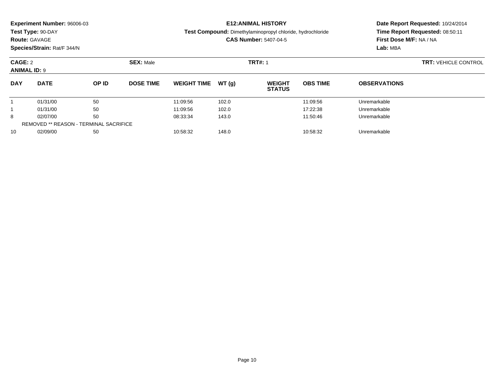| Experiment Number: 96006-03 |  |
|-----------------------------|--|
|-----------------------------|--|

## **Route:** GAVAGE

**Species/Strain:** Rat/F 344/N

### **E12:ANIMAL HISTORY**

**Test Compound:** Dimethylaminopropyl chloride, hydrochloride

### **CAS Number:** 5407-04-5

| CAGE: 2<br><b>ANIMAL ID: 9</b> |                                               |       | <b>SEX: Male</b> |                    |        | <b>TRT#: 1</b>                 | <b>TRT: VEHICLE CONTROL</b> |                     |  |
|--------------------------------|-----------------------------------------------|-------|------------------|--------------------|--------|--------------------------------|-----------------------------|---------------------|--|
| <b>DAY</b>                     | <b>DATE</b>                                   | OP ID | <b>DOSE TIME</b> | <b>WEIGHT TIME</b> | WT (a) | <b>WEIGHT</b><br><b>STATUS</b> | <b>OBS TIME</b>             | <b>OBSERVATIONS</b> |  |
|                                | 01/31/00                                      | 50    |                  | 11:09:56           | 102.0  |                                | 11:09:56                    | Unremarkable        |  |
|                                | 01/31/00                                      | 50    |                  | 11:09:56           | 102.0  |                                | 17:22:38                    | Unremarkable        |  |
| 8                              | 02/07/00                                      | 50    |                  | 08:33:34           | 143.0  |                                | 11:50:46                    | Unremarkable        |  |
|                                | <b>REMOVED ** REASON - TERMINAL SACRIFICE</b> |       |                  |                    |        |                                |                             |                     |  |
| 10                             | 02/09/00                                      | 50    |                  | 10:58:32           | 148.0  |                                | 10:58:32                    | Unremarkable        |  |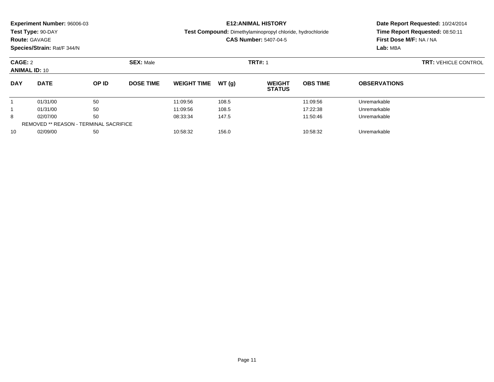|            | <b>Experiment Number: 96006-03</b><br>Test Type: 90-DAY<br><b>Route: GAVAGE</b><br>Species/Strain: Rat/F 344/N |  |                  |                     |  | <b>E12:ANIMAL HISTORY</b><br>Test Compound: Dimethylaminopropyl chloride, hydrochloride<br><b>CAS Number: 5407-04-5</b> | Date Report Requested: 10/24/2014<br>Time Report Requested: 08:50:11<br>First Dose M/F: NA / NA<br>Lab: MBA |                     |                             |
|------------|----------------------------------------------------------------------------------------------------------------|--|------------------|---------------------|--|-------------------------------------------------------------------------------------------------------------------------|-------------------------------------------------------------------------------------------------------------|---------------------|-----------------------------|
| CAGE: 2    | <b>ANIMAL ID: 10</b>                                                                                           |  | <b>SEX: Male</b> | <b>TRT#: 1</b>      |  |                                                                                                                         |                                                                                                             |                     | <b>TRT: VEHICLE CONTROL</b> |
| <b>DAY</b> | <b>DATE</b><br>OP ID                                                                                           |  | <b>DOSE TIME</b> | WEIGHT TIME $WT(a)$ |  | <b>WEIGHT</b><br><b>STATUS</b>                                                                                          | <b>OBS TIME</b>                                                                                             | <b>OBSERVATIONS</b> |                             |

1 01/31/00 50 50 11:09:56 108.5 108.5 11:09:56 Unremarkable

1 01/31/00 50 50 11:09:56 108.5 108.5 17:22:38 Unremarkable

8 02/07/00 50 50 08:33:34 147.5 11:50:46 11:50:46 Unremarkable

0 02/09/00 50 50 10:58:32 156.0 156.0 156.0 10:58:32 Unremarkable

1

1

8

10

REMOVED \*\* REASON - TERMINAL SACRIFICE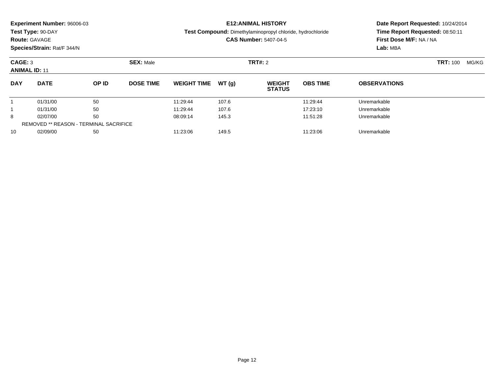|                                 | Experiment Number: 96006-03<br>Test Type: 90-DAY<br><b>Route: GAVAGE</b><br>Species/Strain: Rat/F 344/N |       |                  | <b>E12: ANIMAL HISTORY</b><br>Test Compound: Dimethylaminopropyl chloride, hydrochloride<br><b>CAS Number: 5407-04-5</b> | Date Report Requested: 10/24/2014<br>Time Report Requested: 08:50:11<br>First Dose M/F: NA / NA<br>Lab: MBA |                                |                 |                     |                 |       |
|---------------------------------|---------------------------------------------------------------------------------------------------------|-------|------------------|--------------------------------------------------------------------------------------------------------------------------|-------------------------------------------------------------------------------------------------------------|--------------------------------|-----------------|---------------------|-----------------|-------|
| CAGE: 3<br><b>ANIMAL ID: 11</b> |                                                                                                         |       | <b>SEX: Male</b> |                                                                                                                          |                                                                                                             | <b>TRT#: 2</b>                 |                 |                     | <b>TRT: 100</b> | MG/KG |
| <b>DAY</b>                      | <b>DATE</b>                                                                                             | OP ID | <b>DOSE TIME</b> | <b>WEIGHT TIME</b>                                                                                                       | WT(q)                                                                                                       | <b>WEIGHT</b><br><b>STATUS</b> | <b>OBS TIME</b> | <b>OBSERVATIONS</b> |                 |       |
|                                 | 01/31/00                                                                                                | 50    |                  | 11:29:44                                                                                                                 | 107.6                                                                                                       |                                | 11:29:44        | Unremarkable        |                 |       |
|                                 | 01/31/00                                                                                                | 50    |                  | 11:29:44                                                                                                                 | 107.6                                                                                                       |                                | 17:23:10        | Unremarkable        |                 |       |
| 8                               | 02/07/00                                                                                                | 50    |                  | 08:09:14                                                                                                                 | 145.3                                                                                                       |                                | 11:51:28        | Unremarkable        |                 |       |
|                                 | <b>REMOVED ** REASON - TERMINAL SACRIFICE</b>                                                           |       |                  |                                                                                                                          |                                                                                                             |                                |                 |                     |                 |       |

0 02/09/00 50 50 11:23:06 149.5 159 11:23:06 Dhremarkable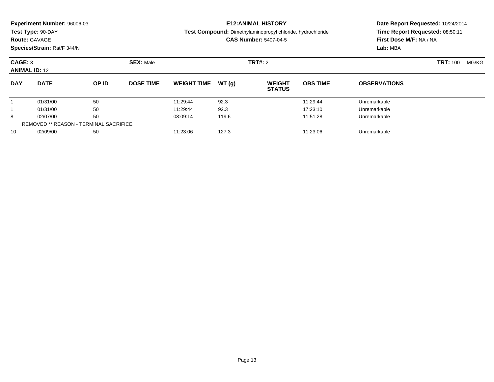| Experiment Number: 96006-03<br>Test Type: 90-DAY<br><b>Route: GAVAGE</b><br>Species/Strain: Rat/F 344/N |                                               |       |                  | <b>E12: ANIMAL HISTORY</b><br>Test Compound: Dimethylaminopropyl chloride, hydrochloride<br><b>CAS Number: 5407-04-5</b> |       |                                |                 | Date Report Requested: 10/24/2014<br>Time Report Requested: 08:50:11<br>First Dose M/F: NA / NA<br>Lab: MBA |       |  |
|---------------------------------------------------------------------------------------------------------|-----------------------------------------------|-------|------------------|--------------------------------------------------------------------------------------------------------------------------|-------|--------------------------------|-----------------|-------------------------------------------------------------------------------------------------------------|-------|--|
| CAGE: 3<br><b>ANIMAL ID: 12</b>                                                                         |                                               |       | <b>SEX: Male</b> |                                                                                                                          |       | <b>TRT#: 2</b>                 |                 | <b>TRT: 100</b>                                                                                             | MG/KG |  |
| <b>DAY</b>                                                                                              | <b>DATE</b>                                   | OP ID | <b>DOSE TIME</b> | <b>WEIGHT TIME</b>                                                                                                       | WT(q) | <b>WEIGHT</b><br><b>STATUS</b> | <b>OBS TIME</b> | <b>OBSERVATIONS</b>                                                                                         |       |  |
|                                                                                                         | 01/31/00                                      | 50    |                  | 11:29:44                                                                                                                 | 92.3  |                                | 11:29:44        | Unremarkable                                                                                                |       |  |
|                                                                                                         | 01/31/00                                      | 50    |                  | 11:29:44                                                                                                                 | 92.3  |                                | 17:23:10        | Unremarkable                                                                                                |       |  |
| 8                                                                                                       | 02/07/00                                      | 50    |                  | 08:09:14                                                                                                                 | 119.6 |                                | 11:51:28        | Unremarkable                                                                                                |       |  |
|                                                                                                         | <b>REMOVED ** REASON - TERMINAL SACRIFICE</b> |       |                  |                                                                                                                          |       |                                |                 |                                                                                                             |       |  |

0 02/09/00 50 50 11:23:06 127.3 11:23.06 127.3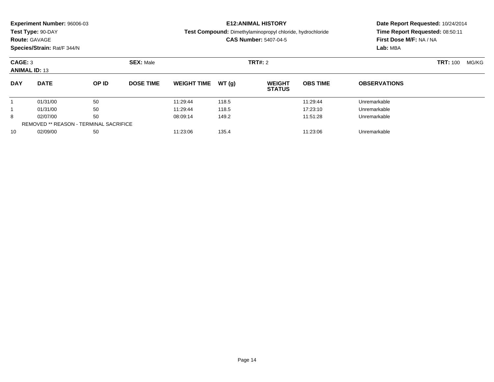| Experiment Number: 96006-03<br>Test Type: 90-DAY<br><b>Route: GAVAGE</b><br>Species/Strain: Rat/F 344/N |                                               |       |                  | <b>E12: ANIMAL HISTORY</b><br>Test Compound: Dimethylaminopropyl chloride, hydrochloride<br><b>CAS Number: 5407-04-5</b> |       |                                |                 | Date Report Requested: 10/24/2014<br>Time Report Requested: 08:50:11<br>First Dose M/F: NA / NA<br>Lab: MBA |       |  |
|---------------------------------------------------------------------------------------------------------|-----------------------------------------------|-------|------------------|--------------------------------------------------------------------------------------------------------------------------|-------|--------------------------------|-----------------|-------------------------------------------------------------------------------------------------------------|-------|--|
| CAGE: 3<br><b>ANIMAL ID: 13</b>                                                                         |                                               |       | <b>SEX: Male</b> |                                                                                                                          |       | <b>TRT#: 2</b>                 |                 | <b>TRT: 100</b>                                                                                             | MG/KG |  |
| <b>DAY</b>                                                                                              | <b>DATE</b>                                   | OP ID | <b>DOSE TIME</b> | <b>WEIGHT TIME</b>                                                                                                       | WT(q) | <b>WEIGHT</b><br><b>STATUS</b> | <b>OBS TIME</b> | <b>OBSERVATIONS</b>                                                                                         |       |  |
|                                                                                                         | 01/31/00                                      | 50    |                  | 11:29:44                                                                                                                 | 118.5 |                                | 11:29:44        | Unremarkable                                                                                                |       |  |
|                                                                                                         | 01/31/00                                      | 50    |                  | 11:29:44                                                                                                                 | 118.5 |                                | 17:23:10        | Unremarkable                                                                                                |       |  |
| 8                                                                                                       | 02/07/00                                      | 50    |                  | 08:09:14                                                                                                                 | 149.2 |                                | 11:51:28        | Unremarkable                                                                                                |       |  |
|                                                                                                         | <b>REMOVED ** REASON - TERMINAL SACRIFICE</b> |       |                  |                                                                                                                          |       |                                |                 |                                                                                                             |       |  |

0 02/09/00 50 50 11:23:06 135.4 155.4 11:23:06 Dhremarkable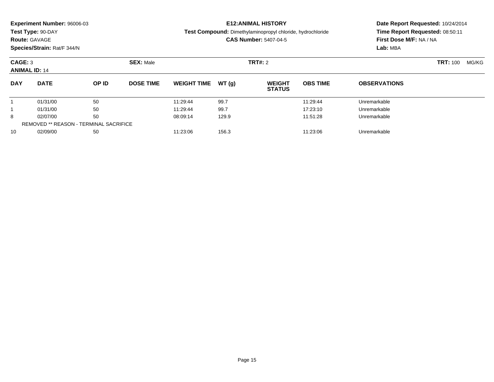|                                 | Experiment Number: 96006-03<br>Test Type: 90-DAY<br><b>Route: GAVAGE</b><br>Species/Strain: Rat/F 344/N | <b>E12: ANIMAL HISTORY</b><br>Test Compound: Dimethylaminopropyl chloride, hydrochloride<br><b>CAS Number: 5407-04-5</b> |                  |                    |       | Date Report Requested: 10/24/2014<br>Time Report Requested: 08:50:11<br>First Dose M/F: NA / NA<br>Lab: MBA |                 |                     |       |  |
|---------------------------------|---------------------------------------------------------------------------------------------------------|--------------------------------------------------------------------------------------------------------------------------|------------------|--------------------|-------|-------------------------------------------------------------------------------------------------------------|-----------------|---------------------|-------|--|
| CAGE: 3<br><b>ANIMAL ID: 14</b> |                                                                                                         |                                                                                                                          | <b>SEX: Male</b> |                    |       | <b>TRT#:</b> 2                                                                                              |                 | <b>TRT: 100</b>     | MG/KG |  |
| <b>DAY</b>                      | <b>DATE</b>                                                                                             | OP ID                                                                                                                    | <b>DOSE TIME</b> | <b>WEIGHT TIME</b> | WT(q) | <b>WEIGHT</b><br><b>STATUS</b>                                                                              | <b>OBS TIME</b> | <b>OBSERVATIONS</b> |       |  |
|                                 | 01/31/00                                                                                                | 50                                                                                                                       |                  | 11:29:44           | 99.7  |                                                                                                             | 11:29:44        | Unremarkable        |       |  |
|                                 | 01/31/00                                                                                                | 50                                                                                                                       |                  | 11:29:44           | 99.7  |                                                                                                             | 17:23:10        | Unremarkable        |       |  |
| 8                               | 02/07/00                                                                                                | 50                                                                                                                       |                  | 08:09:14           | 129.9 |                                                                                                             | 11:51:28        | Unremarkable        |       |  |
|                                 | <b>REMOVED ** REASON - TERMINAL SACRIFICE</b>                                                           |                                                                                                                          |                  |                    |       |                                                                                                             |                 |                     |       |  |

0 02/09/00 50 50 11:23:06 156.3 156.3 11:23:06 Dhremarkable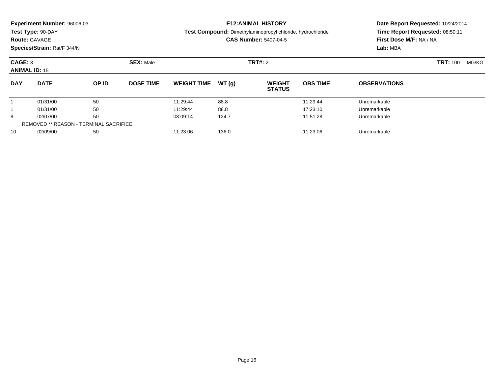| Experiment Number: 96006-03<br>Test Type: 90-DAY<br><b>Route: GAVAGE</b><br>Species/Strain: Rat/F 344/N |             |       |                  | <b>E12: ANIMAL HISTORY</b><br><b>Test Compound:</b> Dimethylaminopropyl chloride, hydrochloride<br><b>CAS Number: 5407-04-5</b> |       |                                |                 | Date Report Requested: 10/24/2014<br>Time Report Requested: 08:50:11<br>First Dose M/F: NA / NA<br>Lab: MBA |       |  |
|---------------------------------------------------------------------------------------------------------|-------------|-------|------------------|---------------------------------------------------------------------------------------------------------------------------------|-------|--------------------------------|-----------------|-------------------------------------------------------------------------------------------------------------|-------|--|
| CAGE: 3<br><b>ANIMAL ID: 15</b>                                                                         |             |       | <b>SEX: Male</b> |                                                                                                                                 |       | TRT#: 2                        |                 | <b>TRT: 100</b>                                                                                             | MG/KG |  |
| <b>DAY</b>                                                                                              | <b>DATE</b> | OP ID | <b>DOSE TIME</b> | <b>WEIGHT TIME</b>                                                                                                              | WT(q) | <b>WEIGHT</b><br><b>STATUS</b> | <b>OBS TIME</b> | <b>OBSERVATIONS</b>                                                                                         |       |  |
|                                                                                                         | 01/31/00    | 50    |                  | 11:29:44                                                                                                                        | 88.8  |                                | 11:29:44        | Unremarkable                                                                                                |       |  |
|                                                                                                         | 01/31/00    | 50    |                  | 11:29:44                                                                                                                        | 88.8  |                                | 17:23:10        | Unremarkable                                                                                                |       |  |
| 8                                                                                                       | 02/07/00    | 50    |                  | 08:09:14                                                                                                                        | 124.7 |                                | 11:51:28        | Unremarkable                                                                                                |       |  |

0 02/09/00 50 50 11:23:06 136.0 136.0 136.0 11:23:06 Dhremarkable

REMOVED \*\* REASON - TERMINAL SACRIFICE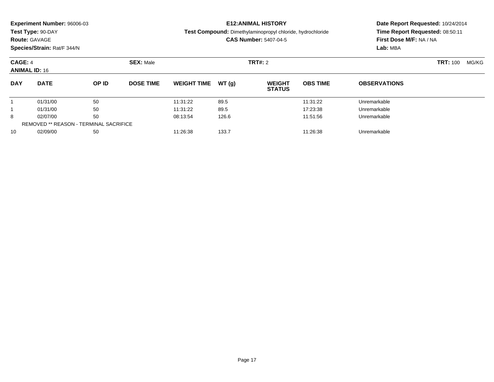|                     | Experiment Number: 96006-03<br>Test Type: 90-DAY<br><b>Route: GAVAGE</b><br>Species/Strain: Rat/F 344/N |       |                               |                    |       | <b>E12: ANIMAL HISTORY</b><br>Test Compound: Dimethylaminopropyl chloride, hydrochloride<br><b>CAS Number: 5407-04-5</b> | Date Report Requested: 10/24/2014<br>Time Report Requested: 08:50:11<br>First Dose M/F: NA / NA<br>Lab: MBA |                     |                 |       |
|---------------------|---------------------------------------------------------------------------------------------------------|-------|-------------------------------|--------------------|-------|--------------------------------------------------------------------------------------------------------------------------|-------------------------------------------------------------------------------------------------------------|---------------------|-----------------|-------|
|                     | CAGE: 4<br><b>ANIMAL ID: 16</b>                                                                         |       | <b>SEX: Male</b>              | <b>TRT#:</b> 2     |       |                                                                                                                          |                                                                                                             |                     | <b>TRT: 100</b> | MG/KG |
| <b>DAY</b>          | <b>DATE</b>                                                                                             | OP ID | <b>DOSE TIME</b>              | <b>WEIGHT TIME</b> | WT(q) | <b>WEIGHT</b><br><b>STATUS</b>                                                                                           | <b>OBS TIME</b>                                                                                             | <b>OBSERVATIONS</b> |                 |       |
|                     | 01/31/00                                                                                                | 50    |                               | 11:31:22           | 89.5  |                                                                                                                          | 11:31:22                                                                                                    | Unremarkable        |                 |       |
|                     | 50<br>01/31/00                                                                                          |       | 11:31:22                      | 89.5               |       | 17:23:38                                                                                                                 | Unremarkable                                                                                                |                     |                 |       |
| 50<br>8<br>02/07/00 |                                                                                                         |       | 08:13:54<br>126.6<br>11:51:56 |                    |       | Unremarkable                                                                                                             |                                                                                                             |                     |                 |       |
|                     | <b>REMOVED ** REASON - TERMINAL SACRIFICE</b>                                                           |       |                               |                    |       |                                                                                                                          |                                                                                                             |                     |                 |       |

0 02/09/00 50 50 11:26:38 133.7 133.7 11:26:38 Dhremarkable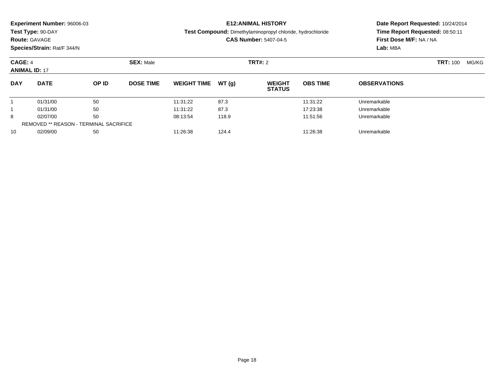|                     | <b>Experiment Number: 96006-03</b>            |       |                               |                    |                                                            | <b>E12:ANIMAL HISTORY</b>      | Date Report Requested: 10/24/2014 |                         |                          |  |
|---------------------|-----------------------------------------------|-------|-------------------------------|--------------------|------------------------------------------------------------|--------------------------------|-----------------------------------|-------------------------|--------------------------|--|
|                     | Test Type: 90-DAY                             |       |                               |                    | Test Compound: Dimethylaminopropyl chloride, hydrochloride |                                | Time Report Requested: 08:50:11   |                         |                          |  |
|                     | <b>Route: GAVAGE</b>                          |       |                               |                    |                                                            | <b>CAS Number: 5407-04-5</b>   |                                   | First Dose M/F: NA / NA |                          |  |
|                     | Species/Strain: Rat/F 344/N                   |       |                               |                    |                                                            |                                |                                   | Lab: MBA                |                          |  |
| CAGE: 4             | <b>SEX: Male</b><br><b>ANIMAL ID: 17</b>      |       |                               |                    |                                                            | <b>TRT#: 2</b>                 |                                   |                         | <b>TRT: 100</b><br>MG/KG |  |
| <b>DAY</b>          | <b>DATE</b>                                   | OP ID | <b>DOSE TIME</b>              | <b>WEIGHT TIME</b> | WT (q)                                                     | <b>WEIGHT</b><br><b>STATUS</b> | <b>OBS TIME</b>                   | <b>OBSERVATIONS</b>     |                          |  |
|                     | 01/31/00                                      | 50    |                               | 11:31:22           | 87.3                                                       |                                | 11:31:22                          | Unremarkable            |                          |  |
|                     | 50<br>01/31/00                                |       | 11:31:22                      | 87.3               |                                                            | 17:23:38                       | Unremarkable                      |                         |                          |  |
| 50<br>8<br>02/07/00 |                                               |       | 08:13:54<br>118.9<br>11:51:56 |                    |                                                            |                                | Unremarkable                      |                         |                          |  |
|                     | <b>REMOVED ** REASON - TERMINAL SACRIFICE</b> |       |                               |                    |                                                            |                                |                                   |                         |                          |  |

0 02/09/00 50 50 11:26:38 124.4 11:26.38 124.4 11:26:38 Dhremarkable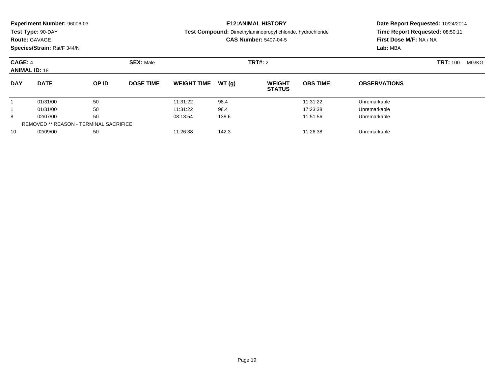|                     | Experiment Number: 96006-03<br>Test Type: 90-DAY<br><b>Route: GAVAGE</b><br>Species/Strain: Rat/F 344/N |       |                               |                    |       | <b>E12: ANIMAL HISTORY</b><br>Test Compound: Dimethylaminopropyl chloride, hydrochloride<br><b>CAS Number: 5407-04-5</b> | Date Report Requested: 10/24/2014<br>Time Report Requested: 08:50:11<br>First Dose M/F: NA / NA<br>Lab: MBA |                     |       |  |
|---------------------|---------------------------------------------------------------------------------------------------------|-------|-------------------------------|--------------------|-------|--------------------------------------------------------------------------------------------------------------------------|-------------------------------------------------------------------------------------------------------------|---------------------|-------|--|
| CAGE: 4             | <b>ANIMAL ID: 18</b>                                                                                    |       | <b>SEX: Male</b>              |                    |       | <b>TRT#: 2</b>                                                                                                           |                                                                                                             | <b>TRT: 100</b>     | MG/KG |  |
| <b>DAY</b>          | <b>DATE</b>                                                                                             | OP ID | <b>DOSE TIME</b>              | <b>WEIGHT TIME</b> | WT(q) | <b>WEIGHT</b><br><b>STATUS</b>                                                                                           | <b>OBS TIME</b>                                                                                             | <b>OBSERVATIONS</b> |       |  |
|                     | 01/31/00                                                                                                | 50    |                               | 11:31:22           | 98.4  |                                                                                                                          | 11:31:22                                                                                                    | Unremarkable        |       |  |
|                     | 50<br>01/31/00                                                                                          |       |                               | 11:31:22           | 98.4  |                                                                                                                          | 17:23:38                                                                                                    | Unremarkable        |       |  |
| 50<br>8<br>02/07/00 |                                                                                                         |       | 08:13:54<br>138.6<br>11:51:56 |                    |       | Unremarkable                                                                                                             |                                                                                                             |                     |       |  |
|                     | <b>REMOVED ** REASON - TERMINAL SACRIFICE</b>                                                           |       |                               |                    |       |                                                                                                                          |                                                                                                             |                     |       |  |

0 02/09/00 50 50 11:26:38 142.3 142.3 11:26:38 Dhremarkable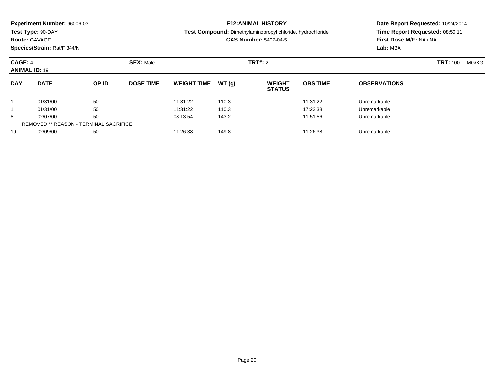|                                 | Experiment Number: 96006-03<br>Test Type: 90-DAY<br><b>Route: GAVAGE</b><br>Species/Strain: Rat/F 344/N |       |                               | <b>E12: ANIMAL HISTORY</b><br>Test Compound: Dimethylaminopropyl chloride, hydrochloride<br><b>CAS Number: 5407-04-5</b> |       |                                |                 | Date Report Requested: 10/24/2014<br>Time Report Requested: 08:50:11<br>First Dose M/F: NA / NA<br>Lab: MBA |       |  |
|---------------------------------|---------------------------------------------------------------------------------------------------------|-------|-------------------------------|--------------------------------------------------------------------------------------------------------------------------|-------|--------------------------------|-----------------|-------------------------------------------------------------------------------------------------------------|-------|--|
| CAGE: 4<br><b>ANIMAL ID: 19</b> |                                                                                                         |       | <b>SEX: Male</b>              |                                                                                                                          |       | <b>TRT#: 2</b>                 |                 | <b>TRT: 100</b>                                                                                             | MG/KG |  |
| <b>DAY</b>                      | <b>DATE</b>                                                                                             | OP ID | <b>DOSE TIME</b>              | <b>WEIGHT TIME</b>                                                                                                       | WT(q) | <b>WEIGHT</b><br><b>STATUS</b> | <b>OBS TIME</b> | <b>OBSERVATIONS</b>                                                                                         |       |  |
|                                 | 01/31/00                                                                                                | 50    |                               | 11:31:22                                                                                                                 | 110.3 |                                | 11:31:22        | Unremarkable                                                                                                |       |  |
|                                 | 50<br>01/31/00                                                                                          |       |                               | 11:31:22                                                                                                                 | 110.3 |                                | 17:23:38        | Unremarkable                                                                                                |       |  |
| 50<br>8<br>02/07/00             |                                                                                                         |       | 08:13:54<br>143.2<br>11:51:56 |                                                                                                                          |       | Unremarkable                   |                 |                                                                                                             |       |  |
|                                 | <b>REMOVED ** REASON - TERMINAL SACRIFICE</b>                                                           |       |                               |                                                                                                                          |       |                                |                 |                                                                                                             |       |  |

0 02/09/00 50 50 11:26:38 149.8 149.8 149.8 11:26:38 Dhremarkable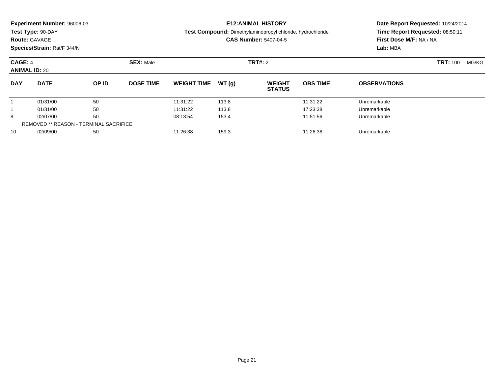|                                               | <b>Experiment Number: 96006-03</b>        |       |                               |                                                                                                   |                                                            | <b>E12:ANIMAL HISTORY</b>      | Date Report Requested: 10/24/2014 |                          |  |
|-----------------------------------------------|-------------------------------------------|-------|-------------------------------|---------------------------------------------------------------------------------------------------|------------------------------------------------------------|--------------------------------|-----------------------------------|--------------------------|--|
|                                               | Test Type: 90-DAY<br><b>Route: GAVAGE</b> |       |                               | <b>Test Compound:</b> Dimethylaminopropyl chloride, hydrochloride<br><b>CAS Number: 5407-04-5</b> | Time Report Requested: 08:50:11<br>First Dose M/F: NA / NA |                                |                                   |                          |  |
|                                               | Species/Strain: Rat/F 344/N               |       |                               |                                                                                                   |                                                            |                                |                                   | Lab: MBA                 |  |
| CAGE: 4                                       | <b>SEX: Male</b><br><b>ANIMAL ID: 20</b>  |       |                               |                                                                                                   |                                                            | <b>TRT#: 2</b>                 |                                   | <b>TRT:</b> 100<br>MG/KG |  |
| <b>DAY</b>                                    | <b>DATE</b>                               | OP ID | <b>DOSE TIME</b>              | <b>WEIGHT TIME</b>                                                                                | WT (q)                                                     | <b>WEIGHT</b><br><b>STATUS</b> | <b>OBS TIME</b>                   | <b>OBSERVATIONS</b>      |  |
|                                               | 01/31/00                                  | 50    |                               | 11:31:22                                                                                          | 113.8                                                      |                                | 11:31:22                          | Unremarkable             |  |
|                                               | 50<br>01/31/00                            |       | 11:31:22                      | 113.8                                                                                             |                                                            | 17:23:38                       | Unremarkable                      |                          |  |
| 50<br>8<br>02/07/00                           |                                           |       | 08:13:54<br>153.4<br>11:51:56 |                                                                                                   |                                                            |                                | Unremarkable                      |                          |  |
| <b>REMOVED ** REASON - TERMINAL SACRIFICE</b> |                                           |       |                               |                                                                                                   |                                                            |                                |                                   |                          |  |

0 02/09/00 50 50 11:26:38 159.3 159.3 159.3 11:26:38 Dhremarkable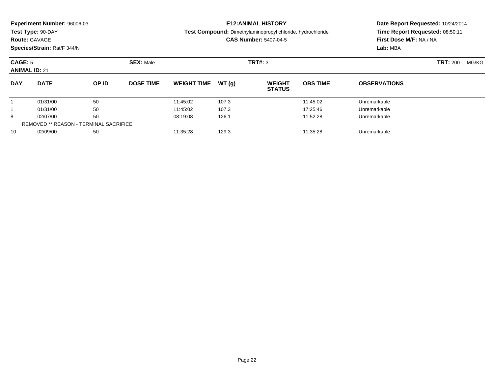|                     | Experiment Number: 96006-03<br>Test Type: 90-DAY<br><b>Route: GAVAGE</b><br>Species/Strain: Rat/F 344/N |       |                               |                    |       | <b>E12: ANIMAL HISTORY</b><br>Test Compound: Dimethylaminopropyl chloride, hydrochloride<br><b>CAS Number: 5407-04-5</b> | Date Report Requested: 10/24/2014<br>Time Report Requested: 08:50:11<br>First Dose M/F: NA / NA<br>Lab: MBA |                     |                 |       |
|---------------------|---------------------------------------------------------------------------------------------------------|-------|-------------------------------|--------------------|-------|--------------------------------------------------------------------------------------------------------------------------|-------------------------------------------------------------------------------------------------------------|---------------------|-----------------|-------|
|                     | CAGE: 5<br><b>ANIMAL ID: 21</b>                                                                         |       | <b>SEX: Male</b>              | TRT#: 3            |       |                                                                                                                          |                                                                                                             |                     | <b>TRT: 200</b> | MG/KG |
| <b>DAY</b>          | <b>DATE</b>                                                                                             | OP ID | <b>DOSE TIME</b>              | <b>WEIGHT TIME</b> | WT(q) | <b>WEIGHT</b><br><b>STATUS</b>                                                                                           | <b>OBS TIME</b>                                                                                             | <b>OBSERVATIONS</b> |                 |       |
|                     | 01/31/00                                                                                                | 50    |                               | 11:45:02           | 107.3 |                                                                                                                          | 11:45:02                                                                                                    | Unremarkable        |                 |       |
|                     | 50<br>01/31/00                                                                                          |       |                               | 11:45:02           | 107.3 |                                                                                                                          | 17:25:46                                                                                                    | Unremarkable        |                 |       |
| 50<br>8<br>02/07/00 |                                                                                                         |       | 08:19:08<br>126.1<br>11:52:28 |                    |       | Unremarkable                                                                                                             |                                                                                                             |                     |                 |       |
|                     | <b>REMOVED ** REASON - TERMINAL SACRIFICE</b>                                                           |       |                               |                    |       |                                                                                                                          |                                                                                                             |                     |                 |       |

0 02/09/00 50 50 11:35:28 129.3 129.3 129.3 129.3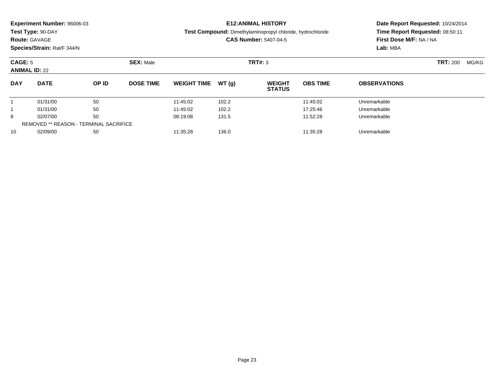|                                 | Experiment Number: 96006-03<br>Test Type: 90-DAY<br><b>Route: GAVAGE</b><br>Species/Strain: Rat/F 344/N |       |                               |                    |       | <b>E12: ANIMAL HISTORY</b><br>Test Compound: Dimethylaminopropyl chloride, hydrochloride<br><b>CAS Number: 5407-04-5</b> | Date Report Requested: 10/24/2014<br>Time Report Requested: 08:50:11<br>First Dose M/F: NA / NA<br>Lab: MBA |                     |       |  |
|---------------------------------|---------------------------------------------------------------------------------------------------------|-------|-------------------------------|--------------------|-------|--------------------------------------------------------------------------------------------------------------------------|-------------------------------------------------------------------------------------------------------------|---------------------|-------|--|
| CAGE: 5<br><b>ANIMAL ID: 22</b> |                                                                                                         |       | <b>SEX: Male</b>              |                    |       | TRT#: 3                                                                                                                  |                                                                                                             | <b>TRT: 200</b>     | MG/KG |  |
| <b>DAY</b>                      | <b>DATE</b>                                                                                             | OP ID | <b>DOSE TIME</b>              | <b>WEIGHT TIME</b> | WT(q) | <b>WEIGHT</b><br><b>STATUS</b>                                                                                           | <b>OBS TIME</b>                                                                                             | <b>OBSERVATIONS</b> |       |  |
|                                 | 01/31/00                                                                                                | 50    |                               | 11:45:02           | 102.2 |                                                                                                                          | 11:45:02                                                                                                    | Unremarkable        |       |  |
|                                 | 50<br>01/31/00                                                                                          |       |                               | 11:45:02           | 102.2 |                                                                                                                          | 17:25:46                                                                                                    | Unremarkable        |       |  |
| 50<br>8<br>02/07/00             |                                                                                                         |       | 08:19:08<br>131.5<br>11:52:28 |                    |       | Unremarkable                                                                                                             |                                                                                                             |                     |       |  |
|                                 | <b>REMOVED ** REASON - TERMINAL SACRIFICE</b>                                                           |       |                               |                    |       |                                                                                                                          |                                                                                                             |                     |       |  |

0 02/09/00 50 50 11:35:28 136.0 136.0 136.0 135.28 Unremarkable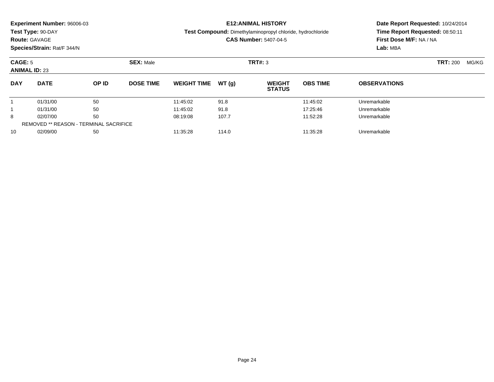|                     | Experiment Number: 96006-03<br>Test Type: 90-DAY<br><b>Route: GAVAGE</b><br>Species/Strain: Rat/F 344/N |       |                               |                    |       | <b>E12: ANIMAL HISTORY</b><br>Test Compound: Dimethylaminopropyl chloride, hydrochloride<br><b>CAS Number: 5407-04-5</b> | Date Report Requested: 10/24/2014<br>Time Report Requested: 08:50:11<br>First Dose M/F: NA / NA<br>Lab: MBA |                     |       |  |
|---------------------|---------------------------------------------------------------------------------------------------------|-------|-------------------------------|--------------------|-------|--------------------------------------------------------------------------------------------------------------------------|-------------------------------------------------------------------------------------------------------------|---------------------|-------|--|
|                     | CAGE: 5<br><b>ANIMAL ID: 23</b>                                                                         |       | <b>SEX: Male</b>              |                    |       | TRT#: 3                                                                                                                  |                                                                                                             | <b>TRT: 200</b>     | MG/KG |  |
| <b>DAY</b>          | <b>DATE</b>                                                                                             | OP ID | <b>DOSE TIME</b>              | <b>WEIGHT TIME</b> | WT(q) | <b>WEIGHT</b><br><b>STATUS</b>                                                                                           | <b>OBS TIME</b>                                                                                             | <b>OBSERVATIONS</b> |       |  |
|                     | 01/31/00                                                                                                | 50    |                               | 11:45:02           | 91.8  |                                                                                                                          | 11:45:02                                                                                                    | Unremarkable        |       |  |
|                     | 50<br>01/31/00                                                                                          |       |                               | 11:45:02           | 91.8  |                                                                                                                          | 17:25:46                                                                                                    | Unremarkable        |       |  |
| 50<br>8<br>02/07/00 |                                                                                                         |       | 08:19:08<br>107.7<br>11:52:28 |                    |       | Unremarkable                                                                                                             |                                                                                                             |                     |       |  |
|                     | <b>REMOVED ** REASON - TERMINAL SACRIFICE</b>                                                           |       |                               |                    |       |                                                                                                                          |                                                                                                             |                     |       |  |

0 02/09/00 50 50 11:35:28 114.0 11:40 11:35:28 Unremarkable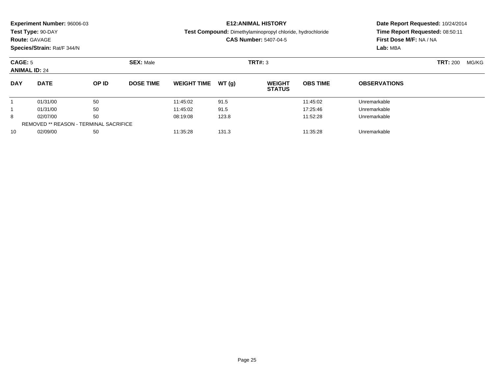|                     | Experiment Number: 96006-03<br>Test Type: 90-DAY<br><b>Route: GAVAGE</b><br>Species/Strain: Rat/F 344/N |       |                               |                    |       | <b>E12: ANIMAL HISTORY</b><br>Test Compound: Dimethylaminopropyl chloride, hydrochloride<br><b>CAS Number: 5407-04-5</b> | Date Report Requested: 10/24/2014<br>Time Report Requested: 08:50:11<br>First Dose M/F: NA / NA<br>Lab: MBA |                     |                 |       |
|---------------------|---------------------------------------------------------------------------------------------------------|-------|-------------------------------|--------------------|-------|--------------------------------------------------------------------------------------------------------------------------|-------------------------------------------------------------------------------------------------------------|---------------------|-----------------|-------|
|                     | CAGE: 5<br><b>ANIMAL ID: 24</b>                                                                         |       | <b>SEX: Male</b>              | TRT#: 3            |       |                                                                                                                          |                                                                                                             |                     | <b>TRT: 200</b> | MG/KG |
| <b>DAY</b>          | <b>DATE</b>                                                                                             | OP ID | <b>DOSE TIME</b>              | <b>WEIGHT TIME</b> | WT(q) | <b>WEIGHT</b><br><b>STATUS</b>                                                                                           | <b>OBS TIME</b>                                                                                             | <b>OBSERVATIONS</b> |                 |       |
|                     | 01/31/00                                                                                                | 50    |                               | 11:45:02           | 91.5  |                                                                                                                          | 11:45:02                                                                                                    | Unremarkable        |                 |       |
|                     | 50<br>01/31/00                                                                                          |       |                               | 11:45:02           | 91.5  |                                                                                                                          | 17:25:46                                                                                                    | Unremarkable        |                 |       |
| 50<br>8<br>02/07/00 |                                                                                                         |       | 08:19:08<br>123.8<br>11:52:28 |                    |       | Unremarkable                                                                                                             |                                                                                                             |                     |                 |       |
|                     | <b>REMOVED ** REASON - TERMINAL SACRIFICE</b>                                                           |       |                               |                    |       |                                                                                                                          |                                                                                                             |                     |                 |       |

0 02/09/00 50 50 11:35:28 131.3 131.3 131.3 11:35:28 Unremarkable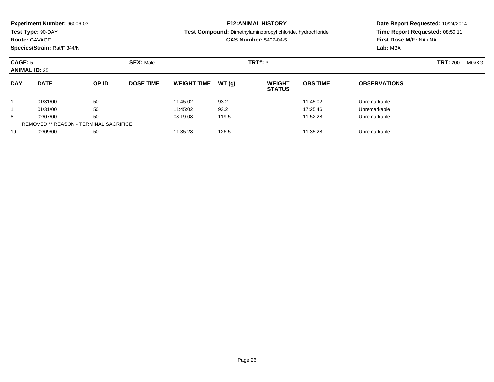|                     | Experiment Number: 96006-03<br>Test Type: 90-DAY<br><b>Route: GAVAGE</b><br>Species/Strain: Rat/F 344/N |       |                               |                    |       | <b>E12: ANIMAL HISTORY</b><br>Test Compound: Dimethylaminopropyl chloride, hydrochloride<br><b>CAS Number: 5407-04-5</b> | Date Report Requested: 10/24/2014<br>Time Report Requested: 08:50:11<br>First Dose M/F: NA / NA<br>Lab: MBA |                     |       |  |
|---------------------|---------------------------------------------------------------------------------------------------------|-------|-------------------------------|--------------------|-------|--------------------------------------------------------------------------------------------------------------------------|-------------------------------------------------------------------------------------------------------------|---------------------|-------|--|
|                     | CAGE: 5<br><b>ANIMAL ID: 25</b>                                                                         |       | <b>SEX: Male</b>              |                    |       | TRT#: 3                                                                                                                  |                                                                                                             | <b>TRT: 200</b>     | MG/KG |  |
| <b>DAY</b>          | <b>DATE</b>                                                                                             | OP ID | <b>DOSE TIME</b>              | <b>WEIGHT TIME</b> | WT(q) | <b>WEIGHT</b><br><b>STATUS</b>                                                                                           | <b>OBS TIME</b>                                                                                             | <b>OBSERVATIONS</b> |       |  |
|                     | 01/31/00                                                                                                | 50    |                               | 11:45:02           | 93.2  |                                                                                                                          | 11:45:02                                                                                                    | Unremarkable        |       |  |
|                     | 50<br>01/31/00                                                                                          |       |                               | 11:45:02           | 93.2  |                                                                                                                          | 17:25:46                                                                                                    | Unremarkable        |       |  |
| 50<br>8<br>02/07/00 |                                                                                                         |       | 08:19:08<br>119.5<br>11:52:28 |                    |       |                                                                                                                          | Unremarkable                                                                                                |                     |       |  |
|                     | <b>REMOVED ** REASON - TERMINAL SACRIFICE</b>                                                           |       |                               |                    |       |                                                                                                                          |                                                                                                             |                     |       |  |

0 02/09/00 50 50 11:35:28 126.5 126.5 126.5 125.28 Unremarkable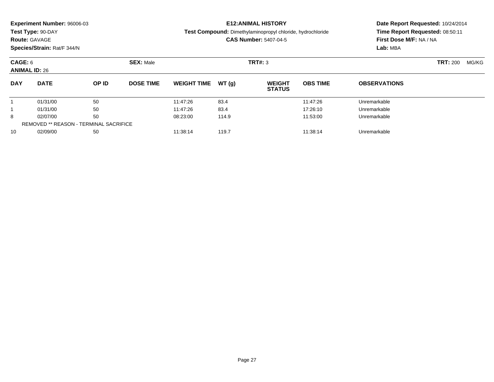| <b>Route: GAVAGE</b>            | Experiment Number: 96006-03<br>Test Type: 90-DAY<br>Species/Strain: Rat/F 344/N | <b>E12: ANIMAL HISTORY</b><br><b>Test Compound:</b> Dimethylaminopropyl chloride, hydrochloride<br><b>CAS Number: 5407-04-5</b> |                             |                               |       | Date Report Requested: 10/24/2014<br>Time Report Requested: 08:50:11<br>First Dose M/F: NA / NA<br>Lab: MBA |                 |                          |  |
|---------------------------------|---------------------------------------------------------------------------------|---------------------------------------------------------------------------------------------------------------------------------|-----------------------------|-------------------------------|-------|-------------------------------------------------------------------------------------------------------------|-----------------|--------------------------|--|
| CAGE: 6<br><b>ANIMAL ID: 26</b> |                                                                                 |                                                                                                                                 | <b>SEX: Male</b><br>TRT#: 3 |                               |       |                                                                                                             |                 | <b>TRT: 200</b><br>MG/KG |  |
| <b>DAY</b>                      | <b>DATE</b>                                                                     | OP ID                                                                                                                           | <b>DOSE TIME</b>            | <b>WEIGHT TIME</b>            | WT(q) | <b>WEIGHT</b><br><b>STATUS</b>                                                                              | <b>OBS TIME</b> | <b>OBSERVATIONS</b>      |  |
|                                 | 01/31/00                                                                        | 50                                                                                                                              |                             | 11:47:26                      | 83.4  |                                                                                                             | 11:47:26        | Unremarkable             |  |
|                                 | 50<br>01/31/00                                                                  |                                                                                                                                 |                             | 11:47:26                      | 83.4  |                                                                                                             | 17:26:10        | Unremarkable             |  |
| 8                               | 50<br>02/07/00                                                                  |                                                                                                                                 |                             | 114.9<br>11:53:00<br>08:23:00 |       |                                                                                                             | Unremarkable    |                          |  |

02/09/00 <sup>50</sup> 11:38:14 119.7 11:38:14 Unremarkable

REMOVED \*\* REASON - TERMINAL SACRIFICE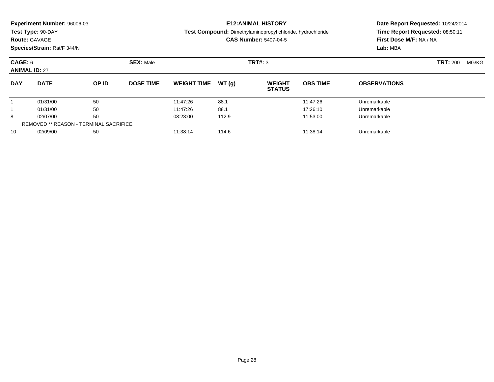|                     | Experiment Number: 96006-03<br>Test Type: 90-DAY<br><b>Route: GAVAGE</b><br>Species/Strain: Rat/F 344/N |       |                               |                    |       | <b>E12: ANIMAL HISTORY</b><br>Test Compound: Dimethylaminopropyl chloride, hydrochloride<br><b>CAS Number: 5407-04-5</b> | Date Report Requested: 10/24/2014<br>Time Report Requested: 08:50:11<br>First Dose M/F: NA / NA<br>Lab: MBA |                     |  |
|---------------------|---------------------------------------------------------------------------------------------------------|-------|-------------------------------|--------------------|-------|--------------------------------------------------------------------------------------------------------------------------|-------------------------------------------------------------------------------------------------------------|---------------------|--|
|                     | CAGE: 6<br><b>ANIMAL ID: 27</b>                                                                         |       | <b>SEX: Male</b><br>TRT#: 3   |                    |       |                                                                                                                          | <b>TRT:</b> 200                                                                                             |                     |  |
| <b>DAY</b>          | <b>DATE</b>                                                                                             | OP ID | <b>DOSE TIME</b>              | <b>WEIGHT TIME</b> | WT(q) | <b>WEIGHT</b><br><b>STATUS</b>                                                                                           | <b>OBS TIME</b>                                                                                             | <b>OBSERVATIONS</b> |  |
|                     | 01/31/00                                                                                                | 50    |                               | 11:47:26           | 88.1  |                                                                                                                          | 11:47:26                                                                                                    | Unremarkable        |  |
|                     | 50<br>01/31/00                                                                                          |       | 11:47:26                      | 88.1               |       | 17:26:10                                                                                                                 | Unremarkable                                                                                                |                     |  |
| 50<br>8<br>02/07/00 |                                                                                                         |       | 08:23:00<br>112.9<br>11:53:00 |                    |       | Unremarkable                                                                                                             |                                                                                                             |                     |  |
|                     | <b>REMOVED ** REASON - TERMINAL SACRIFICE</b>                                                           |       |                               |                    |       |                                                                                                                          |                                                                                                             |                     |  |

0 02/09/00 50 50 11:38:14 114.6 114.6 11:38:14 Unremarkable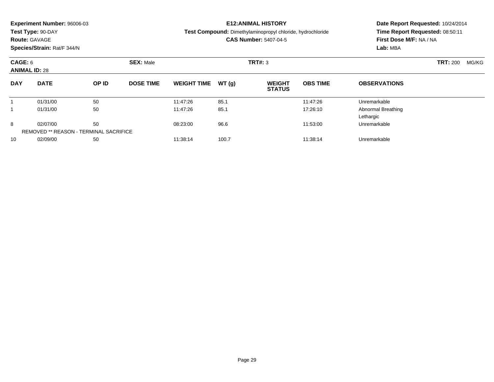### **Route:** GAVAGE

**Species/Strain:** Rat/F 344/N

### **E12:ANIMAL HISTORY**

#### **Test Compound:** Dimethylaminopropyl chloride, hydrochloride

**CAS Number:** 5407-04-5

| CAGE: 6<br><b>ANIMAL ID: 28</b> |                                                           |       | <b>SEX: Male</b> |                     |       | TRT#: 3                        | <b>TRT: 200</b> | MG/KG                           |  |  |
|---------------------------------|-----------------------------------------------------------|-------|------------------|---------------------|-------|--------------------------------|-----------------|---------------------------------|--|--|
| <b>DAY</b>                      | <b>DATE</b>                                               | OP ID | <b>DOSE TIME</b> | WEIGHT TIME $WT(g)$ |       | <b>WEIGHT</b><br><b>STATUS</b> | <b>OBS TIME</b> | <b>OBSERVATIONS</b>             |  |  |
|                                 | 01/31/00                                                  | 50    |                  | 11:47:26            | 85.1  |                                | 11:47:26        | Unremarkable                    |  |  |
|                                 | 01/31/00                                                  | 50    |                  | 11:47:26            | 85.1  |                                | 17:26:10        | Abnormal Breathing<br>Lethargic |  |  |
| 8                               | 02/07/00<br><b>REMOVED ** REASON - TERMINAL SACRIFICE</b> | 50    |                  | 08:23:00            | 96.6  |                                | 11:53:00        | Unremarkable                    |  |  |
| 10                              | 02/09/00                                                  | 50    |                  | 11:38:14            | 100.7 |                                | 11:38:14        | Unremarkable                    |  |  |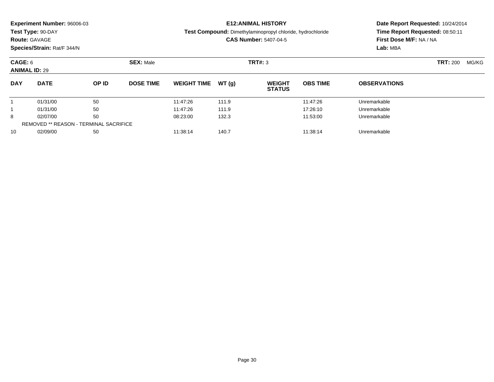| <b>Experiment Number: 96006-03</b><br>Test Type: 90-DAY<br><b>Route: GAVAGE</b><br>Species/Strain: Rat/F 344/N |             |       |                  | <b>E12: ANIMAL HISTORY</b><br><b>Test Compound:</b> Dimethylaminopropyl chloride, hydrochloride<br><b>CAS Number: 5407-04-5</b> |       |                                |                 | Date Report Requested: 10/24/2014<br>Time Report Requested: 08:50:11<br>First Dose M/F: NA / NA<br>Lab: MBA |                 |       |
|----------------------------------------------------------------------------------------------------------------|-------------|-------|------------------|---------------------------------------------------------------------------------------------------------------------------------|-------|--------------------------------|-----------------|-------------------------------------------------------------------------------------------------------------|-----------------|-------|
| CAGE: 6<br><b>ANIMAL ID: 29</b>                                                                                |             |       | <b>SEX: Male</b> | TRT#: 3                                                                                                                         |       |                                |                 |                                                                                                             | <b>TRT: 200</b> | MG/KG |
| <b>DAY</b>                                                                                                     | <b>DATE</b> | OP ID | <b>DOSE TIME</b> | <b>WEIGHT TIME</b>                                                                                                              | WT(q) | <b>WEIGHT</b><br><b>STATUS</b> | <b>OBS TIME</b> | <b>OBSERVATIONS</b>                                                                                         |                 |       |
|                                                                                                                | 01/31/00    | 50    |                  | 11:47:26                                                                                                                        | 111.9 |                                | 11:47:26        | Unremarkable                                                                                                |                 |       |
|                                                                                                                | 01/31/00    | 50    |                  | 11:47:26                                                                                                                        | 111.9 |                                | 17:26:10        | Unremarkable                                                                                                |                 |       |
| 8                                                                                                              | 02/07/00    | 50    |                  | 08:23:00                                                                                                                        | 132.3 |                                | 11:53:00        | Unremarkable                                                                                                |                 |       |

02/09/00 <sup>50</sup> 11:38:14 140.7 11:38:14 Unremarkable

REMOVED \*\* REASON - TERMINAL SACRIFICE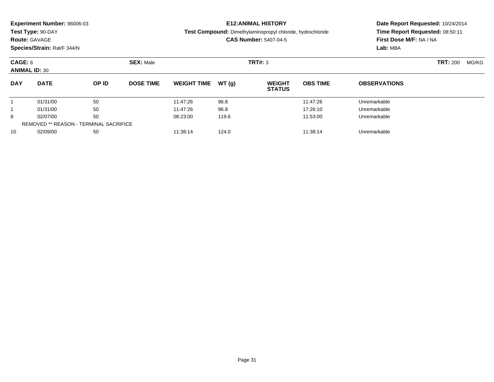| Experiment Number: 96006-03<br>Test Type: 90-DAY<br><b>Route: GAVAGE</b><br>Species/Strain: Rat/F 344/N |             |       |                  |                    |       | <b>E12: ANIMAL HISTORY</b><br>Test Compound: Dimethylaminopropyl chloride, hydrochloride<br><b>CAS Number: 5407-04-5</b> | Date Report Requested: 10/24/2014<br>Time Report Requested: 08:50:11<br>First Dose M/F: NA / NA<br>Lab: MBA |                     |       |  |
|---------------------------------------------------------------------------------------------------------|-------------|-------|------------------|--------------------|-------|--------------------------------------------------------------------------------------------------------------------------|-------------------------------------------------------------------------------------------------------------|---------------------|-------|--|
| CAGE: 6<br><b>ANIMAL ID: 30</b>                                                                         |             |       | <b>SEX: Male</b> |                    |       | TRT#: 3                                                                                                                  |                                                                                                             | <b>TRT: 200</b>     | MG/KG |  |
| <b>DAY</b>                                                                                              | <b>DATE</b> | OP ID | <b>DOSE TIME</b> | <b>WEIGHT TIME</b> | WT(q) | <b>WEIGHT</b><br><b>STATUS</b>                                                                                           | <b>OBS TIME</b>                                                                                             | <b>OBSERVATIONS</b> |       |  |
|                                                                                                         | 01/31/00    | 50    |                  | 11:47:26           | 96.8  |                                                                                                                          | 11:47:26                                                                                                    | Unremarkable        |       |  |
|                                                                                                         | 01/31/00    | 50    |                  | 11:47:26           | 96.8  |                                                                                                                          | 17:26:10                                                                                                    | Unremarkable        |       |  |
| 8                                                                                                       | 02/07/00    | 50    |                  | 08:23:00           | 119.6 |                                                                                                                          | 11:53:00                                                                                                    | Unremarkable        |       |  |
| <b>REMOVED ** REASON - TERMINAL SACRIFICE</b>                                                           |             |       |                  |                    |       |                                                                                                                          |                                                                                                             |                     |       |  |

02/09/00 <sup>50</sup> 11:38:14 124.0 11:38:14 Unremarkable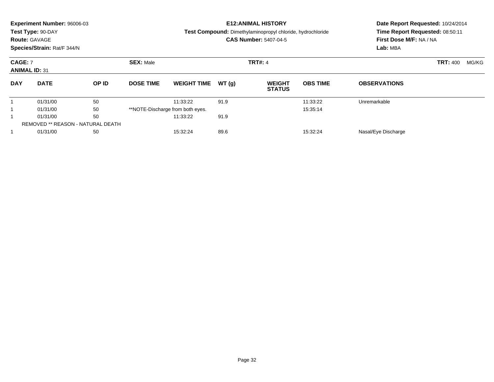|                                        | <b>Experiment Number: 96006-03</b><br>Test Type: 90-DAY<br><b>Route: GAVAGE</b><br>Species/Strain: Rat/F 344/N |       |                  |                                  |       | <b>E12: ANIMAL HISTORY</b><br>Test Compound: Dimethylaminopropyl chloride, hydrochloride<br><b>CAS Number: 5407-04-5</b> | Date Report Requested: 10/24/2014<br>Time Report Requested: 08:50:11<br>First Dose M/F: NA / NA<br>Lab: MBA |                     |  |       |
|----------------------------------------|----------------------------------------------------------------------------------------------------------------|-------|------------------|----------------------------------|-------|--------------------------------------------------------------------------------------------------------------------------|-------------------------------------------------------------------------------------------------------------|---------------------|--|-------|
| <b>CAGE: 7</b><br><b>ANIMAL ID: 31</b> |                                                                                                                |       | <b>SEX: Male</b> |                                  |       | <b>TRT#: 4</b>                                                                                                           |                                                                                                             | <b>TRT: 400</b>     |  | MG/KG |
| <b>DAY</b>                             | <b>DATE</b>                                                                                                    | OP ID | <b>DOSE TIME</b> | <b>WEIGHT TIME</b>               | WT(q) | <b>WEIGHT</b><br><b>STATUS</b>                                                                                           | <b>OBS TIME</b>                                                                                             | <b>OBSERVATIONS</b> |  |       |
|                                        | 01/31/00                                                                                                       | 50    |                  | 11:33:22                         | 91.9  |                                                                                                                          | 11:33:22                                                                                                    | Unremarkable        |  |       |
|                                        | 01/31/00                                                                                                       | 50    |                  | **NOTE-Discharge from both eyes. |       |                                                                                                                          | 15:35:14                                                                                                    |                     |  |       |
|                                        | 01/31/00                                                                                                       | 50    |                  | 11:33:22                         | 91.9  |                                                                                                                          |                                                                                                             |                     |  |       |
|                                        | <b>REMOVED ** REASON - NATURAL DEATH</b>                                                                       |       |                  |                                  |       |                                                                                                                          |                                                                                                             |                     |  |       |
|                                        | 01/31/00                                                                                                       | 50    |                  | 15:32:24                         | 89.6  |                                                                                                                          | 15:32:24                                                                                                    | Nasal/Eye Discharge |  |       |
|                                        |                                                                                                                |       |                  |                                  |       |                                                                                                                          |                                                                                                             |                     |  |       |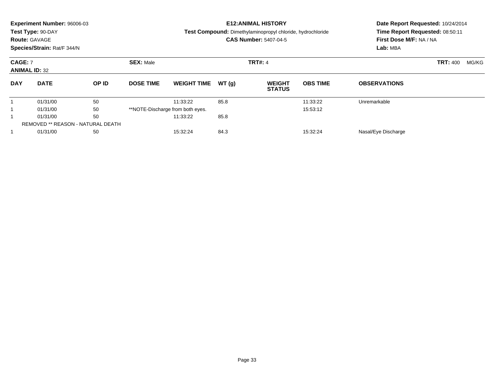|                                        | <b>Experiment Number: 96006-03</b><br>Test Type: 90-DAY<br><b>Route: GAVAGE</b><br>Species/Strain: Rat/F 344/N |       |                  |                                  |                | <b>E12:ANIMAL HISTORY</b><br><b>Test Compound:</b> Dimethylaminopropyl chloride, hydrochloride<br><b>CAS Number: 5407-04-5</b> | Date Report Requested: 10/24/2014<br>Time Report Requested: 08:50:11<br>First Dose M/F: NA / NA<br>Lab: MBA |                     |                          |
|----------------------------------------|----------------------------------------------------------------------------------------------------------------|-------|------------------|----------------------------------|----------------|--------------------------------------------------------------------------------------------------------------------------------|-------------------------------------------------------------------------------------------------------------|---------------------|--------------------------|
| <b>CAGE: 7</b><br><b>ANIMAL ID: 32</b> |                                                                                                                |       | <b>SEX: Male</b> |                                  | <b>TRT#: 4</b> |                                                                                                                                |                                                                                                             |                     | <b>TRT: 400</b><br>MG/KG |
| <b>DAY</b>                             | <b>DATE</b>                                                                                                    | OP ID | <b>DOSE TIME</b> | <b>WEIGHT TIME</b>               | WT(g)          | <b>WEIGHT</b><br><b>STATUS</b>                                                                                                 | <b>OBS TIME</b>                                                                                             | <b>OBSERVATIONS</b> |                          |
|                                        | 01/31/00                                                                                                       | 50    |                  | 11:33:22                         | 85.8           |                                                                                                                                | 11:33:22                                                                                                    | Unremarkable        |                          |
|                                        | 01/31/00                                                                                                       | 50    |                  | **NOTE-Discharge from both eyes. |                |                                                                                                                                | 15:53:12                                                                                                    |                     |                          |
|                                        | 01/31/00                                                                                                       | 50    |                  | 11:33:22                         | 85.8           |                                                                                                                                |                                                                                                             |                     |                          |
|                                        | <b>REMOVED ** REASON - NATURAL DEATH</b>                                                                       |       |                  |                                  |                |                                                                                                                                |                                                                                                             |                     |                          |
|                                        | 01/31/00                                                                                                       | 50    |                  | 15:32:24                         | 84.3           |                                                                                                                                | 15:32:24                                                                                                    | Nasal/Eye Discharge |                          |
|                                        |                                                                                                                |       |                  |                                  |                |                                                                                                                                |                                                                                                             |                     |                          |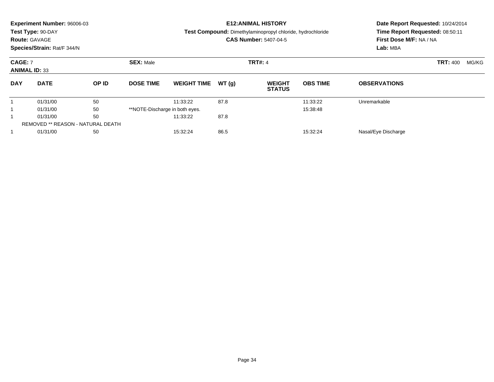|                                        | <b>Experiment Number: 96006-03</b><br>Test Type: 90-DAY<br><b>Route: GAVAGE</b><br>Species/Strain: Rat/F 344/N |       |                                |                    |                | <b>E12: ANIMAL HISTORY</b><br>Test Compound: Dimethylaminopropyl chloride, hydrochloride<br><b>CAS Number: 5407-04-5</b> | Date Report Requested: 10/24/2014<br>Time Report Requested: 08:50:11<br>First Dose M/F: NA / NA<br>Lab: MBA |                     |                          |  |
|----------------------------------------|----------------------------------------------------------------------------------------------------------------|-------|--------------------------------|--------------------|----------------|--------------------------------------------------------------------------------------------------------------------------|-------------------------------------------------------------------------------------------------------------|---------------------|--------------------------|--|
| <b>CAGE: 7</b><br><b>ANIMAL ID: 33</b> |                                                                                                                |       | <b>SEX: Male</b>               |                    | <b>TRT#: 4</b> |                                                                                                                          |                                                                                                             |                     | <b>TRT: 400</b><br>MG/KG |  |
| <b>DAY</b>                             | <b>DATE</b>                                                                                                    | OP ID | <b>DOSE TIME</b>               | <b>WEIGHT TIME</b> | WT(q)          | <b>WEIGHT</b><br><b>STATUS</b>                                                                                           | <b>OBS TIME</b>                                                                                             | <b>OBSERVATIONS</b> |                          |  |
|                                        | 01/31/00                                                                                                       | 50    |                                | 11:33:22           | 87.8           |                                                                                                                          | 11:33:22                                                                                                    | Unremarkable        |                          |  |
|                                        | 01/31/00                                                                                                       | 50    | **NOTE-Discharge in both eyes. |                    |                |                                                                                                                          | 15:38:48                                                                                                    |                     |                          |  |
|                                        | 01/31/00                                                                                                       | 50    |                                | 11:33:22           | 87.8           |                                                                                                                          |                                                                                                             |                     |                          |  |
|                                        | <b>REMOVED ** REASON - NATURAL DEATH</b>                                                                       |       |                                |                    |                |                                                                                                                          |                                                                                                             |                     |                          |  |
|                                        | 01/31/00                                                                                                       | 50    |                                | 15:32:24           | 86.5           |                                                                                                                          | 15:32:24                                                                                                    | Nasal/Eye Discharge |                          |  |
|                                        |                                                                                                                |       |                                |                    |                |                                                                                                                          |                                                                                                             |                     |                          |  |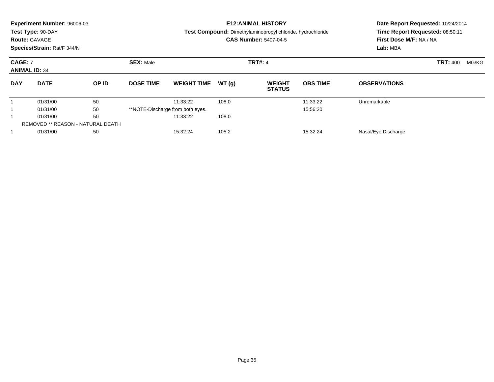|                                        | <b>Experiment Number: 96006-03</b><br>Test Type: 90-DAY<br><b>Route: GAVAGE</b><br>Species/Strain: Rat/F 344/N |       |                  |                                  |                | <b>E12: ANIMAL HISTORY</b><br>Test Compound: Dimethylaminopropyl chloride, hydrochloride<br><b>CAS Number: 5407-04-5</b> | Date Report Requested: 10/24/2014<br>Time Report Requested: 08:50:11<br>First Dose M/F: NA / NA<br>Lab: MBA |                     |                 |       |
|----------------------------------------|----------------------------------------------------------------------------------------------------------------|-------|------------------|----------------------------------|----------------|--------------------------------------------------------------------------------------------------------------------------|-------------------------------------------------------------------------------------------------------------|---------------------|-----------------|-------|
| <b>CAGE: 7</b><br><b>ANIMAL ID: 34</b> |                                                                                                                |       | <b>SEX: Male</b> |                                  | <b>TRT#: 4</b> |                                                                                                                          |                                                                                                             |                     | <b>TRT: 400</b> | MG/KG |
| <b>DAY</b>                             | <b>DATE</b>                                                                                                    | OP ID | <b>DOSE TIME</b> | <b>WEIGHT TIME</b>               | WT(q)          | <b>WEIGHT</b><br><b>STATUS</b>                                                                                           | <b>OBS TIME</b>                                                                                             | <b>OBSERVATIONS</b> |                 |       |
|                                        | 01/31/00                                                                                                       | 50    |                  | 11:33:22                         | 108.0          |                                                                                                                          | 11:33:22                                                                                                    | Unremarkable        |                 |       |
|                                        | 01/31/00                                                                                                       | 50    |                  | **NOTE-Discharge from both eyes. |                |                                                                                                                          | 15:56:20                                                                                                    |                     |                 |       |
|                                        | 01/31/00                                                                                                       | 50    |                  | 11:33:22                         | 108.0          |                                                                                                                          |                                                                                                             |                     |                 |       |
|                                        | <b>REMOVED ** REASON - NATURAL DEATH</b>                                                                       |       |                  |                                  |                |                                                                                                                          |                                                                                                             |                     |                 |       |
|                                        | 01/31/00                                                                                                       | 50    |                  | 15:32:24                         | 105.2          |                                                                                                                          | 15:32:24                                                                                                    | Nasal/Eye Discharge |                 |       |
|                                        |                                                                                                                |       |                  |                                  |                |                                                                                                                          |                                                                                                             |                     |                 |       |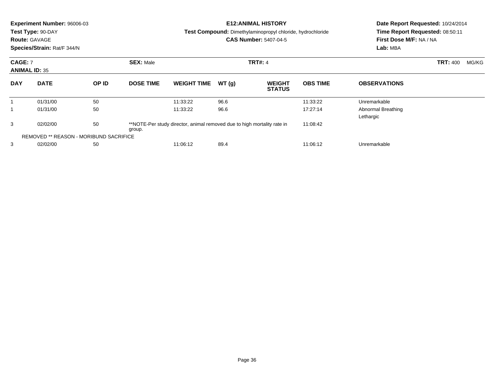|                                        | Experiment Number: 96006-03<br>Test Type: 90-DAY<br><b>Route: GAVAGE</b><br>Species/Strain: Rat/F 344/N |       |                  |                                                                         | <b>E12: ANIMAL HISTORY</b><br><b>Test Compound:</b> Dimethylaminopropyl chloride, hydrochloride<br><b>CAS Number: 5407-04-5</b> | Date Report Requested: 10/24/2014<br>Time Report Requested: 08:50:11<br>First Dose M/F: NA / NA<br>Lab: MBA |                 |                                 |                 |       |
|----------------------------------------|---------------------------------------------------------------------------------------------------------|-------|------------------|-------------------------------------------------------------------------|---------------------------------------------------------------------------------------------------------------------------------|-------------------------------------------------------------------------------------------------------------|-----------------|---------------------------------|-----------------|-------|
| <b>CAGE: 7</b><br><b>ANIMAL ID: 35</b> |                                                                                                         |       | <b>SEX: Male</b> |                                                                         | <b>TRT#: 4</b>                                                                                                                  |                                                                                                             |                 |                                 | <b>TRT: 400</b> | MG/KG |
| <b>DAY</b>                             | <b>DATE</b>                                                                                             | OP ID | <b>DOSE TIME</b> | <b>WEIGHT TIME</b>                                                      | WT(g)                                                                                                                           | <b>WEIGHT</b><br><b>STATUS</b>                                                                              | <b>OBS TIME</b> | <b>OBSERVATIONS</b>             |                 |       |
| $\mathbf 1$                            | 01/31/00                                                                                                | 50    |                  | 11:33:22                                                                | 96.6                                                                                                                            |                                                                                                             | 11:33:22        | Unremarkable                    |                 |       |
|                                        | 01/31/00                                                                                                | 50    |                  | 11:33:22                                                                | 96.6                                                                                                                            |                                                                                                             | 17:27:14        | Abnormal Breathing<br>Lethargic |                 |       |
| 3                                      | 02/02/00                                                                                                | 50    | group.           | **NOTE-Per study director, animal removed due to high mortality rate in |                                                                                                                                 |                                                                                                             |                 |                                 |                 |       |
|                                        | <b>REMOVED ** REASON - MORIBUND SACRIFICE</b>                                                           |       |                  |                                                                         |                                                                                                                                 |                                                                                                             |                 |                                 |                 |       |
| 3                                      | 02/02/00                                                                                                | 50    |                  | 11:06:12                                                                | 89.4                                                                                                                            |                                                                                                             | 11:06:12        | Unremarkable                    |                 |       |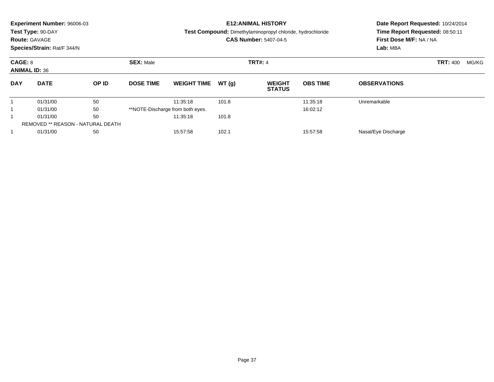|                                 | <b>Experiment Number: 96006-03</b> |                                   |                                    |                                  |       | <b>E12:ANIMAL HISTORY</b>                                         | Date Report Requested: 10/24/2014<br>Time Report Requested: 08:50:11 |                         |                          |  |
|---------------------------------|------------------------------------|-----------------------------------|------------------------------------|----------------------------------|-------|-------------------------------------------------------------------|----------------------------------------------------------------------|-------------------------|--------------------------|--|
|                                 | Test Type: 90-DAY                  |                                   |                                    |                                  |       | <b>Test Compound:</b> Dimethylaminopropyl chloride, hydrochloride |                                                                      |                         |                          |  |
|                                 | <b>Route: GAVAGE</b>               |                                   |                                    |                                  |       | <b>CAS Number: 5407-04-5</b>                                      |                                                                      | First Dose M/F: NA / NA |                          |  |
|                                 | Species/Strain: Rat/F 344/N        |                                   |                                    |                                  |       |                                                                   |                                                                      | Lab: MBA                |                          |  |
| CAGE: 8<br><b>ANIMAL ID: 36</b> |                                    |                                   | <b>SEX: Male</b><br><b>TRT#: 4</b> |                                  |       |                                                                   |                                                                      |                         | <b>TRT: 400</b><br>MG/KG |  |
| <b>DAY</b>                      | <b>DATE</b>                        | OP ID                             | <b>DOSE TIME</b>                   | <b>WEIGHT TIME</b>               | WT(q) | <b>WEIGHT</b><br><b>STATUS</b>                                    | <b>OBS TIME</b>                                                      | <b>OBSERVATIONS</b>     |                          |  |
|                                 | 01/31/00                           | 50                                |                                    | 11:35:18                         | 101.8 |                                                                   | 11:35:18                                                             | Unremarkable            |                          |  |
|                                 | 01/31/00                           | 50                                |                                    | **NOTE-Discharge from both eyes. |       |                                                                   | 16:02:12                                                             |                         |                          |  |
|                                 | 50<br>01/31/00                     |                                   |                                    | 11:35:18                         | 101.8 |                                                                   |                                                                      |                         |                          |  |
|                                 |                                    | REMOVED ** REASON - NATURAL DEATH |                                    |                                  |       |                                                                   |                                                                      |                         |                          |  |
|                                 | 01/31/00<br>50                     |                                   |                                    | 102.1<br>15:57:58<br>15:57:58    |       |                                                                   |                                                                      | Nasal/Eye Discharge     |                          |  |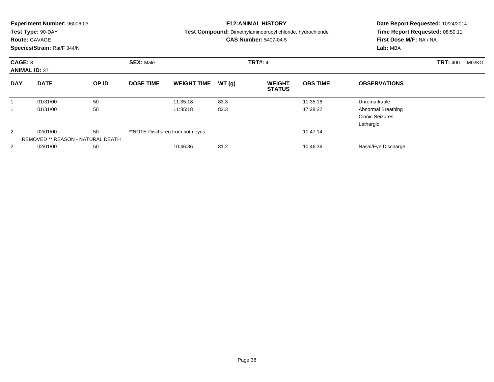|                | <b>Experiment Number: 96006-03</b><br>Test Type: 90-DAY<br><b>Route: GAVAGE</b><br>Species/Strain: Rat/F 344/N |       |                  |                                  |       | <b>E12:ANIMAL HISTORY</b><br>Test Compound: Dimethylaminopropyl chloride, hydrochloride<br><b>CAS Number: 5407-04-5</b> | Date Report Requested: 10/24/2014<br>Time Report Requested: 08:50:11<br>First Dose M/F: NA / NA<br>Lab: MBA |                                                           |                          |
|----------------|----------------------------------------------------------------------------------------------------------------|-------|------------------|----------------------------------|-------|-------------------------------------------------------------------------------------------------------------------------|-------------------------------------------------------------------------------------------------------------|-----------------------------------------------------------|--------------------------|
|                | CAGE: 8<br><b>ANIMAL ID: 37</b>                                                                                |       | <b>SEX: Male</b> |                                  |       | <b>TRT#: 4</b>                                                                                                          |                                                                                                             |                                                           | <b>TRT: 400</b><br>MG/KG |
| <b>DAY</b>     | <b>DATE</b>                                                                                                    | OP ID | <b>DOSE TIME</b> | <b>WEIGHT TIME</b>               | WT(g) | <b>WEIGHT</b><br><b>STATUS</b>                                                                                          | <b>OBS TIME</b>                                                                                             | <b>OBSERVATIONS</b>                                       |                          |
|                | 01/31/00                                                                                                       | 50    |                  | 11:35:18                         | 83.3  |                                                                                                                         | 11:35:18                                                                                                    | Unremarkable                                              |                          |
|                | 01/31/00                                                                                                       | 50    |                  | 11:35:18                         | 83.3  |                                                                                                                         | 17:28:22                                                                                                    | Abnormal Breathing<br><b>Clonic Seizures</b><br>Lethargic |                          |
| 2              | 50<br>02/01/00<br><b>REMOVED ** REASON - NATURAL DEATH</b>                                                     |       |                  | **NOTE-Dischareg from both eyes. |       |                                                                                                                         | 10:47:14                                                                                                    |                                                           |                          |
| $\overline{2}$ | 02/01/00                                                                                                       | 50    |                  | 10:46:36                         | 81.2  |                                                                                                                         | 10:46:36                                                                                                    | Nasal/Eye Discharge                                       |                          |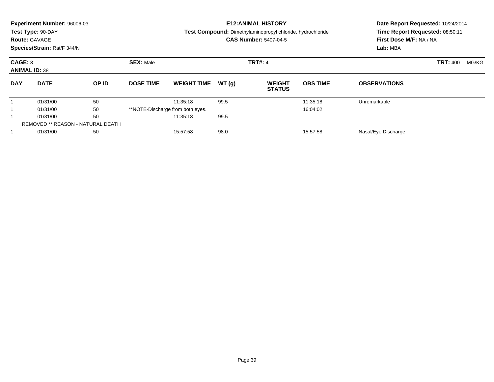|                                 | <b>Experiment Number: 96006-03</b><br>Test Type: 90-DAY |                                   |                                    |                                  |       | <b>E12:ANIMAL HISTORY</b><br>Test Compound: Dimethylaminopropyl chloride, hydrochloride | Date Report Requested: 10/24/2014<br>Time Report Requested: 08:50:11 |                     |                          |  |
|---------------------------------|---------------------------------------------------------|-----------------------------------|------------------------------------|----------------------------------|-------|-----------------------------------------------------------------------------------------|----------------------------------------------------------------------|---------------------|--------------------------|--|
|                                 | <b>Route: GAVAGE</b><br>Species/Strain: Rat/F 344/N     |                                   |                                    |                                  |       | <b>CAS Number: 5407-04-5</b>                                                            | First Dose M/F: NA / NA<br>Lab: MBA                                  |                     |                          |  |
| CAGE: 8<br><b>ANIMAL ID: 38</b> |                                                         |                                   | <b>SEX: Male</b><br><b>TRT#: 4</b> |                                  |       |                                                                                         |                                                                      |                     | <b>TRT: 400</b><br>MG/KG |  |
| <b>DAY</b>                      | <b>DATE</b>                                             | OP ID                             | <b>DOSE TIME</b>                   | <b>WEIGHT TIME</b>               | WT(g) | <b>WEIGHT</b><br><b>STATUS</b>                                                          | <b>OBS TIME</b>                                                      | <b>OBSERVATIONS</b> |                          |  |
|                                 | 01/31/00                                                | 50                                |                                    | 11:35:18                         | 99.5  |                                                                                         | 11:35:18                                                             | Unremarkable        |                          |  |
|                                 | 01/31/00                                                | 50                                |                                    | **NOTE-Discharge from both eyes. |       |                                                                                         | 16:04:02                                                             |                     |                          |  |
|                                 | 50<br>01/31/00                                          |                                   |                                    | 11:35:18                         | 99.5  |                                                                                         |                                                                      |                     |                          |  |
|                                 |                                                         | REMOVED ** REASON - NATURAL DEATH |                                    |                                  |       |                                                                                         |                                                                      |                     |                          |  |
|                                 | 01/31/00<br>50                                          |                                   | 98.0<br>15:57:58<br>15:57:58       |                                  |       |                                                                                         |                                                                      | Nasal/Eye Discharge |                          |  |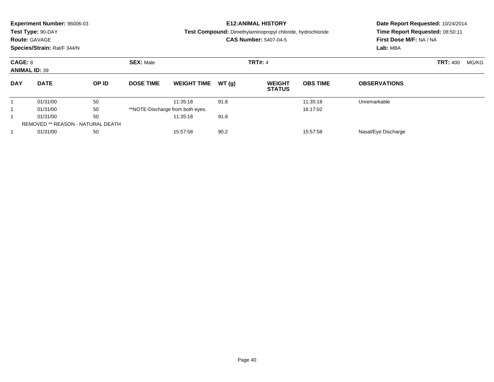|            | <b>Experiment Number: 96006-03</b> |                                   |                              |                                  |                | <b>E12:ANIMAL HISTORY</b>                                  | Date Report Requested: 10/24/2014 |                                 |  |  |
|------------|------------------------------------|-----------------------------------|------------------------------|----------------------------------|----------------|------------------------------------------------------------|-----------------------------------|---------------------------------|--|--|
|            | Test Type: 90-DAY                  |                                   |                              |                                  |                | Test Compound: Dimethylaminopropyl chloride, hydrochloride |                                   | Time Report Requested: 08:50:11 |  |  |
|            | <b>Route: GAVAGE</b>               |                                   |                              |                                  |                | <b>CAS Number: 5407-04-5</b>                               |                                   | First Dose M/F: NA / NA         |  |  |
|            | Species/Strain: Rat/F 344/N        |                                   |                              |                                  |                |                                                            |                                   | Lab: MBA                        |  |  |
|            | <b>SEX: Male</b><br>CAGE: 8        |                                   |                              |                                  | <b>TRT#: 4</b> |                                                            | <b>TRT: 400</b><br>MG/KG          |                                 |  |  |
|            | <b>ANIMAL ID: 39</b>               |                                   |                              |                                  |                |                                                            |                                   |                                 |  |  |
| <b>DAY</b> | <b>DATE</b>                        | OP ID                             | <b>DOSE TIME</b>             | <b>WEIGHT TIME</b>               | WT(g)          | <b>WEIGHT</b><br><b>STATUS</b>                             | <b>OBS TIME</b>                   | <b>OBSERVATIONS</b>             |  |  |
|            | 01/31/00                           | 50                                |                              | 11:35:18                         | 91.8           |                                                            | 11:35:18                          | Unremarkable                    |  |  |
|            | 01/31/00                           | 50                                |                              | **NOTE-Discharge from both eyes. |                |                                                            | 16:17:02                          |                                 |  |  |
|            | 50<br>01/31/00                     |                                   |                              | 11:35:18                         | 91.8           |                                                            |                                   |                                 |  |  |
|            |                                    | REMOVED ** REASON - NATURAL DEATH |                              |                                  |                |                                                            |                                   |                                 |  |  |
|            | 01/31/00<br>50                     |                                   | 90.2<br>15:57:58<br>15:57:58 |                                  |                |                                                            |                                   | Nasal/Eye Discharge             |  |  |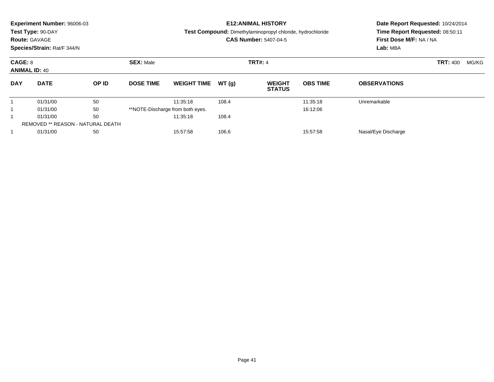|            | <b>Experiment Number: 96006-03</b> |                                          |                   |                                  |                | <b>E12:ANIMAL HISTORY</b>                                  | Date Report Requested: 10/24/2014 |                                 |  |  |
|------------|------------------------------------|------------------------------------------|-------------------|----------------------------------|----------------|------------------------------------------------------------|-----------------------------------|---------------------------------|--|--|
|            | Test Type: 90-DAY                  |                                          |                   |                                  |                | Test Compound: Dimethylaminopropyl chloride, hydrochloride |                                   | Time Report Requested: 08:50:11 |  |  |
|            | <b>Route: GAVAGE</b>               |                                          |                   |                                  |                | <b>CAS Number: 5407-04-5</b>                               |                                   | First Dose M/F: NA / NA         |  |  |
|            | Species/Strain: Rat/F 344/N        |                                          |                   |                                  |                |                                                            |                                   | Lab: MBA                        |  |  |
| CAGE: 8    | <b>ANIMAL ID: 40</b>               |                                          | <b>SEX: Male</b>  |                                  | <b>TRT#: 4</b> |                                                            | <b>TRT: 400</b><br>MG/KG          |                                 |  |  |
| <b>DAY</b> | <b>DATE</b>                        | OP ID                                    | <b>DOSE TIME</b>  | <b>WEIGHT TIME</b>               | WT(g)          | <b>WEIGHT</b><br><b>STATUS</b>                             | <b>OBS TIME</b>                   | <b>OBSERVATIONS</b>             |  |  |
|            | 01/31/00                           | 50                                       |                   | 11:35:18                         | 108.4          |                                                            | 11:35:18                          | Unremarkable                    |  |  |
|            | 01/31/00                           | 50                                       |                   | **NOTE-Discharge from both eyes. |                |                                                            | 16:12:06                          |                                 |  |  |
|            | 01/31/00                           | 50                                       |                   | 11:35:18                         | 108.4          |                                                            |                                   |                                 |  |  |
|            |                                    | <b>REMOVED ** REASON - NATURAL DEATH</b> |                   |                                  |                |                                                            |                                   |                                 |  |  |
|            | 01/31/00<br>50                     |                                          | 106.6<br>15:57:58 |                                  |                |                                                            | 15:57:58<br>Nasal/Eye Discharge   |                                 |  |  |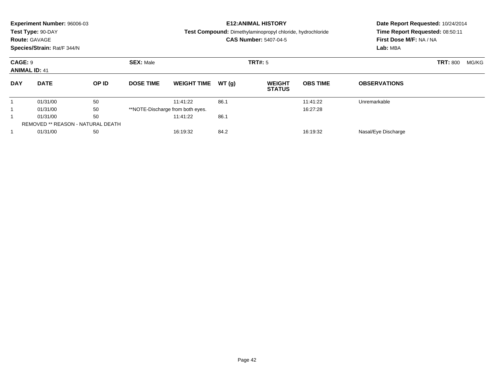|            | <b>Experiment Number: 96006-03</b><br>Test Type: 90-DAY<br><b>Route: GAVAGE</b><br>Species/Strain: Rat/F 344/N |                                          |                  |                                  |       | <b>E12: ANIMAL HISTORY</b><br>Test Compound: Dimethylaminopropyl chloride, hydrochloride<br><b>CAS Number: 5407-04-5</b> | Date Report Requested: 10/24/2014<br>Time Report Requested: 08:50:11<br>First Dose M/F: NA / NA<br>Lab: MBA |                     |                 |       |
|------------|----------------------------------------------------------------------------------------------------------------|------------------------------------------|------------------|----------------------------------|-------|--------------------------------------------------------------------------------------------------------------------------|-------------------------------------------------------------------------------------------------------------|---------------------|-----------------|-------|
|            | <b>CAGE: 9</b><br><b>ANIMAL ID: 41</b>                                                                         |                                          |                  | TRT#: 5<br><b>SEX: Male</b>      |       |                                                                                                                          |                                                                                                             |                     | <b>TRT: 800</b> | MG/KG |
| <b>DAY</b> | <b>DATE</b>                                                                                                    | OP ID                                    | <b>DOSE TIME</b> | <b>WEIGHT TIME</b>               | WT(q) | <b>WEIGHT</b><br><b>STATUS</b>                                                                                           | <b>OBS TIME</b>                                                                                             | <b>OBSERVATIONS</b> |                 |       |
|            | 01/31/00                                                                                                       | 50                                       |                  | 11:41:22                         | 86.1  |                                                                                                                          | 11:41:22                                                                                                    | Unremarkable        |                 |       |
|            | 01/31/00                                                                                                       | 50                                       |                  | **NOTE-Discharge from both eyes. |       |                                                                                                                          | 16:27:28                                                                                                    |                     |                 |       |
|            | 50<br>01/31/00                                                                                                 |                                          |                  | 11:41:22                         | 86.1  |                                                                                                                          |                                                                                                             |                     |                 |       |
|            |                                                                                                                | <b>REMOVED ** REASON - NATURAL DEATH</b> |                  |                                  |       |                                                                                                                          |                                                                                                             |                     |                 |       |
|            | 01/31/00<br>50                                                                                                 |                                          |                  | 84.2<br>16:19:32<br>16:19:32     |       |                                                                                                                          |                                                                                                             | Nasal/Eye Discharge |                 |       |
|            |                                                                                                                |                                          |                  |                                  |       |                                                                                                                          |                                                                                                             |                     |                 |       |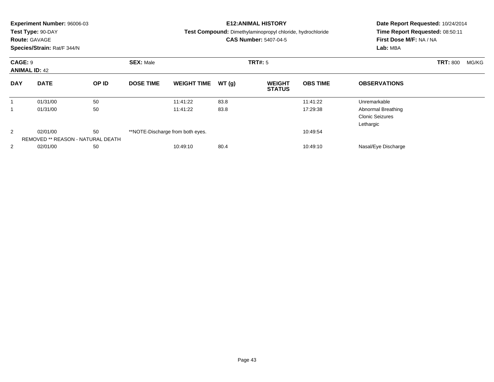|                                        | <b>Experiment Number: 96006-03</b><br>Test Type: 90-DAY<br><b>Route: GAVAGE</b><br>Species/Strain: Rat/F 344/N |       |                                    |                                              |       | <b>E12:ANIMAL HISTORY</b><br>Test Compound: Dimethylaminopropyl chloride, hydrochloride<br><b>CAS Number: 5407-04-5</b> | Date Report Requested: 10/24/2014<br>Time Report Requested: 08:50:11<br>First Dose M/F: NA / NA<br>Lab: MBA |                                                           |                          |
|----------------------------------------|----------------------------------------------------------------------------------------------------------------|-------|------------------------------------|----------------------------------------------|-------|-------------------------------------------------------------------------------------------------------------------------|-------------------------------------------------------------------------------------------------------------|-----------------------------------------------------------|--------------------------|
| <b>CAGE: 9</b><br><b>ANIMAL ID: 42</b> |                                                                                                                |       | <b>SEX: Male</b><br><b>TRT#: 5</b> |                                              |       |                                                                                                                         |                                                                                                             |                                                           | <b>TRT: 800</b><br>MG/KG |
| <b>DAY</b>                             | <b>DATE</b>                                                                                                    | OP ID | <b>DOSE TIME</b>                   | <b>WEIGHT TIME</b>                           | WT(g) | <b>WEIGHT</b><br><b>STATUS</b>                                                                                          | <b>OBS TIME</b>                                                                                             | <b>OBSERVATIONS</b>                                       |                          |
|                                        | 01/31/00                                                                                                       | 50    |                                    | 11:41:22                                     | 83.8  |                                                                                                                         | 11:41:22                                                                                                    | Unremarkable                                              |                          |
|                                        | 01/31/00                                                                                                       | 50    |                                    | 11:41:22                                     | 83.8  |                                                                                                                         | 17:29:38                                                                                                    | Abnormal Breathing<br><b>Clonic Seizures</b><br>Lethargic |                          |
| 2                                      | 50<br>02/01/00<br><b>REMOVED ** REASON - NATURAL DEATH</b>                                                     |       |                                    | **NOTE-Discharge from both eyes.<br>10:49:54 |       |                                                                                                                         |                                                                                                             |                                                           |                          |
| $\overline{2}$                         | 02/01/00                                                                                                       | 50    |                                    | 10:49:10                                     | 80.4  |                                                                                                                         | 10:49:10                                                                                                    | Nasal/Eye Discharge                                       |                          |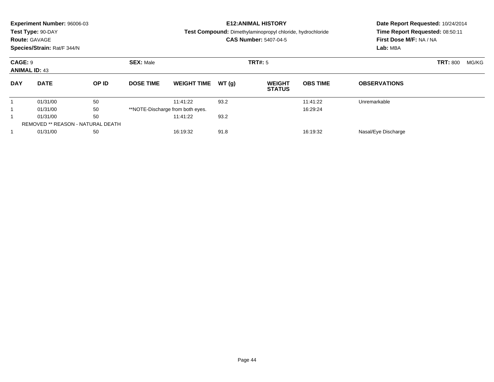|            | <b>Experiment Number: 96006-03</b><br>Test Type: 90-DAY<br><b>Route: GAVAGE</b><br>Species/Strain: Rat/F 344/N |                                          |                  |                                  |         | <b>E12:ANIMAL HISTORY</b><br><b>Test Compound:</b> Dimethylaminopropyl chloride, hydrochloride<br><b>CAS Number: 5407-04-5</b> | Date Report Requested: 10/24/2014<br>Time Report Requested: 08:50:11<br>First Dose M/F: NA / NA<br>Lab: MBA |                     |  |  |
|------------|----------------------------------------------------------------------------------------------------------------|------------------------------------------|------------------|----------------------------------|---------|--------------------------------------------------------------------------------------------------------------------------------|-------------------------------------------------------------------------------------------------------------|---------------------|--|--|
|            | <b>SEX: Male</b><br>CAGE: 9<br><b>ANIMAL ID: 43</b>                                                            |                                          |                  |                                  | TRT#: 5 |                                                                                                                                | <b>TRT: 800</b>                                                                                             | MG/KG               |  |  |
| <b>DAY</b> | <b>DATE</b>                                                                                                    | OP ID                                    | <b>DOSE TIME</b> | <b>WEIGHT TIME</b>               | WT(g)   | <b>WEIGHT</b><br><b>STATUS</b>                                                                                                 | <b>OBS TIME</b>                                                                                             | <b>OBSERVATIONS</b> |  |  |
|            | 01/31/00                                                                                                       | 50                                       |                  | 11:41:22                         | 93.2    |                                                                                                                                | 11:41:22                                                                                                    | Unremarkable        |  |  |
|            | 01/31/00                                                                                                       | 50                                       |                  | **NOTE-Discharge from both eyes. |         |                                                                                                                                | 16:29:24                                                                                                    |                     |  |  |
|            | 50<br>01/31/00                                                                                                 |                                          |                  | 11:41:22                         | 93.2    |                                                                                                                                |                                                                                                             |                     |  |  |
|            |                                                                                                                | <b>REMOVED ** REASON - NATURAL DEATH</b> |                  |                                  |         |                                                                                                                                |                                                                                                             |                     |  |  |
|            | 01/31/00<br>50                                                                                                 |                                          |                  | 91.8<br>16:19:32<br>16:19:32     |         |                                                                                                                                |                                                                                                             | Nasal/Eye Discharge |  |  |
|            |                                                                                                                |                                          |                  |                                  |         |                                                                                                                                |                                                                                                             |                     |  |  |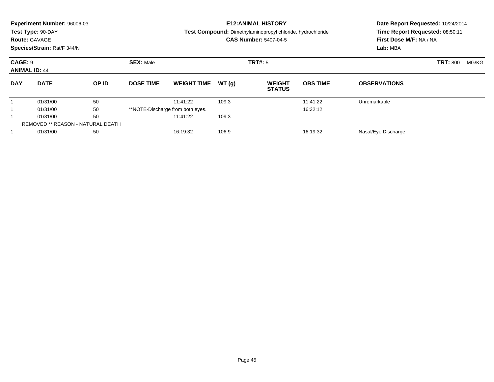|                                 | <b>Experiment Number: 96006-03</b> |                                   |                   |                                  |         | <b>E12:ANIMAL HISTORY</b>                                  | Date Report Requested: 10/24/2014 |                                 |  |  |  |
|---------------------------------|------------------------------------|-----------------------------------|-------------------|----------------------------------|---------|------------------------------------------------------------|-----------------------------------|---------------------------------|--|--|--|
|                                 | Test Type: 90-DAY                  |                                   |                   |                                  |         | Test Compound: Dimethylaminopropyl chloride, hydrochloride |                                   | Time Report Requested: 08:50:11 |  |  |  |
|                                 | <b>Route: GAVAGE</b>               |                                   |                   |                                  |         | <b>CAS Number: 5407-04-5</b>                               | First Dose M/F: NA / NA           |                                 |  |  |  |
|                                 | Species/Strain: Rat/F 344/N        |                                   |                   |                                  |         |                                                            |                                   | Lab: MBA                        |  |  |  |
| CAGE: 9<br><b>ANIMAL ID: 44</b> |                                    |                                   | <b>SEX: Male</b>  |                                  | TRT#: 5 |                                                            | <b>TRT: 800</b>                   | MG/KG                           |  |  |  |
| <b>DAY</b>                      | <b>DATE</b>                        | OP ID                             | <b>DOSE TIME</b>  | <b>WEIGHT TIME</b>               | WT(g)   | <b>WEIGHT</b><br><b>STATUS</b>                             | <b>OBS TIME</b>                   | <b>OBSERVATIONS</b>             |  |  |  |
|                                 | 01/31/00                           | 50                                |                   | 11:41:22                         | 109.3   |                                                            | 11:41:22                          | Unremarkable                    |  |  |  |
|                                 | 01/31/00                           | 50                                |                   | **NOTE-Discharge from both eyes. |         |                                                            | 16:32:12                          |                                 |  |  |  |
|                                 | 50<br>01/31/00                     |                                   |                   | 11:41:22                         | 109.3   |                                                            |                                   |                                 |  |  |  |
|                                 |                                    | REMOVED ** REASON - NATURAL DEATH |                   |                                  |         |                                                            |                                   |                                 |  |  |  |
|                                 | 01/31/00<br>50                     |                                   | 106.9<br>16:19:32 |                                  |         |                                                            | 16:19:32                          | Nasal/Eye Discharge             |  |  |  |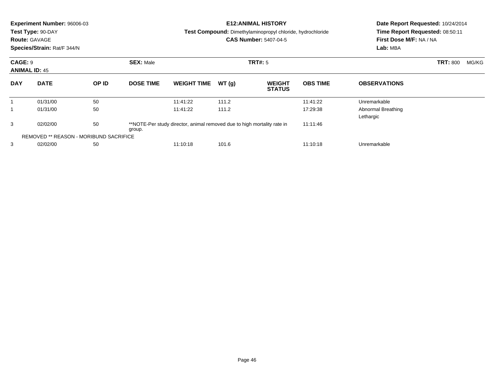|                                        | Experiment Number: 96006-03<br>Test Type: 90-DAY<br><b>Route: GAVAGE</b><br>Species/Strain: Rat/F 344/N |       |                             |                                                                         |       | <b>E12: ANIMAL HISTORY</b><br><b>Test Compound:</b> Dimethylaminopropyl chloride, hydrochloride<br><b>CAS Number: 5407-04-5</b> | Date Report Requested: 10/24/2014<br>Time Report Requested: 08:50:11<br>First Dose M/F: NA / NA<br>Lab: MBA |                                 |  |  |
|----------------------------------------|---------------------------------------------------------------------------------------------------------|-------|-----------------------------|-------------------------------------------------------------------------|-------|---------------------------------------------------------------------------------------------------------------------------------|-------------------------------------------------------------------------------------------------------------|---------------------------------|--|--|
| <b>CAGE: 9</b><br><b>ANIMAL ID: 45</b> |                                                                                                         |       | <b>SEX: Male</b><br>TRT#: 5 |                                                                         |       |                                                                                                                                 |                                                                                                             | <b>TRT: 800</b><br>MG/KG        |  |  |
| <b>DAY</b>                             | <b>DATE</b>                                                                                             | OP ID | <b>DOSE TIME</b>            | <b>WEIGHT TIME</b>                                                      | WT(g) | <b>WEIGHT</b><br><b>STATUS</b>                                                                                                  | <b>OBS TIME</b>                                                                                             | <b>OBSERVATIONS</b>             |  |  |
| $\mathbf 1$                            | 01/31/00                                                                                                | 50    |                             | 11:41:22                                                                | 111.2 |                                                                                                                                 | 11:41:22                                                                                                    | Unremarkable                    |  |  |
|                                        | 01/31/00                                                                                                | 50    |                             | 11:41:22                                                                | 111.2 |                                                                                                                                 | 17:29:38                                                                                                    | Abnormal Breathing<br>Lethargic |  |  |
| 3                                      | 02/02/00                                                                                                | 50    | group.                      | **NOTE-Per study director, animal removed due to high mortality rate in |       |                                                                                                                                 |                                                                                                             |                                 |  |  |
|                                        | <b>REMOVED ** REASON - MORIBUND SACRIFICE</b>                                                           |       |                             |                                                                         |       |                                                                                                                                 |                                                                                                             |                                 |  |  |
| 3                                      | 02/02/00                                                                                                | 50    |                             | 11:10:18                                                                | 101.6 |                                                                                                                                 | 11:10:18                                                                                                    | Unremarkable                    |  |  |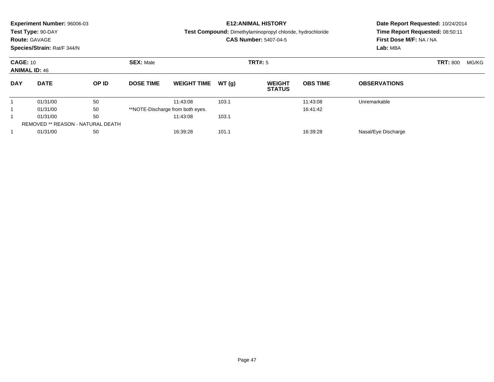|            | <b>Experiment Number: 96006-03</b><br>Test Type: 90-DAY<br><b>Route: GAVAGE</b><br>Species/Strain: Rat/F 344/N |       |                  |                                  |         | <b>E12:ANIMAL HISTORY</b><br><b>Test Compound:</b> Dimethylaminopropyl chloride, hydrochloride<br><b>CAS Number: 5407-04-5</b> | Date Report Requested: 10/24/2014<br>Time Report Requested: 08:50:11<br>First Dose M/F: NA / NA<br>Lab: MBA |                     |  |  |
|------------|----------------------------------------------------------------------------------------------------------------|-------|------------------|----------------------------------|---------|--------------------------------------------------------------------------------------------------------------------------------|-------------------------------------------------------------------------------------------------------------|---------------------|--|--|
|            | <b>SEX: Male</b><br><b>CAGE: 10</b><br><b>ANIMAL ID: 46</b>                                                    |       |                  |                                  | TRT#: 5 |                                                                                                                                | <b>TRT: 800</b>                                                                                             | MG/KG               |  |  |
| <b>DAY</b> | <b>DATE</b>                                                                                                    | OP ID | <b>DOSE TIME</b> | <b>WEIGHT TIME</b>               | WT(g)   | <b>WEIGHT</b><br><b>STATUS</b>                                                                                                 | <b>OBS TIME</b>                                                                                             | <b>OBSERVATIONS</b> |  |  |
|            | 01/31/00                                                                                                       | 50    |                  | 11:43:08                         | 103.1   |                                                                                                                                | 11:43:08                                                                                                    | Unremarkable        |  |  |
|            | 01/31/00                                                                                                       | 50    |                  | **NOTE-Discharge from both eyes. |         |                                                                                                                                | 16:41:42                                                                                                    |                     |  |  |
|            | 50<br>01/31/00                                                                                                 |       | 11:43:08         | 103.1                            |         |                                                                                                                                |                                                                                                             |                     |  |  |
|            | REMOVED ** REASON - NATURAL DEATH                                                                              |       |                  |                                  |         |                                                                                                                                |                                                                                                             |                     |  |  |
|            | 01/31/00<br>50                                                                                                 |       |                  | 101.1<br>16:39:28<br>16:39:28    |         |                                                                                                                                |                                                                                                             | Nasal/Eye Discharge |  |  |
|            |                                                                                                                |       |                  |                                  |         |                                                                                                                                |                                                                                                             |                     |  |  |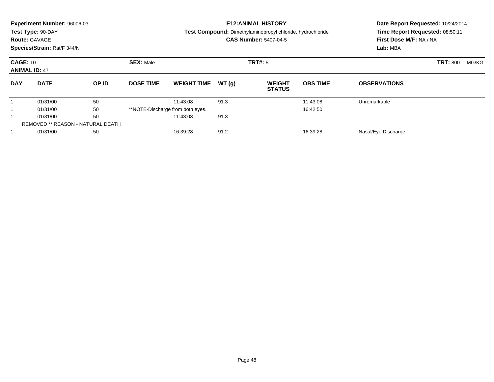|                 | <b>Experiment Number: 96006-03</b><br>Test Type: 90-DAY<br><b>Route: GAVAGE</b><br>Species/Strain: Rat/F 344/N |       |                  |                                  |         | <b>E12: ANIMAL HISTORY</b><br>Test Compound: Dimethylaminopropyl chloride, hydrochloride<br><b>CAS Number: 5407-04-5</b> | Date Report Requested: 10/24/2014<br>Time Report Requested: 08:50:11<br>First Dose M/F: NA / NA<br>Lab: MBA |                     |  |  |
|-----------------|----------------------------------------------------------------------------------------------------------------|-------|------------------|----------------------------------|---------|--------------------------------------------------------------------------------------------------------------------------|-------------------------------------------------------------------------------------------------------------|---------------------|--|--|
| <b>CAGE: 10</b> | <b>ANIMAL ID: 47</b>                                                                                           |       | <b>SEX: Male</b> |                                  | TRT#: 5 |                                                                                                                          | <b>TRT: 800</b>                                                                                             | MG/KG               |  |  |
| <b>DAY</b>      | <b>DATE</b>                                                                                                    | OP ID | <b>DOSE TIME</b> | <b>WEIGHT TIME</b>               | WT(q)   | <b>WEIGHT</b><br><b>STATUS</b>                                                                                           | <b>OBS TIME</b>                                                                                             | <b>OBSERVATIONS</b> |  |  |
|                 | 01/31/00                                                                                                       | 50    |                  | 11:43:08                         | 91.3    |                                                                                                                          | 11:43:08                                                                                                    | Unremarkable        |  |  |
|                 | 01/31/00                                                                                                       | 50    |                  | **NOTE-Discharge from both eyes. |         |                                                                                                                          | 16:42:50                                                                                                    |                     |  |  |
|                 | 50<br>01/31/00                                                                                                 |       |                  | 11:43:08                         | 91.3    |                                                                                                                          |                                                                                                             |                     |  |  |
|                 | <b>REMOVED ** REASON - NATURAL DEATH</b>                                                                       |       |                  |                                  |         |                                                                                                                          |                                                                                                             |                     |  |  |
|                 | 01/31/00<br>50                                                                                                 |       |                  | 91.2<br>16:39:28<br>16:39:28     |         |                                                                                                                          |                                                                                                             | Nasal/Eye Discharge |  |  |
|                 |                                                                                                                |       |                  |                                  |         |                                                                                                                          |                                                                                                             |                     |  |  |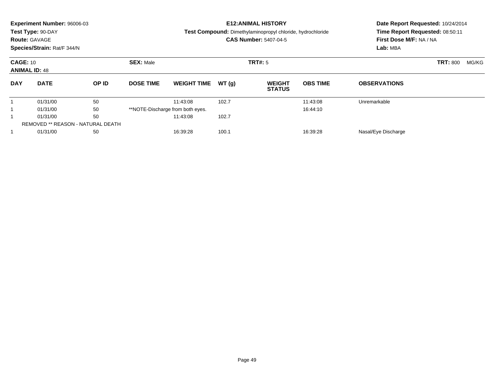|                                         | <b>Experiment Number: 96006-03</b> |       |                  |                                  |         | <b>E12:ANIMAL HISTORY</b>                                  | Date Report Requested: 10/24/2014 |                                 |                         |  |  |  |
|-----------------------------------------|------------------------------------|-------|------------------|----------------------------------|---------|------------------------------------------------------------|-----------------------------------|---------------------------------|-------------------------|--|--|--|
|                                         | Test Type: 90-DAY                  |       |                  |                                  |         | Test Compound: Dimethylaminopropyl chloride, hydrochloride |                                   | Time Report Requested: 08:50:11 |                         |  |  |  |
|                                         | <b>Route: GAVAGE</b>               |       |                  |                                  |         | <b>CAS Number: 5407-04-5</b>                               |                                   |                                 | First Dose M/F: NA / NA |  |  |  |
|                                         | Species/Strain: Rat/F 344/N        |       |                  |                                  |         |                                                            |                                   | Lab: MBA                        |                         |  |  |  |
| <b>CAGE: 10</b><br><b>ANIMAL ID: 48</b> |                                    |       | <b>SEX: Male</b> |                                  | TRT#: 5 |                                                            | <b>TRT: 800</b>                   | MG/KG                           |                         |  |  |  |
| <b>DAY</b>                              | <b>DATE</b>                        | OP ID | <b>DOSE TIME</b> | <b>WEIGHT TIME</b>               | WT(g)   | <b>WEIGHT</b><br><b>STATUS</b>                             | <b>OBS TIME</b>                   | <b>OBSERVATIONS</b>             |                         |  |  |  |
|                                         | 01/31/00                           | 50    |                  | 11:43:08                         | 102.7   |                                                            | 11:43:08                          | Unremarkable                    |                         |  |  |  |
|                                         | 01/31/00                           | 50    |                  | **NOTE-Discharge from both eyes. |         |                                                            | 16:44:10                          |                                 |                         |  |  |  |
|                                         | 01/31/00                           | 50    |                  | 11:43:08                         | 102.7   |                                                            |                                   |                                 |                         |  |  |  |
|                                         |                                    |       |                  |                                  |         |                                                            |                                   |                                 |                         |  |  |  |
|                                         | 01/31/00                           | 50    |                  | 16:39:28                         | 100.1   |                                                            | 16:39:28                          | Nasal/Eye Discharge             |                         |  |  |  |
|                                         | REMOVED ** REASON - NATURAL DEATH  |       |                  |                                  |         |                                                            |                                   |                                 |                         |  |  |  |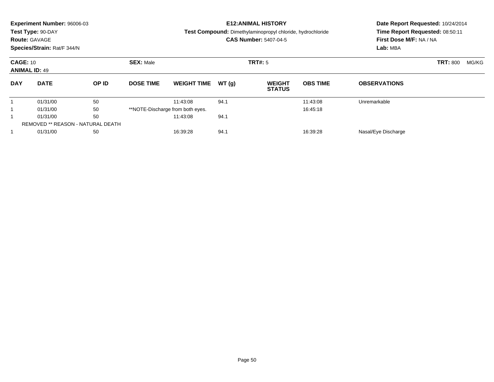|            | <b>Experiment Number: 96006-03</b><br>Test Type: 90-DAY<br><b>Route: GAVAGE</b><br>Species/Strain: Rat/F 344/N |       |                  |                                  |         | <b>E12:ANIMAL HISTORY</b><br><b>Test Compound:</b> Dimethylaminopropyl chloride, hydrochloride<br><b>CAS Number: 5407-04-5</b> | Date Report Requested: 10/24/2014<br>Time Report Requested: 08:50:11<br>First Dose M/F: NA / NA<br>Lab: MBA |                     |  |  |
|------------|----------------------------------------------------------------------------------------------------------------|-------|------------------|----------------------------------|---------|--------------------------------------------------------------------------------------------------------------------------------|-------------------------------------------------------------------------------------------------------------|---------------------|--|--|
|            | <b>SEX: Male</b><br><b>CAGE: 10</b><br><b>ANIMAL ID: 49</b>                                                    |       |                  |                                  | TRT#: 5 |                                                                                                                                | <b>TRT: 800</b>                                                                                             | MG/KG               |  |  |
| <b>DAY</b> | <b>DATE</b>                                                                                                    | OP ID | <b>DOSE TIME</b> | <b>WEIGHT TIME</b>               | WT(g)   | <b>WEIGHT</b><br><b>STATUS</b>                                                                                                 | <b>OBS TIME</b>                                                                                             | <b>OBSERVATIONS</b> |  |  |
|            | 01/31/00                                                                                                       | 50    |                  | 11:43:08                         | 94.1    |                                                                                                                                | 11:43:08                                                                                                    | Unremarkable        |  |  |
|            | 01/31/00                                                                                                       | 50    |                  | **NOTE-Discharge from both eyes. |         |                                                                                                                                | 16:45:18                                                                                                    |                     |  |  |
|            | 01/31/00                                                                                                       | 50    |                  | 11:43:08                         | 94.1    |                                                                                                                                |                                                                                                             |                     |  |  |
|            | REMOVED ** REASON - NATURAL DEATH                                                                              |       |                  |                                  |         |                                                                                                                                |                                                                                                             |                     |  |  |
|            | 01/31/00                                                                                                       | 50    |                  | 16:39:28                         | 94.1    |                                                                                                                                | 16:39:28                                                                                                    | Nasal/Eye Discharge |  |  |
|            |                                                                                                                |       |                  |                                  |         |                                                                                                                                |                                                                                                             |                     |  |  |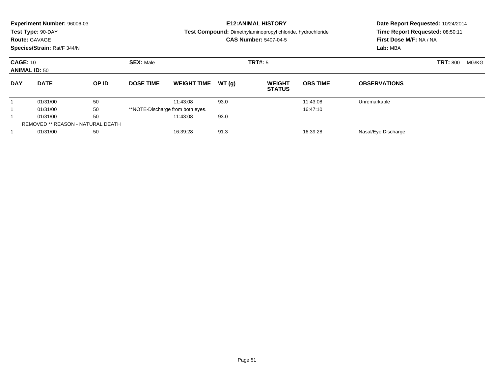|            | <b>Experiment Number: 96006-03</b><br>Test Type: 90-DAY<br><b>Route: GAVAGE</b><br>Species/Strain: Rat/F 344/N |                                          |                  |                                  |         | <b>E12: ANIMAL HISTORY</b><br>Test Compound: Dimethylaminopropyl chloride, hydrochloride<br><b>CAS Number: 5407-04-5</b> | Date Report Requested: 10/24/2014<br>Time Report Requested: 08:50:11<br>First Dose M/F: NA / NA<br>Lab: MBA |                     |  |  |
|------------|----------------------------------------------------------------------------------------------------------------|------------------------------------------|------------------|----------------------------------|---------|--------------------------------------------------------------------------------------------------------------------------|-------------------------------------------------------------------------------------------------------------|---------------------|--|--|
|            | <b>SEX: Male</b><br><b>CAGE: 10</b><br><b>ANIMAL ID: 50</b>                                                    |                                          |                  |                                  | TRT#: 5 |                                                                                                                          | <b>TRT: 800</b>                                                                                             | MG/KG               |  |  |
| <b>DAY</b> | <b>DATE</b>                                                                                                    | OP ID                                    | <b>DOSE TIME</b> | <b>WEIGHT TIME</b>               | WT(q)   | <b>WEIGHT</b><br><b>STATUS</b>                                                                                           | <b>OBS TIME</b>                                                                                             | <b>OBSERVATIONS</b> |  |  |
|            | 01/31/00                                                                                                       | 50                                       |                  | 11:43:08                         | 93.0    |                                                                                                                          | 11:43:08                                                                                                    | Unremarkable        |  |  |
|            | 01/31/00                                                                                                       | 50                                       |                  | **NOTE-Discharge from both eyes. |         |                                                                                                                          | 16:47:10                                                                                                    |                     |  |  |
|            | 01/31/00                                                                                                       | 50                                       |                  | 11:43:08                         | 93.0    |                                                                                                                          |                                                                                                             |                     |  |  |
|            |                                                                                                                | <b>REMOVED ** REASON - NATURAL DEATH</b> |                  |                                  |         |                                                                                                                          |                                                                                                             |                     |  |  |
|            | 01/31/00                                                                                                       | 50                                       |                  | 16:39:28                         | 91.3    |                                                                                                                          | 16:39:28                                                                                                    | Nasal/Eye Discharge |  |  |
|            |                                                                                                                |                                          |                  |                                  |         |                                                                                                                          |                                                                                                             |                     |  |  |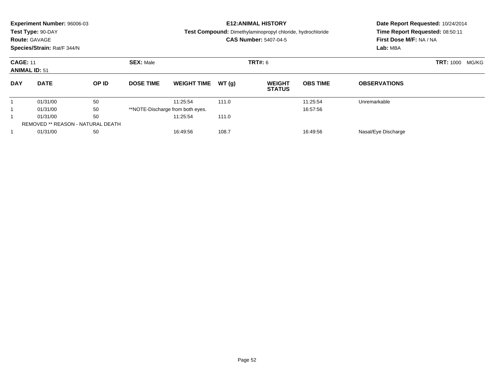|            | <b>Experiment Number: 96006-03</b><br>Test Type: 90-DAY<br><b>Route: GAVAGE</b><br>Species/Strain: Rat/F 344/N |       |                  |                                  |                | <b>E12:ANIMAL HISTORY</b><br><b>Test Compound:</b> Dimethylaminopropyl chloride, hydrochloride<br><b>CAS Number: 5407-04-5</b> | Date Report Requested: 10/24/2014<br>Time Report Requested: 08:50:11<br>First Dose M/F: NA / NA<br>Lab: MBA |                     |  |
|------------|----------------------------------------------------------------------------------------------------------------|-------|------------------|----------------------------------|----------------|--------------------------------------------------------------------------------------------------------------------------------|-------------------------------------------------------------------------------------------------------------|---------------------|--|
|            | <b>SEX: Male</b><br><b>CAGE: 11</b><br><b>ANIMAL ID: 51</b>                                                    |       |                  |                                  | <b>TRT#: 6</b> |                                                                                                                                | <b>TRT: 1000</b><br>MG/KG                                                                                   |                     |  |
| <b>DAY</b> | <b>DATE</b>                                                                                                    | OP ID | <b>DOSE TIME</b> | <b>WEIGHT TIME</b>               | WT(g)          | <b>WEIGHT</b><br><b>STATUS</b>                                                                                                 | <b>OBS TIME</b>                                                                                             | <b>OBSERVATIONS</b> |  |
|            | 01/31/00                                                                                                       | 50    |                  | 11:25:54                         | 111.0          |                                                                                                                                | 11:25:54                                                                                                    | Unremarkable        |  |
|            | 01/31/00                                                                                                       | 50    |                  | **NOTE-Discharge from both eyes. |                |                                                                                                                                | 16:57:56                                                                                                    |                     |  |
|            | 01/31/00                                                                                                       | 50    |                  | 11:25:54                         | 111.0          |                                                                                                                                |                                                                                                             |                     |  |
|            | <b>REMOVED ** REASON - NATURAL DEATH</b>                                                                       |       |                  |                                  |                |                                                                                                                                |                                                                                                             |                     |  |
|            | 01/31/00                                                                                                       | 50    |                  | 16:49:56                         | 108.7          |                                                                                                                                | 16:49:56                                                                                                    | Nasal/Eye Discharge |  |
|            |                                                                                                                |       |                  |                                  |                |                                                                                                                                |                                                                                                             |                     |  |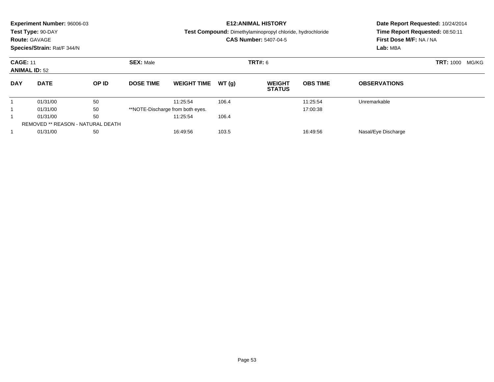|            | <b>Experiment Number: 96006-03</b><br>Test Type: 90-DAY<br><b>Route: GAVAGE</b><br>Species/Strain: Rat/F 344/N |                                   |                  |                                  |                | <b>E12:ANIMAL HISTORY</b><br><b>Test Compound:</b> Dimethylaminopropyl chloride, hydrochloride<br><b>CAS Number: 5407-04-5</b> | Date Report Requested: 10/24/2014<br>Time Report Requested: 08:50:11<br>First Dose M/F: NA / NA<br>Lab: MBA |                     |  |
|------------|----------------------------------------------------------------------------------------------------------------|-----------------------------------|------------------|----------------------------------|----------------|--------------------------------------------------------------------------------------------------------------------------------|-------------------------------------------------------------------------------------------------------------|---------------------|--|
|            | <b>SEX: Male</b><br><b>CAGE: 11</b><br><b>ANIMAL ID: 52</b>                                                    |                                   |                  |                                  | <b>TRT#: 6</b> |                                                                                                                                | <b>TRT: 1000</b><br>MG/KG                                                                                   |                     |  |
| <b>DAY</b> | <b>DATE</b>                                                                                                    | OP ID                             | <b>DOSE TIME</b> | <b>WEIGHT TIME</b>               | WT(g)          | <b>WEIGHT</b><br><b>STATUS</b>                                                                                                 | <b>OBS TIME</b>                                                                                             | <b>OBSERVATIONS</b> |  |
|            | 01/31/00                                                                                                       | 50                                |                  | 11:25:54                         | 106.4          |                                                                                                                                | 11:25:54                                                                                                    | Unremarkable        |  |
|            | 01/31/00                                                                                                       | 50                                |                  | **NOTE-Discharge from both eyes. |                |                                                                                                                                | 17:00:38                                                                                                    |                     |  |
|            | 01/31/00                                                                                                       | 50                                |                  | 11:25:54                         | 106.4          |                                                                                                                                |                                                                                                             |                     |  |
|            |                                                                                                                | REMOVED ** REASON - NATURAL DEATH |                  |                                  |                |                                                                                                                                |                                                                                                             |                     |  |
|            | 01/31/00                                                                                                       | 50                                |                  | 16:49:56                         | 103.5          |                                                                                                                                | 16:49:56                                                                                                    | Nasal/Eye Discharge |  |
|            |                                                                                                                |                                   |                  |                                  |                |                                                                                                                                |                                                                                                             |                     |  |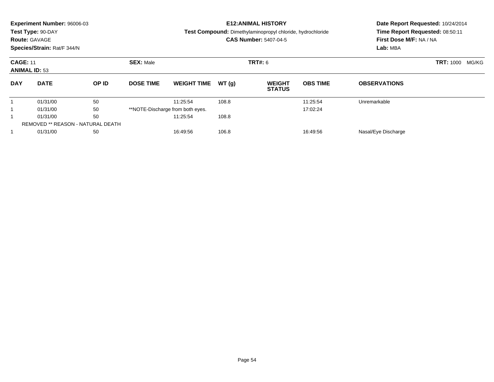|            | <b>Experiment Number: 96006-03</b><br>Test Type: 90-DAY<br><b>Route: GAVAGE</b><br>Species/Strain: Rat/F 344/N |                                   |                  |                                  |                | <b>E12:ANIMAL HISTORY</b><br><b>Test Compound:</b> Dimethylaminopropyl chloride, hydrochloride<br><b>CAS Number: 5407-04-5</b> | Date Report Requested: 10/24/2014<br>Time Report Requested: 08:50:11<br>First Dose M/F: NA / NA<br>Lab: MBA |                     |  |
|------------|----------------------------------------------------------------------------------------------------------------|-----------------------------------|------------------|----------------------------------|----------------|--------------------------------------------------------------------------------------------------------------------------------|-------------------------------------------------------------------------------------------------------------|---------------------|--|
|            | <b>SEX: Male</b><br><b>CAGE: 11</b><br><b>ANIMAL ID: 53</b>                                                    |                                   |                  |                                  | <b>TRT#: 6</b> |                                                                                                                                | <b>TRT: 1000</b><br>MG/KG                                                                                   |                     |  |
| <b>DAY</b> | <b>DATE</b>                                                                                                    | OP ID                             | <b>DOSE TIME</b> | <b>WEIGHT TIME</b>               | WT(g)          | <b>WEIGHT</b><br><b>STATUS</b>                                                                                                 | <b>OBS TIME</b>                                                                                             | <b>OBSERVATIONS</b> |  |
|            | 01/31/00                                                                                                       | 50                                |                  | 11:25:54                         | 108.8          |                                                                                                                                | 11:25:54                                                                                                    | Unremarkable        |  |
|            | 01/31/00                                                                                                       | 50                                |                  | **NOTE-Discharge from both eyes. |                |                                                                                                                                | 17:02:24                                                                                                    |                     |  |
|            | 01/31/00                                                                                                       | 50                                |                  | 11:25:54                         | 108.8          |                                                                                                                                |                                                                                                             |                     |  |
|            |                                                                                                                | REMOVED ** REASON - NATURAL DEATH |                  |                                  |                |                                                                                                                                |                                                                                                             |                     |  |
|            | 01/31/00                                                                                                       | 50                                |                  | 16:49:56                         | 106.8          |                                                                                                                                | 16:49:56                                                                                                    | Nasal/Eye Discharge |  |
|            |                                                                                                                |                                   |                  |                                  |                |                                                                                                                                |                                                                                                             |                     |  |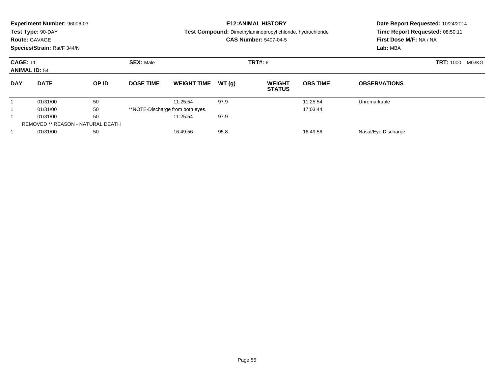|            | <b>Experiment Number: 96006-03</b><br>Test Type: 90-DAY<br><b>Route: GAVAGE</b><br>Species/Strain: Rat/F 344/N |       |                  |                                  |                | <b>E12:ANIMAL HISTORY</b><br><b>Test Compound:</b> Dimethylaminopropyl chloride, hydrochloride<br><b>CAS Number: 5407-04-5</b> | Date Report Requested: 10/24/2014<br>Time Report Requested: 08:50:11<br>First Dose M/F: NA / NA<br>Lab: MBA |                     |  |
|------------|----------------------------------------------------------------------------------------------------------------|-------|------------------|----------------------------------|----------------|--------------------------------------------------------------------------------------------------------------------------------|-------------------------------------------------------------------------------------------------------------|---------------------|--|
|            | <b>SEX: Male</b><br><b>CAGE: 11</b><br><b>ANIMAL ID: 54</b>                                                    |       |                  |                                  | <b>TRT#: 6</b> |                                                                                                                                | <b>TRT: 1000</b><br>MG/KG                                                                                   |                     |  |
| <b>DAY</b> | <b>DATE</b>                                                                                                    | OP ID | <b>DOSE TIME</b> | <b>WEIGHT TIME</b>               | WT(g)          | <b>WEIGHT</b><br><b>STATUS</b>                                                                                                 | <b>OBS TIME</b>                                                                                             | <b>OBSERVATIONS</b> |  |
|            | 01/31/00                                                                                                       | 50    |                  | 11:25:54                         | 97.9           |                                                                                                                                | 11:25:54                                                                                                    | Unremarkable        |  |
|            | 01/31/00                                                                                                       | 50    |                  | **NOTE-Discharge from both eyes. |                |                                                                                                                                | 17:03:44                                                                                                    |                     |  |
|            | 01/31/00                                                                                                       | 50    |                  | 11:25:54                         | 97.9           |                                                                                                                                |                                                                                                             |                     |  |
|            | REMOVED ** REASON - NATURAL DEATH                                                                              |       |                  |                                  |                |                                                                                                                                |                                                                                                             |                     |  |
|            | 01/31/00                                                                                                       | 50    |                  | 16:49:56                         | 95.8           |                                                                                                                                | 16:49:56                                                                                                    | Nasal/Eye Discharge |  |
|            |                                                                                                                |       |                  |                                  |                |                                                                                                                                |                                                                                                             |                     |  |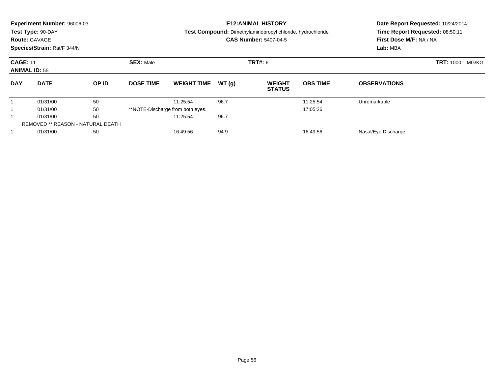|            | <b>Experiment Number: 96006-03</b><br>Test Type: 90-DAY<br><b>Route: GAVAGE</b><br>Species/Strain: Rat/F 344/N |                                   |                  |                                  |                | <b>E12:ANIMAL HISTORY</b><br><b>Test Compound:</b> Dimethylaminopropyl chloride, hydrochloride<br><b>CAS Number: 5407-04-5</b> | Date Report Requested: 10/24/2014<br>Time Report Requested: 08:50:11<br>First Dose M/F: NA / NA<br>Lab: MBA |                     |  |
|------------|----------------------------------------------------------------------------------------------------------------|-----------------------------------|------------------|----------------------------------|----------------|--------------------------------------------------------------------------------------------------------------------------------|-------------------------------------------------------------------------------------------------------------|---------------------|--|
|            | <b>SEX: Male</b><br><b>CAGE: 11</b><br><b>ANIMAL ID: 55</b>                                                    |                                   |                  |                                  | <b>TRT#: 6</b> |                                                                                                                                | <b>TRT: 1000</b><br>MG/KG                                                                                   |                     |  |
| <b>DAY</b> | <b>DATE</b>                                                                                                    | OP ID                             | <b>DOSE TIME</b> | <b>WEIGHT TIME</b>               | WT(g)          | <b>WEIGHT</b><br><b>STATUS</b>                                                                                                 | <b>OBS TIME</b>                                                                                             | <b>OBSERVATIONS</b> |  |
|            | 01/31/00                                                                                                       | 50                                |                  | 11:25:54                         | 96.7           |                                                                                                                                | 11:25:54                                                                                                    | Unremarkable        |  |
|            | 01/31/00                                                                                                       | 50                                |                  | **NOTE-Discharge from both eyes. |                |                                                                                                                                | 17:05:26                                                                                                    |                     |  |
|            | 01/31/00                                                                                                       | 50                                |                  | 11:25:54                         | 96.7           |                                                                                                                                |                                                                                                             |                     |  |
|            |                                                                                                                | REMOVED ** REASON - NATURAL DEATH |                  |                                  |                |                                                                                                                                |                                                                                                             |                     |  |
|            | 01/31/00                                                                                                       | 50                                |                  | 16:49:56                         | 94.9           |                                                                                                                                | 16:49:56                                                                                                    | Nasal/Eye Discharge |  |
|            |                                                                                                                |                                   |                  |                                  |                |                                                                                                                                |                                                                                                             |                     |  |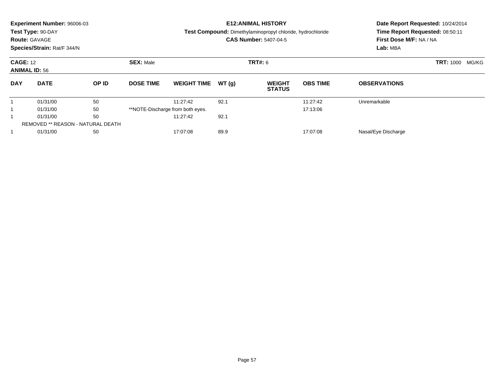|            | <b>Experiment Number: 96006-03</b><br>Test Type: 90-DAY<br><b>Route: GAVAGE</b><br>Species/Strain: Rat/F 344/N |       |                  |                                  |                | <b>E12:ANIMAL HISTORY</b><br><b>Test Compound:</b> Dimethylaminopropyl chloride, hydrochloride<br><b>CAS Number: 5407-04-5</b> | Date Report Requested: 10/24/2014<br>Time Report Requested: 08:50:11<br>First Dose M/F: NA / NA<br>Lab: MBA |                     |  |
|------------|----------------------------------------------------------------------------------------------------------------|-------|------------------|----------------------------------|----------------|--------------------------------------------------------------------------------------------------------------------------------|-------------------------------------------------------------------------------------------------------------|---------------------|--|
|            | <b>SEX: Male</b><br><b>CAGE: 12</b><br><b>ANIMAL ID: 56</b>                                                    |       |                  |                                  | <b>TRT#: 6</b> |                                                                                                                                | <b>TRT: 1000</b><br>MG/KG                                                                                   |                     |  |
| <b>DAY</b> | <b>DATE</b>                                                                                                    | OP ID | <b>DOSE TIME</b> | <b>WEIGHT TIME</b>               | WT(g)          | <b>WEIGHT</b><br><b>STATUS</b>                                                                                                 | <b>OBS TIME</b>                                                                                             | <b>OBSERVATIONS</b> |  |
|            | 01/31/00                                                                                                       | 50    |                  | 11:27:42                         | 92.1           |                                                                                                                                | 11:27:42                                                                                                    | Unremarkable        |  |
|            | 01/31/00                                                                                                       | 50    |                  | **NOTE-Discharge from both eyes. |                |                                                                                                                                | 17:13:06                                                                                                    |                     |  |
|            | 01/31/00                                                                                                       | 50    |                  | 11:27:42                         | 92.1           |                                                                                                                                |                                                                                                             |                     |  |
|            | <b>REMOVED ** REASON - NATURAL DEATH</b>                                                                       |       |                  |                                  |                |                                                                                                                                |                                                                                                             |                     |  |
|            | 01/31/00                                                                                                       | 50    |                  | 17:07:08                         | 89.9           |                                                                                                                                | 17:07:08                                                                                                    | Nasal/Eye Discharge |  |
|            |                                                                                                                |       |                  |                                  |                |                                                                                                                                |                                                                                                             |                     |  |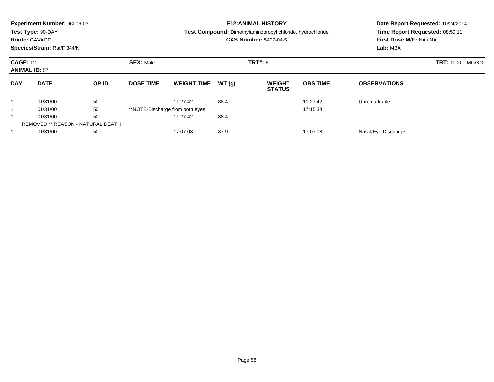|            | <b>Experiment Number: 96006-03</b><br>Test Type: 90-DAY<br><b>Route: GAVAGE</b><br>Species/Strain: Rat/F 344/N |       |                  |                                  |                | <b>E12:ANIMAL HISTORY</b><br><b>Test Compound:</b> Dimethylaminopropyl chloride, hydrochloride<br><b>CAS Number: 5407-04-5</b> | Date Report Requested: 10/24/2014<br>Time Report Requested: 08:50:11<br>First Dose M/F: NA / NA<br>Lab: MBA |                     |  |
|------------|----------------------------------------------------------------------------------------------------------------|-------|------------------|----------------------------------|----------------|--------------------------------------------------------------------------------------------------------------------------------|-------------------------------------------------------------------------------------------------------------|---------------------|--|
|            | <b>SEX: Male</b><br><b>CAGE: 12</b><br><b>ANIMAL ID: 57</b>                                                    |       |                  |                                  | <b>TRT#: 6</b> |                                                                                                                                | <b>TRT: 1000</b><br>MG/KG                                                                                   |                     |  |
| <b>DAY</b> | <b>DATE</b>                                                                                                    | OP ID | <b>DOSE TIME</b> | <b>WEIGHT TIME</b>               | WT(g)          | <b>WEIGHT</b><br><b>STATUS</b>                                                                                                 | <b>OBS TIME</b>                                                                                             | <b>OBSERVATIONS</b> |  |
|            | 01/31/00                                                                                                       | 50    |                  | 11:27:42                         | 88.4           |                                                                                                                                | 11:27:42                                                                                                    | Unremarkable        |  |
|            | 01/31/00                                                                                                       | 50    |                  | **NOTE-Discharge from both eyes. |                |                                                                                                                                | 17:15:34                                                                                                    |                     |  |
|            | 01/31/00                                                                                                       | 50    |                  | 11:27:42                         | 88.4           |                                                                                                                                |                                                                                                             |                     |  |
|            | <b>REMOVED ** REASON - NATURAL DEATH</b>                                                                       |       |                  |                                  |                |                                                                                                                                |                                                                                                             |                     |  |
|            | 01/31/00                                                                                                       | 50    |                  | 17:07:08                         | 87.9           |                                                                                                                                | 17:07:08                                                                                                    | Nasal/Eye Discharge |  |
|            |                                                                                                                |       |                  |                                  |                |                                                                                                                                |                                                                                                             |                     |  |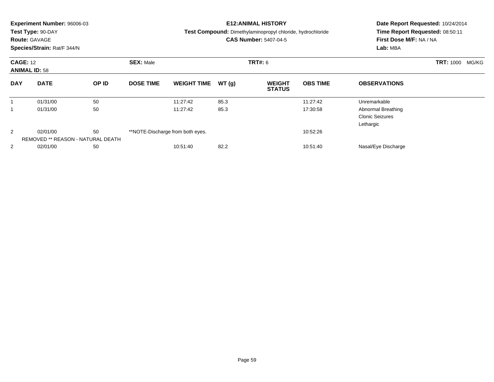|                                         | <b>Experiment Number: 96006-03</b><br>Test Type: 90-DAY<br><b>Route: GAVAGE</b><br>Species/Strain: Rat/F 344/N |                  |                  |                                  |       | <b>E12:ANIMAL HISTORY</b><br><b>Test Compound:</b> Dimethylaminopropyl chloride, hydrochloride<br><b>CAS Number: 5407-04-5</b> | Date Report Requested: 10/24/2014<br>Time Report Requested: 08:50:11<br>First Dose M/F: NA / NA<br>Lab: MBA |                                                           |  |
|-----------------------------------------|----------------------------------------------------------------------------------------------------------------|------------------|------------------|----------------------------------|-------|--------------------------------------------------------------------------------------------------------------------------------|-------------------------------------------------------------------------------------------------------------|-----------------------------------------------------------|--|
| <b>CAGE: 12</b><br><b>ANIMAL ID: 58</b> |                                                                                                                | <b>SEX: Male</b> |                  | <b>TRT#: 6</b>                   |       | <b>TRT: 1000</b><br>MG/KG                                                                                                      |                                                                                                             |                                                           |  |
| <b>DAY</b>                              | <b>DATE</b>                                                                                                    | OP ID            | <b>DOSE TIME</b> | <b>WEIGHT TIME</b>               | WT(g) | <b>WEIGHT</b><br><b>STATUS</b>                                                                                                 | <b>OBS TIME</b>                                                                                             | <b>OBSERVATIONS</b>                                       |  |
|                                         | 01/31/00                                                                                                       | 50               |                  | 11:27:42                         | 85.3  |                                                                                                                                | 11:27:42                                                                                                    | Unremarkable                                              |  |
|                                         | 01/31/00                                                                                                       | 50               |                  | 11:27:42                         | 85.3  |                                                                                                                                | 17:30:58                                                                                                    | Abnormal Breathing<br><b>Clonic Seizures</b><br>Lethargic |  |
| 2                                       | 50<br>02/01/00<br>REMOVED ** REASON - NATURAL DEATH                                                            |                  |                  | **NOTE-Discharge from both eyes. |       |                                                                                                                                | 10:52:26                                                                                                    |                                                           |  |
| 2                                       | 02/01/00                                                                                                       | 50               |                  | 10:51:40                         | 82.2  |                                                                                                                                | 10:51:40                                                                                                    | Nasal/Eye Discharge                                       |  |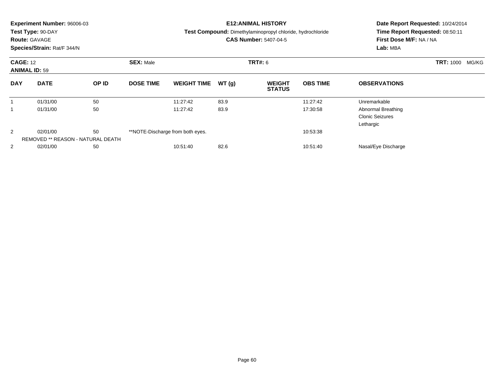|                                         | <b>Experiment Number: 96006-03</b><br>Test Type: 90-DAY<br><b>Route: GAVAGE</b><br>Species/Strain: Rat/F 344/N |                                    |                  |                                  |       | <b>E12:ANIMAL HISTORY</b><br><b>Test Compound:</b> Dimethylaminopropyl chloride, hydrochloride<br><b>CAS Number: 5407-04-5</b> | Date Report Requested: 10/24/2014<br>Time Report Requested: 08:50:11<br>First Dose M/F: NA / NA<br>Lab: MBA |                                                           |  |
|-----------------------------------------|----------------------------------------------------------------------------------------------------------------|------------------------------------|------------------|----------------------------------|-------|--------------------------------------------------------------------------------------------------------------------------------|-------------------------------------------------------------------------------------------------------------|-----------------------------------------------------------|--|
| <b>CAGE: 12</b><br><b>ANIMAL ID: 59</b> |                                                                                                                | <b>SEX: Male</b><br><b>TRT#: 6</b> |                  |                                  |       |                                                                                                                                |                                                                                                             | <b>TRT: 1000</b><br>MG/KG                                 |  |
| <b>DAY</b>                              | <b>DATE</b>                                                                                                    | OP ID                              | <b>DOSE TIME</b> | <b>WEIGHT TIME</b>               | WT(g) | <b>WEIGHT</b><br><b>STATUS</b>                                                                                                 | <b>OBS TIME</b>                                                                                             | <b>OBSERVATIONS</b>                                       |  |
|                                         | 01/31/00                                                                                                       | 50                                 |                  | 11:27:42                         | 83.9  |                                                                                                                                | 11:27:42                                                                                                    | Unremarkable                                              |  |
|                                         | 01/31/00                                                                                                       | 50                                 |                  | 11:27:42                         | 83.9  |                                                                                                                                | 17:30:58                                                                                                    | Abnormal Breathing<br><b>Clonic Seizures</b><br>Lethargic |  |
| 2                                       | 50<br>02/01/00<br>REMOVED ** REASON - NATURAL DEATH                                                            |                                    |                  | **NOTE-Discharge from both eyes. |       |                                                                                                                                | 10:53:38                                                                                                    |                                                           |  |
| 2                                       | 02/01/00                                                                                                       | 50                                 |                  | 10:51:40                         | 82.6  |                                                                                                                                | 10:51:40                                                                                                    | Nasal/Eye Discharge                                       |  |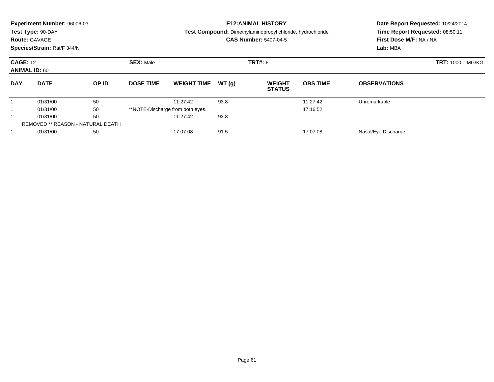|            | <b>Experiment Number: 96006-03</b><br>Test Type: 90-DAY<br><b>Route: GAVAGE</b><br>Species/Strain: Rat/F 344/N |       |                  |                                  |                | <b>E12:ANIMAL HISTORY</b><br><b>Test Compound:</b> Dimethylaminopropyl chloride, hydrochloride<br><b>CAS Number: 5407-04-5</b> |                           | Time Report Requested: 08:50:11<br>First Dose M/F: NA / NA<br>Lab: MBA | Date Report Requested: 10/24/2014 |
|------------|----------------------------------------------------------------------------------------------------------------|-------|------------------|----------------------------------|----------------|--------------------------------------------------------------------------------------------------------------------------------|---------------------------|------------------------------------------------------------------------|-----------------------------------|
|            | <b>SEX: Male</b><br><b>CAGE: 12</b><br><b>ANIMAL ID: 60</b>                                                    |       |                  |                                  | <b>TRT#: 6</b> |                                                                                                                                | <b>TRT: 1000</b><br>MG/KG |                                                                        |                                   |
| <b>DAY</b> | <b>DATE</b>                                                                                                    | OP ID | <b>DOSE TIME</b> | <b>WEIGHT TIME</b>               | WT(g)          | <b>WEIGHT</b><br><b>STATUS</b>                                                                                                 | <b>OBS TIME</b>           | <b>OBSERVATIONS</b>                                                    |                                   |
|            | 01/31/00                                                                                                       | 50    |                  | 11:27:42                         | 93.8           |                                                                                                                                | 11:27:42                  | Unremarkable                                                           |                                   |
|            | 01/31/00                                                                                                       | 50    |                  | **NOTE-Discharge from both eyes. |                |                                                                                                                                | 17:16:52                  |                                                                        |                                   |
|            | 01/31/00                                                                                                       | 50    |                  | 11:27:42                         | 93.8           |                                                                                                                                |                           |                                                                        |                                   |
|            | <b>REMOVED ** REASON - NATURAL DEATH</b>                                                                       |       |                  |                                  |                |                                                                                                                                |                           |                                                                        |                                   |
|            | 01/31/00<br>50                                                                                                 |       |                  | 91.5<br>17:07:08<br>17:07:08     |                |                                                                                                                                |                           | Nasal/Eye Discharge                                                    |                                   |
|            |                                                                                                                |       |                  |                                  |                |                                                                                                                                |                           |                                                                        |                                   |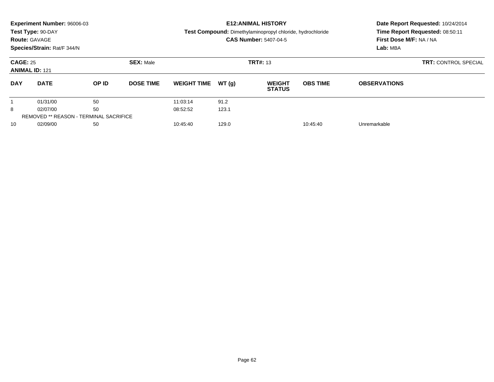|                 | Experiment Number: 96006-03<br>Test Type: 90-DAY<br><b>Route: GAVAGE</b><br>Species/Strain: Rat/F 344/N |       |                  |                    |       | <b>E12: ANIMAL HISTORY</b><br>Test Compound: Dimethylaminopropyl chloride, hydrochloride<br><b>CAS Number: 5407-04-5</b> | Date Report Requested: 10/24/2014<br>Time Report Requested: 08:50:11<br>First Dose M/F: NA / NA<br>Lab: MBA |                     |  |
|-----------------|---------------------------------------------------------------------------------------------------------|-------|------------------|--------------------|-------|--------------------------------------------------------------------------------------------------------------------------|-------------------------------------------------------------------------------------------------------------|---------------------|--|
| <b>CAGE: 25</b> | <b>ANIMAL ID: 121</b>                                                                                   |       | <b>SEX: Male</b> |                    |       | <b>TRT#: 13</b>                                                                                                          | <b>TRT: CONTROL SPECIAL</b>                                                                                 |                     |  |
| <b>DAY</b>      | <b>DATE</b>                                                                                             | OP ID | <b>DOSE TIME</b> | <b>WEIGHT TIME</b> | WT(g) | <b>WEIGHT</b><br><b>STATUS</b>                                                                                           | <b>OBS TIME</b>                                                                                             | <b>OBSERVATIONS</b> |  |
|                 | 01/31/00                                                                                                | 50    |                  | 11:03:14           | 91.2  |                                                                                                                          |                                                                                                             |                     |  |
| 8               | 02/07/00                                                                                                | 50    |                  | 08:52:52           | 123.1 |                                                                                                                          |                                                                                                             |                     |  |
|                 | <b>REMOVED ** REASON - TERMINAL SACRIFICE</b>                                                           |       |                  |                    |       |                                                                                                                          |                                                                                                             |                     |  |
| 10              | 02/09/00                                                                                                | 50    |                  | 10:45:40           | 129.0 |                                                                                                                          | 10:45:40                                                                                                    | Unremarkable        |  |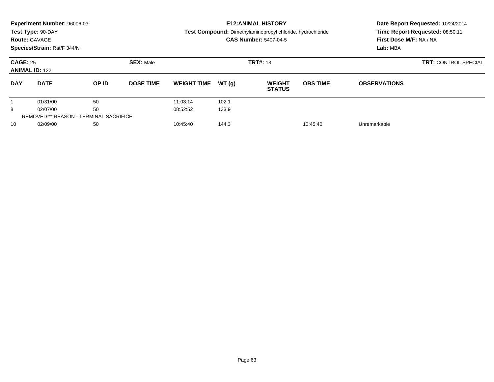|                                          | Experiment Number: 96006-03<br>Test Type: 90-DAY<br><b>Route: GAVAGE</b><br>Species/Strain: Rat/F 344/N |       |                  |                               |       | <b>E12: ANIMAL HISTORY</b><br><b>Test Compound:</b> Dimethylaminopropyl chloride, hydrochloride<br><b>CAS Number: 5407-04-5</b> | Date Report Requested: 10/24/2014<br>Time Report Requested: 08:50:11<br>First Dose M/F: NA / NA<br>Lab: MBA |                     |  |
|------------------------------------------|---------------------------------------------------------------------------------------------------------|-------|------------------|-------------------------------|-------|---------------------------------------------------------------------------------------------------------------------------------|-------------------------------------------------------------------------------------------------------------|---------------------|--|
| <b>CAGE: 25</b><br><b>ANIMAL ID: 122</b> |                                                                                                         |       | <b>SEX: Male</b> |                               |       | <b>TRT#: 13</b>                                                                                                                 | <b>TRT: CONTROL SPECIAL</b>                                                                                 |                     |  |
| <b>DAY</b>                               | <b>DATE</b>                                                                                             | OP ID | <b>DOSE TIME</b> | <b>WEIGHT TIME</b>            | WT(q) | <b>WEIGHT</b><br><b>STATUS</b>                                                                                                  | <b>OBS TIME</b>                                                                                             | <b>OBSERVATIONS</b> |  |
|                                          | 01/31/00                                                                                                | 50    |                  | 11:03:14                      | 102.1 |                                                                                                                                 |                                                                                                             |                     |  |
| 8                                        | 02/07/00                                                                                                | 50    |                  | 08:52:52                      | 133.9 |                                                                                                                                 |                                                                                                             |                     |  |
|                                          | <b>REMOVED ** REASON - TERMINAL SACRIFICE</b>                                                           |       |                  |                               |       |                                                                                                                                 |                                                                                                             |                     |  |
| 10                                       | 02/09/00<br>50                                                                                          |       |                  | 144.3<br>10:45:40<br>10:45:40 |       |                                                                                                                                 | Unremarkable                                                                                                |                     |  |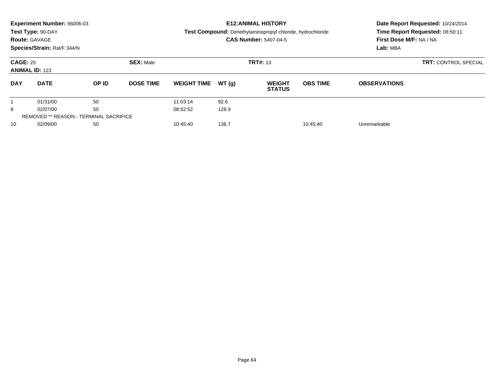|                                          | Experiment Number: 96006-03<br>Test Type: 90-DAY<br><b>Route: GAVAGE</b><br>Species/Strain: Rat/F 344/N |       |                  |                    |       | <b>E12: ANIMAL HISTORY</b><br>Test Compound: Dimethylaminopropyl chloride, hydrochloride<br><b>CAS Number: 5407-04-5</b> | Date Report Requested: 10/24/2014<br>Time Report Requested: 08:50:11<br>First Dose M/F: NA / NA<br>Lab: MBA |                     |
|------------------------------------------|---------------------------------------------------------------------------------------------------------|-------|------------------|--------------------|-------|--------------------------------------------------------------------------------------------------------------------------|-------------------------------------------------------------------------------------------------------------|---------------------|
| <b>CAGE: 25</b><br><b>ANIMAL ID: 123</b> |                                                                                                         |       | <b>SEX: Male</b> |                    |       | <b>TRT#: 13</b>                                                                                                          | <b>TRT: CONTROL SPECIAL</b>                                                                                 |                     |
| <b>DAY</b>                               | <b>DATE</b>                                                                                             | OP ID | <b>DOSE TIME</b> | <b>WEIGHT TIME</b> | WT(q) | <b>WEIGHT</b><br><b>STATUS</b>                                                                                           | <b>OBS TIME</b>                                                                                             | <b>OBSERVATIONS</b> |
|                                          | 01/31/00                                                                                                | 50    |                  | 11:03:14           | 92.6  |                                                                                                                          |                                                                                                             |                     |
| 8                                        | 02/07/00                                                                                                | 50    |                  | 08:52:52           | 128.9 |                                                                                                                          |                                                                                                             |                     |
|                                          | <b>REMOVED ** REASON - TERMINAL SACRIFICE</b>                                                           |       |                  |                    |       |                                                                                                                          |                                                                                                             |                     |
| 10                                       | 02/09/00                                                                                                | 50    |                  | 10:45:40           | 136.7 |                                                                                                                          | 10:45:40                                                                                                    | Unremarkable        |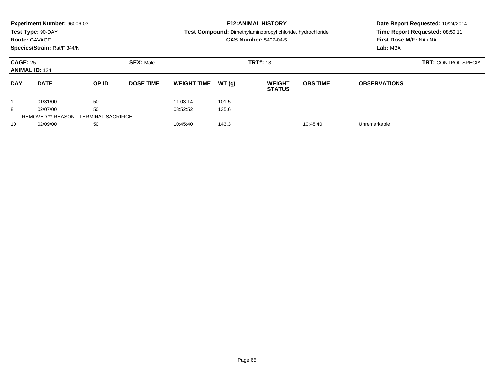|                                          | Experiment Number: 96006-03<br>Test Type: 90-DAY<br><b>Route: GAVAGE</b><br>Species/Strain: Rat/F 344/N |       |                  |                               |       | <b>E12: ANIMAL HISTORY</b><br>Test Compound: Dimethylaminopropyl chloride, hydrochloride<br><b>CAS Number: 5407-04-5</b> |                 | Date Report Requested: 10/24/2014<br>Time Report Requested: 08:50:11<br>First Dose M/F: NA / NA<br>Lab: MBA |  |  |
|------------------------------------------|---------------------------------------------------------------------------------------------------------|-------|------------------|-------------------------------|-------|--------------------------------------------------------------------------------------------------------------------------|-----------------|-------------------------------------------------------------------------------------------------------------|--|--|
| <b>CAGE: 25</b><br><b>ANIMAL ID: 124</b> |                                                                                                         |       | <b>SEX: Male</b> |                               |       | <b>TRT#: 13</b>                                                                                                          |                 | <b>TRT: CONTROL SPECIAL</b>                                                                                 |  |  |
| <b>DAY</b>                               | <b>DATE</b>                                                                                             | OP ID | <b>DOSE TIME</b> | <b>WEIGHT TIME</b>            | WT(q) | <b>WEIGHT</b><br><b>STATUS</b>                                                                                           | <b>OBS TIME</b> | <b>OBSERVATIONS</b>                                                                                         |  |  |
|                                          | 01/31/00                                                                                                | 50    |                  | 11:03:14                      | 101.5 |                                                                                                                          |                 |                                                                                                             |  |  |
| 8                                        | 02/07/00                                                                                                | 50    |                  | 08:52:52                      | 135.6 |                                                                                                                          |                 |                                                                                                             |  |  |
|                                          | <b>REMOVED ** REASON - TERMINAL SACRIFICE</b>                                                           |       |                  |                               |       |                                                                                                                          |                 |                                                                                                             |  |  |
| 10                                       | 02/09/00                                                                                                |       |                  | 10:45:40<br>143.3<br>10:45:40 |       |                                                                                                                          | Unremarkable    |                                                                                                             |  |  |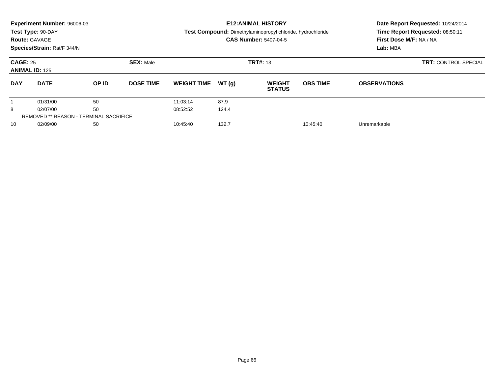|                                          | Experiment Number: 96006-03<br>Test Type: 90-DAY<br><b>Route: GAVAGE</b><br>Species/Strain: Rat/F 344/N |       |                  |                               |       | <b>E12: ANIMAL HISTORY</b><br>Test Compound: Dimethylaminopropyl chloride, hydrochloride<br><b>CAS Number: 5407-04-5</b> |                 | Date Report Requested: 10/24/2014<br>Time Report Requested: 08:50:11<br>First Dose M/F: NA / NA<br>Lab: MBA |  |  |
|------------------------------------------|---------------------------------------------------------------------------------------------------------|-------|------------------|-------------------------------|-------|--------------------------------------------------------------------------------------------------------------------------|-----------------|-------------------------------------------------------------------------------------------------------------|--|--|
| <b>CAGE: 25</b><br><b>ANIMAL ID: 125</b> |                                                                                                         |       | <b>SEX: Male</b> |                               |       | <b>TRT#: 13</b>                                                                                                          |                 | <b>TRT: CONTROL SPECIAL</b>                                                                                 |  |  |
| <b>DAY</b>                               | <b>DATE</b>                                                                                             | OP ID | <b>DOSE TIME</b> | <b>WEIGHT TIME</b>            | WT(q) | <b>WEIGHT</b><br><b>STATUS</b>                                                                                           | <b>OBS TIME</b> | <b>OBSERVATIONS</b>                                                                                         |  |  |
|                                          | 01/31/00                                                                                                | 50    |                  | 11:03:14                      | 87.9  |                                                                                                                          |                 |                                                                                                             |  |  |
| 8                                        | 02/07/00                                                                                                | 50    |                  | 08:52:52                      | 124.4 |                                                                                                                          |                 |                                                                                                             |  |  |
|                                          | <b>REMOVED ** REASON - TERMINAL SACRIFICE</b>                                                           |       |                  |                               |       |                                                                                                                          |                 |                                                                                                             |  |  |
| 10                                       | 02/09/00                                                                                                |       |                  | 132.7<br>10:45:40<br>10:45:40 |       |                                                                                                                          | Unremarkable    |                                                                                                             |  |  |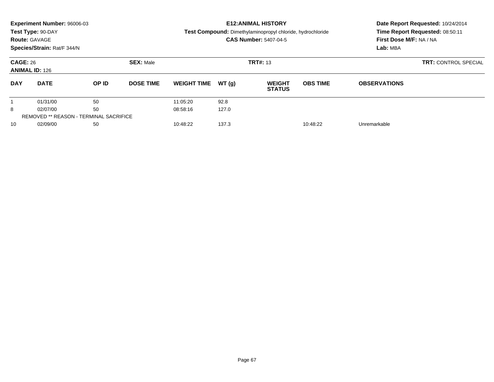|                                          | Experiment Number: 96006-03<br>Test Type: 90-DAY<br><b>Route: GAVAGE</b><br>Species/Strain: Rat/F 344/N |       |                   |                    |          | <b>E12: ANIMAL HISTORY</b><br><b>Test Compound:</b> Dimethylaminopropyl chloride, hydrochloride<br><b>CAS Number: 5407-04-5</b> | Date Report Requested: 10/24/2014<br>Time Report Requested: 08:50:11<br>First Dose M/F: NA / NA<br>Lab: MBA |                     |  |
|------------------------------------------|---------------------------------------------------------------------------------------------------------|-------|-------------------|--------------------|----------|---------------------------------------------------------------------------------------------------------------------------------|-------------------------------------------------------------------------------------------------------------|---------------------|--|
| <b>CAGE: 26</b><br><b>ANIMAL ID: 126</b> |                                                                                                         |       | <b>SEX: Male</b>  |                    |          | <b>TRT#: 13</b>                                                                                                                 | <b>TRT: CONTROL SPECIAL</b>                                                                                 |                     |  |
| <b>DAY</b>                               | <b>DATE</b>                                                                                             | OP ID | <b>DOSE TIME</b>  | <b>WEIGHT TIME</b> | WT(q)    | <b>WEIGHT</b><br><b>STATUS</b>                                                                                                  | <b>OBS TIME</b>                                                                                             | <b>OBSERVATIONS</b> |  |
|                                          | 01/31/00                                                                                                | 50    |                   | 11:05:20           | 92.8     |                                                                                                                                 |                                                                                                             |                     |  |
| 8                                        | 02/07/00                                                                                                | 50    |                   | 08:58:16           | 127.0    |                                                                                                                                 |                                                                                                             |                     |  |
|                                          | <b>REMOVED ** REASON - TERMINAL SACRIFICE</b>                                                           |       |                   |                    |          |                                                                                                                                 |                                                                                                             |                     |  |
| 10                                       | 02/09/00                                                                                                |       | 137.3<br>10:48:22 |                    | 10:48:22 | Unremarkable                                                                                                                    |                                                                                                             |                     |  |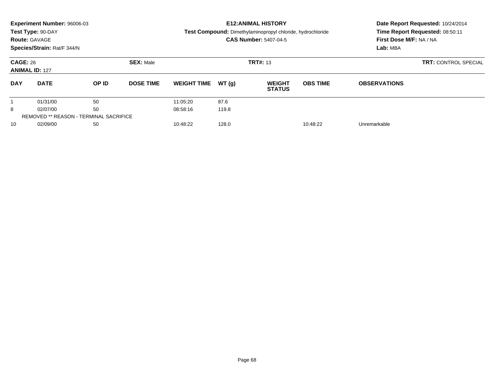|                                          | Experiment Number: 96006-03<br>Test Type: 90-DAY<br><b>Route: GAVAGE</b><br>Species/Strain: Rat/F 344/N |       |                  |                               |       | <b>E12: ANIMAL HISTORY</b><br><b>Test Compound:</b> Dimethylaminopropyl chloride, hydrochloride<br><b>CAS Number: 5407-04-5</b> | Date Report Requested: 10/24/2014<br>Time Report Requested: 08:50:11<br>First Dose M/F: NA / NA<br>Lab: MBA |                     |  |
|------------------------------------------|---------------------------------------------------------------------------------------------------------|-------|------------------|-------------------------------|-------|---------------------------------------------------------------------------------------------------------------------------------|-------------------------------------------------------------------------------------------------------------|---------------------|--|
| <b>CAGE: 26</b><br><b>ANIMAL ID: 127</b> |                                                                                                         |       | <b>SEX: Male</b> |                               |       | <b>TRT#: 13</b>                                                                                                                 | <b>TRT: CONTROL SPECIAL</b>                                                                                 |                     |  |
| <b>DAY</b>                               | <b>DATE</b>                                                                                             | OP ID | <b>DOSE TIME</b> | <b>WEIGHT TIME</b>            | WT(q) | <b>WEIGHT</b><br><b>STATUS</b>                                                                                                  | <b>OBS TIME</b>                                                                                             | <b>OBSERVATIONS</b> |  |
|                                          | 01/31/00                                                                                                | 50    |                  | 11:05:20                      | 87.6  |                                                                                                                                 |                                                                                                             |                     |  |
| 8                                        | 02/07/00                                                                                                | 50    |                  | 08:58:16                      | 119.8 |                                                                                                                                 |                                                                                                             |                     |  |
|                                          | <b>REMOVED ** REASON - TERMINAL SACRIFICE</b>                                                           |       |                  |                               |       |                                                                                                                                 |                                                                                                             |                     |  |
| 10                                       | 02/09/00<br>50                                                                                          |       |                  | 128.0<br>10:48:22<br>10:48:22 |       |                                                                                                                                 | Unremarkable                                                                                                |                     |  |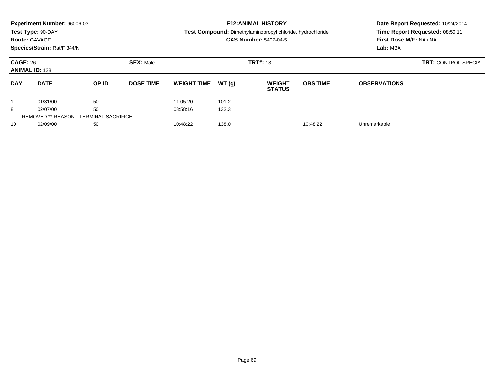|                                          | Experiment Number: 96006-03<br>Test Type: 90-DAY<br><b>Route: GAVAGE</b><br>Species/Strain: Rat/F 344/N |       |                   |                    |          | <b>E12: ANIMAL HISTORY</b><br>Test Compound: Dimethylaminopropyl chloride, hydrochloride<br><b>CAS Number: 5407-04-5</b> |                 | Date Report Requested: 10/24/2014<br>Time Report Requested: 08:50:11<br>First Dose M/F: NA / NA<br>Lab: MBA |  |  |
|------------------------------------------|---------------------------------------------------------------------------------------------------------|-------|-------------------|--------------------|----------|--------------------------------------------------------------------------------------------------------------------------|-----------------|-------------------------------------------------------------------------------------------------------------|--|--|
| <b>CAGE: 26</b><br><b>ANIMAL ID: 128</b> |                                                                                                         |       | <b>SEX: Male</b>  |                    |          | <b>TRT#: 13</b>                                                                                                          |                 | <b>TRT: CONTROL SPECIAL</b>                                                                                 |  |  |
| <b>DAY</b>                               | <b>DATE</b>                                                                                             | OP ID | <b>DOSE TIME</b>  | <b>WEIGHT TIME</b> | WT(q)    | <b>WEIGHT</b><br><b>STATUS</b>                                                                                           | <b>OBS TIME</b> | <b>OBSERVATIONS</b>                                                                                         |  |  |
|                                          | 01/31/00                                                                                                | 50    |                   | 11:05:20           | 101.2    |                                                                                                                          |                 |                                                                                                             |  |  |
| 8                                        | 02/07/00                                                                                                | 50    |                   | 08:58:16           | 132.3    |                                                                                                                          |                 |                                                                                                             |  |  |
|                                          | <b>REMOVED ** REASON - TERMINAL SACRIFICE</b>                                                           |       |                   |                    |          |                                                                                                                          |                 |                                                                                                             |  |  |
| 10                                       | 02/09/00<br>50                                                                                          |       | 10:48:22<br>138.0 |                    | 10:48:22 |                                                                                                                          | Unremarkable    |                                                                                                             |  |  |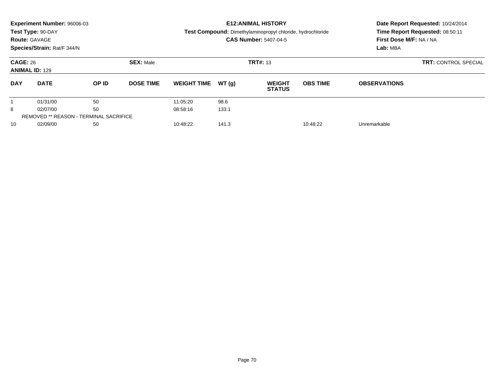|                                          | Experiment Number: 96006-03<br>Test Type: 90-DAY<br><b>Route: GAVAGE</b><br>Species/Strain: Rat/F 344/N |       |                                     |                    |       | <b>E12: ANIMAL HISTORY</b><br><b>Test Compound:</b> Dimethylaminopropyl chloride, hydrochloride<br><b>CAS Number: 5407-04-5</b> | Date Report Requested: 10/24/2014<br>Time Report Requested: 08:50:11<br>First Dose M/F: NA / NA<br>Lab: MBA |                     |  |
|------------------------------------------|---------------------------------------------------------------------------------------------------------|-------|-------------------------------------|--------------------|-------|---------------------------------------------------------------------------------------------------------------------------------|-------------------------------------------------------------------------------------------------------------|---------------------|--|
| <b>CAGE: 26</b><br><b>ANIMAL ID: 129</b> |                                                                                                         |       | <b>SEX: Male</b>                    |                    |       | <b>TRT#: 13</b>                                                                                                                 | <b>TRT: CONTROL SPECIAL</b>                                                                                 |                     |  |
| <b>DAY</b>                               | <b>DATE</b>                                                                                             | OP ID | <b>DOSE TIME</b>                    | <b>WEIGHT TIME</b> | WT(q) | <b>WEIGHT</b><br><b>STATUS</b>                                                                                                  | <b>OBS TIME</b>                                                                                             | <b>OBSERVATIONS</b> |  |
|                                          | 01/31/00                                                                                                | 50    |                                     | 11:05:20           | 98.6  |                                                                                                                                 |                                                                                                             |                     |  |
| 8                                        | 02/07/00                                                                                                | 50    |                                     | 08:58:16           | 133.1 |                                                                                                                                 |                                                                                                             |                     |  |
|                                          | <b>REMOVED ** REASON - TERMINAL SACRIFICE</b>                                                           |       |                                     |                    |       |                                                                                                                                 |                                                                                                             |                     |  |
| 10                                       | 02/09/00                                                                                                |       | 50<br>10:48:22<br>141.3<br>10:48:22 |                    |       | Unremarkable                                                                                                                    |                                                                                                             |                     |  |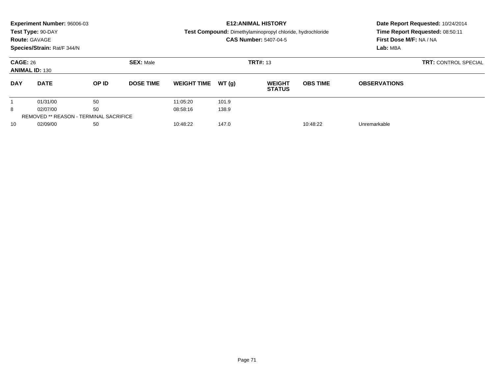| <b>Route: GAVAGE</b>                     | Experiment Number: 96006-03<br>Test Type: 90-DAY<br>Species/Strain: Rat/F 344/N |       |                  |                    |       | <b>E12: ANIMAL HISTORY</b><br>Test Compound: Dimethylaminopropyl chloride, hydrochloride<br><b>CAS Number: 5407-04-5</b> | Date Report Requested: 10/24/2014<br>Time Report Requested: 08:50:11<br>First Dose M/F: NA / NA<br>Lab: MBA |                     |  |
|------------------------------------------|---------------------------------------------------------------------------------|-------|------------------|--------------------|-------|--------------------------------------------------------------------------------------------------------------------------|-------------------------------------------------------------------------------------------------------------|---------------------|--|
| <b>CAGE: 26</b><br><b>ANIMAL ID: 130</b> |                                                                                 |       | <b>SEX: Male</b> |                    |       | <b>TRT#: 13</b>                                                                                                          | <b>TRT: CONTROL SPECIAL</b>                                                                                 |                     |  |
| <b>DAY</b>                               | <b>DATE</b>                                                                     | OP ID | <b>DOSE TIME</b> | <b>WEIGHT TIME</b> | WT(g) | <b>WEIGHT</b><br><b>STATUS</b>                                                                                           | <b>OBS TIME</b>                                                                                             | <b>OBSERVATIONS</b> |  |
|                                          | 01/31/00                                                                        | 50    |                  | 11:05:20           | 101.9 |                                                                                                                          |                                                                                                             |                     |  |
| 8                                        | 02/07/00                                                                        | 50    |                  | 08:58:16           | 138.9 |                                                                                                                          |                                                                                                             |                     |  |
|                                          | <b>REMOVED ** REASON - TERMINAL SACRIFICE</b>                                   |       |                  |                    |       |                                                                                                                          |                                                                                                             |                     |  |
| 10                                       | 02/09/00                                                                        | 50    |                  | 10:48:22           | 147.0 |                                                                                                                          | 10:48:22                                                                                                    | Unremarkable        |  |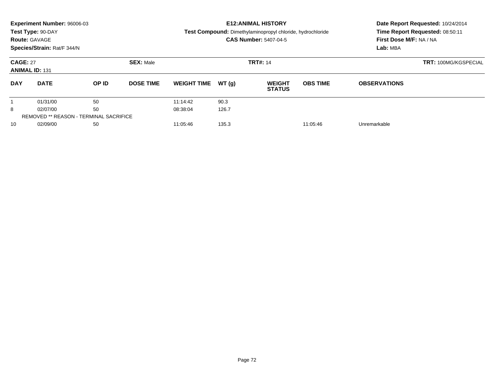| <b>Route: GAVAGE</b>                                               | Experiment Number: 96006-03<br>Test Type: 90-DAY |       |                  |                               | <b>E12: ANIMAL HISTORY</b><br>Test Compound: Dimethylaminopropyl chloride, hydrochloride<br><b>CAS Number: 5407-04-5</b> | Date Report Requested: 10/24/2014<br>Time Report Requested: 08:50:11<br>First Dose M/F: NA / NA |                                         |                     |  |
|--------------------------------------------------------------------|--------------------------------------------------|-------|------------------|-------------------------------|--------------------------------------------------------------------------------------------------------------------------|-------------------------------------------------------------------------------------------------|-----------------------------------------|---------------------|--|
| Species/Strain: Rat/F 344/N<br><b>CAGE: 27</b><br><b>SEX: Male</b> |                                                  |       |                  |                               |                                                                                                                          | <b>TRT#: 14</b>                                                                                 | Lab: MBA<br><b>TRT: 100MG/KGSPECIAL</b> |                     |  |
| <b>ANIMAL ID: 131</b>                                              |                                                  |       |                  |                               |                                                                                                                          |                                                                                                 |                                         |                     |  |
| <b>DAY</b>                                                         | <b>DATE</b>                                      | OP ID | <b>DOSE TIME</b> | <b>WEIGHT TIME</b>            | WT(q)                                                                                                                    | <b>WEIGHT</b><br><b>STATUS</b>                                                                  | <b>OBS TIME</b>                         | <b>OBSERVATIONS</b> |  |
|                                                                    | 01/31/00                                         | 50    |                  | 11:14:42                      | 90.3                                                                                                                     |                                                                                                 |                                         |                     |  |
| 8                                                                  | 02/07/00                                         | 50    |                  | 08:38:04                      | 126.7                                                                                                                    |                                                                                                 |                                         |                     |  |
|                                                                    | <b>REMOVED ** REASON - TERMINAL SACRIFICE</b>    |       |                  |                               |                                                                                                                          |                                                                                                 |                                         |                     |  |
| 10                                                                 | 02/09/00                                         |       |                  | 135.3<br>11:05:46<br>11:05:46 |                                                                                                                          | Unremarkable                                                                                    |                                         |                     |  |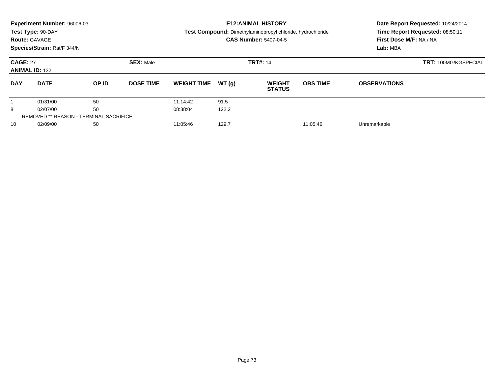|                                          | Experiment Number: 96006-03<br>Test Type: 90-DAY<br><b>Route: GAVAGE</b><br>Species/Strain: Rat/F 344/N |       |                  |                    |       | <b>E12: ANIMAL HISTORY</b><br><b>Test Compound:</b> Dimethylaminopropyl chloride, hydrochloride<br><b>CAS Number: 5407-04-5</b> | Date Report Requested: 10/24/2014<br>Time Report Requested: 08:50:11<br>First Dose M/F: NA / NA<br>Lab: MBA |                     |  |
|------------------------------------------|---------------------------------------------------------------------------------------------------------|-------|------------------|--------------------|-------|---------------------------------------------------------------------------------------------------------------------------------|-------------------------------------------------------------------------------------------------------------|---------------------|--|
| <b>CAGE: 27</b><br><b>ANIMAL ID: 132</b> |                                                                                                         |       | <b>SEX: Male</b> |                    |       | <b>TRT#: 14</b>                                                                                                                 | <b>TRT: 100MG/KGSPECIAL</b>                                                                                 |                     |  |
| <b>DAY</b>                               | <b>DATE</b>                                                                                             | OP ID | <b>DOSE TIME</b> | <b>WEIGHT TIME</b> | WT(q) | <b>WEIGHT</b><br><b>STATUS</b>                                                                                                  | <b>OBS TIME</b>                                                                                             | <b>OBSERVATIONS</b> |  |
|                                          | 01/31/00                                                                                                | 50    |                  | 11:14:42           | 91.5  |                                                                                                                                 |                                                                                                             |                     |  |
| 8                                        | 02/07/00                                                                                                | 50    |                  | 08:38:04           | 122.2 |                                                                                                                                 |                                                                                                             |                     |  |
|                                          | <b>REMOVED ** REASON - TERMINAL SACRIFICE</b>                                                           |       |                  |                    |       |                                                                                                                                 |                                                                                                             |                     |  |
| 10                                       | 50<br>02/09/00                                                                                          |       |                  | 11:05:46           | 129.7 |                                                                                                                                 | 11:05:46                                                                                                    | Unremarkable        |  |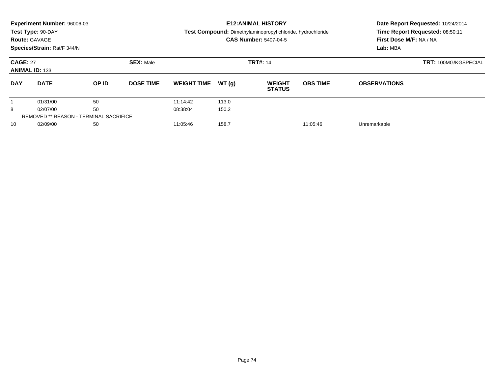|                                          | Experiment Number: 96006-03<br>Test Type: 90-DAY<br><b>Route: GAVAGE</b><br>Species/Strain: Rat/F 344/N |                                               |                  |                    |       | <b>E12: ANIMAL HISTORY</b><br><b>Test Compound:</b> Dimethylaminopropyl chloride, hydrochloride<br><b>CAS Number: 5407-04-5</b> | Date Report Requested: 10/24/2014<br>Time Report Requested: 08:50:11<br>First Dose M/F: NA / NA<br>Lab: MBA |                     |  |
|------------------------------------------|---------------------------------------------------------------------------------------------------------|-----------------------------------------------|------------------|--------------------|-------|---------------------------------------------------------------------------------------------------------------------------------|-------------------------------------------------------------------------------------------------------------|---------------------|--|
| <b>CAGE: 27</b><br><b>ANIMAL ID: 133</b> |                                                                                                         |                                               | <b>SEX: Male</b> |                    |       | <b>TRT#: 14</b>                                                                                                                 | <b>TRT: 100MG/KGSPECIAL</b>                                                                                 |                     |  |
| <b>DAY</b>                               | <b>DATE</b>                                                                                             | <b>OP ID</b>                                  | <b>DOSE TIME</b> | <b>WEIGHT TIME</b> | WT(q) | <b>WEIGHT</b><br><b>STATUS</b>                                                                                                  | <b>OBS TIME</b>                                                                                             | <b>OBSERVATIONS</b> |  |
|                                          | 01/31/00                                                                                                | 50                                            |                  | 11:14:42           | 113.0 |                                                                                                                                 |                                                                                                             |                     |  |
| 8                                        | 02/07/00                                                                                                | 50                                            |                  | 08:38:04           | 150.2 |                                                                                                                                 |                                                                                                             |                     |  |
|                                          |                                                                                                         | <b>REMOVED ** REASON - TERMINAL SACRIFICE</b> |                  |                    |       |                                                                                                                                 |                                                                                                             |                     |  |
| 10                                       | 02/09/00                                                                                                | 50                                            |                  | 11:05:46           | 158.7 |                                                                                                                                 | 11:05:46                                                                                                    | Unremarkable        |  |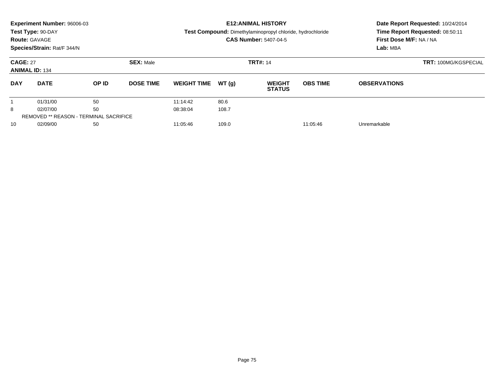|                                          | Experiment Number: 96006-03<br>Test Type: 90-DAY<br><b>Route: GAVAGE</b><br>Species/Strain: Rat/F 344/N |       |                                     |                    |       | <b>E12: ANIMAL HISTORY</b><br>Test Compound: Dimethylaminopropyl chloride, hydrochloride<br><b>CAS Number: 5407-04-5</b> | Date Report Requested: 10/24/2014<br>Time Report Requested: 08:50:11<br>First Dose M/F: NA / NA<br>Lab: MBA |                     |
|------------------------------------------|---------------------------------------------------------------------------------------------------------|-------|-------------------------------------|--------------------|-------|--------------------------------------------------------------------------------------------------------------------------|-------------------------------------------------------------------------------------------------------------|---------------------|
| <b>CAGE: 27</b><br><b>ANIMAL ID: 134</b> |                                                                                                         |       | <b>SEX: Male</b><br><b>TRT#: 14</b> |                    |       |                                                                                                                          | <b>TRT: 100MG/KGSPECIAL</b>                                                                                 |                     |
| <b>DAY</b>                               | <b>DATE</b>                                                                                             | OP ID | <b>DOSE TIME</b>                    | <b>WEIGHT TIME</b> | WT(q) | <b>WEIGHT</b><br><b>STATUS</b>                                                                                           | <b>OBS TIME</b>                                                                                             | <b>OBSERVATIONS</b> |
|                                          | 01/31/00                                                                                                | 50    |                                     | 11:14:42           | 80.6  |                                                                                                                          |                                                                                                             |                     |
| 8                                        | 02/07/00                                                                                                | 50    |                                     | 08:38:04           | 108.7 |                                                                                                                          |                                                                                                             |                     |
|                                          | <b>REMOVED ** REASON - TERMINAL SACRIFICE</b>                                                           |       |                                     |                    |       |                                                                                                                          |                                                                                                             |                     |
| 10                                       | 02/09/00                                                                                                | 50    |                                     | 11:05:46           | 109.0 |                                                                                                                          | 11:05:46                                                                                                    | Unremarkable        |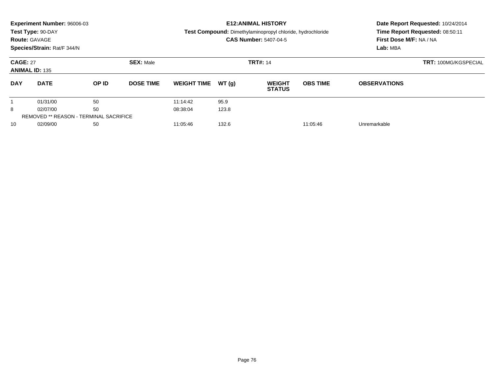|                                          | Experiment Number: 96006-03<br>Test Type: 90-DAY |              |                  |                    |       | <b>E12: ANIMAL HISTORY</b><br><b>Test Compound:</b> Dimethylaminopropyl chloride, hydrochloride | Date Report Requested: 10/24/2014<br>Time Report Requested: 08:50:11 |                         |  |  |
|------------------------------------------|--------------------------------------------------|--------------|------------------|--------------------|-------|-------------------------------------------------------------------------------------------------|----------------------------------------------------------------------|-------------------------|--|--|
| <b>Route: GAVAGE</b>                     |                                                  |              |                  |                    |       | <b>CAS Number: 5407-04-5</b>                                                                    |                                                                      | First Dose M/F: NA / NA |  |  |
|                                          | Species/Strain: Rat/F 344/N                      |              |                  |                    |       |                                                                                                 |                                                                      | Lab: MBA                |  |  |
| <b>CAGE: 27</b><br><b>ANIMAL ID: 135</b> |                                                  |              | <b>SEX: Male</b> |                    |       | <b>TRT#: 14</b>                                                                                 | <b>TRT: 100MG/KGSPECIAL</b>                                          |                         |  |  |
| <b>DAY</b>                               | <b>DATE</b>                                      | <b>OP ID</b> | <b>DOSE TIME</b> | <b>WEIGHT TIME</b> | WT(q) | <b>WEIGHT</b><br><b>STATUS</b>                                                                  | <b>OBS TIME</b>                                                      | <b>OBSERVATIONS</b>     |  |  |
|                                          | 01/31/00                                         | 50           |                  | 11:14:42           | 95.9  |                                                                                                 |                                                                      |                         |  |  |
| 8                                        | 02/07/00                                         | 50           |                  | 08:38:04           | 123.8 |                                                                                                 |                                                                      |                         |  |  |
|                                          | <b>REMOVED ** REASON - TERMINAL SACRIFICE</b>    |              |                  |                    |       |                                                                                                 |                                                                      |                         |  |  |
| 10                                       | 02/09/00                                         | 50           |                  | 11:05:46           | 132.6 |                                                                                                 | 11:05:46                                                             | Unremarkable            |  |  |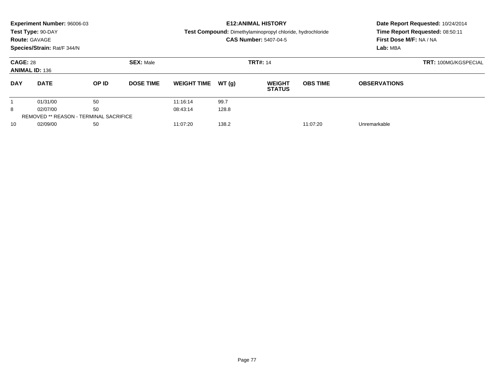| <b>Route: GAVAGE</b>                     | Experiment Number: 96006-03<br>Test Type: 90-DAY<br>Species/Strain: Rat/F 344/N |       |                  |                               |       | <b>E12: ANIMAL HISTORY</b><br><b>Test Compound:</b> Dimethylaminopropyl chloride, hydrochloride<br><b>CAS Number: 5407-04-5</b> | Date Report Requested: 10/24/2014<br>Time Report Requested: 08:50:11<br>First Dose M/F: NA / NA<br>Lab: MBA |                      |  |
|------------------------------------------|---------------------------------------------------------------------------------|-------|------------------|-------------------------------|-------|---------------------------------------------------------------------------------------------------------------------------------|-------------------------------------------------------------------------------------------------------------|----------------------|--|
| <b>CAGE: 28</b><br><b>ANIMAL ID: 136</b> |                                                                                 |       | <b>SEX: Male</b> |                               |       | <b>TRT#: 14</b>                                                                                                                 |                                                                                                             | TRT: 100MG/KGSPECIAL |  |
| <b>DAY</b>                               | <b>DATE</b>                                                                     | OP ID | <b>DOSE TIME</b> | <b>WEIGHT TIME</b>            | WT(q) | <b>WEIGHT</b><br><b>STATUS</b>                                                                                                  | <b>OBS TIME</b>                                                                                             | <b>OBSERVATIONS</b>  |  |
|                                          | 01/31/00                                                                        | 50    |                  | 11:16:14                      | 99.7  |                                                                                                                                 |                                                                                                             |                      |  |
| 8                                        | 02/07/00                                                                        | 50    |                  | 08:43:14                      | 128.8 |                                                                                                                                 |                                                                                                             |                      |  |
|                                          | <b>REMOVED ** REASON - TERMINAL SACRIFICE</b>                                   |       |                  |                               |       |                                                                                                                                 |                                                                                                             |                      |  |
| 10                                       | 02/09/00<br>50                                                                  |       |                  | 138.2<br>11:07:20<br>11:07:20 |       |                                                                                                                                 |                                                                                                             | Unremarkable         |  |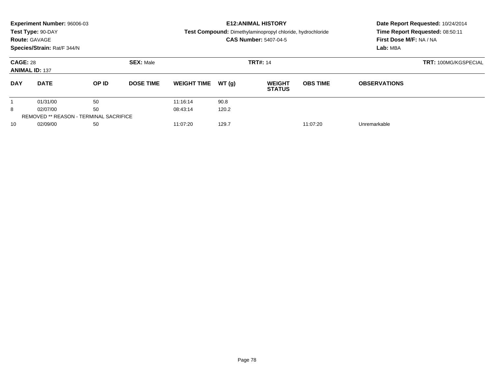|                                          | Experiment Number: 96006-03<br>Test Type: 90-DAY<br><b>Route: GAVAGE</b><br>Species/Strain: Rat/F 344/N |       |                  |                    |       | <b>E12: ANIMAL HISTORY</b><br><b>Test Compound:</b> Dimethylaminopropyl chloride, hydrochloride<br><b>CAS Number: 5407-04-5</b> | Date Report Requested: 10/24/2014<br>Time Report Requested: 08:50:11<br>First Dose M/F: NA / NA<br>Lab: MBA |                             |  |
|------------------------------------------|---------------------------------------------------------------------------------------------------------|-------|------------------|--------------------|-------|---------------------------------------------------------------------------------------------------------------------------------|-------------------------------------------------------------------------------------------------------------|-----------------------------|--|
| <b>CAGE: 28</b><br><b>ANIMAL ID: 137</b> |                                                                                                         |       | <b>SEX: Male</b> |                    |       | <b>TRT#: 14</b>                                                                                                                 |                                                                                                             | <b>TRT: 100MG/KGSPECIAL</b> |  |
| <b>DAY</b>                               | <b>DATE</b>                                                                                             | OP ID | <b>DOSE TIME</b> | <b>WEIGHT TIME</b> | WT(q) | <b>WEIGHT</b><br><b>STATUS</b>                                                                                                  | <b>OBS TIME</b>                                                                                             | <b>OBSERVATIONS</b>         |  |
|                                          | 01/31/00                                                                                                | 50    |                  | 11:16:14           | 90.8  |                                                                                                                                 |                                                                                                             |                             |  |
| 8                                        | 02/07/00                                                                                                | 50    |                  | 08:43:14           | 120.2 |                                                                                                                                 |                                                                                                             |                             |  |
|                                          | <b>REMOVED ** REASON - TERMINAL SACRIFICE</b>                                                           |       |                  |                    |       |                                                                                                                                 |                                                                                                             |                             |  |
| 10                                       | 02/09/00<br>50                                                                                          |       |                  | 11:07:20           | 129.7 |                                                                                                                                 | 11:07:20                                                                                                    | Unremarkable                |  |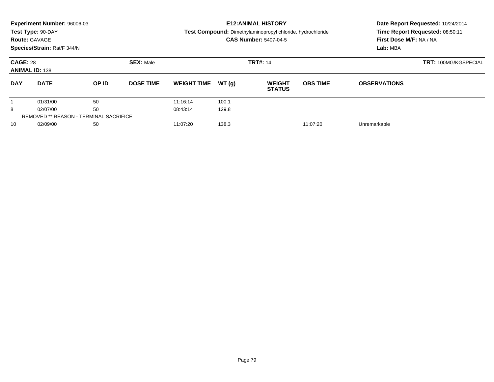|                                          | Experiment Number: 96006-03<br>Test Type: 90-DAY<br><b>Route: GAVAGE</b> |                                               |                  |                    |       | <b>E12: ANIMAL HISTORY</b><br>Test Compound: Dimethylaminopropyl chloride, hydrochloride<br><b>CAS Number: 5407-04-5</b> |                             | Date Report Requested: 10/24/2014<br>Time Report Requested: 08:50:11<br>First Dose M/F: NA / NA |  |  |
|------------------------------------------|--------------------------------------------------------------------------|-----------------------------------------------|------------------|--------------------|-------|--------------------------------------------------------------------------------------------------------------------------|-----------------------------|-------------------------------------------------------------------------------------------------|--|--|
|                                          | Species/Strain: Rat/F 344/N                                              |                                               |                  |                    |       |                                                                                                                          |                             | Lab: MBA                                                                                        |  |  |
| <b>CAGE: 28</b><br><b>ANIMAL ID: 138</b> |                                                                          |                                               | <b>SEX: Male</b> |                    |       | <b>TRT#: 14</b>                                                                                                          | <b>TRT: 100MG/KGSPECIAL</b> |                                                                                                 |  |  |
| <b>DAY</b>                               | <b>DATE</b>                                                              | OP ID                                         | <b>DOSE TIME</b> | <b>WEIGHT TIME</b> | WT(g) | <b>WEIGHT</b><br><b>STATUS</b>                                                                                           | <b>OBS TIME</b>             | <b>OBSERVATIONS</b>                                                                             |  |  |
|                                          | 01/31/00                                                                 | 50                                            |                  | 11:16:14           | 100.1 |                                                                                                                          |                             |                                                                                                 |  |  |
| 8                                        | 02/07/00                                                                 | 50                                            |                  | 08:43:14           | 129.8 |                                                                                                                          |                             |                                                                                                 |  |  |
|                                          |                                                                          | <b>REMOVED ** REASON - TERMINAL SACRIFICE</b> |                  |                    |       |                                                                                                                          |                             |                                                                                                 |  |  |
| 10                                       | 02/09/00                                                                 | 50                                            |                  | 11:07:20           | 138.3 |                                                                                                                          | 11:07:20                    | Unremarkable                                                                                    |  |  |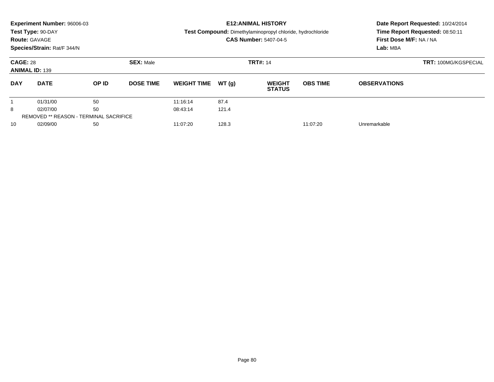|                                          | Experiment Number: 96006-03<br>Test Type: 90-DAY<br><b>Route: GAVAGE</b><br>Species/Strain: Rat/F 344/N |       |                  |                               |       | <b>E12:ANIMAL HISTORY</b><br><b>Test Compound:</b> Dimethylaminopropyl chloride, hydrochloride<br><b>CAS Number: 5407-04-5</b> | Date Report Requested: 10/24/2014<br>Time Report Requested: 08:50:11<br>First Dose M/F: NA / NA<br>Lab: MBA |                      |  |
|------------------------------------------|---------------------------------------------------------------------------------------------------------|-------|------------------|-------------------------------|-------|--------------------------------------------------------------------------------------------------------------------------------|-------------------------------------------------------------------------------------------------------------|----------------------|--|
| <b>CAGE: 28</b><br><b>ANIMAL ID: 139</b> |                                                                                                         |       | <b>SEX: Male</b> |                               |       | <b>TRT#: 14</b>                                                                                                                |                                                                                                             | TRT: 100MG/KGSPECIAL |  |
| <b>DAY</b>                               | <b>DATE</b>                                                                                             | OP ID | <b>DOSE TIME</b> | <b>WEIGHT TIME</b>            | WT(q) | <b>WEIGHT</b><br><b>STATUS</b>                                                                                                 | <b>OBS TIME</b>                                                                                             | <b>OBSERVATIONS</b>  |  |
|                                          | 01/31/00                                                                                                | 50    |                  | 11:16:14                      | 87.4  |                                                                                                                                |                                                                                                             |                      |  |
| 8                                        | 02/07/00                                                                                                | 50    |                  | 08:43:14                      | 121.4 |                                                                                                                                |                                                                                                             |                      |  |
|                                          | <b>REMOVED ** REASON - TERMINAL SACRIFICE</b>                                                           |       |                  |                               |       |                                                                                                                                |                                                                                                             |                      |  |
| 10                                       | 02/09/00<br>50                                                                                          |       |                  | 128.3<br>11:07:20<br>11:07:20 |       |                                                                                                                                |                                                                                                             | Unremarkable         |  |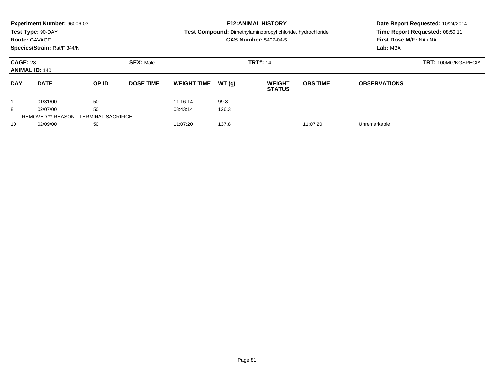|                                          | Experiment Number: 96006-03<br>Test Type: 90-DAY<br><b>Route: GAVAGE</b><br>Species/Strain: Rat/F 344/N |       |                  |                               |       | <b>E12:ANIMAL HISTORY</b><br><b>Test Compound:</b> Dimethylaminopropyl chloride, hydrochloride<br><b>CAS Number: 5407-04-5</b> | Date Report Requested: 10/24/2014<br>Time Report Requested: 08:50:11<br>First Dose M/F: NA / NA<br>Lab: MBA |                      |  |
|------------------------------------------|---------------------------------------------------------------------------------------------------------|-------|------------------|-------------------------------|-------|--------------------------------------------------------------------------------------------------------------------------------|-------------------------------------------------------------------------------------------------------------|----------------------|--|
| <b>CAGE: 28</b><br><b>ANIMAL ID: 140</b> |                                                                                                         |       | <b>SEX: Male</b> |                               |       | <b>TRT#: 14</b>                                                                                                                |                                                                                                             | TRT: 100MG/KGSPECIAL |  |
| <b>DAY</b>                               | <b>DATE</b>                                                                                             | OP ID | <b>DOSE TIME</b> | <b>WEIGHT TIME</b>            | WT(q) | <b>WEIGHT</b><br><b>STATUS</b>                                                                                                 | <b>OBS TIME</b>                                                                                             | <b>OBSERVATIONS</b>  |  |
|                                          | 01/31/00                                                                                                | 50    |                  | 11:16:14                      | 99.8  |                                                                                                                                |                                                                                                             |                      |  |
| 8                                        | 02/07/00                                                                                                | 50    |                  | 08:43:14                      | 126.3 |                                                                                                                                |                                                                                                             |                      |  |
|                                          | <b>REMOVED ** REASON - TERMINAL SACRIFICE</b>                                                           |       |                  |                               |       |                                                                                                                                |                                                                                                             |                      |  |
| 10                                       | 02/09/00<br>50                                                                                          |       |                  | 137.8<br>11:07:20<br>11:07:20 |       |                                                                                                                                |                                                                                                             | Unremarkable         |  |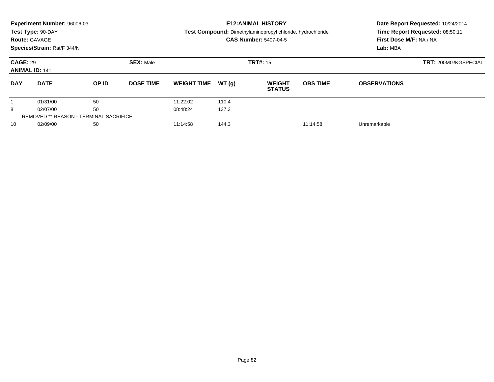|                                          | Experiment Number: 96006-03<br>Test Type: 90-DAY<br><b>Route: GAVAGE</b><br>Species/Strain: Rat/F 344/N |       |                  |                    |       | <b>E12: ANIMAL HISTORY</b><br><b>Test Compound:</b> Dimethylaminopropyl chloride, hydrochloride<br><b>CAS Number: 5407-04-5</b> | Date Report Requested: 10/24/2014<br>Time Report Requested: 08:50:11<br>First Dose M/F: NA / NA<br>Lab: MBA |                     |  |
|------------------------------------------|---------------------------------------------------------------------------------------------------------|-------|------------------|--------------------|-------|---------------------------------------------------------------------------------------------------------------------------------|-------------------------------------------------------------------------------------------------------------|---------------------|--|
| <b>CAGE: 29</b><br><b>ANIMAL ID: 141</b> |                                                                                                         |       | <b>SEX: Male</b> |                    |       | <b>TRT#: 15</b>                                                                                                                 | <b>TRT: 200MG/KGSPECIAL</b>                                                                                 |                     |  |
| <b>DAY</b>                               | <b>DATE</b>                                                                                             | OP ID | <b>DOSE TIME</b> | <b>WEIGHT TIME</b> | WT(q) | <b>WEIGHT</b><br><b>STATUS</b>                                                                                                  | <b>OBS TIME</b>                                                                                             | <b>OBSERVATIONS</b> |  |
|                                          | 01/31/00                                                                                                | 50    |                  | 11:22:02           | 110.4 |                                                                                                                                 |                                                                                                             |                     |  |
| 8                                        | 02/07/00                                                                                                | 50    |                  | 08:48:24           | 137.3 |                                                                                                                                 |                                                                                                             |                     |  |
|                                          | <b>REMOVED ** REASON - TERMINAL SACRIFICE</b>                                                           |       |                  |                    |       |                                                                                                                                 |                                                                                                             |                     |  |
| 10                                       | 02/09/00<br>50                                                                                          |       |                  | 11:14:58           | 144.3 |                                                                                                                                 | 11:14:58                                                                                                    | Unremarkable        |  |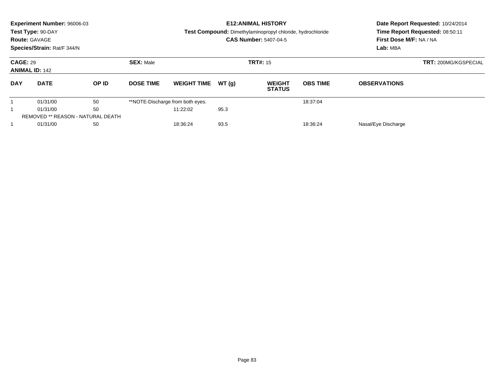|                                          | Experiment Number: 96006-03<br>Test Type: 90-DAY<br><b>Route: GAVAGE</b><br>Species/Strain: Rat/F 344/N |       |                  |                                  |       | <b>E12: ANIMAL HISTORY</b><br>Test Compound: Dimethylaminopropyl chloride, hydrochloride<br><b>CAS Number: 5407-04-5</b> | Date Report Requested: 10/24/2014<br>Time Report Requested: 08:50:11<br>First Dose M/F: NA / NA<br>Lab: MBA |                             |  |
|------------------------------------------|---------------------------------------------------------------------------------------------------------|-------|------------------|----------------------------------|-------|--------------------------------------------------------------------------------------------------------------------------|-------------------------------------------------------------------------------------------------------------|-----------------------------|--|
| <b>CAGE: 29</b><br><b>ANIMAL ID: 142</b> |                                                                                                         |       | <b>SEX: Male</b> |                                  |       | <b>TRT#: 15</b>                                                                                                          |                                                                                                             | <b>TRT: 200MG/KGSPECIAL</b> |  |
| <b>DAY</b>                               | <b>DATE</b>                                                                                             | OP ID | <b>DOSE TIME</b> | <b>WEIGHT TIME</b>               | WT(q) | <b>WEIGHT</b><br><b>STATUS</b>                                                                                           | <b>OBS TIME</b>                                                                                             | <b>OBSERVATIONS</b>         |  |
|                                          | 01/31/00                                                                                                | 50    |                  | **NOTE-Discharge from both eyes. |       |                                                                                                                          | 18:37:04                                                                                                    |                             |  |
| 50<br>01/31/00<br>11:22:02               |                                                                                                         |       |                  | 95.3                             |       |                                                                                                                          |                                                                                                             |                             |  |
|                                          | REMOVED ** REASON - NATURAL DEATH                                                                       |       |                  |                                  |       |                                                                                                                          |                                                                                                             |                             |  |
|                                          | 01/31/00<br>50                                                                                          |       |                  | 93.5<br>18:36:24<br>18:36:24     |       |                                                                                                                          |                                                                                                             | Nasal/Eye Discharge         |  |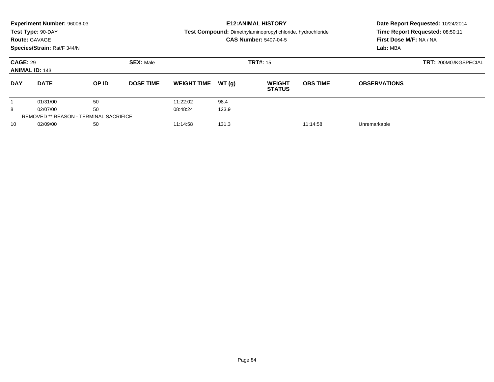|                                          | Experiment Number: 96006-03                   |       |                  |                    |       | <b>E12: ANIMAL HISTORY</b>                                 | Date Report Requested: 10/24/2014 |                                 |  |  |
|------------------------------------------|-----------------------------------------------|-------|------------------|--------------------|-------|------------------------------------------------------------|-----------------------------------|---------------------------------|--|--|
|                                          | Test Type: 90-DAY                             |       |                  |                    |       | Test Compound: Dimethylaminopropyl chloride, hydrochloride |                                   | Time Report Requested: 08:50:11 |  |  |
|                                          | <b>Route: GAVAGE</b>                          |       |                  |                    |       | <b>CAS Number: 5407-04-5</b>                               |                                   | First Dose M/F: NA / NA         |  |  |
|                                          | Species/Strain: Rat/F 344/N                   |       |                  |                    |       |                                                            |                                   | Lab: MBA                        |  |  |
| <b>CAGE: 29</b><br><b>ANIMAL ID: 143</b> |                                               |       | <b>SEX: Male</b> |                    |       | <b>TRT#: 15</b>                                            | <b>TRT: 200MG/KGSPECIAL</b>       |                                 |  |  |
| <b>DAY</b>                               | <b>DATE</b>                                   | OP ID | <b>DOSE TIME</b> | <b>WEIGHT TIME</b> | WT(q) | <b>WEIGHT</b><br><b>STATUS</b>                             | <b>OBS TIME</b>                   | <b>OBSERVATIONS</b>             |  |  |
|                                          | 01/31/00                                      | 50    |                  | 11:22:02           | 98.4  |                                                            |                                   |                                 |  |  |
| 8                                        | 02/07/00                                      | 50    |                  | 08:48:24           | 123.9 |                                                            |                                   |                                 |  |  |
|                                          | <b>REMOVED ** REASON - TERMINAL SACRIFICE</b> |       |                  |                    |       |                                                            |                                   |                                 |  |  |
| 10                                       | 02/09/00                                      | 50    |                  | 11:14:58           | 131.3 |                                                            | 11:14:58                          | Unremarkable                    |  |  |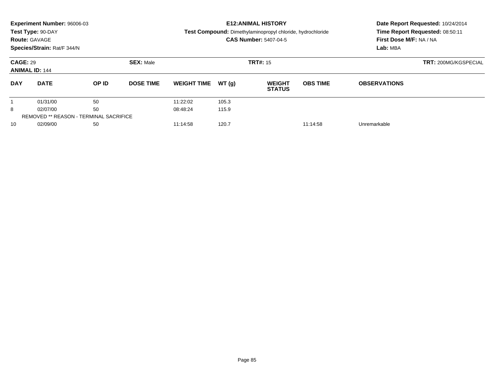|                                          | Experiment Number: 96006-03<br>Test Type: 90-DAY<br><b>Route: GAVAGE</b><br>Species/Strain: Rat/F 344/N |       |                  |                               |       | <b>E12: ANIMAL HISTORY</b><br>Test Compound: Dimethylaminopropyl chloride, hydrochloride<br><b>CAS Number: 5407-04-5</b> | Date Report Requested: 10/24/2014<br>Time Report Requested: 08:50:11<br>First Dose M/F: NA / NA<br>Lab: MBA |                     |  |
|------------------------------------------|---------------------------------------------------------------------------------------------------------|-------|------------------|-------------------------------|-------|--------------------------------------------------------------------------------------------------------------------------|-------------------------------------------------------------------------------------------------------------|---------------------|--|
| <b>CAGE: 29</b><br><b>ANIMAL ID: 144</b> |                                                                                                         |       | <b>SEX: Male</b> |                               |       | <b>TRT#: 15</b>                                                                                                          | <b>TRT: 200MG/KGSPECIAL</b>                                                                                 |                     |  |
| <b>DAY</b>                               | <b>DATE</b>                                                                                             | OP ID | <b>DOSE TIME</b> | <b>WEIGHT TIME</b>            | WT(g) | <b>WEIGHT</b><br><b>STATUS</b>                                                                                           | <b>OBS TIME</b>                                                                                             | <b>OBSERVATIONS</b> |  |
|                                          | 01/31/00                                                                                                | 50    |                  | 11:22:02                      | 105.3 |                                                                                                                          |                                                                                                             |                     |  |
| 8                                        | 50<br>02/07/00                                                                                          |       |                  | 08:48:24                      | 115.9 |                                                                                                                          |                                                                                                             |                     |  |
|                                          | <b>REMOVED ** REASON - TERMINAL SACRIFICE</b>                                                           |       |                  |                               |       |                                                                                                                          |                                                                                                             |                     |  |
| 10                                       | 50<br>02/09/00                                                                                          |       |                  | 120.7<br>11:14:58<br>11:14:58 |       |                                                                                                                          |                                                                                                             | Unremarkable        |  |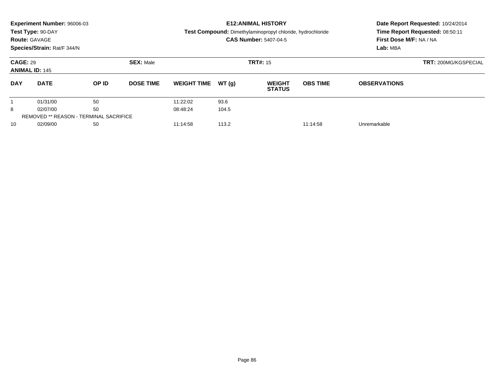|                                          | Experiment Number: 96006-03                   |              |                  | <b>E12: ANIMAL HISTORY</b>    | Date Report Requested: 10/24/2014 |                                                                   |                 |                                                            |  |  |
|------------------------------------------|-----------------------------------------------|--------------|------------------|-------------------------------|-----------------------------------|-------------------------------------------------------------------|-----------------|------------------------------------------------------------|--|--|
|                                          | Test Type: 90-DAY                             |              |                  |                               |                                   | <b>Test Compound:</b> Dimethylaminopropyl chloride, hydrochloride |                 | Time Report Requested: 08:50:11<br>First Dose M/F: NA / NA |  |  |
|                                          | <b>Route: GAVAGE</b>                          |              |                  |                               |                                   | <b>CAS Number: 5407-04-5</b>                                      |                 |                                                            |  |  |
|                                          | Species/Strain: Rat/F 344/N                   |              |                  |                               |                                   |                                                                   |                 | Lab: MBA                                                   |  |  |
| <b>CAGE: 29</b><br><b>ANIMAL ID: 145</b> |                                               |              | <b>SEX: Male</b> |                               | <b>TRT#: 15</b>                   | <b>TRT: 200MG/KGSPECIAL</b>                                       |                 |                                                            |  |  |
| <b>DAY</b>                               | <b>DATE</b>                                   | <b>OP ID</b> | <b>DOSE TIME</b> | <b>WEIGHT TIME</b>            | WT(q)                             | <b>WEIGHT</b><br><b>STATUS</b>                                    | <b>OBS TIME</b> | <b>OBSERVATIONS</b>                                        |  |  |
|                                          | 01/31/00                                      | 50           |                  | 11:22:02                      | 93.6                              |                                                                   |                 |                                                            |  |  |
| 8                                        | 50<br>02/07/00                                |              |                  | 08:48:24                      | 104.5                             |                                                                   |                 |                                                            |  |  |
|                                          | <b>REMOVED ** REASON - TERMINAL SACRIFICE</b> |              |                  |                               |                                   |                                                                   |                 |                                                            |  |  |
| 10                                       | 02/09/00<br>50                                |              |                  | 113.2<br>11:14:58<br>11:14:58 |                                   |                                                                   |                 | Unremarkable                                               |  |  |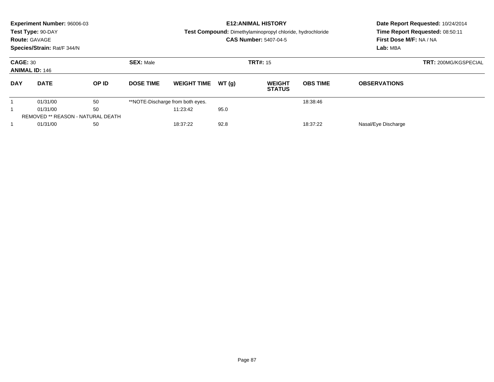|                 | <b>Experiment Number: 96006-03</b><br>Test Type: 90-DAY<br><b>Route: GAVAGE</b><br>Species/Strain: Rat/F 344/N |    |                  |                                  |                    | <b>E12:ANIMAL HISTORY</b><br><b>Test Compound:</b> Dimethylaminopropyl chloride, hydrochloride<br><b>CAS Number: 5407-04-5</b> | Date Report Requested: 10/24/2014<br>Time Report Requested: 08:50:11<br>First Dose M/F: NA / NA<br>Lab: MBA |                     |                     |  |
|-----------------|----------------------------------------------------------------------------------------------------------------|----|------------------|----------------------------------|--------------------|--------------------------------------------------------------------------------------------------------------------------------|-------------------------------------------------------------------------------------------------------------|---------------------|---------------------|--|
| <b>CAGE: 30</b> | <b>ANIMAL ID: 146</b>                                                                                          |    | <b>SEX: Male</b> |                                  | <b>TRT#: 15</b>    |                                                                                                                                | <b>TRT: 200MG/KGSPECIAL</b>                                                                                 |                     |                     |  |
| <b>DAY</b>      | <b>DATE</b>                                                                                                    |    | OP ID            | <b>DOSE TIME</b>                 | <b>WEIGHT TIME</b> | WT(q)                                                                                                                          | <b>WEIGHT</b><br><b>STATUS</b>                                                                              | <b>OBS TIME</b>     | <b>OBSERVATIONS</b> |  |
|                 | 01/31/00                                                                                                       | 50 |                  | **NOTE-Discharge from both eyes. |                    |                                                                                                                                | 18:38:46                                                                                                    |                     |                     |  |
| 50<br>01/31/00  |                                                                                                                |    | 11:23:42         | 95.0                             |                    |                                                                                                                                |                                                                                                             |                     |                     |  |
|                 | <b>REMOVED ** REASON - NATURAL DEATH</b>                                                                       |    |                  |                                  |                    |                                                                                                                                |                                                                                                             |                     |                     |  |
|                 | 01/31/00<br>50                                                                                                 |    |                  | 18:37:22                         | 92.8               |                                                                                                                                | 18:37:22                                                                                                    | Nasal/Eye Discharge |                     |  |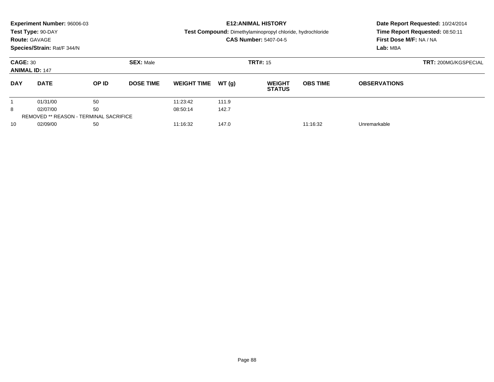|                                          | Experiment Number: 96006-03<br>Test Type: 90-DAY<br><b>Route: GAVAGE</b><br>Species/Strain: Rat/F 344/N |       |                  |                    |       | <b>E12: ANIMAL HISTORY</b><br><b>Test Compound:</b> Dimethylaminopropyl chloride, hydrochloride<br><b>CAS Number: 5407-04-5</b> | Date Report Requested: 10/24/2014<br>Time Report Requested: 08:50:11<br>First Dose M/F: NA / NA<br>Lab: MBA |                     |  |
|------------------------------------------|---------------------------------------------------------------------------------------------------------|-------|------------------|--------------------|-------|---------------------------------------------------------------------------------------------------------------------------------|-------------------------------------------------------------------------------------------------------------|---------------------|--|
| <b>CAGE: 30</b><br><b>ANIMAL ID: 147</b> |                                                                                                         |       | <b>SEX: Male</b> |                    |       | <b>TRT#: 15</b>                                                                                                                 | <b>TRT: 200MG/KGSPECIAL</b>                                                                                 |                     |  |
| <b>DAY</b>                               | <b>DATE</b>                                                                                             | OP ID | <b>DOSE TIME</b> | <b>WEIGHT TIME</b> | WT(q) | <b>WEIGHT</b><br><b>STATUS</b>                                                                                                  | <b>OBS TIME</b>                                                                                             | <b>OBSERVATIONS</b> |  |
|                                          | 01/31/00                                                                                                | 50    |                  | 11:23:42           | 111.9 |                                                                                                                                 |                                                                                                             |                     |  |
| 8                                        | 02/07/00                                                                                                | 50    |                  | 08:50:14           | 142.7 |                                                                                                                                 |                                                                                                             |                     |  |
|                                          | <b>REMOVED ** REASON - TERMINAL SACRIFICE</b>                                                           |       |                  |                    |       |                                                                                                                                 |                                                                                                             |                     |  |
| 10                                       | 02/09/00<br>50                                                                                          |       |                  | 11:16:32           | 147.0 |                                                                                                                                 | 11:16:32                                                                                                    | Unremarkable        |  |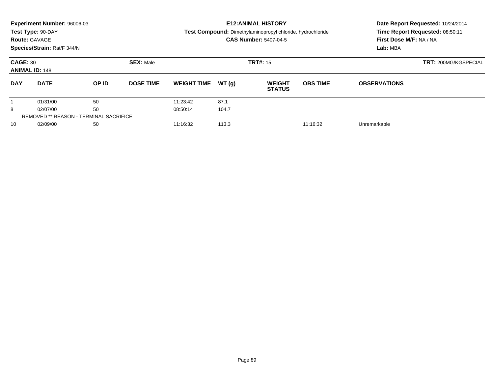|                                          | Experiment Number: 96006-03                   |              |                  |                               |       | <b>E12:ANIMAL HISTORY</b>                                  | Date Report Requested: 10/24/2014 |                                 |  |  |
|------------------------------------------|-----------------------------------------------|--------------|------------------|-------------------------------|-------|------------------------------------------------------------|-----------------------------------|---------------------------------|--|--|
|                                          | Test Type: 90-DAY                             |              |                  |                               |       | Test Compound: Dimethylaminopropyl chloride, hydrochloride |                                   | Time Report Requested: 08:50:11 |  |  |
| <b>Route: GAVAGE</b>                     |                                               |              |                  |                               |       | <b>CAS Number: 5407-04-5</b>                               |                                   | First Dose M/F: NA / NA         |  |  |
|                                          | Species/Strain: Rat/F 344/N                   |              |                  |                               |       |                                                            |                                   | Lab: MBA                        |  |  |
| <b>CAGE: 30</b><br><b>ANIMAL ID: 148</b> |                                               |              | <b>SEX: Male</b> |                               |       | <b>TRT#: 15</b>                                            | <b>TRT: 200MG/KGSPECIAL</b>       |                                 |  |  |
| <b>DAY</b>                               | <b>DATE</b>                                   | <b>OP ID</b> | <b>DOSE TIME</b> | <b>WEIGHT TIME</b>            | WT(q) | <b>WEIGHT</b><br><b>STATUS</b>                             | <b>OBS TIME</b>                   | <b>OBSERVATIONS</b>             |  |  |
|                                          | 01/31/00                                      | 50           |                  | 11:23:42                      | 87.1  |                                                            |                                   |                                 |  |  |
| 50<br>8<br>02/07/00                      |                                               |              | 08:50:14         | 104.7                         |       |                                                            |                                   |                                 |  |  |
|                                          | <b>REMOVED ** REASON - TERMINAL SACRIFICE</b> |              |                  |                               |       |                                                            |                                   |                                 |  |  |
| 10                                       | 02/09/00<br>50                                |              |                  | 113.3<br>11:16:32<br>11:16:32 |       |                                                            |                                   | Unremarkable                    |  |  |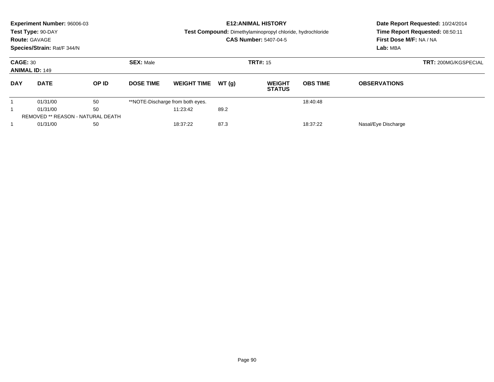|                                          | <b>Experiment Number: 96006-03</b><br>Test Type: 90-DAY<br><b>Route: GAVAGE</b><br>Species/Strain: Rat/F 344/N |       |                  |                                  |                 | <b>E12: ANIMAL HISTORY</b><br>Test Compound: Dimethylaminopropyl chloride, hydrochloride<br><b>CAS Number: 5407-04-5</b> | Date Report Requested: 10/24/2014<br>Time Report Requested: 08:50:11<br>First Dose M/F: NA / NA<br>Lab: MBA |                     |  |
|------------------------------------------|----------------------------------------------------------------------------------------------------------------|-------|------------------|----------------------------------|-----------------|--------------------------------------------------------------------------------------------------------------------------|-------------------------------------------------------------------------------------------------------------|---------------------|--|
| <b>CAGE: 30</b><br><b>ANIMAL ID: 149</b> |                                                                                                                |       | <b>SEX: Male</b> |                                  | <b>TRT#: 15</b> | <b>TRT: 200MG/KGSPECIAL</b>                                                                                              |                                                                                                             |                     |  |
| <b>DAY</b>                               | <b>DATE</b>                                                                                                    | OP ID | <b>DOSE TIME</b> | <b>WEIGHT TIME</b>               | WT(q)           | <b>WEIGHT</b><br><b>STATUS</b>                                                                                           | <b>OBS TIME</b>                                                                                             | <b>OBSERVATIONS</b> |  |
|                                          | 01/31/00                                                                                                       | 50    |                  | **NOTE-Discharge from both eyes. |                 |                                                                                                                          | 18:40:48                                                                                                    |                     |  |
|                                          | 50<br>01/31/00                                                                                                 |       |                  | 11:23:42                         | 89.2            |                                                                                                                          |                                                                                                             |                     |  |
|                                          | <b>REMOVED ** REASON - NATURAL DEATH</b>                                                                       |       |                  |                                  |                 |                                                                                                                          |                                                                                                             |                     |  |
| 01/31/00<br>50                           |                                                                                                                |       |                  | 87.3<br>18:37:22<br>18:37:22     |                 |                                                                                                                          |                                                                                                             | Nasal/Eye Discharge |  |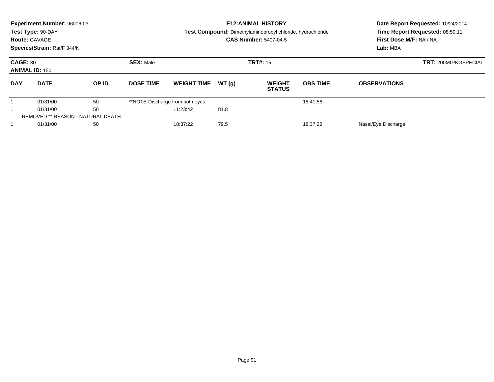|                                          | Experiment Number: 96006-03<br>Test Type: 90-DAY<br><b>Route: GAVAGE</b><br>Species/Strain: Rat/F 344/N |       |                  |                                  |       | <b>E12: ANIMAL HISTORY</b><br>Test Compound: Dimethylaminopropyl chloride, hydrochloride<br><b>CAS Number: 5407-04-5</b> | Date Report Requested: 10/24/2014<br>Time Report Requested: 08:50:11<br>First Dose M/F: NA / NA<br>Lab: MBA |                             |  |
|------------------------------------------|---------------------------------------------------------------------------------------------------------|-------|------------------|----------------------------------|-------|--------------------------------------------------------------------------------------------------------------------------|-------------------------------------------------------------------------------------------------------------|-----------------------------|--|
| <b>CAGE: 30</b><br><b>ANIMAL ID: 150</b> |                                                                                                         |       | <b>SEX: Male</b> |                                  |       | <b>TRT#: 15</b>                                                                                                          |                                                                                                             | <b>TRT: 200MG/KGSPECIAL</b> |  |
| <b>DAY</b>                               | <b>DATE</b>                                                                                             | OP ID | <b>DOSE TIME</b> | <b>WEIGHT TIME</b>               | WT(q) | <b>WEIGHT</b><br><b>STATUS</b>                                                                                           | <b>OBS TIME</b>                                                                                             | <b>OBSERVATIONS</b>         |  |
|                                          | 01/31/00                                                                                                | 50    |                  | **NOTE-Discharge from both eyes. |       |                                                                                                                          | 18:41:58                                                                                                    |                             |  |
|                                          | 50<br>01/31/00                                                                                          |       |                  | 11:23:42                         | 81.8  |                                                                                                                          |                                                                                                             |                             |  |
|                                          | REMOVED ** REASON - NATURAL DEATH                                                                       |       |                  |                                  |       |                                                                                                                          |                                                                                                             |                             |  |
|                                          | 01/31/00                                                                                                | 50    |                  | 18:37:22                         | 79.5  |                                                                                                                          | 18:37:22                                                                                                    | Nasal/Eye Discharge         |  |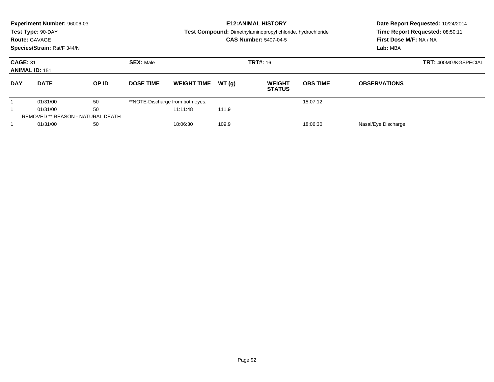|                                          | Experiment Number: 96006-03<br>Test Type: 90-DAY<br><b>Route: GAVAGE</b><br>Species/Strain: Rat/F 344/N |       |                                     |                                  |       | <b>E12: ANIMAL HISTORY</b><br>Test Compound: Dimethylaminopropyl chloride, hydrochloride<br><b>CAS Number: 5407-04-5</b> | Date Report Requested: 10/24/2014<br>Time Report Requested: 08:50:11<br>First Dose M/F: NA / NA<br>Lab: MBA |                             |  |
|------------------------------------------|---------------------------------------------------------------------------------------------------------|-------|-------------------------------------|----------------------------------|-------|--------------------------------------------------------------------------------------------------------------------------|-------------------------------------------------------------------------------------------------------------|-----------------------------|--|
| <b>CAGE: 31</b><br><b>ANIMAL ID: 151</b> |                                                                                                         |       | <b>SEX: Male</b><br><b>TRT#: 16</b> |                                  |       |                                                                                                                          |                                                                                                             | <b>TRT: 400MG/KGSPECIAL</b> |  |
| <b>DAY</b>                               | <b>DATE</b>                                                                                             | OP ID | <b>DOSE TIME</b>                    | <b>WEIGHT TIME</b>               | WT(q) | <b>WEIGHT</b><br><b>STATUS</b>                                                                                           | <b>OBS TIME</b>                                                                                             | <b>OBSERVATIONS</b>         |  |
|                                          | 01/31/00                                                                                                | 50    |                                     | **NOTE-Discharge from both eyes. |       |                                                                                                                          | 18:07:12                                                                                                    |                             |  |
|                                          | 50<br>01/31/00                                                                                          |       |                                     | 11:11:48                         | 111.9 |                                                                                                                          |                                                                                                             |                             |  |
|                                          | REMOVED ** REASON - NATURAL DEATH                                                                       |       |                                     |                                  |       |                                                                                                                          |                                                                                                             |                             |  |
|                                          | 01/31/00                                                                                                | 50    |                                     | 18:06:30                         | 109.9 |                                                                                                                          | 18:06:30                                                                                                    | Nasal/Eye Discharge         |  |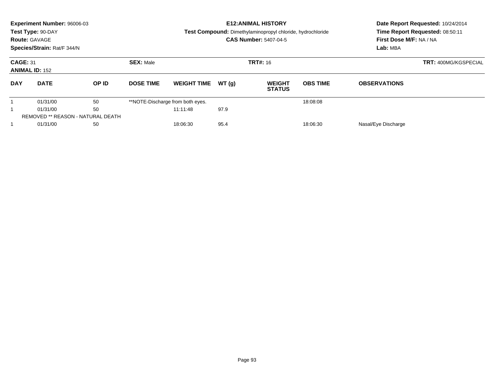|                                          | Experiment Number: 96006-03<br>Test Type: 90-DAY<br><b>Route: GAVAGE</b><br>Species/Strain: Rat/F 344/N |       |                  |                                  |       | <b>E12: ANIMAL HISTORY</b><br>Test Compound: Dimethylaminopropyl chloride, hydrochloride<br><b>CAS Number: 5407-04-5</b> | Date Report Requested: 10/24/2014<br>Time Report Requested: 08:50:11<br>First Dose M/F: NA / NA<br>Lab: MBA |                     |                             |
|------------------------------------------|---------------------------------------------------------------------------------------------------------|-------|------------------|----------------------------------|-------|--------------------------------------------------------------------------------------------------------------------------|-------------------------------------------------------------------------------------------------------------|---------------------|-----------------------------|
| <b>CAGE: 31</b><br><b>ANIMAL ID: 152</b> |                                                                                                         |       | <b>SEX: Male</b> |                                  |       | <b>TRT#:</b> 16                                                                                                          |                                                                                                             |                     | <b>TRT: 400MG/KGSPECIAL</b> |
| <b>DAY</b>                               | <b>DATE</b>                                                                                             | OP ID | <b>DOSE TIME</b> | <b>WEIGHT TIME</b>               | WT(q) | <b>WEIGHT</b><br><b>STATUS</b>                                                                                           | <b>OBS TIME</b>                                                                                             | <b>OBSERVATIONS</b> |                             |
|                                          | 01/31/00                                                                                                | 50    |                  | **NOTE-Discharge from both eyes. |       |                                                                                                                          | 18:08:08                                                                                                    |                     |                             |
|                                          | 50<br>01/31/00                                                                                          |       |                  | 11:11:48                         | 97.9  |                                                                                                                          |                                                                                                             |                     |                             |
|                                          | REMOVED ** REASON - NATURAL DEATH                                                                       |       |                  |                                  |       |                                                                                                                          |                                                                                                             |                     |                             |
|                                          | 01/31/00                                                                                                | 50    |                  | 18:06:30                         | 95.4  |                                                                                                                          | 18:06:30                                                                                                    | Nasal/Eye Discharge |                             |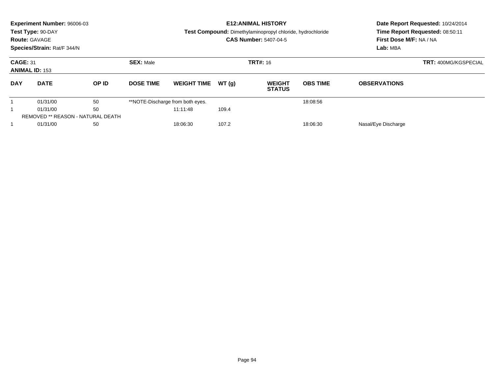|                                          | Experiment Number: 96006-03<br>Test Type: 90-DAY<br><b>Route: GAVAGE</b><br>Species/Strain: Rat/F 344/N |       |                  |                                  |       | <b>E12: ANIMAL HISTORY</b><br>Test Compound: Dimethylaminopropyl chloride, hydrochloride<br><b>CAS Number: 5407-04-5</b> | Date Report Requested: 10/24/2014<br>Time Report Requested: 08:50:11<br>First Dose M/F: NA / NA<br>Lab: MBA |                     |                             |
|------------------------------------------|---------------------------------------------------------------------------------------------------------|-------|------------------|----------------------------------|-------|--------------------------------------------------------------------------------------------------------------------------|-------------------------------------------------------------------------------------------------------------|---------------------|-----------------------------|
| <b>CAGE: 31</b><br><b>ANIMAL ID: 153</b> |                                                                                                         |       | <b>SEX: Male</b> |                                  |       | <b>TRT#:</b> 16                                                                                                          |                                                                                                             |                     | <b>TRT: 400MG/KGSPECIAL</b> |
| <b>DAY</b>                               | <b>DATE</b>                                                                                             | OP ID | <b>DOSE TIME</b> | <b>WEIGHT TIME</b>               | WT(q) | <b>WEIGHT</b><br><b>STATUS</b>                                                                                           | <b>OBS TIME</b>                                                                                             | <b>OBSERVATIONS</b> |                             |
|                                          | 01/31/00                                                                                                | 50    |                  | **NOTE-Discharge from both eyes. |       |                                                                                                                          | 18:08:56                                                                                                    |                     |                             |
|                                          | 50<br>01/31/00                                                                                          |       |                  | 11:11:48                         | 109.4 |                                                                                                                          |                                                                                                             |                     |                             |
|                                          | REMOVED ** REASON - NATURAL DEATH                                                                       |       |                  |                                  |       |                                                                                                                          |                                                                                                             |                     |                             |
|                                          | 01/31/00<br>50                                                                                          |       |                  | 107.2<br>18:06:30<br>18:06:30    |       |                                                                                                                          |                                                                                                             | Nasal/Eye Discharge |                             |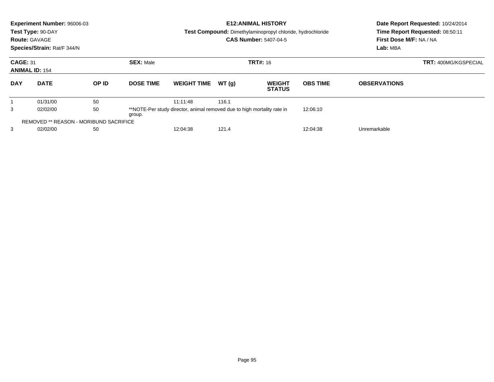|                 | Experiment Number: 96006-03<br>Test Type: 90-DAY<br><b>Route: GAVAGE</b><br>Species/Strain: Rat/F 344/N |       |                  |                                                                         |       | <b>E12:ANIMAL HISTORY</b><br><b>Test Compound:</b> Dimethylaminopropyl chloride, hydrochloride<br><b>CAS Number: 5407-04-5</b> | Date Report Requested: 10/24/2014<br>Time Report Requested: 08:50:11<br>First Dose M/F: NA / NA<br>Lab: MBA |                             |  |
|-----------------|---------------------------------------------------------------------------------------------------------|-------|------------------|-------------------------------------------------------------------------|-------|--------------------------------------------------------------------------------------------------------------------------------|-------------------------------------------------------------------------------------------------------------|-----------------------------|--|
| <b>CAGE: 31</b> | <b>ANIMAL ID: 154</b>                                                                                   |       | <b>SEX: Male</b> |                                                                         |       | <b>TRT#: 16</b>                                                                                                                |                                                                                                             | <b>TRT: 400MG/KGSPECIAL</b> |  |
| <b>DAY</b>      | <b>DATE</b>                                                                                             | OP ID | <b>DOSE TIME</b> | <b>WEIGHT TIME</b>                                                      | WT(g) | <b>WEIGHT</b><br><b>STATUS</b>                                                                                                 | <b>OBS TIME</b>                                                                                             | <b>OBSERVATIONS</b>         |  |
|                 | 01/31/00                                                                                                | 50    |                  | 11:11:48                                                                | 116.1 |                                                                                                                                |                                                                                                             |                             |  |
| 3               | 50<br>02/02/00<br>group.                                                                                |       |                  | **NOTE-Per study director, animal removed due to high mortality rate in |       |                                                                                                                                | 12:06:10                                                                                                    |                             |  |
|                 | <b>REMOVED ** REASON - MORIBUND SACRIFICE</b>                                                           |       |                  |                                                                         |       |                                                                                                                                |                                                                                                             |                             |  |
| 3               | 50<br>02/02/00                                                                                          |       |                  | 12:04:38<br>121.4<br>12:04:38                                           |       |                                                                                                                                |                                                                                                             | Unremarkable                |  |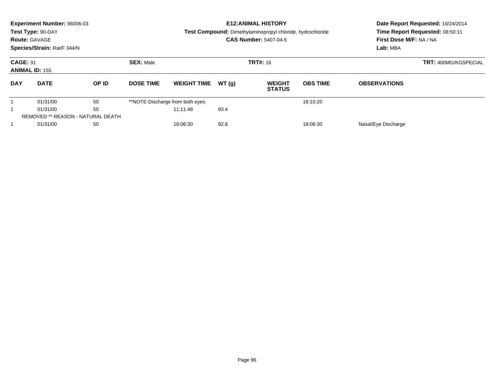|                 | <b>Experiment Number: 96006-03</b><br>Test Type: 90-DAY<br><b>Route: GAVAGE</b><br>Species/Strain: Rat/F 344/N |       |                                     |                                  |       | <b>E12: ANIMAL HISTORY</b><br>Test Compound: Dimethylaminopropyl chloride, hydrochloride<br><b>CAS Number: 5407-04-5</b> | Date Report Requested: 10/24/2014<br>Time Report Requested: 08:50:11<br>First Dose M/F: NA / NA<br>Lab: MBA |                             |  |
|-----------------|----------------------------------------------------------------------------------------------------------------|-------|-------------------------------------|----------------------------------|-------|--------------------------------------------------------------------------------------------------------------------------|-------------------------------------------------------------------------------------------------------------|-----------------------------|--|
| <b>CAGE: 31</b> | <b>ANIMAL ID: 155</b>                                                                                          |       | <b>SEX: Male</b><br><b>TRT#:</b> 16 |                                  |       |                                                                                                                          |                                                                                                             | <b>TRT: 400MG/KGSPECIAL</b> |  |
| <b>DAY</b>      | <b>DATE</b>                                                                                                    | OP ID | <b>DOSE TIME</b>                    | <b>WEIGHT TIME</b>               | WT(q) | <b>WEIGHT</b><br><b>STATUS</b>                                                                                           | <b>OBS TIME</b>                                                                                             | <b>OBSERVATIONS</b>         |  |
|                 | 01/31/00                                                                                                       | 50    |                                     | **NOTE-Discharge from both eyes. |       |                                                                                                                          | 18:10:20                                                                                                    |                             |  |
| 50<br>01/31/00  |                                                                                                                |       | 11:11:48                            | 93.4                             |       |                                                                                                                          |                                                                                                             |                             |  |
|                 | <b>REMOVED ** REASON - NATURAL DEATH</b>                                                                       |       |                                     |                                  |       |                                                                                                                          |                                                                                                             |                             |  |
|                 | 01/31/00<br>50                                                                                                 |       |                                     | 92.6<br>18:06:30<br>18:06:30     |       |                                                                                                                          |                                                                                                             | Nasal/Eye Discharge         |  |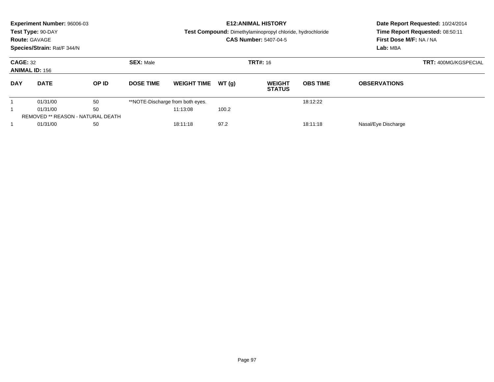|                                          | Experiment Number: 96006-03<br>Test Type: 90-DAY<br><b>Route: GAVAGE</b><br>Species/Strain: Rat/F 344/N |       |                                     |                                  |       | <b>E12: ANIMAL HISTORY</b><br>Test Compound: Dimethylaminopropyl chloride, hydrochloride<br><b>CAS Number: 5407-04-5</b> | Date Report Requested: 10/24/2014<br>Time Report Requested: 08:50:11<br>First Dose M/F: NA / NA<br>Lab: MBA |                     |  |
|------------------------------------------|---------------------------------------------------------------------------------------------------------|-------|-------------------------------------|----------------------------------|-------|--------------------------------------------------------------------------------------------------------------------------|-------------------------------------------------------------------------------------------------------------|---------------------|--|
| <b>CAGE: 32</b><br><b>ANIMAL ID: 156</b> |                                                                                                         |       | <b>SEX: Male</b><br><b>TRT#:</b> 16 |                                  |       |                                                                                                                          | <b>TRT: 400MG/KGSPECIAL</b>                                                                                 |                     |  |
| <b>DAY</b>                               | <b>DATE</b>                                                                                             | OP ID | <b>DOSE TIME</b>                    | <b>WEIGHT TIME</b>               | WT(q) | <b>WEIGHT</b><br><b>STATUS</b>                                                                                           | <b>OBS TIME</b>                                                                                             | <b>OBSERVATIONS</b> |  |
|                                          | 01/31/00                                                                                                | 50    |                                     | **NOTE-Discharge from both eyes. |       |                                                                                                                          | 18:12:22                                                                                                    |                     |  |
| 50<br>01/31/00                           |                                                                                                         |       | 11:13:08                            | 100.2                            |       |                                                                                                                          |                                                                                                             |                     |  |
|                                          | REMOVED ** REASON - NATURAL DEATH                                                                       |       |                                     |                                  |       |                                                                                                                          |                                                                                                             |                     |  |
|                                          | 01/31/00<br>50                                                                                          |       |                                     | 97.2<br>18:11:18<br>18:11:18     |       | Nasal/Eye Discharge                                                                                                      |                                                                                                             |                     |  |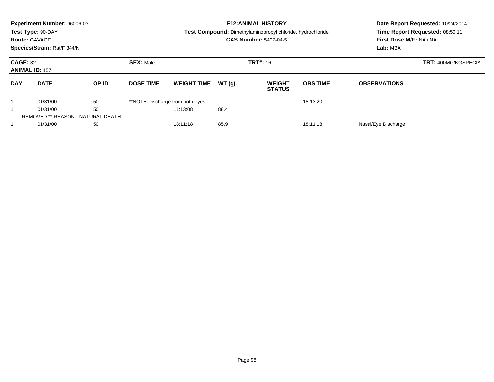|                                          | Experiment Number: 96006-03<br>Test Type: 90-DAY<br><b>Route: GAVAGE</b><br>Species/Strain: Rat/F 344/N |       |                  |                                  |       | <b>E12: ANIMAL HISTORY</b><br><b>Test Compound:</b> Dimethylaminopropyl chloride, hydrochloride<br><b>CAS Number: 5407-04-5</b> | Date Report Requested: 10/24/2014<br>Time Report Requested: 08:50:11<br>First Dose M/F: NA / NA<br>Lab: MBA |                     |                             |
|------------------------------------------|---------------------------------------------------------------------------------------------------------|-------|------------------|----------------------------------|-------|---------------------------------------------------------------------------------------------------------------------------------|-------------------------------------------------------------------------------------------------------------|---------------------|-----------------------------|
| <b>CAGE: 32</b><br><b>ANIMAL ID: 157</b> |                                                                                                         |       | <b>SEX: Male</b> |                                  |       | <b>TRT#: 16</b>                                                                                                                 |                                                                                                             |                     | <b>TRT: 400MG/KGSPECIAL</b> |
| <b>DAY</b>                               | <b>DATE</b>                                                                                             | OP ID | <b>DOSE TIME</b> | <b>WEIGHT TIME</b>               | WT(q) | <b>WEIGHT</b><br><b>STATUS</b>                                                                                                  | <b>OBS TIME</b>                                                                                             | <b>OBSERVATIONS</b> |                             |
|                                          | 01/31/00                                                                                                | 50    |                  | **NOTE-Discharge from both eyes. |       |                                                                                                                                 | 18:13:20                                                                                                    |                     |                             |
| 50<br>01/31/00                           |                                                                                                         |       | 11:13:08         | 88.4                             |       |                                                                                                                                 |                                                                                                             |                     |                             |
|                                          | <b>REMOVED ** REASON - NATURAL DEATH</b>                                                                |       |                  |                                  |       |                                                                                                                                 |                                                                                                             |                     |                             |
|                                          | 01/31/00<br>50                                                                                          |       |                  | 85.9<br>18:11:18<br>18:11:18     |       |                                                                                                                                 |                                                                                                             | Nasal/Eye Discharge |                             |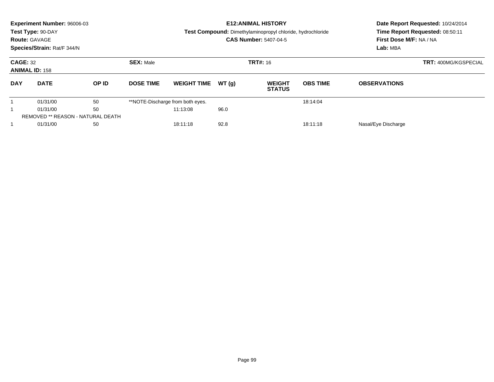|                 | <b>Experiment Number: 96006-03</b><br>Test Type: 90-DAY<br><b>Route: GAVAGE</b><br>Species/Strain: Rat/F 344/N |       |                  |                                  |       | <b>E12: ANIMAL HISTORY</b><br>Test Compound: Dimethylaminopropyl chloride, hydrochloride<br><b>CAS Number: 5407-04-5</b> | Date Report Requested: 10/24/2014<br>Time Report Requested: 08:50:11<br>First Dose M/F: NA / NA<br>Lab: MBA |                     |                             |
|-----------------|----------------------------------------------------------------------------------------------------------------|-------|------------------|----------------------------------|-------|--------------------------------------------------------------------------------------------------------------------------|-------------------------------------------------------------------------------------------------------------|---------------------|-----------------------------|
| <b>CAGE: 32</b> | <b>ANIMAL ID: 158</b>                                                                                          |       | <b>SEX: Male</b> |                                  |       | <b>TRT#:</b> 16                                                                                                          |                                                                                                             |                     | <b>TRT: 400MG/KGSPECIAL</b> |
| <b>DAY</b>      | <b>DATE</b>                                                                                                    | OP ID | <b>DOSE TIME</b> | <b>WEIGHT TIME</b>               | WT(q) | <b>WEIGHT</b><br><b>STATUS</b>                                                                                           | <b>OBS TIME</b>                                                                                             | <b>OBSERVATIONS</b> |                             |
|                 | 01/31/00                                                                                                       | 50    |                  | **NOTE-Discharge from both eyes. |       |                                                                                                                          | 18:14:04                                                                                                    |                     |                             |
|                 | 50<br>01/31/00                                                                                                 |       |                  | 11:13:08                         | 96.0  |                                                                                                                          |                                                                                                             |                     |                             |
|                 | <b>REMOVED ** REASON - NATURAL DEATH</b>                                                                       |       |                  |                                  |       |                                                                                                                          |                                                                                                             |                     |                             |
|                 | 01/31/00<br>50                                                                                                 |       |                  | 92.8<br>18:11:18<br>18:11:18     |       |                                                                                                                          |                                                                                                             | Nasal/Eye Discharge |                             |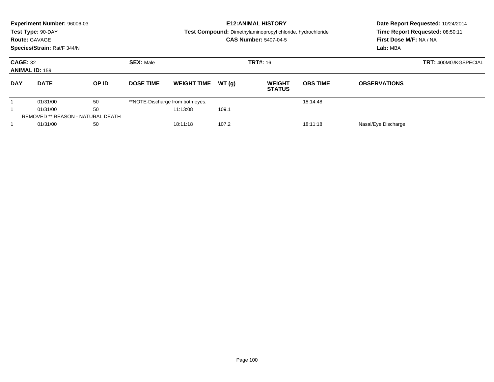|                 | <b>Experiment Number: 96006-03</b><br>Test Type: 90-DAY<br><b>Route: GAVAGE</b><br>Species/Strain: Rat/F 344/N |       |                  |                                  |       | <b>E12: ANIMAL HISTORY</b><br>Test Compound: Dimethylaminopropyl chloride, hydrochloride<br><b>CAS Number: 5407-04-5</b> | Date Report Requested: 10/24/2014<br>Time Report Requested: 08:50:11<br>First Dose M/F: NA / NA<br>Lab: MBA |                     |                             |
|-----------------|----------------------------------------------------------------------------------------------------------------|-------|------------------|----------------------------------|-------|--------------------------------------------------------------------------------------------------------------------------|-------------------------------------------------------------------------------------------------------------|---------------------|-----------------------------|
| <b>CAGE: 32</b> | <b>ANIMAL ID: 159</b>                                                                                          |       | <b>SEX: Male</b> |                                  |       | <b>TRT#:</b> 16                                                                                                          |                                                                                                             |                     | <b>TRT: 400MG/KGSPECIAL</b> |
| <b>DAY</b>      | <b>DATE</b>                                                                                                    | OP ID | <b>DOSE TIME</b> | <b>WEIGHT TIME</b>               | WT(q) | <b>WEIGHT</b><br><b>STATUS</b>                                                                                           | <b>OBS TIME</b>                                                                                             | <b>OBSERVATIONS</b> |                             |
|                 | 01/31/00                                                                                                       | 50    |                  | **NOTE-Discharge from both eyes. |       |                                                                                                                          | 18:14:48                                                                                                    |                     |                             |
|                 | 50<br>01/31/00                                                                                                 |       |                  | 11:13:08                         | 109.1 |                                                                                                                          |                                                                                                             |                     |                             |
|                 | <b>REMOVED ** REASON - NATURAL DEATH</b>                                                                       |       |                  |                                  |       |                                                                                                                          |                                                                                                             |                     |                             |
|                 | 01/31/00<br>50                                                                                                 |       |                  | 107.2<br>18:11:18<br>18:11:18    |       |                                                                                                                          |                                                                                                             | Nasal/Eye Discharge |                             |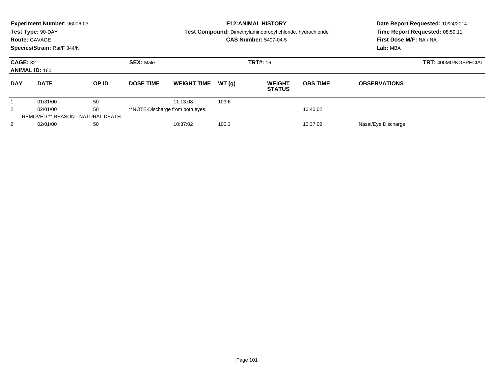|                                                         | Experiment Number: 96006-03<br>Test Type: 90-DAY<br><b>Route: GAVAGE</b><br>Species/Strain: Rat/F 344/N |       |                  |                               |          | <b>E12: ANIMAL HISTORY</b><br>Test Compound: Dimethylaminopropyl chloride, hydrochloride<br><b>CAS Number: 5407-04-5</b> | First Dose M/F: NA / NA<br>Lab: MBA | Date Report Requested: 10/24/2014<br>Time Report Requested: 08:50:11 |  |
|---------------------------------------------------------|---------------------------------------------------------------------------------------------------------|-------|------------------|-------------------------------|----------|--------------------------------------------------------------------------------------------------------------------------|-------------------------------------|----------------------------------------------------------------------|--|
| <b>CAGE: 32</b><br><b>ANIMAL ID: 160</b>                |                                                                                                         |       | <b>SEX: Male</b> |                               |          | <b>TRT#: 16</b>                                                                                                          |                                     | TRT: 400MG/KGSPECIAL                                                 |  |
| <b>DAY</b>                                              | <b>DATE</b>                                                                                             | OP ID | <b>DOSE TIME</b> | <b>WEIGHT TIME</b>            | WT(q)    | <b>WEIGHT</b><br><b>STATUS</b>                                                                                           | <b>OBS TIME</b>                     | <b>OBSERVATIONS</b>                                                  |  |
|                                                         | 01/31/00                                                                                                | 50    |                  | 11:13:08                      | 103.6    |                                                                                                                          |                                     |                                                                      |  |
| 50<br>2<br>**NOTE-Discharge from both eyes.<br>02/01/00 |                                                                                                         |       |                  |                               | 10:40:02 |                                                                                                                          |                                     |                                                                      |  |
| REMOVED ** REASON - NATURAL DEATH                       |                                                                                                         |       |                  |                               |          |                                                                                                                          |                                     |                                                                      |  |
| 2                                                       | 50<br>02/01/00                                                                                          |       |                  | 10:37:02<br>100.3<br>10:37:02 |          |                                                                                                                          |                                     | Nasal/Eye Discharge                                                  |  |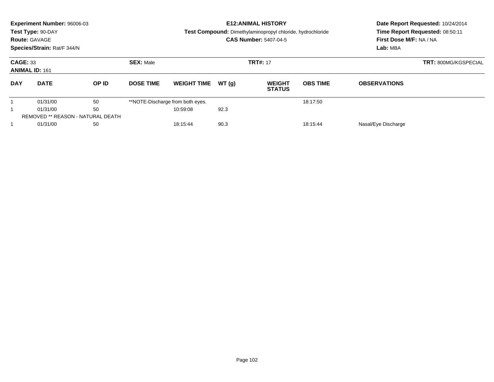|                                          | Experiment Number: 96006-03<br>Test Type: 90-DAY<br><b>Route: GAVAGE</b><br>Species/Strain: Rat/F 344/N |          |                  |                                  |       | <b>E12: ANIMAL HISTORY</b><br>Test Compound: Dimethylaminopropyl chloride, hydrochloride<br><b>CAS Number: 5407-04-5</b> | First Dose M/F: NA / NA<br>Lab: MBA | Date Report Requested: 10/24/2014<br>Time Report Requested: 08:50:11 |                             |
|------------------------------------------|---------------------------------------------------------------------------------------------------------|----------|------------------|----------------------------------|-------|--------------------------------------------------------------------------------------------------------------------------|-------------------------------------|----------------------------------------------------------------------|-----------------------------|
| <b>CAGE: 33</b><br><b>ANIMAL ID: 161</b> |                                                                                                         |          | <b>SEX: Male</b> |                                  |       | <b>TRT#: 17</b>                                                                                                          |                                     |                                                                      | <b>TRT: 800MG/KGSPECIAL</b> |
| <b>DAY</b>                               | <b>DATE</b>                                                                                             | OP ID    | <b>DOSE TIME</b> | <b>WEIGHT TIME</b>               | WT(q) | <b>WEIGHT</b><br><b>STATUS</b>                                                                                           | <b>OBS TIME</b>                     | <b>OBSERVATIONS</b>                                                  |                             |
|                                          | 01/31/00                                                                                                | 50       |                  | **NOTE-Discharge from both eyes. |       |                                                                                                                          | 18:17:50                            |                                                                      |                             |
| 50<br>01/31/00                           |                                                                                                         | 10:59:08 | 92.3             |                                  |       |                                                                                                                          |                                     |                                                                      |                             |
|                                          | REMOVED ** REASON - NATURAL DEATH                                                                       |          |                  |                                  |       |                                                                                                                          |                                     |                                                                      |                             |
|                                          | 01/31/00<br>50                                                                                          |          |                  | 90.3<br>18:15:44<br>18:15:44     |       |                                                                                                                          |                                     | Nasal/Eye Discharge                                                  |                             |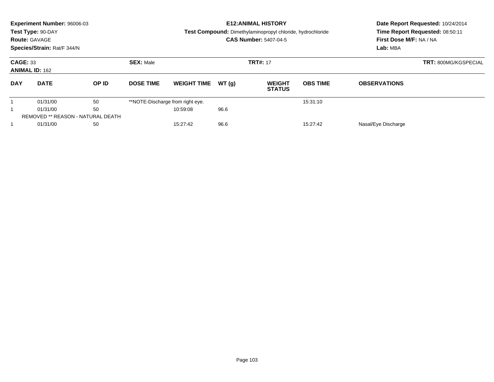|                 | <b>Experiment Number: 96006-03</b><br>Test Type: 90-DAY<br><b>Route: GAVAGE</b><br>Species/Strain: Rat/F 344/N |       |                  |                                  |                 | <b>E12: ANIMAL HISTORY</b><br>Test Compound: Dimethylaminopropyl chloride, hydrochloride<br><b>CAS Number: 5407-04-5</b> | Date Report Requested: 10/24/2014<br>Time Report Requested: 08:50:11<br>First Dose M/F: NA / NA<br>Lab: MBA |                     |  |
|-----------------|----------------------------------------------------------------------------------------------------------------|-------|------------------|----------------------------------|-----------------|--------------------------------------------------------------------------------------------------------------------------|-------------------------------------------------------------------------------------------------------------|---------------------|--|
| <b>CAGE: 33</b> | <b>ANIMAL ID: 162</b>                                                                                          |       | <b>SEX: Male</b> |                                  | <b>TRT#: 17</b> | <b>TRT: 800MG/KGSPECIAL</b>                                                                                              |                                                                                                             |                     |  |
| <b>DAY</b>      | <b>DATE</b>                                                                                                    | OP ID | <b>DOSE TIME</b> | <b>WEIGHT TIME</b>               | WT(q)           | <b>WEIGHT</b><br><b>STATUS</b>                                                                                           | <b>OBS TIME</b>                                                                                             | <b>OBSERVATIONS</b> |  |
|                 | 01/31/00                                                                                                       | 50    |                  | **NOTE-Discharge from right eye. |                 |                                                                                                                          | 15:31:10                                                                                                    |                     |  |
| 50<br>01/31/00  |                                                                                                                |       | 10:59:08         | 96.6                             |                 |                                                                                                                          |                                                                                                             |                     |  |
|                 | <b>REMOVED ** REASON - NATURAL DEATH</b>                                                                       |       |                  |                                  |                 |                                                                                                                          |                                                                                                             |                     |  |
|                 | 01/31/00                                                                                                       | 50    |                  | 15:27:42                         | 96.6            |                                                                                                                          | 15:27:42                                                                                                    | Nasal/Eye Discharge |  |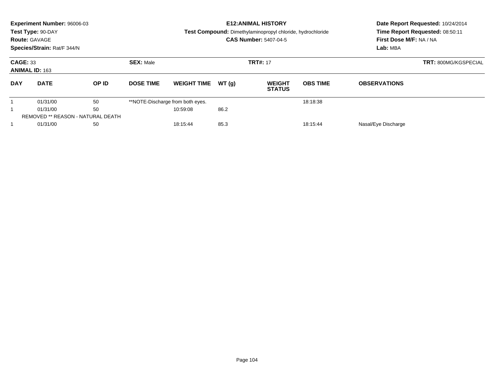|                                          | Experiment Number: 96006-03<br>Test Type: 90-DAY<br><b>Route: GAVAGE</b><br>Species/Strain: Rat/F 344/N |       |                  |                                  |       | <b>E12: ANIMAL HISTORY</b><br>Test Compound: Dimethylaminopropyl chloride, hydrochloride<br><b>CAS Number: 5407-04-5</b> | First Dose M/F: NA / NA<br>Lab: MBA | Date Report Requested: 10/24/2014<br>Time Report Requested: 08:50:11 |  |
|------------------------------------------|---------------------------------------------------------------------------------------------------------|-------|------------------|----------------------------------|-------|--------------------------------------------------------------------------------------------------------------------------|-------------------------------------|----------------------------------------------------------------------|--|
| <b>CAGE: 33</b><br><b>ANIMAL ID: 163</b> |                                                                                                         |       | <b>SEX: Male</b> |                                  |       | <b>TRT#: 17</b>                                                                                                          |                                     | <b>TRT: 800MG/KGSPECIAL</b>                                          |  |
| <b>DAY</b>                               | <b>DATE</b>                                                                                             | OP ID | <b>DOSE TIME</b> | <b>WEIGHT TIME</b>               | WT(q) | <b>WEIGHT</b><br><b>STATUS</b>                                                                                           | <b>OBS TIME</b>                     | <b>OBSERVATIONS</b>                                                  |  |
|                                          | 01/31/00                                                                                                | 50    |                  | **NOTE-Discharge from both eyes. |       |                                                                                                                          | 18:18:38                            |                                                                      |  |
| 50<br>01/31/00                           |                                                                                                         |       | 10:59:08         | 86.2                             |       |                                                                                                                          |                                     |                                                                      |  |
|                                          | REMOVED ** REASON - NATURAL DEATH                                                                       |       |                  |                                  |       |                                                                                                                          |                                     |                                                                      |  |
|                                          | 01/31/00<br>50                                                                                          |       |                  | 85.3<br>18:15:44<br>18:15:44     |       |                                                                                                                          | Nasal/Eye Discharge                 |                                                                      |  |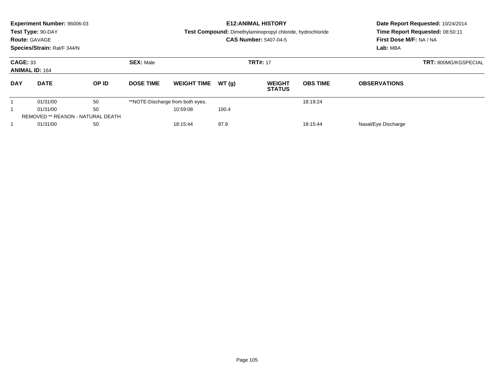|                 | Experiment Number: 96006-03<br>Test Type: 90-DAY<br><b>Route: GAVAGE</b><br>Species/Strain: Rat/F 344/N |       |                  |                                  |       | <b>E12: ANIMAL HISTORY</b><br>Test Compound: Dimethylaminopropyl chloride, hydrochloride<br><b>CAS Number: 5407-04-5</b> | Date Report Requested: 10/24/2014<br>Time Report Requested: 08:50:11<br>First Dose M/F: NA / NA<br>Lab: MBA |                     |                             |
|-----------------|---------------------------------------------------------------------------------------------------------|-------|------------------|----------------------------------|-------|--------------------------------------------------------------------------------------------------------------------------|-------------------------------------------------------------------------------------------------------------|---------------------|-----------------------------|
| <b>CAGE: 33</b> | <b>ANIMAL ID: 164</b>                                                                                   |       | <b>SEX: Male</b> |                                  |       | <b>TRT#: 17</b>                                                                                                          |                                                                                                             |                     | <b>TRT: 800MG/KGSPECIAL</b> |
| <b>DAY</b>      | <b>DATE</b>                                                                                             | OP ID | <b>DOSE TIME</b> | <b>WEIGHT TIME</b>               | WT(q) | <b>WEIGHT</b><br><b>STATUS</b>                                                                                           | <b>OBS TIME</b>                                                                                             | <b>OBSERVATIONS</b> |                             |
|                 | 01/31/00                                                                                                | 50    |                  | **NOTE-Discharge from both eyes. |       |                                                                                                                          | 18:19:24                                                                                                    |                     |                             |
| 50<br>01/31/00  |                                                                                                         |       | 10:59:08         | 100.4                            |       |                                                                                                                          |                                                                                                             |                     |                             |
|                 | REMOVED ** REASON - NATURAL DEATH                                                                       |       |                  |                                  |       |                                                                                                                          |                                                                                                             |                     |                             |
|                 | 01/31/00                                                                                                | 50    |                  | 18:15:44                         | 97.9  |                                                                                                                          | 18:15:44                                                                                                    | Nasal/Eye Discharge |                             |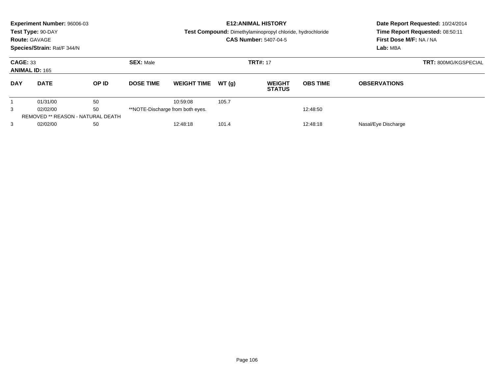|                                                         | Experiment Number: 96006-03<br>Test Type: 90-DAY<br><b>Route: GAVAGE</b><br>Species/Strain: Rat/F 344/N |       |                  |                               |          | <b>E12: ANIMAL HISTORY</b><br>Test Compound: Dimethylaminopropyl chloride, hydrochloride<br><b>CAS Number: 5407-04-5</b> | First Dose M/F: NA / NA<br>Lab: MBA | Date Report Requested: 10/24/2014<br>Time Report Requested: 08:50:11 |                             |
|---------------------------------------------------------|---------------------------------------------------------------------------------------------------------|-------|------------------|-------------------------------|----------|--------------------------------------------------------------------------------------------------------------------------|-------------------------------------|----------------------------------------------------------------------|-----------------------------|
| <b>CAGE: 33</b><br><b>ANIMAL ID: 165</b>                |                                                                                                         |       | <b>SEX: Male</b> |                               |          | <b>TRT#: 17</b>                                                                                                          |                                     |                                                                      | <b>TRT: 800MG/KGSPECIAL</b> |
| <b>DAY</b>                                              | <b>DATE</b>                                                                                             | OP ID | <b>DOSE TIME</b> | <b>WEIGHT TIME</b>            | WT(q)    | <b>WEIGHT</b><br><b>STATUS</b>                                                                                           | <b>OBS TIME</b>                     | <b>OBSERVATIONS</b>                                                  |                             |
|                                                         | 01/31/00                                                                                                | 50    |                  | 10:59:08                      | 105.7    |                                                                                                                          |                                     |                                                                      |                             |
| 50<br>3<br>**NOTE-Discharge from both eyes.<br>02/02/00 |                                                                                                         |       |                  |                               | 12:48:50 |                                                                                                                          |                                     |                                                                      |                             |
|                                                         | REMOVED ** REASON - NATURAL DEATH                                                                       |       |                  |                               |          |                                                                                                                          |                                     |                                                                      |                             |
| 3                                                       | 02/02/00<br>50                                                                                          |       |                  | 101.4<br>12:48:18<br>12:48:18 |          |                                                                                                                          |                                     | Nasal/Eye Discharge                                                  |                             |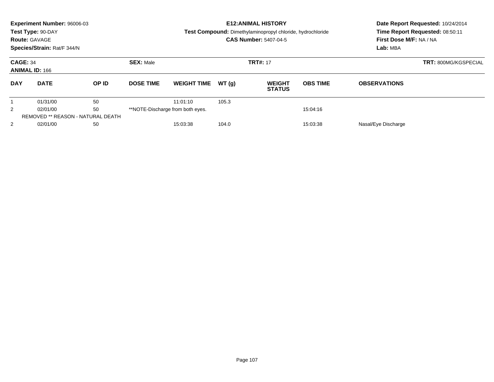|                                                         | Experiment Number: 96006-03<br>Test Type: 90-DAY<br><b>Route: GAVAGE</b><br>Species/Strain: Rat/F 344/N |       |                  |                    |       | <b>E12: ANIMAL HISTORY</b><br>Test Compound: Dimethylaminopropyl chloride, hydrochloride<br><b>CAS Number: 5407-04-5</b> | First Dose M/F: NA / NA<br>Lab: MBA | Date Report Requested: 10/24/2014<br>Time Report Requested: 08:50:11 |  |
|---------------------------------------------------------|---------------------------------------------------------------------------------------------------------|-------|------------------|--------------------|-------|--------------------------------------------------------------------------------------------------------------------------|-------------------------------------|----------------------------------------------------------------------|--|
| <b>CAGE: 34</b><br><b>ANIMAL ID: 166</b>                |                                                                                                         |       | <b>SEX: Male</b> |                    |       | <b>TRT#: 17</b>                                                                                                          |                                     | <b>TRT: 800MG/KGSPECIAL</b>                                          |  |
| <b>DAY</b>                                              | <b>DATE</b>                                                                                             | OP ID | <b>DOSE TIME</b> | <b>WEIGHT TIME</b> | WT(q) | <b>WEIGHT</b><br><b>STATUS</b>                                                                                           | <b>OBS TIME</b>                     | <b>OBSERVATIONS</b>                                                  |  |
|                                                         | 01/31/00                                                                                                | 50    |                  | 11:01:10           | 105.3 |                                                                                                                          |                                     |                                                                      |  |
| 50<br>2<br>**NOTE-Discharge from both eyes.<br>02/01/00 |                                                                                                         |       | 15:04:16         |                    |       |                                                                                                                          |                                     |                                                                      |  |
|                                                         | REMOVED ** REASON - NATURAL DEATH                                                                       |       |                  |                    |       |                                                                                                                          |                                     |                                                                      |  |
| 2                                                       | 02/01/00                                                                                                | 50    |                  | 15:03:38           | 104.0 |                                                                                                                          | 15:03:38                            | Nasal/Eye Discharge                                                  |  |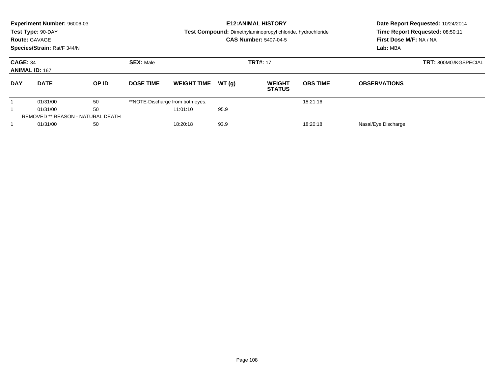|                                          | Experiment Number: 96006-03<br>Test Type: 90-DAY<br><b>Route: GAVAGE</b><br>Species/Strain: Rat/F 344/N |    |                  |                                  |       | <b>E12: ANIMAL HISTORY</b><br>Test Compound: Dimethylaminopropyl chloride, hydrochloride<br><b>CAS Number: 5407-04-5</b> | Date Report Requested: 10/24/2014<br>Time Report Requested: 08:50:11<br>First Dose M/F: NA / NA<br>Lab: MBA |                             |                                |                 |                     |  |
|------------------------------------------|---------------------------------------------------------------------------------------------------------|----|------------------|----------------------------------|-------|--------------------------------------------------------------------------------------------------------------------------|-------------------------------------------------------------------------------------------------------------|-----------------------------|--------------------------------|-----------------|---------------------|--|
| <b>CAGE: 34</b><br><b>ANIMAL ID: 167</b> |                                                                                                         |    | <b>SEX: Male</b> |                                  |       | <b>TRT#: 17</b>                                                                                                          |                                                                                                             | <b>TRT: 800MG/KGSPECIAL</b> |                                |                 |                     |  |
| <b>DAY</b>                               | <b>DATE</b>                                                                                             |    |                  |                                  | OP ID | <b>DOSE TIME</b>                                                                                                         | <b>WEIGHT TIME</b>                                                                                          | WT(q)                       | <b>WEIGHT</b><br><b>STATUS</b> | <b>OBS TIME</b> | <b>OBSERVATIONS</b> |  |
|                                          | 01/31/00                                                                                                | 50 |                  | **NOTE-Discharge from both eyes. |       |                                                                                                                          | 18:21:16                                                                                                    |                             |                                |                 |                     |  |
|                                          | 50<br>01/31/00                                                                                          |    | 11:01:10         | 95.9                             |       |                                                                                                                          |                                                                                                             |                             |                                |                 |                     |  |
|                                          | REMOVED ** REASON - NATURAL DEATH                                                                       |    |                  |                                  |       |                                                                                                                          |                                                                                                             |                             |                                |                 |                     |  |
|                                          | 01/31/00<br>50                                                                                          |    |                  | 93.9<br>18:20:18<br>18:20:18     |       |                                                                                                                          |                                                                                                             | Nasal/Eye Discharge         |                                |                 |                     |  |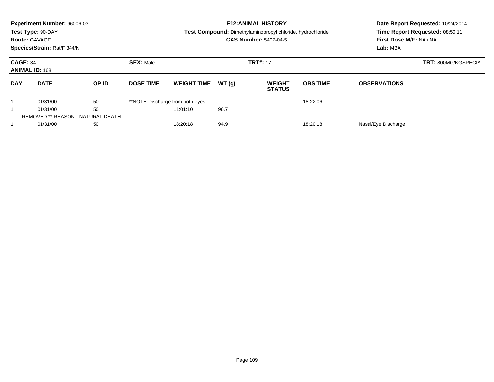|                                          | Experiment Number: 96006-03<br>Test Type: 90-DAY<br><b>Route: GAVAGE</b><br>Species/Strain: Rat/F 344/N |    |                  |                                  |                    | <b>E12: ANIMAL HISTORY</b><br>Test Compound: Dimethylaminopropyl chloride, hydrochloride<br><b>CAS Number: 5407-04-5</b> | First Dose M/F: NA / NA<br>Lab: MBA | Date Report Requested: 10/24/2014<br>Time Report Requested: 08:50:11 |                     |  |
|------------------------------------------|---------------------------------------------------------------------------------------------------------|----|------------------|----------------------------------|--------------------|--------------------------------------------------------------------------------------------------------------------------|-------------------------------------|----------------------------------------------------------------------|---------------------|--|
| <b>CAGE: 34</b><br><b>ANIMAL ID: 168</b> |                                                                                                         |    | <b>SEX: Male</b> |                                  |                    | <b>TRT#: 17</b>                                                                                                          |                                     | <b>TRT: 800MG/KGSPECIAL</b>                                          |                     |  |
| <b>DAY</b>                               | <b>DATE</b>                                                                                             |    | OP ID            | <b>DOSE TIME</b>                 | <b>WEIGHT TIME</b> | WT(q)                                                                                                                    | <b>WEIGHT</b><br><b>STATUS</b>      | <b>OBS TIME</b>                                                      | <b>OBSERVATIONS</b> |  |
|                                          | 01/31/00                                                                                                | 50 |                  | **NOTE-Discharge from both eyes. |                    |                                                                                                                          | 18:22:06                            |                                                                      |                     |  |
|                                          | 01/31/00                                                                                                | 50 |                  | 11:01:10                         | 96.7               |                                                                                                                          |                                     |                                                                      |                     |  |
|                                          | REMOVED ** REASON - NATURAL DEATH                                                                       |    |                  |                                  |                    |                                                                                                                          |                                     |                                                                      |                     |  |
|                                          | 01/31/00<br>50                                                                                          |    |                  | 94.9<br>18:20:18<br>18:20:18     |                    |                                                                                                                          | Nasal/Eye Discharge                 |                                                                      |                     |  |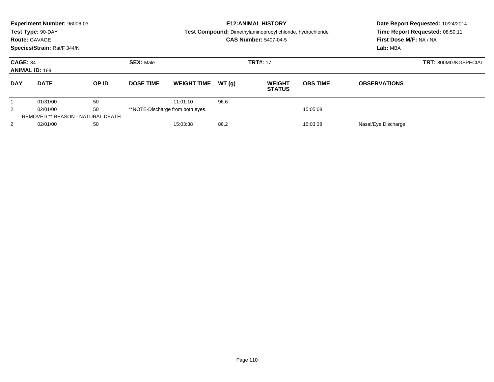|                                          | Experiment Number: 96006-03<br>Test Type: 90-DAY<br><b>Route: GAVAGE</b><br>Species/Strain: Rat/F 344/N |       |                  |                                  |       | <b>E12: ANIMAL HISTORY</b><br>Test Compound: Dimethylaminopropyl chloride, hydrochloride<br><b>CAS Number: 5407-04-5</b> | Date Report Requested: 10/24/2014<br>Time Report Requested: 08:50:11<br>First Dose M/F: NA / NA<br>Lab: MBA |                     |  |
|------------------------------------------|---------------------------------------------------------------------------------------------------------|-------|------------------|----------------------------------|-------|--------------------------------------------------------------------------------------------------------------------------|-------------------------------------------------------------------------------------------------------------|---------------------|--|
| <b>CAGE: 34</b><br><b>ANIMAL ID: 169</b> |                                                                                                         |       | <b>SEX: Male</b> |                                  |       | <b>TRT#: 17</b>                                                                                                          | <b>TRT: 800MG/KGSPECIAL</b>                                                                                 |                     |  |
| <b>DAY</b>                               | <b>DATE</b>                                                                                             | OP ID | <b>DOSE TIME</b> | <b>WEIGHT TIME</b>               | WT(q) | <b>WEIGHT</b><br><b>STATUS</b>                                                                                           | <b>OBS TIME</b>                                                                                             | <b>OBSERVATIONS</b> |  |
|                                          | 01/31/00                                                                                                | 50    |                  | 11:01:10                         | 96.6  |                                                                                                                          |                                                                                                             |                     |  |
| 2                                        | 02/01/00                                                                                                | 50    |                  | **NOTE-Discharge from both eyes. |       |                                                                                                                          | 15:05:08                                                                                                    |                     |  |
|                                          | REMOVED ** REASON - NATURAL DEATH                                                                       |       |                  |                                  |       |                                                                                                                          |                                                                                                             |                     |  |
| 2                                        | 50<br>02/01/00                                                                                          |       |                  | 15:03:38<br>86.2<br>15:03:38     |       |                                                                                                                          |                                                                                                             | Nasal/Eye Discharge |  |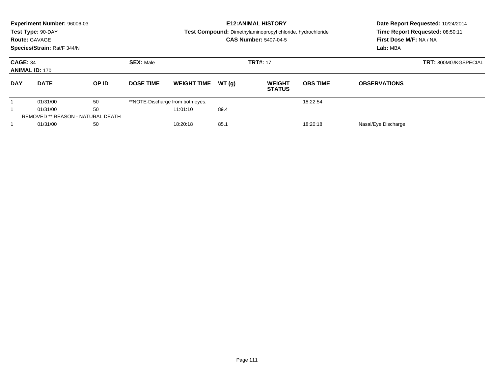|                                          | Experiment Number: 96006-03<br>Test Type: 90-DAY<br><b>Route: GAVAGE</b><br>Species/Strain: Rat/F 344/N |       |                  |                                  |                 | <b>E12: ANIMAL HISTORY</b><br>Test Compound: Dimethylaminopropyl chloride, hydrochloride<br><b>CAS Number: 5407-04-5</b> | First Dose M/F: NA / NA<br>Lab: MBA | Date Report Requested: 10/24/2014<br>Time Report Requested: 08:50:11 |  |
|------------------------------------------|---------------------------------------------------------------------------------------------------------|-------|------------------|----------------------------------|-----------------|--------------------------------------------------------------------------------------------------------------------------|-------------------------------------|----------------------------------------------------------------------|--|
| <b>CAGE: 34</b><br><b>ANIMAL ID: 170</b> |                                                                                                         |       | <b>SEX: Male</b> |                                  | <b>TRT#: 17</b> |                                                                                                                          |                                     | <b>TRT: 800MG/KGSPECIAL</b>                                          |  |
| <b>DAY</b>                               | <b>DATE</b>                                                                                             | OP ID | <b>DOSE TIME</b> | <b>WEIGHT TIME</b>               | WT(q)           | <b>WEIGHT</b><br><b>STATUS</b>                                                                                           | <b>OBS TIME</b>                     | <b>OBSERVATIONS</b>                                                  |  |
|                                          | 01/31/00                                                                                                | 50    |                  | **NOTE-Discharge from both eyes. |                 |                                                                                                                          | 18:22:54                            |                                                                      |  |
|                                          | 01/31/00                                                                                                | 50    |                  | 11:01:10                         | 89.4            |                                                                                                                          |                                     |                                                                      |  |
|                                          | REMOVED ** REASON - NATURAL DEATH                                                                       |       |                  |                                  |                 |                                                                                                                          |                                     |                                                                      |  |
|                                          | 01/31/00<br>50                                                                                          |       |                  | 85.1<br>18:20:18<br>18:20:18     |                 |                                                                                                                          | Nasal/Eye Discharge                 |                                                                      |  |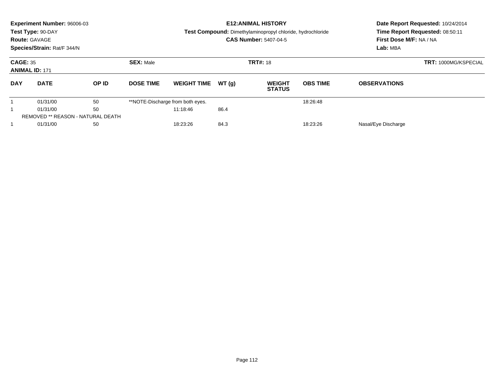|                 | <b>Experiment Number: 96006-03</b><br>Test Type: 90-DAY<br><b>Route: GAVAGE</b><br>Species/Strain: Rat/F 344/N |       |                  |                                  |       | <b>E12: ANIMAL HISTORY</b><br>Test Compound: Dimethylaminopropyl chloride, hydrochloride<br><b>CAS Number: 5407-04-5</b> | Date Report Requested: 10/24/2014<br>Time Report Requested: 08:50:11<br>First Dose M/F: NA / NA<br>Lab: MBA |                             |  |
|-----------------|----------------------------------------------------------------------------------------------------------------|-------|------------------|----------------------------------|-------|--------------------------------------------------------------------------------------------------------------------------|-------------------------------------------------------------------------------------------------------------|-----------------------------|--|
| <b>CAGE: 35</b> | <b>ANIMAL ID: 171</b>                                                                                          |       | <b>SEX: Male</b> |                                  |       | <b>TRT#: 18</b>                                                                                                          |                                                                                                             | <b>TRT: 1000MG/KSPECIAL</b> |  |
| <b>DAY</b>      | <b>DATE</b>                                                                                                    | OP ID | <b>DOSE TIME</b> | <b>WEIGHT TIME</b>               | WT(q) | <b>WEIGHT</b><br><b>STATUS</b>                                                                                           | <b>OBS TIME</b>                                                                                             | <b>OBSERVATIONS</b>         |  |
|                 | 01/31/00                                                                                                       | 50    |                  | **NOTE-Discharge from both eyes. |       |                                                                                                                          | 18:26:48                                                                                                    |                             |  |
|                 | 50<br>01/31/00                                                                                                 |       |                  | 11:18:46                         | 86.4  |                                                                                                                          |                                                                                                             |                             |  |
|                 | <b>REMOVED ** REASON - NATURAL DEATH</b>                                                                       |       |                  |                                  |       |                                                                                                                          |                                                                                                             |                             |  |
|                 | 01/31/00<br>50                                                                                                 |       |                  | 18:23:26                         | 84.3  |                                                                                                                          | 18:23:26                                                                                                    | Nasal/Eye Discharge         |  |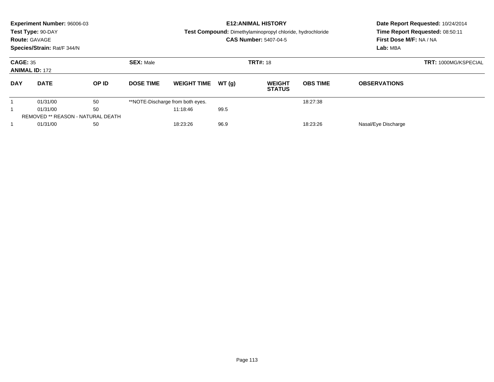|                                          | Experiment Number: 96006-03<br>Test Type: 90-DAY<br><b>Route: GAVAGE</b><br>Species/Strain: Rat/F 344/N |       |                  |                                  |       | <b>E12: ANIMAL HISTORY</b><br>Test Compound: Dimethylaminopropyl chloride, hydrochloride<br><b>CAS Number: 5407-04-5</b> | First Dose M/F: NA / NA<br>Lab: MBA | Date Report Requested: 10/24/2014<br>Time Report Requested: 08:50:11 |  |
|------------------------------------------|---------------------------------------------------------------------------------------------------------|-------|------------------|----------------------------------|-------|--------------------------------------------------------------------------------------------------------------------------|-------------------------------------|----------------------------------------------------------------------|--|
| <b>CAGE: 35</b><br><b>ANIMAL ID: 172</b> |                                                                                                         |       | <b>SEX: Male</b> |                                  |       | <b>TRT#: 18</b>                                                                                                          |                                     | <b>TRT: 1000MG/KSPECIAL</b>                                          |  |
| <b>DAY</b>                               | <b>DATE</b>                                                                                             | OP ID | <b>DOSE TIME</b> | <b>WEIGHT TIME</b>               | WT(q) | <b>WEIGHT</b><br><b>STATUS</b>                                                                                           | <b>OBS TIME</b>                     | <b>OBSERVATIONS</b>                                                  |  |
|                                          | 01/31/00                                                                                                | 50    |                  | **NOTE-Discharge from both eyes. |       |                                                                                                                          | 18:27:38                            |                                                                      |  |
|                                          | 50<br>01/31/00                                                                                          |       |                  | 11:18:46                         | 99.5  |                                                                                                                          |                                     |                                                                      |  |
|                                          | REMOVED ** REASON - NATURAL DEATH                                                                       |       |                  |                                  |       |                                                                                                                          |                                     |                                                                      |  |
|                                          | 01/31/00<br>50                                                                                          |       |                  | 18:23:26                         | 96.9  |                                                                                                                          | 18:23:26                            | Nasal/Eye Discharge                                                  |  |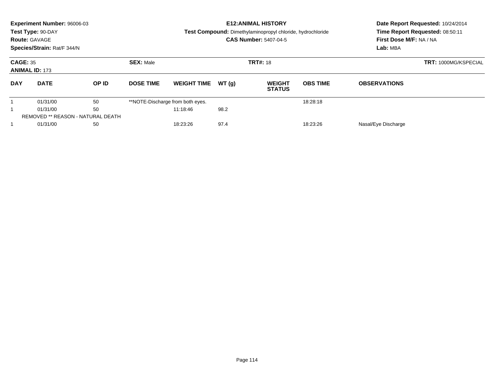|                 | <b>Experiment Number: 96006-03</b><br>Test Type: 90-DAY<br><b>Route: GAVAGE</b><br>Species/Strain: Rat/F 344/N |       |                  |                                  |       | <b>E12: ANIMAL HISTORY</b><br>Test Compound: Dimethylaminopropyl chloride, hydrochloride<br><b>CAS Number: 5407-04-5</b> | Date Report Requested: 10/24/2014<br>Time Report Requested: 08:50:11<br>First Dose M/F: NA / NA<br>Lab: MBA |                             |  |
|-----------------|----------------------------------------------------------------------------------------------------------------|-------|------------------|----------------------------------|-------|--------------------------------------------------------------------------------------------------------------------------|-------------------------------------------------------------------------------------------------------------|-----------------------------|--|
| <b>CAGE: 35</b> | <b>ANIMAL ID: 173</b>                                                                                          |       | <b>SEX: Male</b> |                                  |       | <b>TRT#: 18</b>                                                                                                          |                                                                                                             | <b>TRT: 1000MG/KSPECIAL</b> |  |
| <b>DAY</b>      | <b>DATE</b>                                                                                                    | OP ID | <b>DOSE TIME</b> | <b>WEIGHT TIME</b>               | WT(q) | <b>WEIGHT</b><br><b>STATUS</b>                                                                                           | <b>OBS TIME</b>                                                                                             | <b>OBSERVATIONS</b>         |  |
|                 | 01/31/00                                                                                                       | 50    |                  | **NOTE-Discharge from both eyes. |       |                                                                                                                          | 18:28:18                                                                                                    |                             |  |
|                 | 50<br>01/31/00                                                                                                 |       |                  | 11:18:46                         | 98.2  |                                                                                                                          |                                                                                                             |                             |  |
|                 | <b>REMOVED ** REASON - NATURAL DEATH</b>                                                                       |       |                  |                                  |       |                                                                                                                          |                                                                                                             |                             |  |
|                 | 01/31/00<br>50                                                                                                 |       |                  | 18:23:26                         | 97.4  |                                                                                                                          | 18:23:26                                                                                                    | Nasal/Eye Discharge         |  |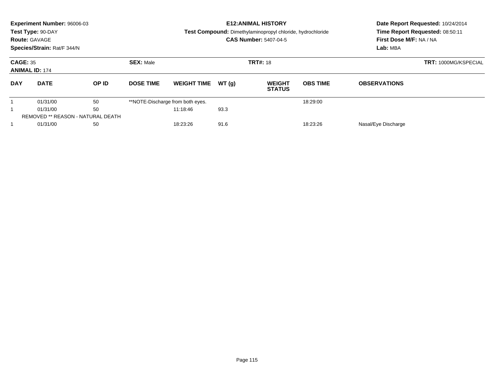|                                          | Experiment Number: 96006-03<br>Test Type: 90-DAY<br><b>Route: GAVAGE</b><br>Species/Strain: Rat/F 344/N |       |                  |                                  |       | <b>E12: ANIMAL HISTORY</b><br>Test Compound: Dimethylaminopropyl chloride, hydrochloride<br><b>CAS Number: 5407-04-5</b> | First Dose M/F: NA / NA<br>Lab: MBA | Date Report Requested: 10/24/2014<br>Time Report Requested: 08:50:11 |  |
|------------------------------------------|---------------------------------------------------------------------------------------------------------|-------|------------------|----------------------------------|-------|--------------------------------------------------------------------------------------------------------------------------|-------------------------------------|----------------------------------------------------------------------|--|
| <b>CAGE: 35</b><br><b>ANIMAL ID: 174</b> |                                                                                                         |       | <b>SEX: Male</b> |                                  |       | <b>TRT#: 18</b>                                                                                                          |                                     | <b>TRT: 1000MG/KSPECIAL</b>                                          |  |
| <b>DAY</b>                               | <b>DATE</b>                                                                                             | OP ID | <b>DOSE TIME</b> | <b>WEIGHT TIME</b>               | WT(q) | <b>WEIGHT</b><br><b>STATUS</b>                                                                                           | <b>OBS TIME</b>                     | <b>OBSERVATIONS</b>                                                  |  |
|                                          | 01/31/00                                                                                                | 50    |                  | **NOTE-Discharge from both eyes. |       |                                                                                                                          | 18:29:00                            |                                                                      |  |
|                                          | 50<br>01/31/00                                                                                          |       |                  | 11:18:46                         | 93.3  |                                                                                                                          |                                     |                                                                      |  |
|                                          | REMOVED ** REASON - NATURAL DEATH                                                                       |       |                  |                                  |       |                                                                                                                          |                                     |                                                                      |  |
|                                          | 01/31/00<br>50                                                                                          |       |                  | 91.6<br>18:23:26<br>18:23:26     |       |                                                                                                                          |                                     | Nasal/Eye Discharge                                                  |  |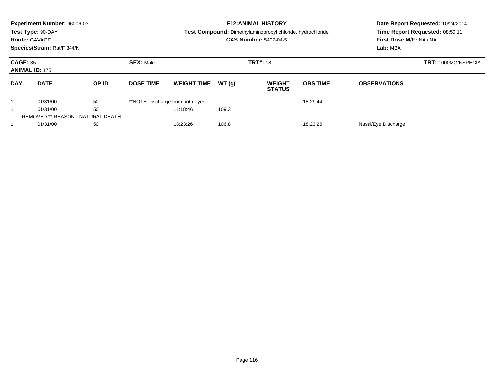|                 | <b>Experiment Number: 96006-03</b><br>Test Type: 90-DAY<br><b>Route: GAVAGE</b><br>Species/Strain: Rat/F 344/N |       |                  |                                  |       | <b>E12: ANIMAL HISTORY</b><br>Test Compound: Dimethylaminopropyl chloride, hydrochloride<br><b>CAS Number: 5407-04-5</b> | Date Report Requested: 10/24/2014<br>Time Report Requested: 08:50:11<br>First Dose M/F: NA / NA<br>Lab: MBA |                     |                             |
|-----------------|----------------------------------------------------------------------------------------------------------------|-------|------------------|----------------------------------|-------|--------------------------------------------------------------------------------------------------------------------------|-------------------------------------------------------------------------------------------------------------|---------------------|-----------------------------|
| <b>CAGE: 35</b> | <b>ANIMAL ID: 175</b>                                                                                          |       | <b>SEX: Male</b> |                                  |       | <b>TRT#: 18</b>                                                                                                          |                                                                                                             |                     | <b>TRT: 1000MG/KSPECIAL</b> |
| <b>DAY</b>      | <b>DATE</b>                                                                                                    | OP ID | <b>DOSE TIME</b> | <b>WEIGHT TIME</b>               | WT(q) | <b>WEIGHT</b><br><b>STATUS</b>                                                                                           | <b>OBS TIME</b>                                                                                             | <b>OBSERVATIONS</b> |                             |
|                 | 01/31/00                                                                                                       | 50    |                  | **NOTE-Discharge from both eyes. |       |                                                                                                                          | 18:29:44                                                                                                    |                     |                             |
|                 | 50<br>01/31/00                                                                                                 |       |                  | 11:18:46                         | 109.3 |                                                                                                                          |                                                                                                             |                     |                             |
|                 | <b>REMOVED ** REASON - NATURAL DEATH</b>                                                                       |       |                  |                                  |       |                                                                                                                          |                                                                                                             |                     |                             |
|                 | 01/31/00<br>50                                                                                                 |       |                  | 106.8<br>18:23:26<br>18:23:26    |       |                                                                                                                          |                                                                                                             | Nasal/Eye Discharge |                             |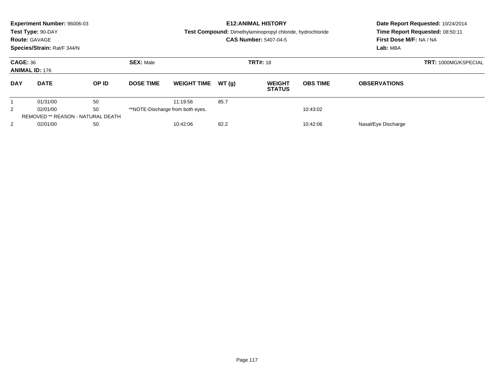|                                          | Experiment Number: 96006-03<br>Test Type: 90-DAY<br><b>Route: GAVAGE</b><br>Species/Strain: Rat/F 344/N |       |                                  |                    |       | <b>E12: ANIMAL HISTORY</b><br>Test Compound: Dimethylaminopropyl chloride, hydrochloride<br><b>CAS Number: 5407-04-5</b> | First Dose M/F: NA / NA<br>Lab: MBA | Date Report Requested: 10/24/2014<br>Time Report Requested: 08:50:11 |  |
|------------------------------------------|---------------------------------------------------------------------------------------------------------|-------|----------------------------------|--------------------|-------|--------------------------------------------------------------------------------------------------------------------------|-------------------------------------|----------------------------------------------------------------------|--|
| <b>CAGE: 36</b><br><b>ANIMAL ID: 176</b> |                                                                                                         |       | <b>SEX: Male</b>                 |                    |       | <b>TRT#: 18</b>                                                                                                          |                                     | <b>TRT: 1000MG/KSPECIAL</b>                                          |  |
| <b>DAY</b>                               | <b>DATE</b>                                                                                             | OP ID | <b>DOSE TIME</b>                 | <b>WEIGHT TIME</b> | WT(q) | <b>WEIGHT</b><br><b>STATUS</b>                                                                                           | <b>OBS TIME</b>                     | <b>OBSERVATIONS</b>                                                  |  |
|                                          | 01/31/00                                                                                                | 50    |                                  | 11:19:56           | 85.7  |                                                                                                                          |                                     |                                                                      |  |
| 50<br>$\overline{2}$<br>02/01/00         |                                                                                                         |       | **NOTE-Discharge from both eyes. |                    |       | 10:43:02                                                                                                                 |                                     |                                                                      |  |
|                                          | <b>REMOVED ** REASON - NATURAL DEATH</b>                                                                |       |                                  |                    |       |                                                                                                                          |                                     |                                                                      |  |
| $\overline{2}$                           | 02/01/00<br>50                                                                                          |       |                                  | 10:42:06           | 82.2  |                                                                                                                          | 10:42:06                            | Nasal/Eye Discharge                                                  |  |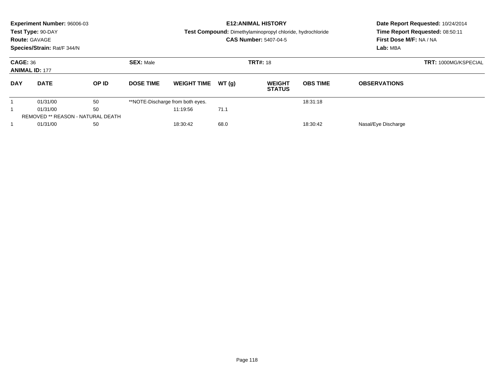|                                          | Experiment Number: 96006-03<br>Test Type: 90-DAY<br><b>Route: GAVAGE</b><br>Species/Strain: Rat/F 344/N |       |                                     |                                  |       | <b>E12: ANIMAL HISTORY</b><br>Test Compound: Dimethylaminopropyl chloride, hydrochloride<br><b>CAS Number: 5407-04-5</b> | First Dose M/F: NA / NA<br>Lab: MBA | Date Report Requested: 10/24/2014<br>Time Report Requested: 08:50:11 |                             |
|------------------------------------------|---------------------------------------------------------------------------------------------------------|-------|-------------------------------------|----------------------------------|-------|--------------------------------------------------------------------------------------------------------------------------|-------------------------------------|----------------------------------------------------------------------|-----------------------------|
| <b>CAGE: 36</b><br><b>ANIMAL ID: 177</b> |                                                                                                         |       | <b>SEX: Male</b><br><b>TRT#: 18</b> |                                  |       |                                                                                                                          |                                     |                                                                      | <b>TRT: 1000MG/KSPECIAL</b> |
| <b>DAY</b>                               | <b>DATE</b>                                                                                             | OP ID | <b>DOSE TIME</b>                    | <b>WEIGHT TIME</b>               | WT(q) | <b>WEIGHT</b><br><b>STATUS</b>                                                                                           | <b>OBS TIME</b>                     | <b>OBSERVATIONS</b>                                                  |                             |
|                                          | 01/31/00                                                                                                | 50    |                                     | **NOTE-Discharge from both eyes. |       |                                                                                                                          | 18:31:18                            |                                                                      |                             |
|                                          | 50<br>01/31/00                                                                                          |       |                                     | 11:19:56                         | 71.1  |                                                                                                                          |                                     |                                                                      |                             |
|                                          | REMOVED ** REASON - NATURAL DEATH                                                                       |       |                                     |                                  |       |                                                                                                                          |                                     |                                                                      |                             |
|                                          | 01/31/00<br>50                                                                                          |       |                                     | 18:30:42                         | 68.0  |                                                                                                                          | 18:30:42                            | Nasal/Eye Discharge                                                  |                             |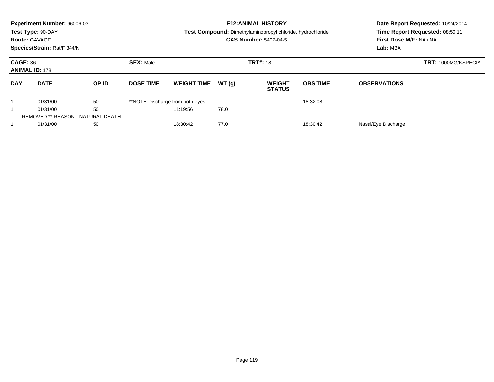|                                          | Experiment Number: 96006-03<br>Test Type: 90-DAY<br><b>Route: GAVAGE</b><br>Species/Strain: Rat/F 344/N |       |                                     |                                  |       | <b>E12: ANIMAL HISTORY</b><br>Test Compound: Dimethylaminopropyl chloride, hydrochloride<br><b>CAS Number: 5407-04-5</b> | First Dose M/F: NA / NA<br>Lab: MBA | Date Report Requested: 10/24/2014<br>Time Report Requested: 08:50:11 |                             |
|------------------------------------------|---------------------------------------------------------------------------------------------------------|-------|-------------------------------------|----------------------------------|-------|--------------------------------------------------------------------------------------------------------------------------|-------------------------------------|----------------------------------------------------------------------|-----------------------------|
| <b>CAGE: 36</b><br><b>ANIMAL ID: 178</b> |                                                                                                         |       | <b>SEX: Male</b><br><b>TRT#: 18</b> |                                  |       |                                                                                                                          |                                     |                                                                      | <b>TRT: 1000MG/KSPECIAL</b> |
| <b>DAY</b>                               | <b>DATE</b>                                                                                             | OP ID | <b>DOSE TIME</b>                    | <b>WEIGHT TIME</b>               | WT(q) | <b>WEIGHT</b><br><b>STATUS</b>                                                                                           | <b>OBS TIME</b>                     | <b>OBSERVATIONS</b>                                                  |                             |
|                                          | 01/31/00                                                                                                | 50    |                                     | **NOTE-Discharge from both eyes. |       |                                                                                                                          | 18:32:08                            |                                                                      |                             |
|                                          | 50<br>01/31/00                                                                                          |       |                                     | 11:19:56                         | 78.0  |                                                                                                                          |                                     |                                                                      |                             |
|                                          | REMOVED ** REASON - NATURAL DEATH                                                                       |       |                                     |                                  |       |                                                                                                                          |                                     |                                                                      |                             |
|                                          | 01/31/00<br>50                                                                                          |       |                                     | 77.0<br>18:30:42<br>18:30:42     |       |                                                                                                                          |                                     | Nasal/Eye Discharge                                                  |                             |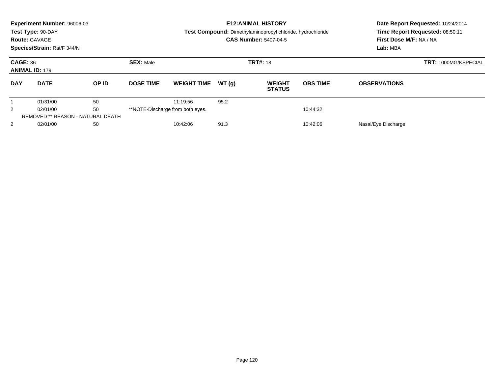|                                          | Experiment Number: 96006-03<br>Test Type: 90-DAY<br><b>Route: GAVAGE</b><br>Species/Strain: Rat/F 344/N |       |                                              |                    |                     | <b>E12: ANIMAL HISTORY</b><br>Test Compound: Dimethylaminopropyl chloride, hydrochloride<br><b>CAS Number: 5407-04-5</b> | First Dose M/F: NA / NA<br>Lab: MBA | Date Report Requested: 10/24/2014<br>Time Report Requested: 08:50:11 |  |
|------------------------------------------|---------------------------------------------------------------------------------------------------------|-------|----------------------------------------------|--------------------|---------------------|--------------------------------------------------------------------------------------------------------------------------|-------------------------------------|----------------------------------------------------------------------|--|
| <b>CAGE: 36</b><br><b>ANIMAL ID: 179</b> |                                                                                                         |       | <b>SEX: Male</b>                             |                    |                     | <b>TRT#: 18</b>                                                                                                          |                                     | <b>TRT: 1000MG/KSPECIAL</b>                                          |  |
| <b>DAY</b>                               | <b>DATE</b>                                                                                             | OP ID | <b>DOSE TIME</b>                             | <b>WEIGHT TIME</b> | WT(q)               | <b>WEIGHT</b><br><b>STATUS</b>                                                                                           | <b>OBS TIME</b>                     | <b>OBSERVATIONS</b>                                                  |  |
|                                          | 01/31/00                                                                                                | 50    |                                              | 11:19:56           | 95.2                |                                                                                                                          |                                     |                                                                      |  |
| 50<br>$\overline{2}$<br>02/01/00         |                                                                                                         |       | **NOTE-Discharge from both eyes.<br>10:44:32 |                    |                     |                                                                                                                          |                                     |                                                                      |  |
|                                          | <b>REMOVED ** REASON - NATURAL DEATH</b>                                                                |       |                                              |                    |                     |                                                                                                                          |                                     |                                                                      |  |
| $\overline{2}$                           | 02/01/00<br>50                                                                                          |       | 91.3<br>10:42:06<br>10:42:06                 |                    | Nasal/Eye Discharge |                                                                                                                          |                                     |                                                                      |  |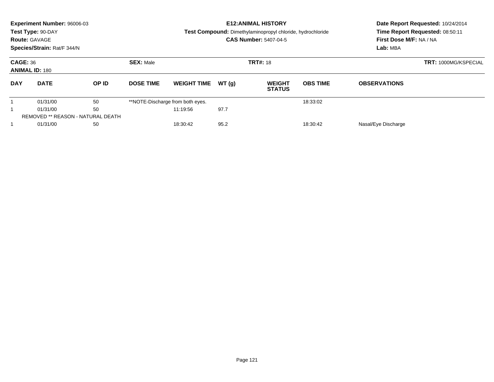| <b>Experiment Number: 96006-03</b><br>Test Type: 90-DAY<br><b>Route: GAVAGE</b><br>Species/Strain: Rat/F 344/N |                       |                                          |                  |                                  |       | <b>E12: ANIMAL HISTORY</b><br>Test Compound: Dimethylaminopropyl chloride, hydrochloride<br><b>CAS Number: 5407-04-5</b> | Date Report Requested: 10/24/2014<br>Time Report Requested: 08:50:11<br>First Dose M/F: NA / NA<br>Lab: MBA |                     |  |
|----------------------------------------------------------------------------------------------------------------|-----------------------|------------------------------------------|------------------|----------------------------------|-------|--------------------------------------------------------------------------------------------------------------------------|-------------------------------------------------------------------------------------------------------------|---------------------|--|
| <b>CAGE: 36</b>                                                                                                | <b>ANIMAL ID: 180</b> |                                          | <b>SEX: Male</b> | <b>TRT#: 18</b>                  |       | <b>TRT: 1000MG/KSPECIAL</b>                                                                                              |                                                                                                             |                     |  |
| <b>DAY</b>                                                                                                     | <b>DATE</b>           | OP ID                                    | <b>DOSE TIME</b> | <b>WEIGHT TIME</b>               | WT(q) | <b>WEIGHT</b><br><b>STATUS</b>                                                                                           | <b>OBS TIME</b>                                                                                             | <b>OBSERVATIONS</b> |  |
|                                                                                                                | 01/31/00              | 50                                       |                  | **NOTE-Discharge from both eyes. |       |                                                                                                                          | 18:33:02                                                                                                    |                     |  |
|                                                                                                                | 01/31/00              | 50                                       |                  | 11:19:56                         | 97.7  |                                                                                                                          |                                                                                                             |                     |  |
|                                                                                                                |                       | <b>REMOVED ** REASON - NATURAL DEATH</b> |                  |                                  |       |                                                                                                                          |                                                                                                             |                     |  |
|                                                                                                                | 01/31/00              | 50                                       |                  | 18:30:42                         | 95.2  |                                                                                                                          | 18:30:42                                                                                                    | Nasal/Eye Discharge |  |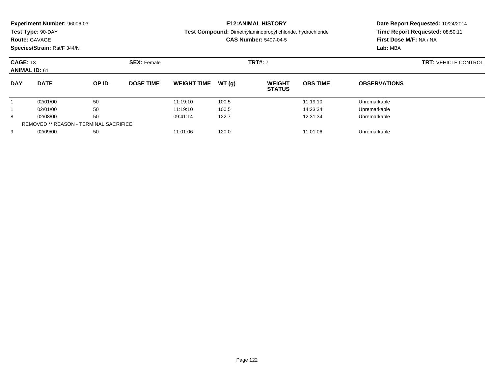| Experiment Number: 96006-03<br>Test Type: 90-DAY<br><b>Route: GAVAGE</b><br>Species/Strain: Rat/F 344/N |                      |                    |                  |                      | <b>E12: ANIMAL HISTORY</b><br>Test Compound: Dimethylaminopropyl chloride, hydrochloride<br><b>CAS Number: 5407-04-5</b> |                                |                      |                              | Date Report Requested: 10/24/2014<br>Time Report Requested: 08:50:11<br>First Dose M/F: NA / NA |
|---------------------------------------------------------------------------------------------------------|----------------------|--------------------|------------------|----------------------|--------------------------------------------------------------------------------------------------------------------------|--------------------------------|----------------------|------------------------------|-------------------------------------------------------------------------------------------------|
| <b>CAGE: 13</b><br><b>ANIMAL ID: 61</b>                                                                 |                      | <b>SEX: Female</b> |                  |                      | <b>TRT#: 7</b>                                                                                                           |                                |                      | <b>TRT: VEHICLE CONTROL</b>  |                                                                                                 |
| <b>DAY</b>                                                                                              | <b>DATE</b>          | OP ID              | <b>DOSE TIME</b> | <b>WEIGHT TIME</b>   | WT(a)                                                                                                                    | <b>WEIGHT</b><br><b>STATUS</b> | <b>OBS TIME</b>      | <b>OBSERVATIONS</b>          |                                                                                                 |
|                                                                                                         | 02/01/00<br>02/01/00 | 50<br>50           |                  | 11:19:10<br>11:19:10 | 100.5<br>100.5                                                                                                           |                                | 11:19:10<br>14:23:34 | Unremarkable<br>Unremarkable |                                                                                                 |

8 02/08/00 50 50 09:41:14 122.7 12:31:34 Unremarkable

9 02/09/00 50 50 11:01:06 120.0 120.0 120.0 11:01:06 Unremarkable

8

9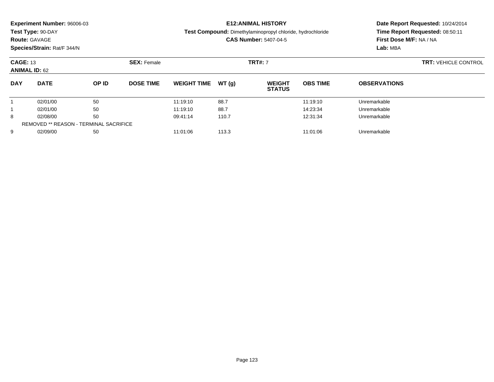| <b>Experiment Number: 96006-03</b><br>Test Type: 90-DAY<br><b>Route: GAVAGE</b><br>Species/Strain: Rat/F 344/N |                      |                    |                  |                      | <b>E12:ANIMAL HISTORY</b><br>Test Compound: Dimethylaminopropyl chloride, hydrochloride<br><b>CAS Number: 5407-04-5</b> |                                |                             |                              | Date Report Requested: 10/24/2014<br>Time Report Requested: 08:50:11<br>First Dose M/F: NA / NA |
|----------------------------------------------------------------------------------------------------------------|----------------------|--------------------|------------------|----------------------|-------------------------------------------------------------------------------------------------------------------------|--------------------------------|-----------------------------|------------------------------|-------------------------------------------------------------------------------------------------|
| <b>CAGE: 13</b><br><b>ANIMAL ID: 62</b>                                                                        |                      | <b>SEX: Female</b> |                  |                      | <b>TRT#: 7</b>                                                                                                          |                                | <b>TRT: VEHICLE CONTROL</b> |                              |                                                                                                 |
| <b>DAY</b>                                                                                                     | <b>DATE</b>          | OP ID              | <b>DOSE TIME</b> | <b>WEIGHT TIME</b>   | WT (a)                                                                                                                  | <b>WEIGHT</b><br><b>STATUS</b> | <b>OBS TIME</b>             | <b>OBSERVATIONS</b>          |                                                                                                 |
|                                                                                                                | 02/01/00<br>02/01/00 | 50<br>50           |                  | 11:19:10<br>11:19:10 | 88.7<br>88.7                                                                                                            |                                | 11:19:10<br>14:23:34        | Unremarkable<br>Unremarkable |                                                                                                 |
|                                                                                                                |                      |                    |                  |                      |                                                                                                                         |                                |                             |                              |                                                                                                 |

8 02/08/00 50 50 09:41:14 110.7 12:31:34 Unremarkable

9 02/09/00 50 50 11:01:06 113.3 11:01:06 10101:06 150 Unremarkable

8

9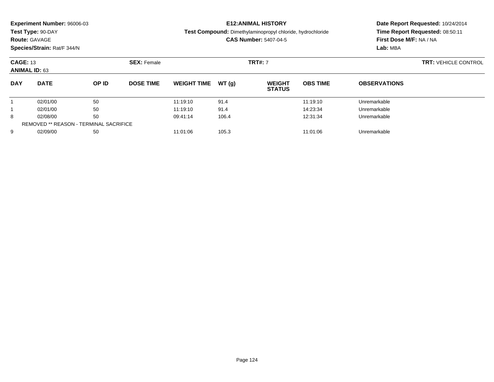| <b>Experiment Number: 96006-03</b><br>Test Type: 90-DAY<br><b>Route: GAVAGE</b><br>Species/Strain: Rat/F 344/N |             |                    |                  |                    |        | <b>E12:ANIMAL HISTORY</b><br><b>Test Compound:</b> Dimethylaminopropyl chloride, hydrochloride<br><b>CAS Number: 5407-04-5</b> |                 | Lab: MBA                    | Date Report Requested: 10/24/2014<br>Time Report Requested: 08:50:11<br>First Dose M/F: NA / NA |  |
|----------------------------------------------------------------------------------------------------------------|-------------|--------------------|------------------|--------------------|--------|--------------------------------------------------------------------------------------------------------------------------------|-----------------|-----------------------------|-------------------------------------------------------------------------------------------------|--|
| <b>CAGE: 13</b><br><b>ANIMAL ID: 63</b>                                                                        |             | <b>SEX: Female</b> |                  | <b>TRT#: 7</b>     |        |                                                                                                                                |                 | <b>TRT: VEHICLE CONTROL</b> |                                                                                                 |  |
| <b>DAY</b>                                                                                                     | <b>DATE</b> | OP ID              | <b>DOSE TIME</b> | <b>WEIGHT TIME</b> | WT (q) | <b>WEIGHT</b><br><b>STATUS</b>                                                                                                 | <b>OBS TIME</b> | <b>OBSERVATIONS</b>         |                                                                                                 |  |
|                                                                                                                | 02/01/00    | 50                 |                  | 11:19:10           | 91.4   |                                                                                                                                | 11:19:10        | Unremarkable                |                                                                                                 |  |
|                                                                                                                | 02/01/00    | 50                 |                  | 11:19:10           | 91.4   |                                                                                                                                | 14:23:34        | Unremarkable                |                                                                                                 |  |

1 02/01/00 50 50 11:19:10 91.4 1 14:23:34 Unremarkable

8 02/08/00 50 50 09:41:14 106.4 106.4 12:31:34 Unremarkable

9 02/09/00 50 50 11:01:06 105.3 11:01:06 105.3 11:01:06 105.3

8

9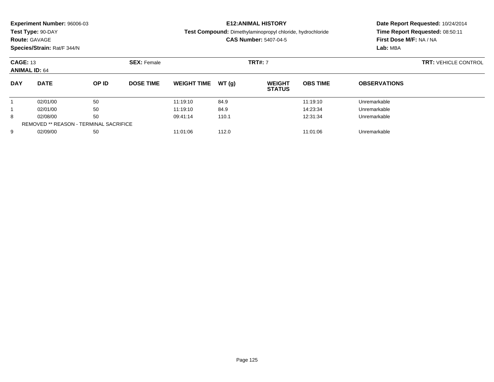| <b>Experiment Number: 96006-03</b>        |                    | <b>E12:ANIMAL HISTORY</b>                                                                  | Date Report Requested: 10/24/2014                          |
|-------------------------------------------|--------------------|--------------------------------------------------------------------------------------------|------------------------------------------------------------|
| Test Type: 90-DAY<br><b>Route: GAVAGE</b> |                    | Test Compound: Dimethylaminopropyl chloride, hydrochloride<br><b>CAS Number: 5407-04-5</b> | Time Report Requested: 08:50:11<br>First Dose M/F: NA / NA |
| Species/Strain: Rat/F 344/N               |                    |                                                                                            | Lab: MBA                                                   |
| <b>CAGE: 13</b><br><b>ANIMAL ID: 64</b>   | <b>SEX: Female</b> | <b>TRT#: 7</b>                                                                             | <b>TRT: VEHICLE CONTROL</b>                                |

| <b>DAY</b> | <b>DATE</b>                                   | OP ID | <b>DOSE TIME</b> | <b>WEIGHT TIME</b> | WT (a) | <b>WEIGHT</b><br><b>STATUS</b> | <b>OBS TIME</b> | <b>OBSERVATIONS</b> |
|------------|-----------------------------------------------|-------|------------------|--------------------|--------|--------------------------------|-----------------|---------------------|
|            | 02/01/00                                      | 50    |                  | 11:19:10           | 84.9   |                                | 11:19:10        | Unremarkable        |
|            | 02/01/00                                      | 50    |                  | 11:19:10           | 84.9   |                                | 14:23:34        | Unremarkable        |
| 8          | 02/08/00                                      | 50    |                  | 09:41:14           | 110.1  |                                | 12:31:34        | Unremarkable        |
|            | <b>REMOVED ** REASON - TERMINAL SACRIFICE</b> |       |                  |                    |        |                                |                 |                     |
| 9          | 02/09/00                                      | 50    |                  | 11:01:06           | 112.0  |                                | 11:01:06        | Unremarkable        |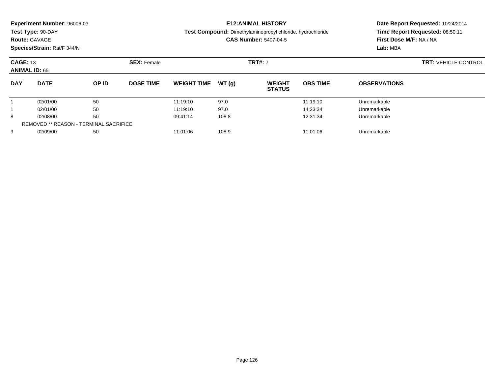| <b>Experiment Number: 96006-03</b><br>Test Type: 90-DAY<br><b>Route: GAVAGE</b><br>Species/Strain: Rat/F 344/N |                      |       |                                      |                    |        | <b>E12:ANIMAL HISTORY</b><br><b>Test Compound:</b> Dimethylaminopropyl chloride, hydrochloride<br><b>CAS Number: 5407-04-5</b> | Date Report Requested: 10/24/2014<br>Time Report Requested: 08:50:11<br>First Dose M/F: NA / NA<br>Lab: MBA |                     |  |
|----------------------------------------------------------------------------------------------------------------|----------------------|-------|--------------------------------------|--------------------|--------|--------------------------------------------------------------------------------------------------------------------------------|-------------------------------------------------------------------------------------------------------------|---------------------|--|
| <b>CAGE: 13</b>                                                                                                | <b>ANIMAL ID: 65</b> |       | <b>TRT#: 7</b><br><b>SEX:</b> Female |                    |        | <b>TRT: VEHICLE CONTROL</b>                                                                                                    |                                                                                                             |                     |  |
| <b>DAY</b>                                                                                                     | <b>DATE</b>          | OP ID | <b>DOSE TIME</b>                     | <b>WEIGHT TIME</b> | WT (q) | <b>WEIGHT</b><br><b>STATUS</b>                                                                                                 | <b>OBS TIME</b>                                                                                             | <b>OBSERVATIONS</b> |  |

02/01/00 <sup>50</sup> 11:19:10 97.0 11:19:10 Unremarkable

1 02/01/00 50 50 11:19:10 97.0 14:23:34 Unremarkable

8 02/08/00 50 50 09:41:14 108.8 12:31:34 Unremarkable

9 02/09/00 50 50 11:01:06 108.9 108.9 11:01:06 108.9

1

1

8

9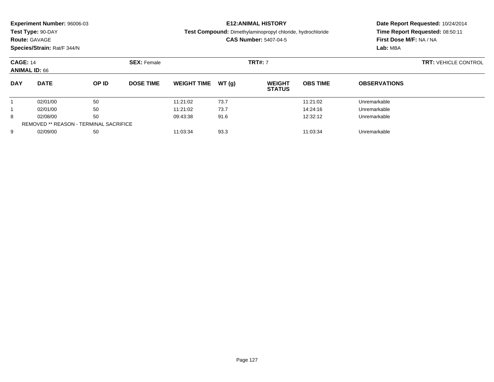**Test Type:** 90-DAY

### **Route:** GAVAGE

**Species/Strain:** Rat/F 344/N

#### **E12:ANIMAL HISTORY**

**Test Compound:** Dimethylaminopropyl chloride, hydrochloride

**CAS Number:** 5407-04-5

|            | <b>CAGE: 14</b><br><b>ANIMAL ID: 66</b>       |       | <b>SEX: Female</b> |                    |       | <b>TRT#: 7</b>                 | <b>TRT: VEHICLE CONTROL</b> |                     |  |
|------------|-----------------------------------------------|-------|--------------------|--------------------|-------|--------------------------------|-----------------------------|---------------------|--|
| <b>DAY</b> | <b>DATE</b>                                   | OP ID | <b>DOSE TIME</b>   | <b>WEIGHT TIME</b> | WT(q) | <b>WEIGHT</b><br><b>STATUS</b> | <b>OBS TIME</b>             | <b>OBSERVATIONS</b> |  |
|            | 02/01/00                                      | 50    |                    | 11:21:02           | 73.7  |                                | 11:21:02                    | Unremarkable        |  |
|            | 02/01/00                                      | 50    |                    | 11:21:02           | 73.7  |                                | 14:24:16                    | Unremarkable        |  |
| 8          | 02/08/00                                      | 50    |                    | 09:43:38           | 91.6  |                                | 12:32:12                    | Unremarkable        |  |
|            | <b>REMOVED ** REASON - TERMINAL SACRIFICE</b> |       |                    |                    |       |                                |                             |                     |  |
| 9          | 02/09/00                                      | 50    |                    | 11:03:34           | 93.3  |                                | 11:03:34                    | Unremarkable        |  |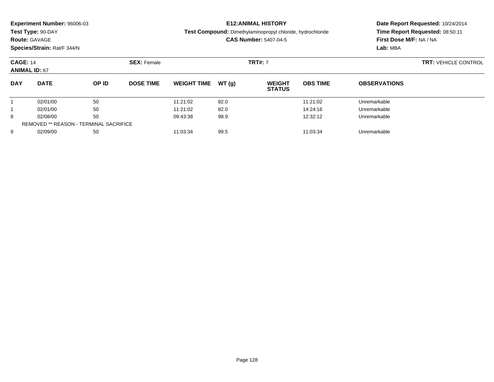| <b>Experiment Number: 96006-03</b> | <b>E12:ANIMAL HISTORY</b>                                  |  |
|------------------------------------|------------------------------------------------------------|--|
| Test Type: 90-DAY                  | Test Compound: Dimethylaminopropyl chloride, hydrochloride |  |
| <b>Route: GAVAGE</b>               | <b>CAS Number: 5407-04-5</b>                               |  |
| Species/Strain: Rat/F 344/N        |                                                            |  |

| <b>CAGE: 14</b><br><b>ANIMAL ID: 67</b> |                                               |       | <b>SEX: Female</b> |                    |       | <b>TRT#: 7</b>                 | <b>TRT: VEHICLE CONTROL</b> |                     |  |
|-----------------------------------------|-----------------------------------------------|-------|--------------------|--------------------|-------|--------------------------------|-----------------------------|---------------------|--|
| <b>DAY</b>                              | <b>DATE</b>                                   | OP ID | <b>DOSE TIME</b>   | <b>WEIGHT TIME</b> | WT(g) | <b>WEIGHT</b><br><b>STATUS</b> | <b>OBS TIME</b>             | <b>OBSERVATIONS</b> |  |
|                                         | 02/01/00                                      | 50    |                    | 11:21:02           | 82.0  |                                | 11:21:02                    | Unremarkable        |  |
|                                         | 02/01/00                                      | 50    |                    | 11:21:02           | 82.0  |                                | 14:24:16                    | Unremarkable        |  |
| 8                                       | 02/08/00                                      | 50    |                    | 09:43:38           | 98.9  |                                | 12:32:12                    | Unremarkable        |  |
|                                         | <b>REMOVED ** REASON - TERMINAL SACRIFICE</b> |       |                    |                    |       |                                |                             |                     |  |
| 9                                       | 02/09/00                                      | 50    |                    | 11:03:34           | 99.5  |                                | 11:03:34                    | Unremarkable        |  |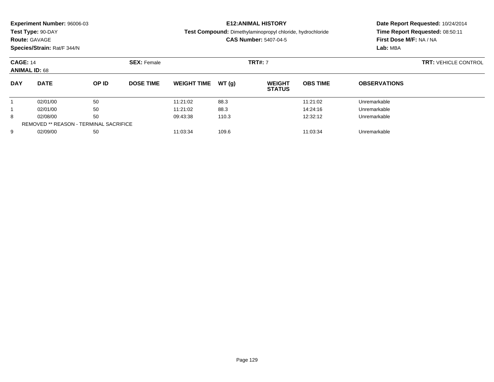| <b>Experiment Number: 96006-03</b> |
|------------------------------------|
|------------------------------------|

**Test Type:** 90-DAY

## **Route:** GAVAGE

**Species/Strain:** Rat/F 344/N

#### **E12:ANIMAL HISTORY**

**Test Compound:** Dimethylaminopropyl chloride, hydrochloride

**CAS Number:** 5407-04-5

|            | <b>CAGE: 14</b><br><b>ANIMAL ID: 68</b>       |       | <b>SEX: Female</b> |                    |       | <b>TRT#: 7</b>                 |                 |                     | <b>TRT: VEHICLE CONTROL</b> |
|------------|-----------------------------------------------|-------|--------------------|--------------------|-------|--------------------------------|-----------------|---------------------|-----------------------------|
| <b>DAY</b> | <b>DATE</b>                                   | OP ID | <b>DOSE TIME</b>   | <b>WEIGHT TIME</b> | WT(g) | <b>WEIGHT</b><br><b>STATUS</b> | <b>OBS TIME</b> | <b>OBSERVATIONS</b> |                             |
|            | 02/01/00                                      | 50    |                    | 11:21:02           | 88.3  |                                | 11:21:02        | Unremarkable        |                             |
|            | 02/01/00                                      | 50    |                    | 11:21:02           | 88.3  |                                | 14:24:16        | Unremarkable        |                             |
| 8          | 02/08/00                                      | 50    |                    | 09:43:38           | 110.3 |                                | 12:32:12        | Unremarkable        |                             |
|            | <b>REMOVED ** REASON - TERMINAL SACRIFICE</b> |       |                    |                    |       |                                |                 |                     |                             |
| 9          | 02/09/00                                      | 50    |                    | 11:03:34           | 109.6 |                                | 11:03:34        | Unremarkable        |                             |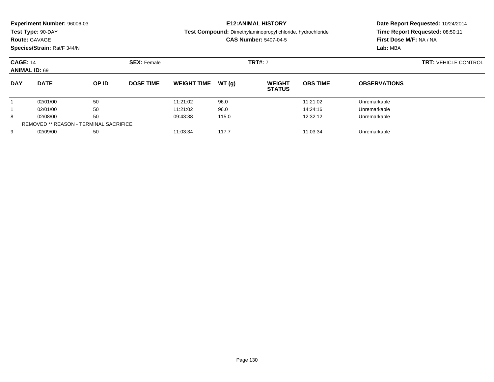**Test Type:** 90-DAY

## **Route:** GAVAGE

**Species/Strain:** Rat/F 344/N

#### **E12:ANIMAL HISTORY**

**Test Compound:** Dimethylaminopropyl chloride, hydrochloride

**CAS Number:** 5407-04-5

|            | <b>CAGE: 14</b><br><b>ANIMAL ID: 69</b>       |       | <b>SEX: Female</b> |                    |       | <b>TRT#: 7</b>                 | <b>TRT: VEHICLE CONTROL</b> |                     |  |
|------------|-----------------------------------------------|-------|--------------------|--------------------|-------|--------------------------------|-----------------------------|---------------------|--|
| <b>DAY</b> | <b>DATE</b>                                   | OP ID | <b>DOSE TIME</b>   | <b>WEIGHT TIME</b> | WT(g) | <b>WEIGHT</b><br><b>STATUS</b> | <b>OBS TIME</b>             | <b>OBSERVATIONS</b> |  |
|            | 02/01/00                                      | 50    |                    | 11:21:02           | 96.0  |                                | 11:21:02                    | Unremarkable        |  |
|            | 02/01/00                                      | 50    |                    | 11:21:02           | 96.0  |                                | 14:24:16                    | Unremarkable        |  |
| 8          | 02/08/00                                      | 50    |                    | 09:43:38           | 115.0 |                                | 12:32:12                    | Unremarkable        |  |
|            | <b>REMOVED ** REASON - TERMINAL SACRIFICE</b> |       |                    |                    |       |                                |                             |                     |  |
| 9          | 02/09/00                                      | 50    |                    | 11:03:34           | 117.7 |                                | 11:03:34                    | Unremarkable        |  |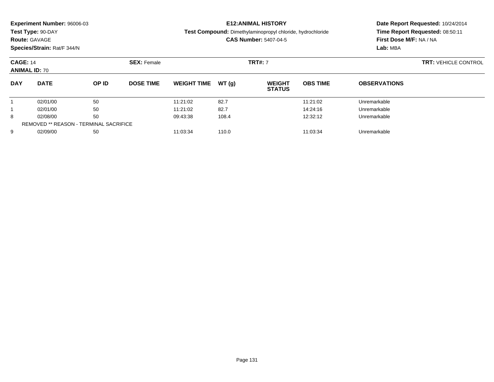| Experiment Number: 96006-03<br>Test Type: 90-DAY<br><b>Route: GAVAGE</b><br>Species/Strain: Rat/F 344/N |                      |                    |                  |                      |               | <b>E12: ANIMAL HISTORY</b><br><b>Test Compound:</b> Dimethylaminopropyl chloride, hydrochloride<br><b>CAS Number: 5407-04-5</b> | Date Report Requested: 10/24/2014<br>Time Report Requested: 08:50:11<br>First Dose M/F: NA / NA<br>Lab: MBA |                              |  |
|---------------------------------------------------------------------------------------------------------|----------------------|--------------------|------------------|----------------------|---------------|---------------------------------------------------------------------------------------------------------------------------------|-------------------------------------------------------------------------------------------------------------|------------------------------|--|
| <b>CAGE: 14</b><br><b>ANIMAL ID: 70</b>                                                                 |                      | <b>SEX: Female</b> | <b>TRT#: 7</b>   |                      |               |                                                                                                                                 | <b>TRT: VEHICLE CONTROL</b>                                                                                 |                              |  |
| <b>DAY</b>                                                                                              | <b>DATE</b>          | OP ID              | <b>DOSE TIME</b> | <b>WEIGHT TIME</b>   | WT(q)         | <b>WEIGHT</b><br><b>STATUS</b>                                                                                                  | <b>OBS TIME</b>                                                                                             | <b>OBSERVATIONS</b>          |  |
|                                                                                                         | 02/01/00             | 50                 |                  | 11:21:02             | 82.7          |                                                                                                                                 | 11:21:02                                                                                                    | Unremarkable                 |  |
| 8                                                                                                       | 02/01/00<br>02/08/00 | 50<br>50           |                  | 11:21:02<br>09:43:38 | 82.7<br>108.4 |                                                                                                                                 | 14:24:16<br>12:32:12                                                                                        | Unremarkable<br>Unremarkable |  |
|                                                                                                         |                      |                    |                  |                      |               |                                                                                                                                 |                                                                                                             |                              |  |

9 02/09/00 50 50 11:03:34 110.0 11:03:34 110.0 11:03:34 Unremarkable

REMOVED \*\* REASON - TERMINAL SACRIFICE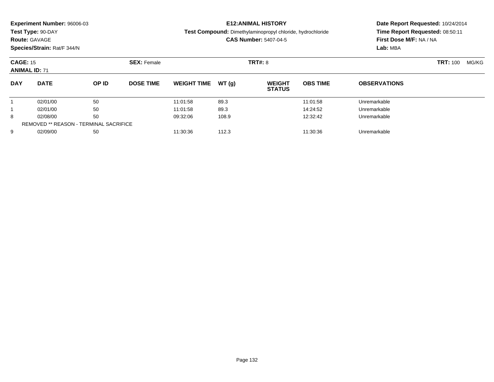|                                         | <b>Experiment Number: 96006-03</b><br>Test Type: 90-DAY<br><b>Route: GAVAGE</b><br>Species/Strain: Rat/F 344/N |       | <b>E12: ANIMAL HISTORY</b><br>Test Compound: Dimethylaminopropyl chloride, hydrochloride<br><b>CAS Number: 5407-04-5</b> |                    |       |                                | Date Report Requested: 10/24/2014<br>Time Report Requested: 08:50:11<br>First Dose M/F: NA / NA<br>Lab: MBA |                          |  |
|-----------------------------------------|----------------------------------------------------------------------------------------------------------------|-------|--------------------------------------------------------------------------------------------------------------------------|--------------------|-------|--------------------------------|-------------------------------------------------------------------------------------------------------------|--------------------------|--|
| <b>CAGE: 15</b><br><b>ANIMAL ID: 71</b> |                                                                                                                |       | <b>SEX: Female</b>                                                                                                       |                    |       | <b>TRT#: 8</b>                 |                                                                                                             | <b>TRT:</b> 100<br>MG/KG |  |
| <b>DAY</b>                              | <b>DATE</b>                                                                                                    | OP ID | <b>DOSE TIME</b>                                                                                                         | <b>WEIGHT TIME</b> | WT(q) | <b>WEIGHT</b><br><b>STATUS</b> | <b>OBS TIME</b>                                                                                             | <b>OBSERVATIONS</b>      |  |
|                                         | 02/01/00                                                                                                       | 50    |                                                                                                                          | 11:01:58           | 89.3  |                                | 11:01:58                                                                                                    | Unremarkable             |  |
|                                         | 02/01/00                                                                                                       | 50    |                                                                                                                          | 11:01:58           | 89.3  |                                | 14:24:52                                                                                                    | Unremarkable             |  |
| 8                                       | 02/08/00                                                                                                       | 50    |                                                                                                                          | 09:32:06           | 108.9 |                                | 12:32:42                                                                                                    | Unremarkable             |  |
|                                         | REMOVED ** REASON - TERMINAL SACRIFICE                                                                         |       |                                                                                                                          |                    |       |                                |                                                                                                             |                          |  |

9 02/09/00 50 50 11:30:36 112.3 12.3 11:30:36 Dnremarkable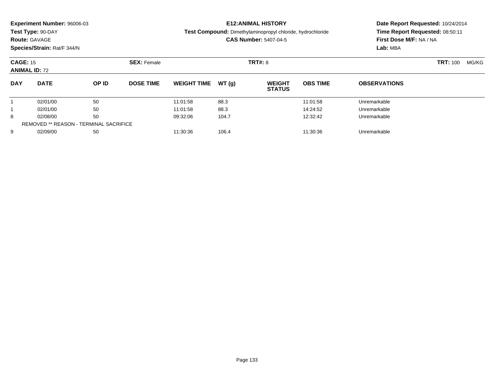| Experiment Number: 96006-03<br>Test Type: 90-DAY<br><b>Route: GAVAGE</b><br>Species/Strain: Rat/F 344/N |                                               |                    |                  | <b>E12:ANIMAL HISTORY</b><br>Test Compound: Dimethylaminopropyl chloride, hydrochloride<br><b>CAS Number: 5407-04-5</b> |                |                                |                 | Date Report Requested: 10/24/2014<br>Time Report Requested: 08:50:11<br>First Dose M/F: NA / NA<br>Lab: MBA |       |  |
|---------------------------------------------------------------------------------------------------------|-----------------------------------------------|--------------------|------------------|-------------------------------------------------------------------------------------------------------------------------|----------------|--------------------------------|-----------------|-------------------------------------------------------------------------------------------------------------|-------|--|
| <b>CAGE: 15</b><br><b>ANIMAL ID: 72</b>                                                                 |                                               | <b>SEX: Female</b> |                  |                                                                                                                         | <b>TRT#: 8</b> |                                | <b>TRT: 100</b> |                                                                                                             | MG/KG |  |
| <b>DAY</b>                                                                                              | <b>DATE</b>                                   | OP ID              | <b>DOSE TIME</b> | <b>WEIGHT TIME</b>                                                                                                      | WT(q)          | <b>WEIGHT</b><br><b>STATUS</b> | <b>OBS TIME</b> | <b>OBSERVATIONS</b>                                                                                         |       |  |
|                                                                                                         | 02/01/00                                      | 50                 |                  | 11:01:58                                                                                                                | 88.3           |                                | 11:01:58        | Unremarkable                                                                                                |       |  |
|                                                                                                         | 02/01/00                                      | 50                 |                  | 11:01:58                                                                                                                | 88.3           |                                | 14:24:52        | Unremarkable                                                                                                |       |  |
| 8                                                                                                       | 50<br>02/08/00                                |                    | 09:32:06         | 104.7                                                                                                                   |                | 12:32:42                       | Unremarkable    |                                                                                                             |       |  |
|                                                                                                         | <b>REMOVED ** REASON - TERMINAL SACRIFICE</b> |                    |                  |                                                                                                                         |                |                                |                 |                                                                                                             |       |  |

9 02/09/00 50 50 11:30:36 106.4 106.4 11:30:36 Dnremarkable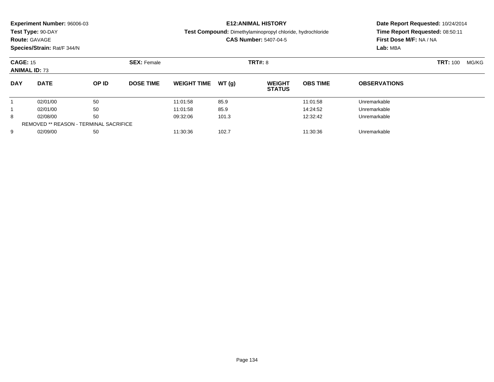| <b>Experiment Number: 96006-03</b><br>Test Type: 90-DAY<br><b>Route: GAVAGE</b><br>Species/Strain: Rat/F 344/N |             |       |                    | <b>E12:ANIMAL HISTORY</b><br><b>Test Compound:</b> Dimethylaminopropyl chloride, hydrochloride<br><b>CAS Number: 5407-04-5</b> |       |                                |                 | Date Report Requested: 10/24/2014<br>Time Report Requested: 08:50:11<br>First Dose M/F: NA / NA<br>Lab: MBA |  |  |
|----------------------------------------------------------------------------------------------------------------|-------------|-------|--------------------|--------------------------------------------------------------------------------------------------------------------------------|-------|--------------------------------|-----------------|-------------------------------------------------------------------------------------------------------------|--|--|
| <b>CAGE: 15</b><br><b>ANIMAL ID: 73</b>                                                                        |             |       | <b>SEX: Female</b> |                                                                                                                                |       | <b>TRT#: 8</b>                 |                 | <b>TRT:</b> 100<br>MG/KG                                                                                    |  |  |
| <b>DAY</b>                                                                                                     | <b>DATE</b> | OP ID | <b>DOSE TIME</b>   | <b>WEIGHT TIME</b>                                                                                                             | WT(a) | <b>WEIGHT</b><br><b>STATUS</b> | <b>OBS TIME</b> | <b>OBSERVATIONS</b>                                                                                         |  |  |
|                                                                                                                | 02/01/00    | 50    |                    | 11:01:58                                                                                                                       | 85.9  |                                | 11:01:58        | Unremarkable                                                                                                |  |  |
|                                                                                                                | 02/01/00    | 50    |                    | 11:01:58                                                                                                                       | 85.9  |                                | 14:24:52        | Unremarkable                                                                                                |  |  |
| 50<br>8<br>02/08/00                                                                                            |             |       | 09:32:06           | 101.3                                                                                                                          |       | 12:32:42                       | Unremarkable    |                                                                                                             |  |  |

9 02/09/00 50 50 11:30:36 102.7 102.7 11:30:36 102.7 11:30:36 Unremarkable

REMOVED \*\* REASON - TERMINAL SACRIFICE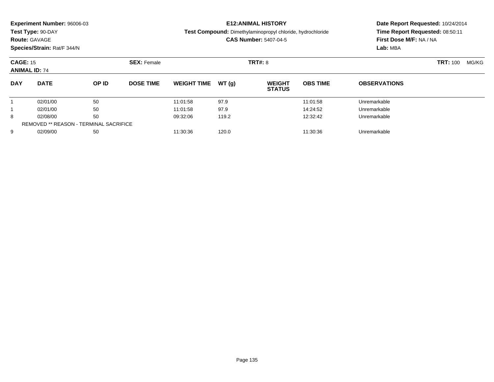|                                                                        | <b>Experiment Number: 96006-03</b><br>Test Type: 90-DAY<br><b>Route: GAVAGE</b> | <b>E12:ANIMAL HISTORY</b><br><b>Test Compound:</b> Dimethylaminopropyl chloride, hydrochloride<br><b>CAS Number: 5407-04-5</b> |                    |                    |          | Date Report Requested: 10/24/2014<br>Time Report Requested: 08:50:11<br>First Dose M/F: NA / NA<br>Lab: MBA |                 |                          |  |  |
|------------------------------------------------------------------------|---------------------------------------------------------------------------------|--------------------------------------------------------------------------------------------------------------------------------|--------------------|--------------------|----------|-------------------------------------------------------------------------------------------------------------|-----------------|--------------------------|--|--|
| Species/Strain: Rat/F 344/N<br><b>CAGE: 15</b><br><b>ANIMAL ID: 74</b> |                                                                                 |                                                                                                                                | <b>SEX: Female</b> | <b>TRT#: 8</b>     |          |                                                                                                             |                 | <b>TRT: 100</b><br>MG/KG |  |  |
| <b>DAY</b>                                                             | <b>DATE</b>                                                                     | OP ID                                                                                                                          | <b>DOSE TIME</b>   | <b>WEIGHT TIME</b> | WT (a)   | <b>WEIGHT</b><br><b>STATUS</b>                                                                              | <b>OBS TIME</b> | <b>OBSERVATIONS</b>      |  |  |
|                                                                        | 02/01/00                                                                        | 50                                                                                                                             |                    | 11:01:58           | 97.9     |                                                                                                             | 11:01:58        | Unremarkable             |  |  |
|                                                                        | 02/01/00                                                                        | 50                                                                                                                             |                    | 11:01:58           | 97.9     |                                                                                                             | 14:24:52        | Unremarkable             |  |  |
| 02/08/00<br>50<br>8                                                    |                                                                                 | 09:32:06                                                                                                                       | 119.2              |                    | 12:32:42 | Unremarkable                                                                                                |                 |                          |  |  |
|                                                                        |                                                                                 |                                                                                                                                |                    |                    |          |                                                                                                             |                 |                          |  |  |

9 02/09/00 50 50 11:30:36 120.0 120.0 120.0 11:30:36 Unremarkable

REMOVED \*\* REASON - TERMINAL SACRIFICE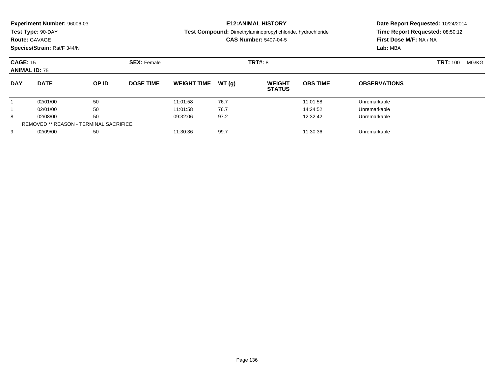| <b>Experiment Number: 96006-03</b><br>Test Type: 90-DAY<br><b>Route: GAVAGE</b><br>Species/Strain: Rat/F 344/N |                      |          |                                      | <b>E12:ANIMAL HISTORY</b><br>Test Compound: Dimethylaminopropyl chloride, hydrochloride<br><b>CAS Number: 5407-04-5</b> |              |                                |                      | Date Report Requested: 10/24/2014<br>Time Report Requested: 08:50:12<br>First Dose M/F: NA / NA<br>Lab: MBA |  |       |
|----------------------------------------------------------------------------------------------------------------|----------------------|----------|--------------------------------------|-------------------------------------------------------------------------------------------------------------------------|--------------|--------------------------------|----------------------|-------------------------------------------------------------------------------------------------------------|--|-------|
| <b>CAGE: 15</b><br><b>ANIMAL ID: 75</b>                                                                        |                      |          | <b>TRT#: 8</b><br><b>SEX: Female</b> |                                                                                                                         |              |                                | <b>TRT: 100</b>      |                                                                                                             |  | MG/KG |
| <b>DAY</b>                                                                                                     | <b>DATE</b>          | OP ID    | <b>DOSE TIME</b>                     | <b>WEIGHT TIME</b>                                                                                                      | WT (q)       | <b>WEIGHT</b><br><b>STATUS</b> | <b>OBS TIME</b>      | <b>OBSERVATIONS</b>                                                                                         |  |       |
|                                                                                                                | 02/01/00<br>02/01/00 | 50<br>50 |                                      | 11:01:58<br>11:01:58                                                                                                    | 76.7<br>76.7 |                                | 11:01:58<br>14:24:52 | Unremarkable<br>Unremarkable                                                                                |  |       |
|                                                                                                                |                      |          |                                      |                                                                                                                         |              |                                |                      |                                                                                                             |  |       |

8 02/08/00 50 50 09:32:06 97.2 12:32:42 Unremarkable

9 02/09/00 50 50 11:30:36 99.7 11:30:36 11:30:36 Dnremarkable

8

9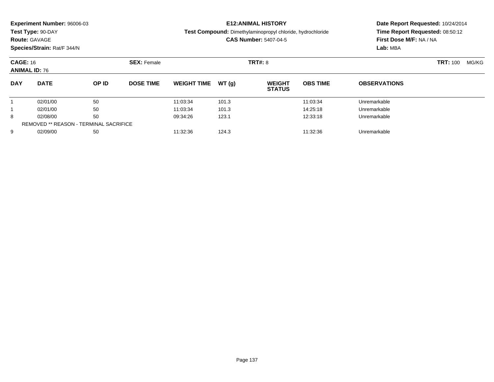|                                         | <b>Experiment Number: 96006-03</b><br>Test Type: 90-DAY<br><b>Route: GAVAGE</b><br>Species/Strain: Rat/F 344/N |       |                    |                     |       | <b>E12:ANIMAL HISTORY</b><br>Test Compound: Dimethylaminopropyl chloride, hydrochloride<br><b>CAS Number: 5407-04-5</b> | Date Report Requested: 10/24/2014<br>Time Report Requested: 08:50:12<br>First Dose M/F: NA / NA<br>Lab: MBA |                     |  |
|-----------------------------------------|----------------------------------------------------------------------------------------------------------------|-------|--------------------|---------------------|-------|-------------------------------------------------------------------------------------------------------------------------|-------------------------------------------------------------------------------------------------------------|---------------------|--|
| <b>CAGE: 16</b><br><b>ANIMAL ID: 76</b> |                                                                                                                |       | <b>SEX: Female</b> |                     |       | <b>TRT#: 8</b>                                                                                                          |                                                                                                             | <b>TRT: 100</b>     |  |
| <b>DAY</b>                              | <b>DATE</b>                                                                                                    | OP ID | <b>DOSE TIME</b>   | WEIGHT TIME $WT(q)$ |       | <b>WEIGHT</b><br><b>STATUS</b>                                                                                          | <b>OBS TIME</b>                                                                                             | <b>OBSERVATIONS</b> |  |
|                                         | 02/01/00                                                                                                       | 50    |                    | 11:03:34            | 101.3 |                                                                                                                         | 11:03:34                                                                                                    | Unremarkable        |  |

٠

1 02/01/00 50 50 11:03:34 101.3 101.3 14:25:18 Unremarkable

8 02/08/00 50 50 09:34:26 123.1 12:33:18 Dhremarkable

02/09/00 <sup>50</sup> 11:32:36 124.3 11:32:36 Unremarkable

1

8

9

REMOVED \*\* REASON - TERMINAL SACRIFICE

Page 137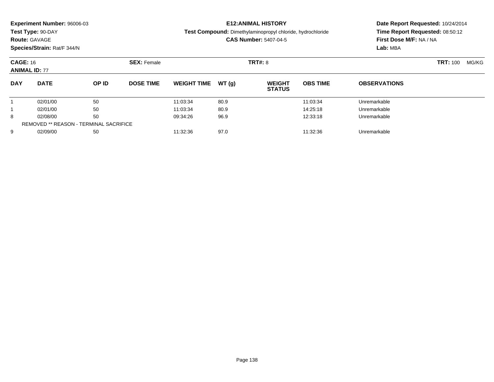|                                         | <b>Experiment Number: 96006-03</b><br>Test Type: 90-DAY<br><b>Route: GAVAGE</b><br>Species/Strain: Rat/F 344/N | <b>E12:ANIMAL HISTORY</b><br><b>Test Compound:</b> Dimethylaminopropyl chloride, hydrochloride<br><b>CAS Number: 5407-04-5</b> |                    |                    |       | Date Report Requested: 10/24/2014<br>Time Report Requested: 08:50:12<br>First Dose M/F: NA / NA<br>Lab: MBA |                 |                     |       |
|-----------------------------------------|----------------------------------------------------------------------------------------------------------------|--------------------------------------------------------------------------------------------------------------------------------|--------------------|--------------------|-------|-------------------------------------------------------------------------------------------------------------|-----------------|---------------------|-------|
| <b>CAGE: 16</b><br><b>ANIMAL ID: 77</b> |                                                                                                                |                                                                                                                                | <b>SEX: Female</b> | <b>TRT#: 8</b>     |       |                                                                                                             |                 | <b>TRT:</b> 100     | MG/KG |
| <b>DAY</b>                              | <b>DATE</b>                                                                                                    | OP ID                                                                                                                          | <b>DOSE TIME</b>   | <b>WEIGHT TIME</b> | WT(a) | <b>WEIGHT</b><br><b>STATUS</b>                                                                              | <b>OBS TIME</b> | <b>OBSERVATIONS</b> |       |
|                                         | 02/01/00                                                                                                       | 50                                                                                                                             |                    | 11:03:34           | 80.9  |                                                                                                             | 11:03:34        | Unremarkable        |       |
|                                         | 02/01/00                                                                                                       | 50                                                                                                                             |                    | 11:03:34           | 80.9  |                                                                                                             | 14:25:18        | Unremarkable        |       |
| 8                                       | 02/08/00                                                                                                       | 50                                                                                                                             |                    | 09:34:26           | 96.9  |                                                                                                             | 12:33:18        | Unremarkable        |       |
|                                         |                                                                                                                |                                                                                                                                |                    |                    |       |                                                                                                             |                 |                     |       |

02/09/00 <sup>50</sup> 11:32:36 97.0 11:32:36 Unremarkable

REMOVED \*\* REASON - TERMINAL SACRIFICE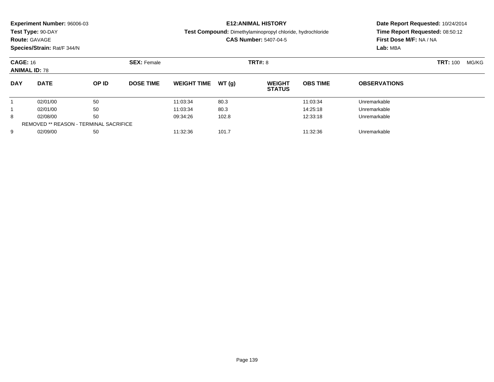| Experiment Number: 96006-03<br>Test Type: 90-DAY<br><b>Route: GAVAGE</b><br>Species/Strain: Rat/F 344/N |                                  |                |                    |                                  |                       | <b>E12: ANIMAL HISTORY</b><br><b>Test Compound:</b> Dimethylaminopropyl chloride, hydrochloride<br><b>CAS Number: 5407-04-5</b> | Date Report Requested: 10/24/2014<br>Time Report Requested: 08:50:12<br>First Dose M/F: NA / NA<br>Lab: MBA |                                              |  |
|---------------------------------------------------------------------------------------------------------|----------------------------------|----------------|--------------------|----------------------------------|-----------------------|---------------------------------------------------------------------------------------------------------------------------------|-------------------------------------------------------------------------------------------------------------|----------------------------------------------|--|
| <b>CAGE: 16</b><br><b>ANIMAL ID: 78</b>                                                                 |                                  |                | <b>SEX: Female</b> |                                  |                       | TRT#: 8                                                                                                                         |                                                                                                             | <b>TRT:</b> 100<br>MG/KG                     |  |
| <b>DAY</b>                                                                                              | <b>DATE</b>                      | OP ID          | <b>DOSE TIME</b>   | <b>WEIGHT TIME</b>               | WT(q)                 | <b>WEIGHT</b><br><b>STATUS</b>                                                                                                  | <b>OBS TIME</b>                                                                                             | <b>OBSERVATIONS</b>                          |  |
| 8                                                                                                       | 02/01/00<br>02/01/00<br>02/08/00 | 50<br>50<br>50 |                    | 11:03:34<br>11:03:34<br>09:34:26 | 80.3<br>80.3<br>102.8 |                                                                                                                                 | 11:03:34<br>14:25:18<br>12:33:18                                                                            | Unremarkable<br>Unremarkable<br>Unremarkable |  |

9 02/09/00 50 50 11:32:36 101.7 101.7 11:32:36 Dhremarkable

REMOVED \*\* REASON - TERMINAL SACRIFICE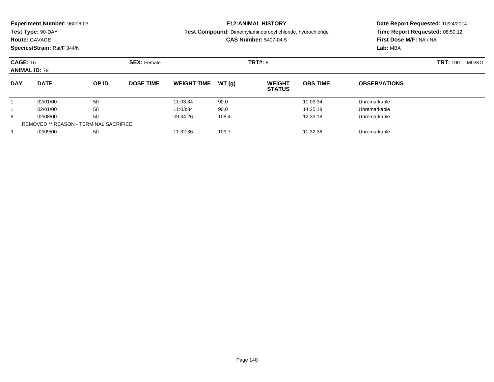| Experiment Number: 96006-03<br>Test Type: 90-DAY<br><b>Route: GAVAGE</b><br>Species/Strain: Rat/F 344/N |                                               |       |                    |                    |       | <b>E12:ANIMAL HISTORY</b><br>Test Compound: Dimethylaminopropyl chloride, hydrochloride<br><b>CAS Number: 5407-04-5</b> | Date Report Requested: 10/24/2014<br>Time Report Requested: 08:50:12<br>First Dose M/F: NA / NA<br>Lab: MBA |                     |  |       |
|---------------------------------------------------------------------------------------------------------|-----------------------------------------------|-------|--------------------|--------------------|-------|-------------------------------------------------------------------------------------------------------------------------|-------------------------------------------------------------------------------------------------------------|---------------------|--|-------|
| <b>CAGE: 16</b><br><b>ANIMAL ID: 79</b>                                                                 |                                               |       | <b>SEX: Female</b> |                    |       | <b>TRT#: 8</b>                                                                                                          |                                                                                                             | <b>TRT: 100</b>     |  | MG/KG |
| <b>DAY</b>                                                                                              | <b>DATE</b>                                   | OP ID | <b>DOSE TIME</b>   | <b>WEIGHT TIME</b> | WT(q) | <b>WEIGHT</b><br><b>STATUS</b>                                                                                          | <b>OBS TIME</b>                                                                                             | <b>OBSERVATIONS</b> |  |       |
|                                                                                                         | 02/01/00                                      | 50    |                    | 11:03:34           | 90.0  |                                                                                                                         | 11:03:34                                                                                                    | Unremarkable        |  |       |
|                                                                                                         | 02/01/00                                      | 50    |                    | 11:03:34           | 90.0  |                                                                                                                         | 14:25:18                                                                                                    | Unremarkable        |  |       |
| 8                                                                                                       | 02/08/00                                      | 50    |                    | 09:34:26           | 108.4 |                                                                                                                         | 12:33:18                                                                                                    | Unremarkable        |  |       |
|                                                                                                         | <b>REMOVED ** REASON - TERMINAL SACRIFICE</b> |       |                    |                    |       |                                                                                                                         |                                                                                                             |                     |  |       |

9 02/09/00 50 50 11:32:36 109.7 109.7 11:32:36 109.7 11:32:36 Unremarkable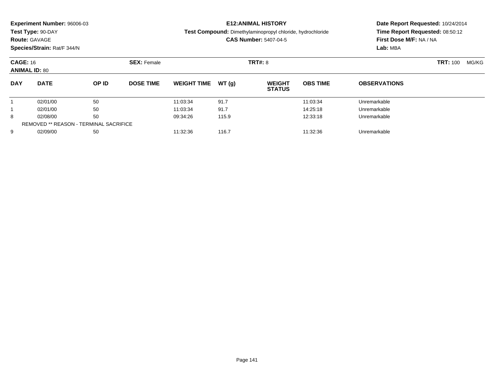|                                       | <b>Experiment Number: 96006-03</b> |       |                  |                                                            |                | <b>E12:ANIMAL HISTORY</b>      | Date Report Requested: 10/24/2014 |                                 |  |  |
|---------------------------------------|------------------------------------|-------|------------------|------------------------------------------------------------|----------------|--------------------------------|-----------------------------------|---------------------------------|--|--|
|                                       | Test Type: 90-DAY                  |       |                  | Test Compound: Dimethylaminopropyl chloride, hydrochloride |                |                                |                                   | Time Report Requested: 08:50:12 |  |  |
|                                       | <b>Route: GAVAGE</b>               |       |                  |                                                            |                | <b>CAS Number: 5407-04-5</b>   |                                   | First Dose M/F: NA / NA         |  |  |
|                                       | Species/Strain: Rat/F 344/N        |       |                  |                                                            |                |                                |                                   | Lab: MBA                        |  |  |
| <b>CAGE: 16</b><br><b>SEX: Female</b> |                                    |       |                  |                                                            | <b>TRT#: 8</b> |                                | <b>TRT: 100</b>                   | MG/KG                           |  |  |
| <b>ANIMAL ID: 80</b>                  |                                    |       |                  |                                                            |                |                                |                                   |                                 |  |  |
| <b>DAY</b>                            | <b>DATE</b>                        | OP ID | <b>DOSE TIME</b> | <b>WEIGHT TIME</b>                                         | WT(q)          | <b>WEIGHT</b><br><b>STATUS</b> | <b>OBS TIME</b>                   | <b>OBSERVATIONS</b>             |  |  |
|                                       | 02/01/00                           | 50    |                  | 11:03:34                                                   | 91.7           |                                | 11:03:34                          | Unremarkable                    |  |  |
|                                       | 02/01/00                           | 50    |                  | 11:03:34                                                   | 91.7           |                                | 14:25:18                          | Unremarkable                    |  |  |
| 8                                     | 02/08/00                           | 50    |                  | 09:34:26                                                   | 115.9          |                                | 12:33:18                          | Unremarkable                    |  |  |

8 02/08/00 50 50 09:34:26 115.9 12:33:18 Unremarkable

9 02/09/00 50 50 11:32:36 116.7 116.7 11:32:36 116.7 11:32:36 Unremarkable

REMOVED \*\* REASON - TERMINAL SACRIFICE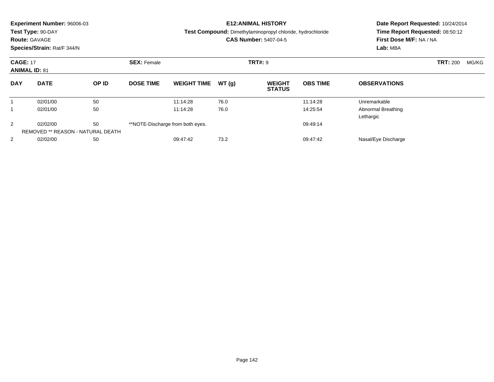| Experiment Number: 96006-03<br>Test Type: 90-DAY<br><b>Route: GAVAGE</b><br>Species/Strain: Rat/F 344/N |             |                                         |                    |                                  |                | <b>E12: ANIMAL HISTORY</b><br><b>Test Compound:</b> Dimethylaminopropyl chloride, hydrochloride<br><b>CAS Number: 5407-04-5</b> | Date Report Requested: 10/24/2014<br>Time Report Requested: 08:50:12<br>First Dose M/F: NA / NA<br>Lab: MBA |                                        |                 |       |
|---------------------------------------------------------------------------------------------------------|-------------|-----------------------------------------|--------------------|----------------------------------|----------------|---------------------------------------------------------------------------------------------------------------------------------|-------------------------------------------------------------------------------------------------------------|----------------------------------------|-----------------|-------|
| <b>CAGE: 17</b><br><b>ANIMAL ID: 81</b>                                                                 |             |                                         | <b>SEX: Female</b> |                                  | <b>TRT#: 9</b> |                                                                                                                                 |                                                                                                             |                                        | <b>TRT: 200</b> | MG/KG |
| <b>DAY</b>                                                                                              | <b>DATE</b> | OP ID                                   | <b>DOSE TIME</b>   | <b>WEIGHT TIME</b>               | WT(g)          | <b>WEIGHT</b><br><b>STATUS</b>                                                                                                  | <b>OBS TIME</b>                                                                                             | <b>OBSERVATIONS</b>                    |                 |       |
| 1                                                                                                       | 02/01/00    | 50                                      |                    | 11:14:28                         | 76.0           |                                                                                                                                 | 11:14:28                                                                                                    | Unremarkable                           |                 |       |
|                                                                                                         | 02/01/00    | 50                                      |                    | 11:14:28                         | 76.0           |                                                                                                                                 | 14:25:54                                                                                                    | <b>Abnormal Breathing</b><br>Lethargic |                 |       |
| 2                                                                                                       | 02/02/00    | 50<br>REMOVED ** REASON - NATURAL DEATH |                    | **NOTE-Discharge from both eyes. |                |                                                                                                                                 | 09:49:14                                                                                                    |                                        |                 |       |
| 2                                                                                                       | 02/02/00    | 50                                      |                    | 09:47:42                         | 73.2           |                                                                                                                                 | 09:47:42                                                                                                    | Nasal/Eye Discharge                    |                 |       |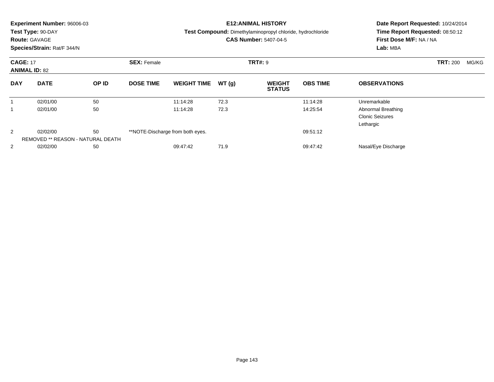|                                         | <b>Experiment Number: 96006-03</b><br>Test Type: 90-DAY<br><b>Route: GAVAGE</b><br>Species/Strain: Rat/F 344/N |       |                    |                                  |                | <b>E12:ANIMAL HISTORY</b><br>Test Compound: Dimethylaminopropyl chloride, hydrochloride<br><b>CAS Number: 5407-04-5</b> | Date Report Requested: 10/24/2014<br>Time Report Requested: 08:50:12<br>First Dose M/F: NA / NA<br>Lab: MBA |                                                           |                          |
|-----------------------------------------|----------------------------------------------------------------------------------------------------------------|-------|--------------------|----------------------------------|----------------|-------------------------------------------------------------------------------------------------------------------------|-------------------------------------------------------------------------------------------------------------|-----------------------------------------------------------|--------------------------|
| <b>CAGE: 17</b><br><b>ANIMAL ID: 82</b> |                                                                                                                |       | <b>SEX: Female</b> |                                  | <b>TRT#: 9</b> |                                                                                                                         |                                                                                                             |                                                           | <b>TRT: 200</b><br>MG/KG |
| <b>DAY</b>                              | <b>DATE</b>                                                                                                    | OP ID | <b>DOSE TIME</b>   | <b>WEIGHT TIME</b>               | WT(g)          | <b>WEIGHT</b><br><b>STATUS</b>                                                                                          | <b>OBS TIME</b>                                                                                             | <b>OBSERVATIONS</b>                                       |                          |
|                                         | 02/01/00                                                                                                       | 50    |                    | 11:14:28                         | 72.3           |                                                                                                                         | 11:14:28                                                                                                    | Unremarkable                                              |                          |
| 1                                       | 02/01/00                                                                                                       | 50    |                    | 11:14:28                         | 72.3           |                                                                                                                         | 14:25:54                                                                                                    | Abnormal Breathing<br><b>Clonic Seizures</b><br>Lethargic |                          |
| 2                                       | 02/02/00                                                                                                       | 50    |                    | **NOTE-Discharge from both eyes. |                |                                                                                                                         | 09:51:12                                                                                                    |                                                           |                          |
|                                         | REMOVED ** REASON - NATURAL DEATH                                                                              |       |                    |                                  |                |                                                                                                                         |                                                                                                             |                                                           |                          |
| 2                                       | 02/02/00                                                                                                       | 50    |                    | 09:47:42                         | 71.9           |                                                                                                                         | 09:47:42                                                                                                    | Nasal/Eye Discharge                                       |                          |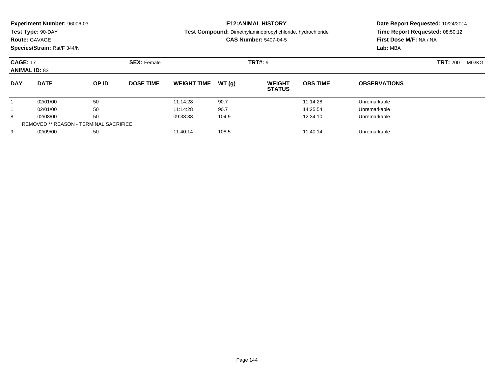| Experiment Number: 96006-03<br>Test Type: 90-DAY<br><b>Route: GAVAGE</b><br>Species/Strain: Rat/F 344/N |                      |          |                    | <b>E12: ANIMAL HISTORY</b><br><b>Test Compound:</b> Dimethylaminopropyl chloride, hydrochloride<br><b>CAS Number: 5407-04-5</b> |               |                                |                      | Date Report Requested: 10/24/2014<br>Time Report Requested: 08:50:12<br>First Dose M/F: NA / NA<br>Lab: MBA |       |  |
|---------------------------------------------------------------------------------------------------------|----------------------|----------|--------------------|---------------------------------------------------------------------------------------------------------------------------------|---------------|--------------------------------|----------------------|-------------------------------------------------------------------------------------------------------------|-------|--|
| <b>CAGE: 17</b><br><b>ANIMAL ID: 83</b>                                                                 |                      |          | <b>SEX: Female</b> |                                                                                                                                 |               | TRT#: 9                        |                      | <b>TRT: 200</b>                                                                                             | MG/KG |  |
| <b>DAY</b>                                                                                              | <b>DATE</b>          | OP ID    | <b>DOSE TIME</b>   | <b>WEIGHT TIME</b>                                                                                                              | WT(q)         | <b>WEIGHT</b><br><b>STATUS</b> | <b>OBS TIME</b>      | <b>OBSERVATIONS</b>                                                                                         |       |  |
|                                                                                                         | 02/01/00             | 50       |                    | 11:14:28                                                                                                                        | 90.7          |                                | 11:14:28             | Unremarkable                                                                                                |       |  |
| 8                                                                                                       | 02/01/00<br>02/08/00 | 50<br>50 |                    | 11:14:28<br>09:38:38                                                                                                            | 90.7<br>104.9 |                                | 14:25:54<br>12:34:10 | Unremarkable<br>Unremarkable                                                                                |       |  |
|                                                                                                         |                      |          |                    |                                                                                                                                 |               |                                |                      |                                                                                                             |       |  |

9 02/09/00 50 50 11:40:14 108.5 11:40:00 11:40:14 Dhremarkable

REMOVED \*\* REASON - TERMINAL SACRIFICE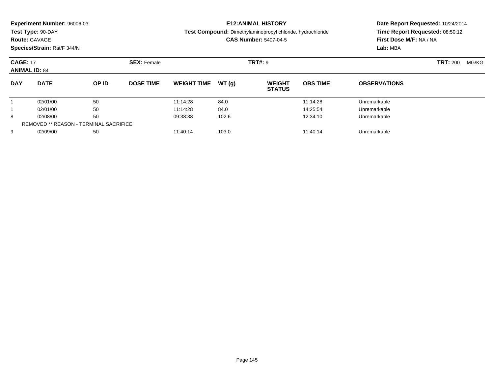| <b>Route: GAVAGE</b>                    | <b>Experiment Number: 96006-03</b><br>Test Type: 90-DAY<br>Species/Strain: Rat/F 344/N |                               |                  | <b>E12: ANIMAL HISTORY</b><br><b>Test Compound:</b> Dimethylaminopropyl chloride, hydrochloride<br><b>CAS Number: 5407-04-5</b> |       |                                |                 | Date Report Requested: 10/24/2014<br>Time Report Requested: 08:50:12<br>First Dose M/F: NA / NA<br>Lab: MBA |  |  |
|-----------------------------------------|----------------------------------------------------------------------------------------|-------------------------------|------------------|---------------------------------------------------------------------------------------------------------------------------------|-------|--------------------------------|-----------------|-------------------------------------------------------------------------------------------------------------|--|--|
| <b>CAGE: 17</b><br><b>ANIMAL ID: 84</b> |                                                                                        | TRT#: 9<br><b>SEX: Female</b> |                  |                                                                                                                                 |       |                                | <b>TRT: 200</b> | MG/KG                                                                                                       |  |  |
| <b>DAY</b>                              | <b>DATE</b>                                                                            | OP ID                         | <b>DOSE TIME</b> | <b>WEIGHT TIME</b>                                                                                                              | WT(q) | <b>WEIGHT</b><br><b>STATUS</b> | <b>OBS TIME</b> | <b>OBSERVATIONS</b>                                                                                         |  |  |
|                                         | 02/01/00                                                                               | 50                            |                  | 11:14:28                                                                                                                        | 84.0  |                                | 11:14:28        | Unremarkable                                                                                                |  |  |
|                                         | 02/01/00                                                                               | 50                            |                  | 11:14:28                                                                                                                        | 84.0  |                                | 14:25:54        | Unremarkable                                                                                                |  |  |
| 8                                       | 02/08/00                                                                               | 50                            |                  | 09:38:38                                                                                                                        | 102.6 |                                | 12:34:10        | Unremarkable                                                                                                |  |  |

9 02/09/00 50 50 11:40:14 103.0 103.0 11:40:14 103.0

REMOVED \*\* REASON - TERMINAL SACRIFICE

9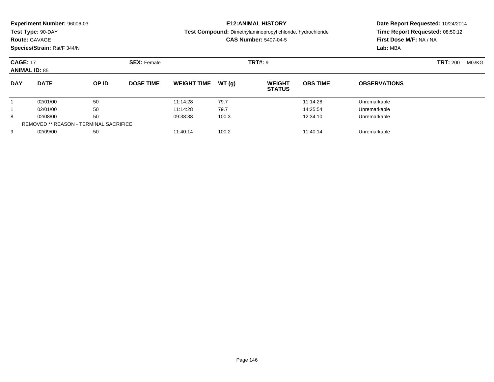| <b>Route: GAVAGE</b>                    | Experiment Number: 96006-03<br>Test Type: 90-DAY<br>Species/Strain: Rat/F 344/N |              |                    | <b>E12: ANIMAL HISTORY</b><br><b>Test Compound:</b> Dimethylaminopropyl chloride, hydrochloride<br><b>CAS Number: 5407-04-5</b> |       |                                |                 | Date Report Requested: 10/24/2014<br>Time Report Requested: 08:50:12<br>First Dose M/F: NA / NA<br>Lab: MBA |  |  |
|-----------------------------------------|---------------------------------------------------------------------------------|--------------|--------------------|---------------------------------------------------------------------------------------------------------------------------------|-------|--------------------------------|-----------------|-------------------------------------------------------------------------------------------------------------|--|--|
| <b>CAGE: 17</b><br><b>ANIMAL ID: 85</b> |                                                                                 |              | <b>SEX: Female</b> |                                                                                                                                 |       | <b>TRT#: 9</b>                 |                 | <b>TRT: 200</b><br>MG/KG                                                                                    |  |  |
| <b>DAY</b>                              | <b>DATE</b>                                                                     | <b>OP ID</b> | <b>DOSE TIME</b>   | <b>WEIGHT TIME</b>                                                                                                              | WT(q) | <b>WEIGHT</b><br><b>STATUS</b> | <b>OBS TIME</b> | <b>OBSERVATIONS</b>                                                                                         |  |  |
|                                         | 02/01/00                                                                        | 50           |                    | 11:14:28                                                                                                                        | 79.7  |                                | 11:14:28        | Unremarkable                                                                                                |  |  |
|                                         | 02/01/00                                                                        | 50           |                    | 11:14:28                                                                                                                        | 79.7  |                                | 14:25:54        | Unremarkable                                                                                                |  |  |
| 8                                       | 02/08/00                                                                        | 50           |                    | 09:38:38                                                                                                                        | 100.3 |                                | 12:34:10        | Unremarkable                                                                                                |  |  |

9 02/09/00 50 50 11:40:14 100.2 100.2 11:40:14 100.2

REMOVED \*\* REASON - TERMINAL SACRIFICE

9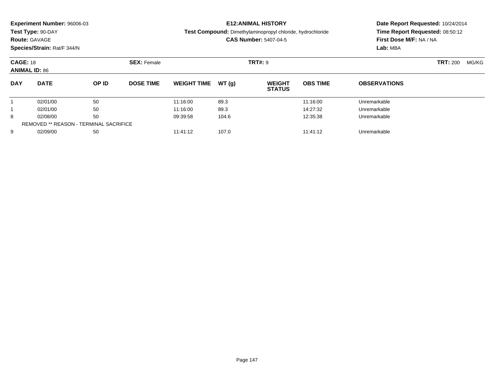|                                         | <b>Experiment Number: 96006-03</b><br>Test Type: 90-DAY<br><b>Route: GAVAGE</b><br>Species/Strain: Rat/F 344/N |          | <b>E12:ANIMAL HISTORY</b><br>Test Compound: Dimethylaminopropyl chloride, hydrochloride<br><b>CAS Number: 5407-04-5</b> |                      |              |                                | Date Report Requested: 10/24/2014<br>Time Report Requested: 08:50:12<br>First Dose M/F: NA / NA<br>Lab: MBA |                              |                 |       |
|-----------------------------------------|----------------------------------------------------------------------------------------------------------------|----------|-------------------------------------------------------------------------------------------------------------------------|----------------------|--------------|--------------------------------|-------------------------------------------------------------------------------------------------------------|------------------------------|-----------------|-------|
| <b>CAGE: 18</b><br><b>ANIMAL ID: 86</b> |                                                                                                                |          | <b>SEX: Female</b>                                                                                                      | <b>TRT#: 9</b>       |              |                                |                                                                                                             |                              | <b>TRT: 200</b> | MG/KG |
| <b>DAY</b>                              | <b>DATE</b>                                                                                                    | OP ID    | <b>DOSE TIME</b>                                                                                                        | <b>WEIGHT TIME</b>   | WT (a)       | <b>WEIGHT</b><br><b>STATUS</b> | <b>OBS TIME</b>                                                                                             | <b>OBSERVATIONS</b>          |                 |       |
|                                         | 02/01/00<br>02/01/00                                                                                           | 50<br>50 |                                                                                                                         | 11:16:00<br>11:16:00 | 89.3<br>89.3 |                                | 11:16:00<br>14:27:32                                                                                        | Unremarkable<br>Unremarkable |                 |       |
|                                         |                                                                                                                |          |                                                                                                                         |                      |              |                                |                                                                                                             |                              |                 |       |

8 02/08/00 50 50 09:39:58 104.6 12:35:38 Unremarkable

9 02/09/00 50 50 11:41:12 107.0 11:40 107.0 11:41:12 Unremarkable

8

9

REMOVED \*\* REASON - TERMINAL SACRIFICE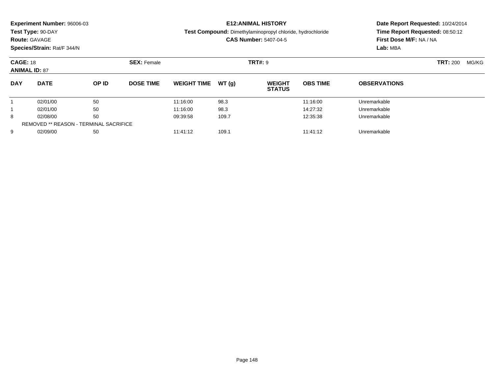| <b>Route: GAVAGE</b>                    | Experiment Number: 96006-03<br>Test Type: 90-DAY<br>Species/Strain: Rat/F 344/N |                | <b>E12: ANIMAL HISTORY</b><br><b>Test Compound:</b> Dimethylaminopropyl chloride, hydrochloride<br><b>CAS Number: 5407-04-5</b> |                                  |                       |                                | Date Report Requested: 10/24/2014<br>Time Report Requested: 08:50:12<br>First Dose M/F: NA / NA<br>Lab: MBA |                                              |  |
|-----------------------------------------|---------------------------------------------------------------------------------|----------------|---------------------------------------------------------------------------------------------------------------------------------|----------------------------------|-----------------------|--------------------------------|-------------------------------------------------------------------------------------------------------------|----------------------------------------------|--|
| <b>CAGE: 18</b><br><b>ANIMAL ID: 87</b> |                                                                                 |                | <b>SEX: Female</b>                                                                                                              |                                  |                       | <b>TRT#: 9</b>                 |                                                                                                             | <b>TRT: 200</b><br>MG/KG                     |  |
| <b>DAY</b>                              | <b>DATE</b>                                                                     | OP ID          | <b>DOSE TIME</b>                                                                                                                | <b>WEIGHT TIME</b>               | WT(q)                 | <b>WEIGHT</b><br><b>STATUS</b> | <b>OBS TIME</b>                                                                                             | <b>OBSERVATIONS</b>                          |  |
| 8                                       | 02/01/00<br>02/01/00<br>02/08/00                                                | 50<br>50<br>50 |                                                                                                                                 | 11:16:00<br>11:16:00<br>09:39:58 | 98.3<br>98.3<br>109.7 |                                | 11:16:00<br>14:27:32<br>12:35:38                                                                            | Unremarkable<br>Unremarkable<br>Unremarkable |  |

9 02/09/00 50 50 11:41:12 109.1 109.1 11:41:12 Dhremarkable

REMOVED \*\* REASON - TERMINAL SACRIFICE

9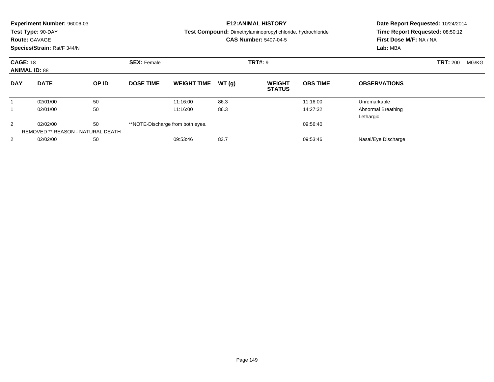|                                         | Experiment Number: 96006-03<br>Test Type: 90-DAY<br><b>Route: GAVAGE</b><br>Species/Strain: Rat/F 344/N |       |                                      |                                              |       | <b>E12: ANIMAL HISTORY</b><br><b>Test Compound:</b> Dimethylaminopropyl chloride, hydrochloride<br><b>CAS Number: 5407-04-5</b> | Date Report Requested: 10/24/2014<br>Time Report Requested: 08:50:12<br>First Dose M/F: NA / NA<br>Lab: MBA |                                        |  |  |
|-----------------------------------------|---------------------------------------------------------------------------------------------------------|-------|--------------------------------------|----------------------------------------------|-------|---------------------------------------------------------------------------------------------------------------------------------|-------------------------------------------------------------------------------------------------------------|----------------------------------------|--|--|
| <b>CAGE: 18</b><br><b>ANIMAL ID: 88</b> |                                                                                                         |       | <b>TRT#: 9</b><br><b>SEX: Female</b> |                                              |       |                                                                                                                                 |                                                                                                             | <b>TRT: 200</b><br>MG/KG               |  |  |
| <b>DAY</b>                              | <b>DATE</b>                                                                                             | OP ID | <b>DOSE TIME</b>                     | <b>WEIGHT TIME</b>                           | WT(g) | <b>WEIGHT</b><br><b>STATUS</b>                                                                                                  | <b>OBS TIME</b>                                                                                             | <b>OBSERVATIONS</b>                    |  |  |
| 1                                       | 02/01/00                                                                                                | 50    |                                      | 11:16:00                                     | 86.3  |                                                                                                                                 | 11:16:00                                                                                                    | Unremarkable                           |  |  |
|                                         | 02/01/00                                                                                                | 50    |                                      | 11:16:00                                     | 86.3  |                                                                                                                                 | 14:27:32                                                                                                    | <b>Abnormal Breathing</b><br>Lethargic |  |  |
| 2                                       | 50<br>02/02/00<br>REMOVED ** REASON - NATURAL DEATH                                                     |       |                                      | **NOTE-Discharge from both eyes.<br>09:56:40 |       |                                                                                                                                 |                                                                                                             |                                        |  |  |
| 2                                       | 02/02/00                                                                                                | 50    |                                      | 09:53:46                                     | 83.7  |                                                                                                                                 | 09:53:46                                                                                                    | Nasal/Eye Discharge                    |  |  |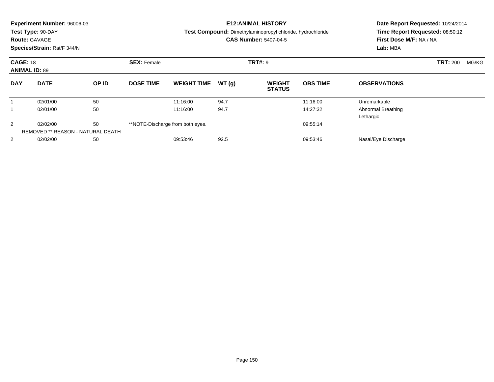|                                         | Experiment Number: 96006-03<br>Test Type: 90-DAY<br><b>Route: GAVAGE</b><br>Species/Strain: Rat/F 344/N |       |                    |                                  |       | <b>E12: ANIMAL HISTORY</b><br><b>Test Compound:</b> Dimethylaminopropyl chloride, hydrochloride<br><b>CAS Number: 5407-04-5</b> | Date Report Requested: 10/24/2014<br>Time Report Requested: 08:50:12<br>First Dose M/F: NA / NA<br>Lab: MBA |                                 |  |  |
|-----------------------------------------|---------------------------------------------------------------------------------------------------------|-------|--------------------|----------------------------------|-------|---------------------------------------------------------------------------------------------------------------------------------|-------------------------------------------------------------------------------------------------------------|---------------------------------|--|--|
| <b>CAGE: 18</b><br><b>ANIMAL ID: 89</b> |                                                                                                         |       | <b>SEX: Female</b> | <b>TRT#: 9</b>                   |       |                                                                                                                                 |                                                                                                             | <b>TRT: 200</b><br>MG/KG        |  |  |
| <b>DAY</b>                              | <b>DATE</b>                                                                                             | OP ID | <b>DOSE TIME</b>   | <b>WEIGHT TIME</b>               | WT(g) | <b>WEIGHT</b><br><b>STATUS</b>                                                                                                  | <b>OBS TIME</b>                                                                                             | <b>OBSERVATIONS</b>             |  |  |
|                                         | 02/01/00                                                                                                | 50    |                    | 11:16:00                         | 94.7  |                                                                                                                                 | 11:16:00                                                                                                    | Unremarkable                    |  |  |
|                                         | 02/01/00                                                                                                | 50    |                    | 11:16:00                         | 94.7  |                                                                                                                                 | 14:27:32                                                                                                    | Abnormal Breathing<br>Lethargic |  |  |
| 2                                       | 02/02/00                                                                                                | 50    |                    | **NOTE-Discharge from both eyes. |       |                                                                                                                                 | 09:55:14                                                                                                    |                                 |  |  |
|                                         | REMOVED ** REASON - NATURAL DEATH                                                                       |       |                    |                                  |       |                                                                                                                                 |                                                                                                             |                                 |  |  |
| $\overline{2}$                          | 02/02/00                                                                                                | 50    |                    | 09:53:46                         | 92.5  |                                                                                                                                 | 09:53:46                                                                                                    | Nasal/Eye Discharge             |  |  |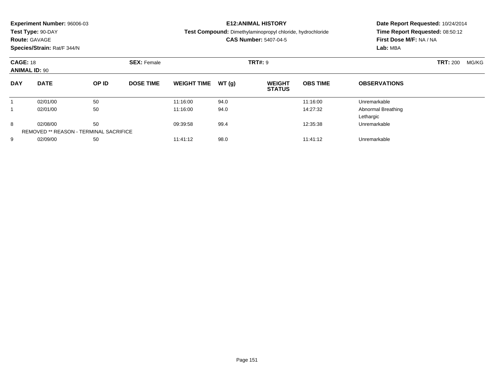| Experiment Number: 96006-03 |  |
|-----------------------------|--|
|-----------------------------|--|

**Test Type:** 90-DAY

## **Route:** GAVAGE

**Species/Strain:** Rat/F 344/N

## **E12:ANIMAL HISTORY**

**Test Compound:** Dimethylaminopropyl chloride, hydrochloride

## **CAS Number:** 5407-04-5

**Date Report Requested:** 10/24/2014 **Time Report Requested:** 08:50:12**First Dose M/F:** NA / NA**Lab:** MBA

| <b>CAGE: 18</b><br><b>ANIMAL ID: 90</b> |                                               |       | <b>SEX: Female</b> |                    |       | <b>TRT#: 9</b>                 |                 | <b>TRT: 200</b>     | MG/KG |  |
|-----------------------------------------|-----------------------------------------------|-------|--------------------|--------------------|-------|--------------------------------|-----------------|---------------------|-------|--|
| <b>DAY</b>                              | <b>DATE</b>                                   | OP ID | <b>DOSE TIME</b>   | <b>WEIGHT TIME</b> | WT(q) | <b>WEIGHT</b><br><b>STATUS</b> | <b>OBS TIME</b> | <b>OBSERVATIONS</b> |       |  |
|                                         | 02/01/00                                      | 50    |                    | 11:16:00           | 94.0  |                                | 11:16:00        | Unremarkable        |       |  |
|                                         | 02/01/00                                      | 50    |                    | 11:16:00           | 94.0  |                                | 14:27:32        | Abnormal Breathing  |       |  |
|                                         |                                               |       |                    |                    |       |                                |                 | Lethargic           |       |  |
| 8                                       | 02/08/00                                      | 50    |                    | 09:39:58           | 99.4  |                                | 12:35:38        | Unremarkable        |       |  |
|                                         | <b>REMOVED ** REASON - TERMINAL SACRIFICE</b> |       |                    |                    |       |                                |                 |                     |       |  |
| 9                                       | 02/09/00                                      | 50    |                    | 11:41:12           | 98.0  |                                | 11:41:12        | Unremarkable        |       |  |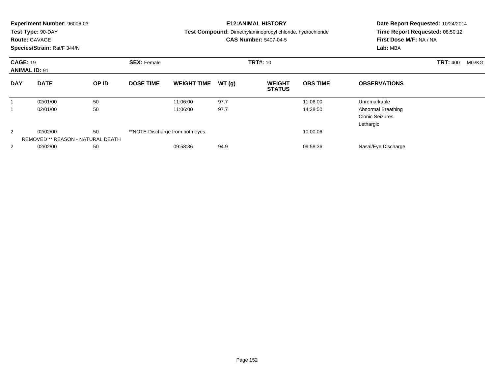|            | <b>Experiment Number: 96006-03</b><br>Test Type: 90-DAY<br><b>Route: GAVAGE</b><br>Species/Strain: Rat/F 344/N |       |                    |                                  |       | <b>E12: ANIMAL HISTORY</b><br>Test Compound: Dimethylaminopropyl chloride, hydrochloride<br><b>CAS Number: 5407-04-5</b> | Date Report Requested: 10/24/2014<br>Time Report Requested: 08:50:12<br>First Dose M/F: NA / NA<br>Lab: MBA |                                                           |                          |
|------------|----------------------------------------------------------------------------------------------------------------|-------|--------------------|----------------------------------|-------|--------------------------------------------------------------------------------------------------------------------------|-------------------------------------------------------------------------------------------------------------|-----------------------------------------------------------|--------------------------|
|            | <b>CAGE: 19</b><br><b>ANIMAL ID: 91</b>                                                                        |       | <b>SEX: Female</b> | <b>TRT#: 10</b>                  |       |                                                                                                                          |                                                                                                             |                                                           | <b>TRT: 400</b><br>MG/KG |
| <b>DAY</b> | <b>DATE</b>                                                                                                    | OP ID | <b>DOSE TIME</b>   | <b>WEIGHT TIME</b>               | WT(g) | <b>WEIGHT</b><br><b>STATUS</b>                                                                                           | <b>OBS TIME</b>                                                                                             | <b>OBSERVATIONS</b>                                       |                          |
|            | 02/01/00                                                                                                       | 50    |                    | 11:06:00                         | 97.7  |                                                                                                                          | 11:06:00                                                                                                    | Unremarkable                                              |                          |
|            | 02/01/00                                                                                                       | 50    |                    | 11:06:00                         | 97.7  |                                                                                                                          | 14:28:50                                                                                                    | Abnormal Breathing<br><b>Clonic Seizures</b><br>Lethargic |                          |
| 2          | 02/02/00<br>REMOVED ** REASON - NATURAL DEATH                                                                  | 50    |                    | **NOTE-Discharge from both eyes. |       |                                                                                                                          | 10:00:06                                                                                                    |                                                           |                          |
| 2          | 02/02/00                                                                                                       | 50    |                    | 09:58:36                         | 94.9  |                                                                                                                          | 09:58:36                                                                                                    | Nasal/Eye Discharge                                       |                          |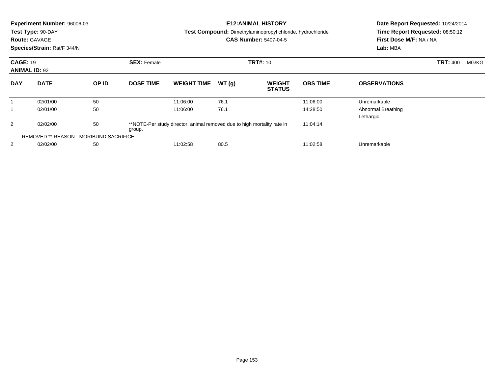|                               | Experiment Number: 96006-03<br>Test Type: 90-DAY<br><b>Route: GAVAGE</b><br>Species/Strain: Rat/F 344/N |                                                                         |                    |                    |          | <b>E12: ANIMAL HISTORY</b><br><b>Test Compound:</b> Dimethylaminopropyl chloride, hydrochloride<br><b>CAS Number: 5407-04-5</b> | Date Report Requested: 10/24/2014<br>Time Report Requested: 08:50:12<br>First Dose M/F: NA / NA<br>Lab: MBA |                                 |  |  |
|-------------------------------|---------------------------------------------------------------------------------------------------------|-------------------------------------------------------------------------|--------------------|--------------------|----------|---------------------------------------------------------------------------------------------------------------------------------|-------------------------------------------------------------------------------------------------------------|---------------------------------|--|--|
|                               | <b>CAGE: 19</b><br><b>ANIMAL ID: 92</b>                                                                 |                                                                         | <b>SEX: Female</b> | <b>TRT#: 10</b>    |          |                                                                                                                                 |                                                                                                             | <b>TRT: 400</b><br>MG/KG        |  |  |
| <b>DAY</b>                    | <b>DATE</b>                                                                                             | OP ID                                                                   | <b>DOSE TIME</b>   | <b>WEIGHT TIME</b> | WT(q)    | <b>WEIGHT</b><br><b>STATUS</b>                                                                                                  | <b>OBS TIME</b>                                                                                             | <b>OBSERVATIONS</b>             |  |  |
| 1                             | 02/01/00                                                                                                | 50                                                                      |                    | 11:06:00           | 76.1     |                                                                                                                                 | 11:06:00                                                                                                    | Unremarkable                    |  |  |
|                               | 02/01/00                                                                                                | 50                                                                      |                    | 11:06:00           | 76.1     |                                                                                                                                 | 14:28:50                                                                                                    | Abnormal Breathing<br>Lethargic |  |  |
| 50<br>2<br>02/02/00<br>group. |                                                                                                         | **NOTE-Per study director, animal removed due to high mortality rate in |                    |                    | 11:04:14 |                                                                                                                                 |                                                                                                             |                                 |  |  |
|                               | <b>REMOVED ** REASON - MORIBUND SACRIFICE</b>                                                           |                                                                         |                    |                    |          |                                                                                                                                 |                                                                                                             |                                 |  |  |
| 2                             | 02/02/00                                                                                                | 50                                                                      |                    | 11:02:58           | 80.5     |                                                                                                                                 | 11:02:58                                                                                                    | Unremarkable                    |  |  |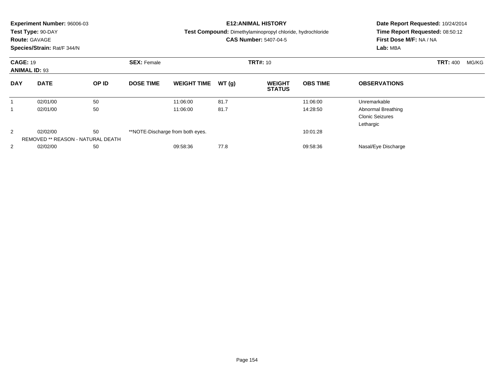|            | <b>Experiment Number: 96006-03</b><br>Test Type: 90-DAY<br><b>Route: GAVAGE</b><br>Species/Strain: Rat/F 344/N |       |                    |                                  |       | <b>E12:ANIMAL HISTORY</b><br>Test Compound: Dimethylaminopropyl chloride, hydrochloride<br><b>CAS Number: 5407-04-5</b> | Date Report Requested: 10/24/2014<br>Time Report Requested: 08:50:12<br>First Dose M/F: NA / NA<br>Lab: MBA |                                                           |                          |
|------------|----------------------------------------------------------------------------------------------------------------|-------|--------------------|----------------------------------|-------|-------------------------------------------------------------------------------------------------------------------------|-------------------------------------------------------------------------------------------------------------|-----------------------------------------------------------|--------------------------|
|            | <b>CAGE: 19</b><br><b>ANIMAL ID: 93</b>                                                                        |       | <b>SEX: Female</b> | <b>TRT#: 10</b>                  |       |                                                                                                                         |                                                                                                             |                                                           | <b>TRT: 400</b><br>MG/KG |
| <b>DAY</b> | <b>DATE</b>                                                                                                    | OP ID | <b>DOSE TIME</b>   | <b>WEIGHT TIME</b>               | WT(q) | <b>WEIGHT</b><br><b>STATUS</b>                                                                                          | <b>OBS TIME</b>                                                                                             | <b>OBSERVATIONS</b>                                       |                          |
| 1          | 02/01/00                                                                                                       | 50    |                    | 11:06:00                         | 81.7  |                                                                                                                         | 11:06:00                                                                                                    | Unremarkable                                              |                          |
|            | 02/01/00                                                                                                       | 50    |                    | 11:06:00                         | 81.7  |                                                                                                                         | 14:28:50                                                                                                    | Abnormal Breathing<br><b>Clonic Seizures</b><br>Lethargic |                          |
| 2          | 02/02/00<br>REMOVED ** REASON - NATURAL DEATH                                                                  | 50    |                    | **NOTE-Discharge from both eyes. |       |                                                                                                                         | 10:01:28                                                                                                    |                                                           |                          |
| 2          | 02/02/00                                                                                                       | 50    |                    | 09:58:36                         | 77.8  |                                                                                                                         | 09:58:36                                                                                                    | Nasal/Eye Discharge                                       |                          |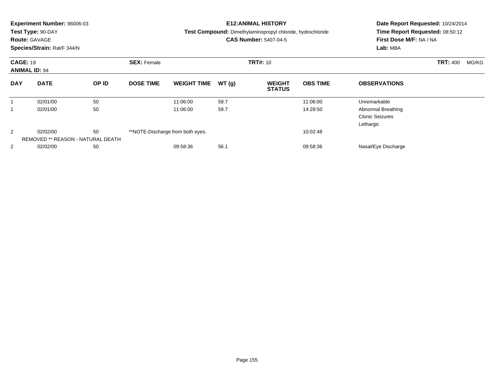|            | <b>Experiment Number: 96006-03</b><br>Test Type: 90-DAY<br><b>Route: GAVAGE</b><br>Species/Strain: Rat/F 344/N |       |                    |                                  |       | <b>E12: ANIMAL HISTORY</b><br>Test Compound: Dimethylaminopropyl chloride, hydrochloride<br><b>CAS Number: 5407-04-5</b> | Date Report Requested: 10/24/2014<br>Time Report Requested: 08:50:12<br>First Dose M/F: NA / NA<br>Lab: MBA |                                                           |                          |
|------------|----------------------------------------------------------------------------------------------------------------|-------|--------------------|----------------------------------|-------|--------------------------------------------------------------------------------------------------------------------------|-------------------------------------------------------------------------------------------------------------|-----------------------------------------------------------|--------------------------|
|            | <b>CAGE: 19</b><br><b>ANIMAL ID: 94</b>                                                                        |       | <b>SEX: Female</b> | <b>TRT#: 10</b>                  |       |                                                                                                                          |                                                                                                             |                                                           | <b>TRT: 400</b><br>MG/KG |
| <b>DAY</b> | <b>DATE</b>                                                                                                    | OP ID | <b>DOSE TIME</b>   | <b>WEIGHT TIME</b>               | WT(g) | <b>WEIGHT</b><br><b>STATUS</b>                                                                                           | <b>OBS TIME</b>                                                                                             | <b>OBSERVATIONS</b>                                       |                          |
|            | 02/01/00                                                                                                       | 50    |                    | 11:06:00                         | 59.7  |                                                                                                                          | 11:06:00                                                                                                    | Unremarkable                                              |                          |
|            | 02/01/00                                                                                                       | 50    |                    | 11:06:00                         | 59.7  |                                                                                                                          | 14:28:50                                                                                                    | Abnormal Breathing<br><b>Clonic Seizures</b><br>Lethargic |                          |
| 2          | 02/02/00<br>REMOVED ** REASON - NATURAL DEATH                                                                  | 50    |                    | **NOTE-Discharge from both eyes. |       |                                                                                                                          | 10:02:48                                                                                                    |                                                           |                          |
| 2          | 02/02/00                                                                                                       | 50    |                    | 09:58:36                         | 56.1  |                                                                                                                          | 09:58:36                                                                                                    | Nasal/Eye Discharge                                       |                          |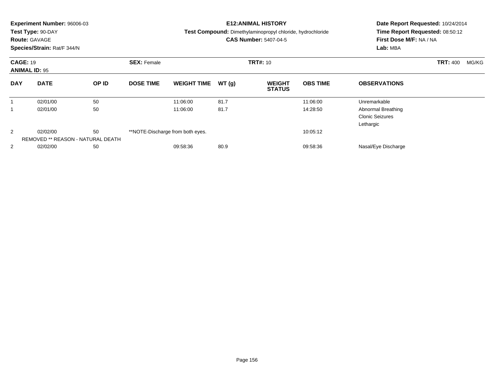|            | <b>Experiment Number: 96006-03</b><br>Test Type: 90-DAY<br><b>Route: GAVAGE</b><br>Species/Strain: Rat/F 344/N |       |                    |                                  |                 | <b>E12:ANIMAL HISTORY</b><br>Test Compound: Dimethylaminopropyl chloride, hydrochloride<br><b>CAS Number: 5407-04-5</b> | Date Report Requested: 10/24/2014<br>Time Report Requested: 08:50:12<br>First Dose M/F: NA / NA<br>Lab: MBA |                                                           |                          |
|------------|----------------------------------------------------------------------------------------------------------------|-------|--------------------|----------------------------------|-----------------|-------------------------------------------------------------------------------------------------------------------------|-------------------------------------------------------------------------------------------------------------|-----------------------------------------------------------|--------------------------|
|            | <b>CAGE: 19</b><br><b>ANIMAL ID: 95</b><br><b>DATE</b>                                                         |       | <b>SEX: Female</b> |                                  | <b>TRT#: 10</b> |                                                                                                                         |                                                                                                             |                                                           | <b>TRT: 400</b><br>MG/KG |
| <b>DAY</b> |                                                                                                                | OP ID | <b>DOSE TIME</b>   | <b>WEIGHT TIME</b>               | WT(g)           | <b>WEIGHT</b><br><b>STATUS</b>                                                                                          | <b>OBS TIME</b>                                                                                             | <b>OBSERVATIONS</b>                                       |                          |
|            | 02/01/00                                                                                                       | 50    |                    | 11:06:00                         | 81.7            |                                                                                                                         | 11:06:00                                                                                                    | Unremarkable                                              |                          |
|            | 02/01/00                                                                                                       | 50    |                    | 11:06:00                         | 81.7            |                                                                                                                         | 14:28:50                                                                                                    | Abnormal Breathing<br><b>Clonic Seizures</b><br>Lethargic |                          |
| 2          | 02/02/00<br>REMOVED ** REASON - NATURAL DEATH                                                                  | 50    |                    | **NOTE-Discharge from both eyes. |                 |                                                                                                                         | 10:05:12                                                                                                    |                                                           |                          |
| 2          | 02/02/00                                                                                                       | 50    |                    | 09:58:36                         | 80.9            |                                                                                                                         | 09:58:36                                                                                                    | Nasal/Eye Discharge                                       |                          |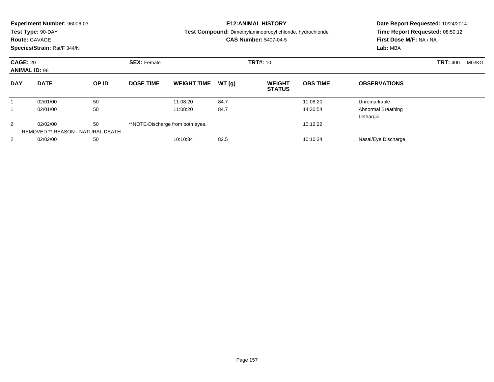|                                         | Experiment Number: 96006-03<br>Test Type: 90-DAY<br><b>Route: GAVAGE</b><br>Species/Strain: Rat/F 344/N |                                   |                    |                                  |       | <b>E12: ANIMAL HISTORY</b><br><b>Test Compound:</b> Dimethylaminopropyl chloride, hydrochloride<br><b>CAS Number: 5407-04-5</b> | Date Report Requested: 10/24/2014<br>Time Report Requested: 08:50:12<br>First Dose M/F: NA / NA<br>Lab: MBA |                                 |                 |       |
|-----------------------------------------|---------------------------------------------------------------------------------------------------------|-----------------------------------|--------------------|----------------------------------|-------|---------------------------------------------------------------------------------------------------------------------------------|-------------------------------------------------------------------------------------------------------------|---------------------------------|-----------------|-------|
| <b>CAGE: 20</b><br><b>ANIMAL ID: 96</b> |                                                                                                         |                                   | <b>SEX: Female</b> |                                  |       | <b>TRT#: 10</b>                                                                                                                 |                                                                                                             |                                 | <b>TRT: 400</b> | MG/KG |
| <b>DAY</b>                              | <b>DATE</b>                                                                                             | OP ID                             | <b>DOSE TIME</b>   | <b>WEIGHT TIME</b>               | WT(g) | <b>WEIGHT</b><br><b>STATUS</b>                                                                                                  | <b>OBS TIME</b>                                                                                             | <b>OBSERVATIONS</b>             |                 |       |
|                                         | 02/01/00                                                                                                | 50                                |                    | 11:08:20                         | 84.7  |                                                                                                                                 | 11:08:20                                                                                                    | Unremarkable                    |                 |       |
|                                         | 02/01/00                                                                                                | 50                                |                    | 11:08:20                         | 84.7  |                                                                                                                                 | 14:30:54                                                                                                    | Abnormal Breathing<br>Lethargic |                 |       |
| 2                                       | 02/02/00                                                                                                | 50                                |                    | **NOTE-Discharge from both eyes. |       |                                                                                                                                 | 10:12:22                                                                                                    |                                 |                 |       |
|                                         |                                                                                                         | REMOVED ** REASON - NATURAL DEATH |                    |                                  |       |                                                                                                                                 |                                                                                                             |                                 |                 |       |
| $\overline{2}$                          | 02/02/00                                                                                                | 50                                |                    | 10:10:34                         | 82.5  |                                                                                                                                 | 10:10:34                                                                                                    | Nasal/Eye Discharge             |                 |       |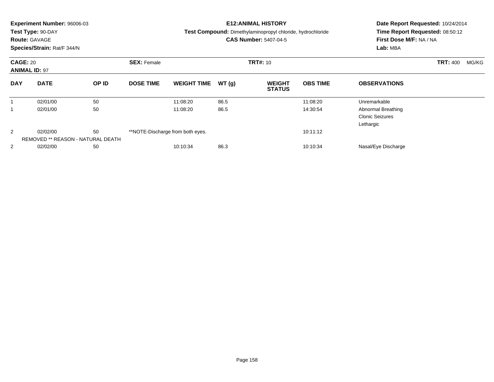| <b>Experiment Number: 96006-03</b>      | Test Type: 90-DAY<br><b>Route: GAVAGE</b><br>Species/Strain: Rat/F 344/N |       |                    |                                  |       | <b>E12:ANIMAL HISTORY</b><br>Test Compound: Dimethylaminopropyl chloride, hydrochloride<br><b>CAS Number: 5407-04-5</b> | Date Report Requested: 10/24/2014<br>Time Report Requested: 08:50:12<br>First Dose M/F: NA / NA<br>Lab: MBA |                                                           |                          |
|-----------------------------------------|--------------------------------------------------------------------------|-------|--------------------|----------------------------------|-------|-------------------------------------------------------------------------------------------------------------------------|-------------------------------------------------------------------------------------------------------------|-----------------------------------------------------------|--------------------------|
| <b>CAGE: 20</b><br><b>ANIMAL ID: 97</b> |                                                                          |       | <b>SEX: Female</b> |                                  |       | <b>TRT#: 10</b>                                                                                                         |                                                                                                             |                                                           | <b>TRT: 400</b><br>MG/KG |
| <b>DAY</b>                              | <b>DATE</b>                                                              | OP ID | <b>DOSE TIME</b>   | <b>WEIGHT TIME</b>               | WT(g) | <b>WEIGHT</b><br><b>STATUS</b>                                                                                          | <b>OBS TIME</b>                                                                                             | <b>OBSERVATIONS</b>                                       |                          |
|                                         | 02/01/00                                                                 | 50    |                    | 11:08:20                         | 86.5  |                                                                                                                         | 11:08:20                                                                                                    | Unremarkable                                              |                          |
|                                         | 02/01/00                                                                 | 50    |                    | 11:08:20                         | 86.5  |                                                                                                                         | 14:30:54                                                                                                    | Abnormal Breathing<br><b>Clonic Seizures</b><br>Lethargic |                          |
| 2                                       | 02/02/00<br><b>REMOVED ** REASON - NATURAL DEATH</b>                     | 50    |                    | **NOTE-Discharge from both eyes. |       |                                                                                                                         | 10:11:12                                                                                                    |                                                           |                          |
| $\overline{2}$                          | 02/02/00                                                                 | 50    |                    | 10:10:34                         | 86.3  |                                                                                                                         | 10:10:34                                                                                                    | Nasal/Eye Discharge                                       |                          |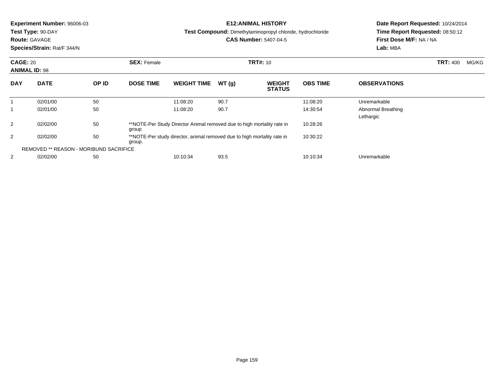|                               | <b>Experiment Number: 96006-03</b>            |    |                                                                         |                                                                        |          | <b>E12: ANIMAL HISTORY</b>                                        | Date Report Requested: 10/24/2014 |                                 |                          |
|-------------------------------|-----------------------------------------------|----|-------------------------------------------------------------------------|------------------------------------------------------------------------|----------|-------------------------------------------------------------------|-----------------------------------|---------------------------------|--------------------------|
|                               | Test Type: 90-DAY                             |    |                                                                         |                                                                        |          | <b>Test Compound:</b> Dimethylaminopropyl chloride, hydrochloride |                                   | Time Report Requested: 08:50:12 |                          |
|                               | <b>Route: GAVAGE</b>                          |    |                                                                         |                                                                        |          | <b>CAS Number: 5407-04-5</b>                                      |                                   | First Dose M/F: NA / NA         |                          |
|                               | Species/Strain: Rat/F 344/N                   |    |                                                                         |                                                                        |          |                                                                   |                                   | Lab: MBA                        |                          |
| <b>CAGE: 20</b>               |                                               |    | <b>SEX: Female</b>                                                      |                                                                        |          | <b>TRT#: 10</b>                                                   |                                   |                                 | <b>TRT: 400</b><br>MG/KG |
|                               | <b>ANIMAL ID: 98</b><br><b>DATE</b><br>OP ID  |    |                                                                         |                                                                        |          |                                                                   |                                   |                                 |                          |
| <b>DAY</b>                    |                                               |    | <b>DOSE TIME</b>                                                        | <b>WEIGHT TIME</b>                                                     | WT(g)    | <b>WEIGHT</b><br><b>STATUS</b>                                    | <b>OBS TIME</b>                   | <b>OBSERVATIONS</b>             |                          |
|                               | 02/01/00                                      | 50 |                                                                         | 11:08:20                                                               | 90.7     |                                                                   | 11:08:20                          | Unremarkable                    |                          |
|                               | 02/01/00                                      | 50 |                                                                         | 11:08:20                                                               | 90.7     |                                                                   | 14:30:54                          | Abnormal Breathing              |                          |
|                               |                                               |    |                                                                         |                                                                        |          |                                                                   |                                   | Lethargic                       |                          |
| 2                             | 02/02/00                                      | 50 | group                                                                   | **NOTE-Per Study Director Animal removed due to high mortality rate in |          |                                                                   | 10:28:26                          |                                 |                          |
| 50<br>2<br>02/02/00<br>group. |                                               |    | **NOTE-Per study director, animal removed due to high mortality rate in |                                                                        | 10:30:22 |                                                                   |                                   |                                 |                          |
|                               | <b>REMOVED ** REASON - MORIBUND SACRIFICE</b> |    |                                                                         |                                                                        |          |                                                                   |                                   |                                 |                          |
| 2                             | 02/02/00                                      | 50 |                                                                         | 10:10:34                                                               | 93.5     |                                                                   | 10:10:34                          | Unremarkable                    |                          |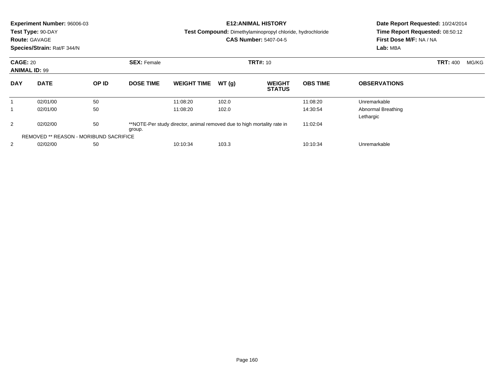|                                                                                | Experiment Number: 96006-03<br>Test Type: 90-DAY<br><b>Route: GAVAGE</b><br>Species/Strain: Rat/F 344/N |                                                                         |                    |                    |          | <b>E12: ANIMAL HISTORY</b><br><b>Test Compound:</b> Dimethylaminopropyl chloride, hydrochloride<br><b>CAS Number: 5407-04-5</b> | Date Report Requested: 10/24/2014<br>Time Report Requested: 08:50:12<br>First Dose M/F: NA / NA<br>Lab: MBA |                                 |                 |       |
|--------------------------------------------------------------------------------|---------------------------------------------------------------------------------------------------------|-------------------------------------------------------------------------|--------------------|--------------------|----------|---------------------------------------------------------------------------------------------------------------------------------|-------------------------------------------------------------------------------------------------------------|---------------------------------|-----------------|-------|
|                                                                                | <b>CAGE: 20</b><br><b>ANIMAL ID: 99</b><br><b>DATE</b><br>OP ID                                         |                                                                         | <b>SEX: Female</b> | <b>TRT#: 10</b>    |          |                                                                                                                                 |                                                                                                             |                                 | <b>TRT: 400</b> | MG/KG |
| <b>DAY</b>                                                                     |                                                                                                         |                                                                         | <b>DOSE TIME</b>   | <b>WEIGHT TIME</b> | WT(g)    | <b>WEIGHT</b><br><b>STATUS</b>                                                                                                  | <b>OBS TIME</b>                                                                                             | <b>OBSERVATIONS</b>             |                 |       |
| 1                                                                              | 02/01/00                                                                                                | 50                                                                      |                    | 11:08:20           | 102.0    |                                                                                                                                 | 11:08:20                                                                                                    | Unremarkable                    |                 |       |
|                                                                                | 02/01/00                                                                                                | 50                                                                      |                    | 11:08:20           | 102.0    |                                                                                                                                 | 14:30:54                                                                                                    | Abnormal Breathing<br>Lethargic |                 |       |
| 50<br>2<br>02/02/00<br>group.<br><b>REMOVED ** REASON - MORIBUND SACRIFICE</b> |                                                                                                         | **NOTE-Per study director, animal removed due to high mortality rate in |                    |                    | 11:02:04 |                                                                                                                                 |                                                                                                             |                                 |                 |       |
|                                                                                |                                                                                                         |                                                                         |                    |                    |          |                                                                                                                                 |                                                                                                             |                                 |                 |       |
| 2                                                                              | 02/02/00                                                                                                | 50                                                                      |                    | 10:10:34           | 103.3    |                                                                                                                                 | 10:10:34                                                                                                    | Unremarkable                    |                 |       |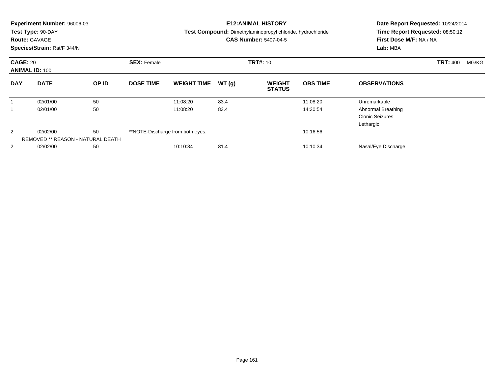|                 | <b>Experiment Number: 96006-03</b><br>Test Type: 90-DAY<br><b>Route: GAVAGE</b><br>Species/Strain: Rat/F 344/N |       |                    |                                  |       | <b>E12:ANIMAL HISTORY</b><br>Test Compound: Dimethylaminopropyl chloride, hydrochloride<br><b>CAS Number: 5407-04-5</b> | Date Report Requested: 10/24/2014<br>Time Report Requested: 08:50:12<br>First Dose M/F: NA / NA<br>Lab: MBA |                                                           |                          |
|-----------------|----------------------------------------------------------------------------------------------------------------|-------|--------------------|----------------------------------|-------|-------------------------------------------------------------------------------------------------------------------------|-------------------------------------------------------------------------------------------------------------|-----------------------------------------------------------|--------------------------|
| <b>CAGE: 20</b> | <b>ANIMAL ID: 100</b>                                                                                          |       | <b>SEX: Female</b> |                                  |       | <b>TRT#: 10</b>                                                                                                         |                                                                                                             |                                                           | <b>TRT: 400</b><br>MG/KG |
| <b>DAY</b>      | <b>DATE</b>                                                                                                    | OP ID | <b>DOSE TIME</b>   | <b>WEIGHT TIME</b>               | WT(g) | <b>WEIGHT</b><br><b>STATUS</b>                                                                                          | <b>OBS TIME</b>                                                                                             | <b>OBSERVATIONS</b>                                       |                          |
| 1               | 02/01/00                                                                                                       | 50    |                    | 11:08:20                         | 83.4  |                                                                                                                         | 11:08:20                                                                                                    | Unremarkable                                              |                          |
|                 | 02/01/00                                                                                                       | 50    |                    | 11:08:20                         | 83.4  |                                                                                                                         | 14:30:54                                                                                                    | Abnormal Breathing<br><b>Clonic Seizures</b><br>Lethargic |                          |
| 2               | 02/02/00                                                                                                       | 50    |                    | **NOTE-Discharge from both eyes. |       |                                                                                                                         | 10:16:56                                                                                                    |                                                           |                          |
|                 | REMOVED ** REASON - NATURAL DEATH                                                                              |       |                    |                                  |       |                                                                                                                         |                                                                                                             |                                                           |                          |
| 2               | 02/02/00                                                                                                       | 50    |                    | 10:10:34                         | 81.4  |                                                                                                                         | 10:10:34                                                                                                    | Nasal/Eye Discharge                                       |                          |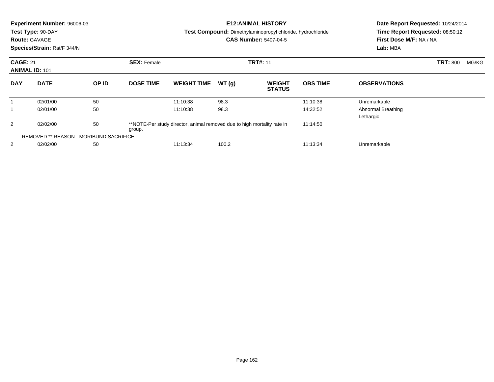|                 | <b>Experiment Number: 96006-03</b><br>Test Type: 90-DAY<br><b>Route: GAVAGE</b><br>Species/Strain: Rat/F 344/N |       |                    |                                                                         |       | <b>E12: ANIMAL HISTORY</b><br><b>Test Compound:</b> Dimethylaminopropyl chloride, hydrochloride<br><b>CAS Number: 5407-04-5</b> | Date Report Requested: 10/24/2014<br>Time Report Requested: 08:50:12<br>First Dose M/F: NA / NA<br>Lab: MBA |                                 |                 |       |
|-----------------|----------------------------------------------------------------------------------------------------------------|-------|--------------------|-------------------------------------------------------------------------|-------|---------------------------------------------------------------------------------------------------------------------------------|-------------------------------------------------------------------------------------------------------------|---------------------------------|-----------------|-------|
| <b>CAGE: 21</b> | <b>ANIMAL ID: 101</b>                                                                                          |       | <b>SEX: Female</b> |                                                                         |       | <b>TRT#: 11</b>                                                                                                                 |                                                                                                             |                                 | <b>TRT: 800</b> | MG/KG |
| <b>DAY</b>      | <b>DATE</b>                                                                                                    | OP ID | <b>DOSE TIME</b>   | <b>WEIGHT TIME</b>                                                      | WT(g) | <b>WEIGHT</b><br><b>STATUS</b>                                                                                                  | <b>OBS TIME</b>                                                                                             | <b>OBSERVATIONS</b>             |                 |       |
| 1               | 02/01/00                                                                                                       | 50    |                    | 11:10:38                                                                | 98.3  |                                                                                                                                 | 11:10:38                                                                                                    | Unremarkable                    |                 |       |
| 1               | 02/01/00                                                                                                       | 50    |                    | 11:10:38                                                                | 98.3  |                                                                                                                                 | 14:32:52                                                                                                    | Abnormal Breathing<br>Lethargic |                 |       |
| 2               | 50<br>02/02/00<br>group.                                                                                       |       |                    | **NOTE-Per study director, animal removed due to high mortality rate in |       |                                                                                                                                 | 11:14:50                                                                                                    |                                 |                 |       |
|                 | <b>REMOVED ** REASON - MORIBUND SACRIFICE</b>                                                                  |       |                    |                                                                         |       |                                                                                                                                 |                                                                                                             |                                 |                 |       |
| 2               | 02/02/00                                                                                                       | 50    |                    | 11:13:34                                                                | 100.2 |                                                                                                                                 | 11:13:34                                                                                                    | Unremarkable                    |                 |       |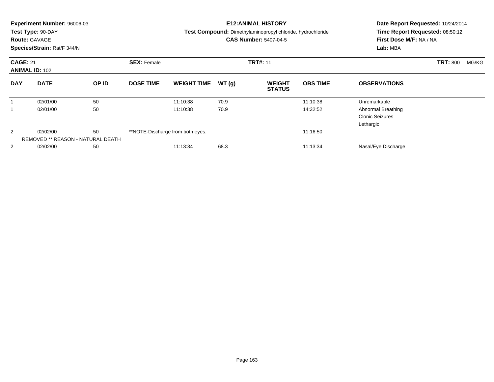|                 | <b>Experiment Number: 96006-03</b><br>Test Type: 90-DAY<br><b>Route: GAVAGE</b><br>Species/Strain: Rat/F 344/N |       |                    |                                  |       | <b>E12:ANIMAL HISTORY</b><br>Test Compound: Dimethylaminopropyl chloride, hydrochloride<br><b>CAS Number: 5407-04-5</b> | Date Report Requested: 10/24/2014<br>Time Report Requested: 08:50:12<br>First Dose M/F: NA / NA<br>Lab: MBA |                                                           |                          |
|-----------------|----------------------------------------------------------------------------------------------------------------|-------|--------------------|----------------------------------|-------|-------------------------------------------------------------------------------------------------------------------------|-------------------------------------------------------------------------------------------------------------|-----------------------------------------------------------|--------------------------|
| <b>CAGE: 21</b> | <b>ANIMAL ID: 102</b>                                                                                          |       | <b>SEX: Female</b> |                                  |       | <b>TRT#: 11</b>                                                                                                         |                                                                                                             |                                                           | <b>TRT: 800</b><br>MG/KG |
| <b>DAY</b>      | <b>DATE</b>                                                                                                    | OP ID | <b>DOSE TIME</b>   | <b>WEIGHT TIME</b>               | WT(g) | <b>WEIGHT</b><br><b>STATUS</b>                                                                                          | <b>OBS TIME</b>                                                                                             | <b>OBSERVATIONS</b>                                       |                          |
| 1               | 02/01/00                                                                                                       | 50    |                    | 11:10:38                         | 70.9  |                                                                                                                         | 11:10:38                                                                                                    | Unremarkable                                              |                          |
| 1               | 02/01/00                                                                                                       | 50    |                    | 11:10:38                         | 70.9  |                                                                                                                         | 14:32:52                                                                                                    | Abnormal Breathing<br><b>Clonic Seizures</b><br>Lethargic |                          |
| 2               | 02/02/00<br>REMOVED ** REASON - NATURAL DEATH                                                                  | 50    |                    | **NOTE-Discharge from both eyes. |       |                                                                                                                         | 11:16:50                                                                                                    |                                                           |                          |
| 2               | 02/02/00                                                                                                       | 50    |                    | 11:13:34                         | 68.3  |                                                                                                                         | 11:13:34                                                                                                    | Nasal/Eye Discharge                                       |                          |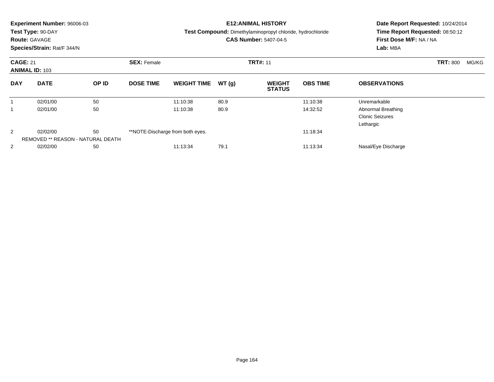|                 | <b>Experiment Number: 96006-03</b><br>Test Type: 90-DAY<br><b>Route: GAVAGE</b><br>Species/Strain: Rat/F 344/N |       |                    |                                  |       | <b>E12:ANIMAL HISTORY</b><br>Test Compound: Dimethylaminopropyl chloride, hydrochloride<br><b>CAS Number: 5407-04-5</b> | Date Report Requested: 10/24/2014<br>Time Report Requested: 08:50:12<br>First Dose M/F: NA / NA<br>Lab: MBA |                                                           |                 |       |
|-----------------|----------------------------------------------------------------------------------------------------------------|-------|--------------------|----------------------------------|-------|-------------------------------------------------------------------------------------------------------------------------|-------------------------------------------------------------------------------------------------------------|-----------------------------------------------------------|-----------------|-------|
| <b>CAGE: 21</b> | <b>ANIMAL ID: 103</b>                                                                                          |       | <b>SEX: Female</b> |                                  |       | <b>TRT#: 11</b>                                                                                                         |                                                                                                             |                                                           | <b>TRT: 800</b> | MG/KG |
| <b>DAY</b>      | <b>DATE</b>                                                                                                    | OP ID | <b>DOSE TIME</b>   | <b>WEIGHT TIME</b>               | WT(g) | <b>WEIGHT</b><br><b>STATUS</b>                                                                                          | <b>OBS TIME</b>                                                                                             | <b>OBSERVATIONS</b>                                       |                 |       |
|                 | 02/01/00                                                                                                       | 50    |                    | 11:10:38                         | 80.9  |                                                                                                                         | 11:10:38                                                                                                    | Unremarkable                                              |                 |       |
| 1               | 02/01/00                                                                                                       | 50    |                    | 11:10:38                         | 80.9  |                                                                                                                         | 14:32:52                                                                                                    | Abnormal Breathing<br><b>Clonic Seizures</b><br>Lethargic |                 |       |
| 2               | 02/02/00                                                                                                       | 50    |                    | **NOTE-Discharge from both eyes. |       |                                                                                                                         | 11:18:34                                                                                                    |                                                           |                 |       |
|                 | REMOVED ** REASON - NATURAL DEATH                                                                              |       |                    |                                  |       |                                                                                                                         |                                                                                                             |                                                           |                 |       |
| 2               | 02/02/00                                                                                                       | 50    |                    | 11:13:34                         | 79.1  |                                                                                                                         | 11:13:34                                                                                                    | Nasal/Eye Discharge                                       |                 |       |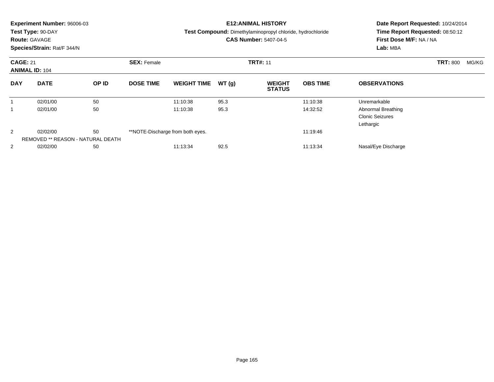|                 | <b>Experiment Number: 96006-03</b><br>Test Type: 90-DAY<br><b>Route: GAVAGE</b><br>Species/Strain: Rat/F 344/N |       |                    |                                  |       | <b>E12:ANIMAL HISTORY</b><br>Test Compound: Dimethylaminopropyl chloride, hydrochloride<br><b>CAS Number: 5407-04-5</b> | Date Report Requested: 10/24/2014<br>Time Report Requested: 08:50:12<br>First Dose M/F: NA / NA<br>Lab: MBA |                                                           |                 |       |
|-----------------|----------------------------------------------------------------------------------------------------------------|-------|--------------------|----------------------------------|-------|-------------------------------------------------------------------------------------------------------------------------|-------------------------------------------------------------------------------------------------------------|-----------------------------------------------------------|-----------------|-------|
| <b>CAGE: 21</b> | <b>ANIMAL ID: 104</b>                                                                                          |       | <b>SEX: Female</b> |                                  |       | <b>TRT#: 11</b>                                                                                                         |                                                                                                             |                                                           | <b>TRT: 800</b> | MG/KG |
| <b>DAY</b>      | <b>DATE</b>                                                                                                    | OP ID | <b>DOSE TIME</b>   | <b>WEIGHT TIME</b>               | WT(g) | <b>WEIGHT</b><br><b>STATUS</b>                                                                                          | <b>OBS TIME</b>                                                                                             | <b>OBSERVATIONS</b>                                       |                 |       |
| 1               | 02/01/00                                                                                                       | 50    |                    | 11:10:38                         | 95.3  |                                                                                                                         | 11:10:38                                                                                                    | Unremarkable                                              |                 |       |
| 1               | 02/01/00                                                                                                       | 50    |                    | 11:10:38                         | 95.3  |                                                                                                                         | 14:32:52                                                                                                    | Abnormal Breathing<br><b>Clonic Seizures</b><br>Lethargic |                 |       |
| 2               | 02/02/00                                                                                                       | 50    |                    | **NOTE-Discharge from both eyes. |       |                                                                                                                         | 11:19:46                                                                                                    |                                                           |                 |       |
|                 | REMOVED ** REASON - NATURAL DEATH                                                                              |       |                    |                                  |       |                                                                                                                         |                                                                                                             |                                                           |                 |       |
| 2               | 02/02/00                                                                                                       | 50    |                    | 11:13:34                         | 92.5  |                                                                                                                         | 11:13:34                                                                                                    | Nasal/Eye Discharge                                       |                 |       |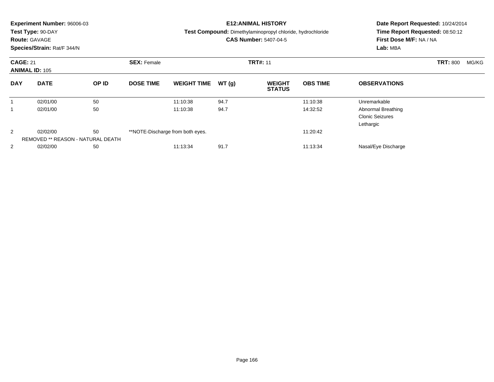|                 | <b>Experiment Number: 96006-03</b><br>Test Type: 90-DAY<br><b>Route: GAVAGE</b><br>Species/Strain: Rat/F 344/N |       |                    |                                  |       | <b>E12:ANIMAL HISTORY</b><br><b>Test Compound:</b> Dimethylaminopropyl chloride, hydrochloride<br><b>CAS Number: 5407-04-5</b> | Date Report Requested: 10/24/2014<br>Time Report Requested: 08:50:12<br>First Dose M/F: NA / NA<br>Lab: MBA |                                                           |                          |
|-----------------|----------------------------------------------------------------------------------------------------------------|-------|--------------------|----------------------------------|-------|--------------------------------------------------------------------------------------------------------------------------------|-------------------------------------------------------------------------------------------------------------|-----------------------------------------------------------|--------------------------|
| <b>CAGE: 21</b> | <b>ANIMAL ID: 105</b>                                                                                          |       | <b>SEX: Female</b> |                                  |       | <b>TRT#: 11</b>                                                                                                                |                                                                                                             |                                                           | <b>TRT: 800</b><br>MG/KG |
| <b>DAY</b>      | <b>DATE</b>                                                                                                    | OP ID | <b>DOSE TIME</b>   | <b>WEIGHT TIME</b>               | WT(g) | <b>WEIGHT</b><br><b>STATUS</b>                                                                                                 | <b>OBS TIME</b>                                                                                             | <b>OBSERVATIONS</b>                                       |                          |
|                 | 02/01/00                                                                                                       | 50    |                    | 11:10:38                         | 94.7  |                                                                                                                                | 11:10:38                                                                                                    | Unremarkable                                              |                          |
|                 | 02/01/00                                                                                                       | 50    |                    | 11:10:38                         | 94.7  |                                                                                                                                | 14:32:52                                                                                                    | Abnormal Breathing<br><b>Clonic Seizures</b><br>Lethargic |                          |
| 2               | 02/02/00<br>REMOVED ** REASON - NATURAL DEATH                                                                  | 50    |                    | **NOTE-Discharge from both eyes. |       |                                                                                                                                | 11:20:42                                                                                                    |                                                           |                          |
| 2               | 02/02/00                                                                                                       | 50    |                    | 11:13:34                         | 91.7  |                                                                                                                                | 11:13:34                                                                                                    | Nasal/Eye Discharge                                       |                          |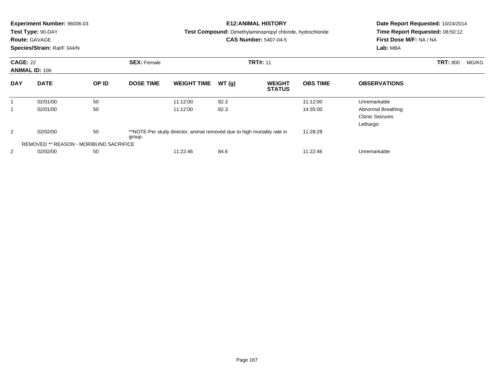|                 | <b>Experiment Number: 96006-03</b>            |       |                    |                                                                         |       | <b>E12: ANIMAL HISTORY</b>                                        | Date Report Requested: 10/24/2014 |                                 |                          |
|-----------------|-----------------------------------------------|-------|--------------------|-------------------------------------------------------------------------|-------|-------------------------------------------------------------------|-----------------------------------|---------------------------------|--------------------------|
|                 | Test Type: 90-DAY                             |       |                    |                                                                         |       | <b>Test Compound:</b> Dimethylaminopropyl chloride, hydrochloride |                                   | Time Report Requested: 08:50:12 |                          |
|                 | <b>Route: GAVAGE</b>                          |       |                    |                                                                         |       | <b>CAS Number: 5407-04-5</b>                                      |                                   | First Dose M/F: NA / NA         |                          |
|                 | Species/Strain: Rat/F 344/N                   |       |                    |                                                                         |       |                                                                   |                                   | Lab: MBA                        |                          |
| <b>CAGE: 22</b> |                                               |       | <b>SEX: Female</b> |                                                                         |       | <b>TRT#: 11</b>                                                   |                                   |                                 | <b>TRT: 800</b><br>MG/KG |
|                 | <b>ANIMAL ID: 106</b>                         |       |                    |                                                                         |       |                                                                   |                                   |                                 |                          |
| <b>DAY</b>      | <b>DATE</b>                                   | OP ID | <b>DOSE TIME</b>   | <b>WEIGHT TIME</b>                                                      | WT(g) | <b>WEIGHT</b><br><b>STATUS</b>                                    | <b>OBS TIME</b>                   | <b>OBSERVATIONS</b>             |                          |
|                 | 02/01/00                                      | 50    |                    | 11:12:00                                                                | 82.3  |                                                                   | 11:12:00                          | Unremarkable                    |                          |
| 1               | 02/01/00                                      | 50    |                    | 11:12:00                                                                | 82.3  |                                                                   | 14:35:00                          | Abnormal Breathing              |                          |
|                 |                                               |       |                    |                                                                         |       |                                                                   |                                   | <b>Clonic Seizures</b>          |                          |
|                 |                                               |       |                    |                                                                         |       |                                                                   |                                   | Lethargic                       |                          |
| 2               | 02/02/00                                      | 50    | group.             | **NOTE-Per study director, animal removed due to high mortality rate in |       |                                                                   | 11:28:28                          |                                 |                          |
|                 | <b>REMOVED ** REASON - MORIBUND SACRIFICE</b> |       |                    |                                                                         |       |                                                                   |                                   |                                 |                          |
| 2               | 02/02/00                                      | 50    |                    | 11:22:46                                                                | 84.6  |                                                                   | 11:22:46                          | Unremarkable                    |                          |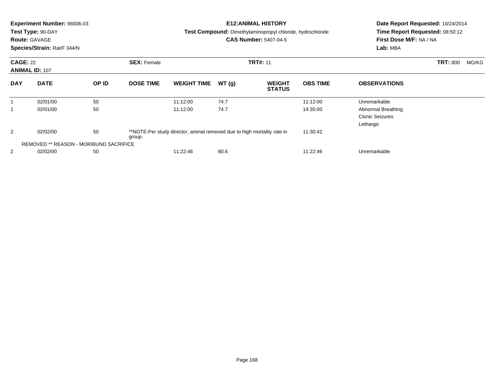|                 | Experiment Number: 96006-03<br>Test Type: 90-DAY |       |                    |                                                                         |       | <b>E12: ANIMAL HISTORY</b><br><b>Test Compound:</b> Dimethylaminopropyl chloride, hydrochloride | Date Report Requested: 10/24/2014<br>Time Report Requested: 08:50:12 |                         |                          |
|-----------------|--------------------------------------------------|-------|--------------------|-------------------------------------------------------------------------|-------|-------------------------------------------------------------------------------------------------|----------------------------------------------------------------------|-------------------------|--------------------------|
|                 | <b>Route: GAVAGE</b>                             |       |                    |                                                                         |       | <b>CAS Number: 5407-04-5</b>                                                                    |                                                                      | First Dose M/F: NA / NA |                          |
|                 | Species/Strain: Rat/F 344/N                      |       |                    |                                                                         |       |                                                                                                 |                                                                      | Lab: MBA                |                          |
| <b>CAGE: 22</b> |                                                  |       | <b>SEX: Female</b> |                                                                         |       | <b>TRT#: 11</b>                                                                                 |                                                                      |                         | <b>TRT: 800</b><br>MG/KG |
|                 | <b>ANIMAL ID: 107</b>                            |       |                    |                                                                         |       |                                                                                                 |                                                                      |                         |                          |
| <b>DAY</b>      | <b>DATE</b>                                      | OP ID | <b>DOSE TIME</b>   | <b>WEIGHT TIME</b>                                                      | WT(g) | <b>WEIGHT</b><br><b>STATUS</b>                                                                  | <b>OBS TIME</b>                                                      | <b>OBSERVATIONS</b>     |                          |
| 1               | 02/01/00                                         | 50    |                    | 11:12:00                                                                | 74.7  |                                                                                                 | 11:12:00                                                             | Unremarkable            |                          |
| 1               | 02/01/00                                         | 50    |                    | 11:12:00                                                                | 74.7  |                                                                                                 | 14:35:00                                                             | Abnormal Breathing      |                          |
|                 |                                                  |       |                    |                                                                         |       |                                                                                                 |                                                                      | <b>Clonic Seizures</b>  |                          |
|                 |                                                  |       |                    |                                                                         |       |                                                                                                 |                                                                      | Lethargic               |                          |
| 2               | 02/02/00                                         | 50    | group.             | **NOTE-Per study director, animal removed due to high mortality rate in |       |                                                                                                 | 11:30:42                                                             |                         |                          |
|                 | <b>REMOVED ** REASON - MORIBUND SACRIFICE</b>    |       |                    |                                                                         |       |                                                                                                 |                                                                      |                         |                          |
| 2               | 02/02/00                                         | 50    |                    | 11:22:46                                                                | 80.6  |                                                                                                 | 11:22:46                                                             | Unremarkable            |                          |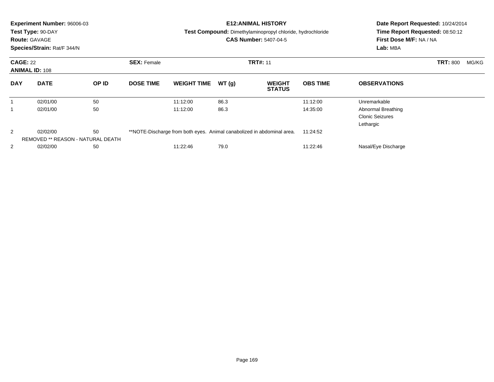|                | Experiment Number: 96006-03                                      |    |                    |                                                                        | <b>E12: ANIMAL HISTORY</b> | Date Report Requested: 10/24/2014                                 |                 |                                 |  |
|----------------|------------------------------------------------------------------|----|--------------------|------------------------------------------------------------------------|----------------------------|-------------------------------------------------------------------|-----------------|---------------------------------|--|
|                | Test Type: 90-DAY                                                |    |                    |                                                                        |                            | <b>Test Compound:</b> Dimethylaminopropyl chloride, hydrochloride |                 | Time Report Requested: 08:50:12 |  |
|                | <b>Route: GAVAGE</b>                                             |    |                    |                                                                        |                            | <b>CAS Number: 5407-04-5</b>                                      |                 | First Dose M/F: NA / NA         |  |
|                | Species/Strain: Rat/F 344/N                                      |    |                    |                                                                        |                            |                                                                   |                 | Lab: MBA                        |  |
|                | <b>CAGE: 22</b><br><b>ANIMAL ID: 108</b><br><b>DATE</b><br>OP ID |    | <b>SEX: Female</b> | <b>TRT#: 11</b>                                                        |                            |                                                                   |                 | <b>TRT: 800</b><br>MG/KG        |  |
| <b>DAY</b>     |                                                                  |    | <b>DOSE TIME</b>   | <b>WEIGHT TIME</b>                                                     | WT(g)                      | <b>WEIGHT</b><br><b>STATUS</b>                                    | <b>OBS TIME</b> | <b>OBSERVATIONS</b>             |  |
|                | 02/01/00                                                         | 50 |                    | 11:12:00                                                               | 86.3                       |                                                                   | 11:12:00        | Unremarkable                    |  |
|                | 02/01/00                                                         | 50 |                    | 11:12:00                                                               | 86.3                       |                                                                   | 14:35:00        | Abnormal Breathing              |  |
|                |                                                                  |    |                    |                                                                        |                            |                                                                   |                 | <b>Clonic Seizures</b>          |  |
|                |                                                                  |    |                    |                                                                        |                            |                                                                   |                 | Lethargic                       |  |
| 2              | 02/02/00                                                         | 50 |                    | **NOTE-Discharge from both eyes. Animal canabolized in abdominal area. |                            |                                                                   | 11:24:52        |                                 |  |
|                | REMOVED ** REASON - NATURAL DEATH                                |    |                    |                                                                        |                            |                                                                   |                 |                                 |  |
| $\overline{2}$ | 02/02/00                                                         | 50 |                    | 11:22:46                                                               | 79.0                       |                                                                   | 11:22:46        | Nasal/Eye Discharge             |  |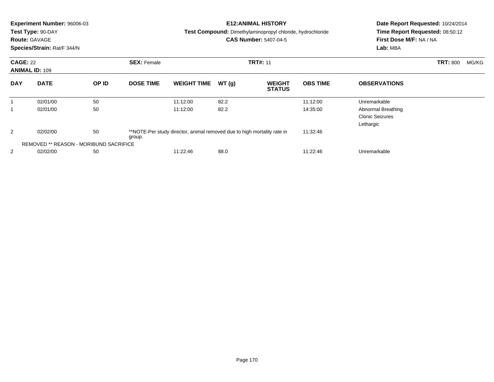|                 | Experiment Number: 96006-03            |       |                    |                                                                         |       | <b>E12: ANIMAL HISTORY</b>                                        | Date Report Requested: 10/24/2014 |                                 |                          |  |
|-----------------|----------------------------------------|-------|--------------------|-------------------------------------------------------------------------|-------|-------------------------------------------------------------------|-----------------------------------|---------------------------------|--------------------------|--|
|                 | Test Type: 90-DAY                      |       |                    |                                                                         |       | <b>Test Compound:</b> Dimethylaminopropyl chloride, hydrochloride |                                   | Time Report Requested: 08:50:12 |                          |  |
|                 | <b>Route: GAVAGE</b>                   |       |                    |                                                                         |       | <b>CAS Number: 5407-04-5</b>                                      |                                   | First Dose M/F: NA / NA         |                          |  |
|                 | Species/Strain: Rat/F 344/N            |       |                    |                                                                         |       |                                                                   |                                   | Lab: MBA                        |                          |  |
| <b>CAGE: 22</b> |                                        |       | <b>SEX: Female</b> |                                                                         |       | <b>TRT#: 11</b>                                                   |                                   |                                 | <b>TRT: 800</b><br>MG/KG |  |
|                 | <b>ANIMAL ID: 109</b>                  |       |                    |                                                                         |       |                                                                   |                                   |                                 |                          |  |
| <b>DAY</b>      | <b>DATE</b>                            | OP ID | <b>DOSE TIME</b>   | <b>WEIGHT TIME</b>                                                      | WT(g) | <b>WEIGHT</b><br><b>STATUS</b>                                    | <b>OBS TIME</b>                   | <b>OBSERVATIONS</b>             |                          |  |
|                 | 02/01/00                               | 50    |                    | 11:12:00                                                                | 82.2  |                                                                   | 11:12:00                          | Unremarkable                    |                          |  |
|                 | 02/01/00                               | 50    |                    | 11:12:00                                                                | 82.2  |                                                                   | 14:35:00                          | Abnormal Breathing              |                          |  |
|                 |                                        |       |                    |                                                                         |       |                                                                   |                                   | <b>Clonic Seizures</b>          |                          |  |
|                 |                                        |       |                    |                                                                         |       |                                                                   |                                   | Lethargic                       |                          |  |
| 2               | 02/02/00                               | 50    | group.             | **NOTE-Per study director, animal removed due to high mortality rate in |       |                                                                   | 11:32:46                          |                                 |                          |  |
|                 | REMOVED ** REASON - MORIBUND SACRIFICE |       |                    |                                                                         |       |                                                                   |                                   |                                 |                          |  |
| 2               | 02/02/00                               | 50    |                    | 11:22:46                                                                | 88.0  |                                                                   | 11:22:46                          | Unremarkable                    |                          |  |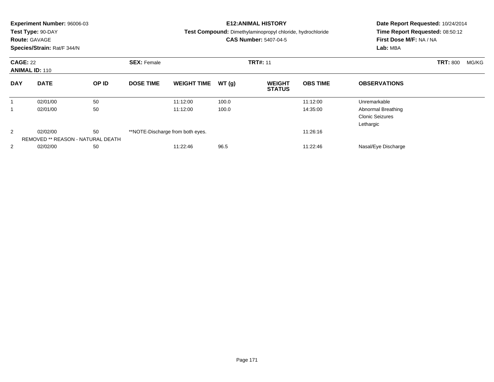|            | <b>Experiment Number: 96006-03</b><br>Test Type: 90-DAY<br><b>Route: GAVAGE</b><br>Species/Strain: Rat/F 344/N |    |                                       |                                  |       | <b>E12:ANIMAL HISTORY</b><br>Test Compound: Dimethylaminopropyl chloride, hydrochloride<br><b>CAS Number: 5407-04-5</b> | Date Report Requested: 10/24/2014<br>Time Report Requested: 08:50:12<br>First Dose M/F: NA / NA<br>Lab: MBA |                                                           |  |
|------------|----------------------------------------------------------------------------------------------------------------|----|---------------------------------------|----------------------------------|-------|-------------------------------------------------------------------------------------------------------------------------|-------------------------------------------------------------------------------------------------------------|-----------------------------------------------------------|--|
|            | <b>CAGE: 22</b><br><b>ANIMAL ID: 110</b><br><b>DATE</b><br>OP ID                                               |    | <b>SEX: Female</b><br><b>TRT#: 11</b> |                                  |       |                                                                                                                         |                                                                                                             | <b>TRT: 800</b><br>MG/KG                                  |  |
| <b>DAY</b> |                                                                                                                |    | <b>DOSE TIME</b>                      | <b>WEIGHT TIME</b>               | WT(g) | <b>WEIGHT</b><br><b>STATUS</b>                                                                                          | <b>OBS TIME</b>                                                                                             | <b>OBSERVATIONS</b>                                       |  |
| 1          | 02/01/00                                                                                                       | 50 |                                       | 11:12:00                         | 100.0 |                                                                                                                         | 11:12:00                                                                                                    | Unremarkable                                              |  |
|            | 02/01/00                                                                                                       | 50 |                                       | 11:12:00                         | 100.0 |                                                                                                                         | 14:35:00                                                                                                    | Abnormal Breathing<br><b>Clonic Seizures</b><br>Lethargic |  |
| 2          | 02/02/00<br>REMOVED ** REASON - NATURAL DEATH                                                                  | 50 |                                       | **NOTE-Discharge from both eyes. |       |                                                                                                                         | 11:26:16                                                                                                    |                                                           |  |
| 2          | 02/02/00                                                                                                       | 50 |                                       | 11:22:46                         | 96.5  |                                                                                                                         | 11:22:46                                                                                                    | Nasal/Eye Discharge                                       |  |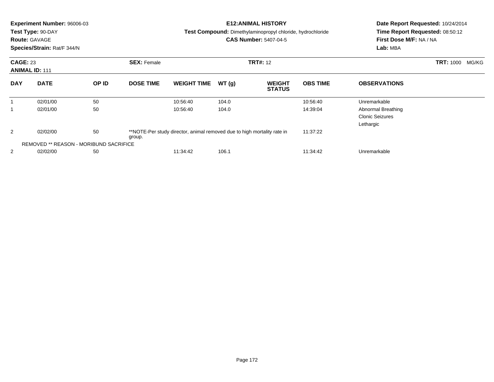|                 | Experiment Number: 96006-03<br>Test Type: 90-DAY<br><b>Route: GAVAGE</b><br>Species/Strain: Rat/F 344/N |       |                    |                                                                         |                 | <b>E12: ANIMAL HISTORY</b><br><b>Test Compound:</b> Dimethylaminopropyl chloride, hydrochloride<br><b>CAS Number: 5407-04-5</b> | Date Report Requested: 10/24/2014<br>Time Report Requested: 08:50:12<br>First Dose M/F: NA / NA<br>Lab: MBA |                                                           |  |
|-----------------|---------------------------------------------------------------------------------------------------------|-------|--------------------|-------------------------------------------------------------------------|-----------------|---------------------------------------------------------------------------------------------------------------------------------|-------------------------------------------------------------------------------------------------------------|-----------------------------------------------------------|--|
| <b>CAGE: 23</b> | <b>ANIMAL ID: 111</b>                                                                                   |       | <b>SEX: Female</b> |                                                                         | <b>TRT#: 12</b> |                                                                                                                                 | <b>TRT: 1000</b><br>MG/KG                                                                                   |                                                           |  |
| <b>DAY</b>      | <b>DATE</b>                                                                                             | OP ID | <b>DOSE TIME</b>   | <b>WEIGHT TIME</b>                                                      | WT(g)           | <b>WEIGHT</b><br><b>STATUS</b>                                                                                                  | <b>OBS TIME</b>                                                                                             | <b>OBSERVATIONS</b>                                       |  |
|                 | 02/01/00                                                                                                | 50    |                    | 10:56:40                                                                | 104.0           |                                                                                                                                 | 10:56:40                                                                                                    | Unremarkable                                              |  |
| 1               | 02/01/00                                                                                                | 50    |                    | 10:56:40                                                                | 104.0           |                                                                                                                                 | 14:39:04                                                                                                    | Abnormal Breathing<br><b>Clonic Seizures</b><br>Lethargic |  |
| 2               | 02/02/00                                                                                                | 50    | group.             | **NOTE-Per study director, animal removed due to high mortality rate in |                 |                                                                                                                                 | 11:37:22                                                                                                    |                                                           |  |
|                 | <b>REMOVED ** REASON - MORIBUND SACRIFICE</b>                                                           |       |                    |                                                                         |                 |                                                                                                                                 |                                                                                                             |                                                           |  |
| 2               | 02/02/00                                                                                                | 50    |                    | 11:34:42                                                                | 106.1           |                                                                                                                                 | 11:34:42                                                                                                    | Unremarkable                                              |  |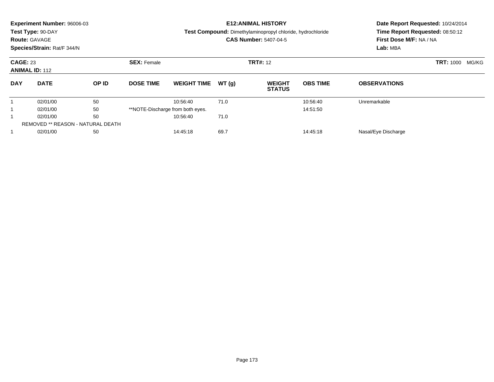|            | Experiment Number: 96006-03<br>Test Type: 90-DAY<br><b>Route: GAVAGE</b><br>Species/Strain: Rat/F 344/N |       |                    |                                  |       | <b>E12: ANIMAL HISTORY</b><br><b>Test Compound:</b> Dimethylaminopropyl chloride, hydrochloride<br><b>CAS Number: 5407-04-5</b> | Date Report Requested: 10/24/2014<br>Time Report Requested: 08:50:12<br>First Dose M/F: NA / NA<br>Lab: MBA |                     |                           |
|------------|---------------------------------------------------------------------------------------------------------|-------|--------------------|----------------------------------|-------|---------------------------------------------------------------------------------------------------------------------------------|-------------------------------------------------------------------------------------------------------------|---------------------|---------------------------|
|            | <b>CAGE: 23</b><br><b>ANIMAL ID: 112</b>                                                                |       | <b>SEX: Female</b> | <b>TRT#: 12</b>                  |       |                                                                                                                                 |                                                                                                             |                     | <b>TRT: 1000</b><br>MG/KG |
| <b>DAY</b> | <b>DATE</b>                                                                                             | OP ID | <b>DOSE TIME</b>   | <b>WEIGHT TIME</b>               | WT(q) | <b>WEIGHT</b><br><b>STATUS</b>                                                                                                  | <b>OBS TIME</b>                                                                                             | <b>OBSERVATIONS</b> |                           |
|            | 02/01/00                                                                                                | 50    |                    | 10:56:40                         | 71.0  |                                                                                                                                 | 10:56:40                                                                                                    | Unremarkable        |                           |
|            | 02/01/00                                                                                                | 50    |                    | **NOTE-Discharge from both eyes. |       |                                                                                                                                 | 14:51:50                                                                                                    |                     |                           |
|            | 02/01/00                                                                                                | 50    |                    | 10:56:40                         | 71.0  |                                                                                                                                 |                                                                                                             |                     |                           |
|            | <b>REMOVED ** REASON - NATURAL DEATH</b>                                                                |       |                    |                                  |       |                                                                                                                                 |                                                                                                             |                     |                           |
|            | 02/01/00                                                                                                | 50    |                    | 14:45:18                         | 69.7  |                                                                                                                                 | 14:45:18                                                                                                    | Nasal/Eye Discharge |                           |
|            |                                                                                                         |       |                    |                                  |       |                                                                                                                                 |                                                                                                             |                     |                           |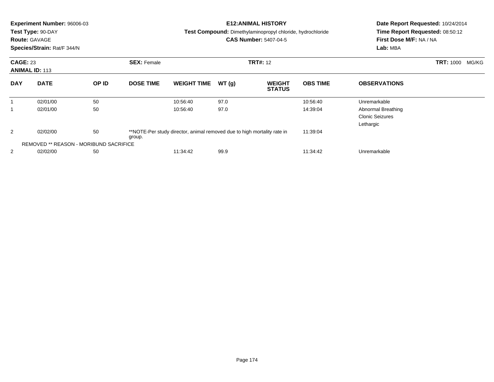|            | Experiment Number: 96006-03<br>Test Type: 90-DAY               |       |                  |                                                                         |       | <b>E12: ANIMAL HISTORY</b><br><b>Test Compound:</b> Dimethylaminopropyl chloride, hydrochloride | Date Report Requested: 10/24/2014<br>Time Report Requested: 08:50:12<br>First Dose M/F: NA / NA |                                                           |  |
|------------|----------------------------------------------------------------|-------|------------------|-------------------------------------------------------------------------|-------|-------------------------------------------------------------------------------------------------|-------------------------------------------------------------------------------------------------|-----------------------------------------------------------|--|
|            | <b>Route: GAVAGE</b><br>Species/Strain: Rat/F 344/N            |       |                  |                                                                         |       | <b>CAS Number: 5407-04-5</b>                                                                    |                                                                                                 | Lab: MBA                                                  |  |
|            | <b>CAGE: 23</b><br><b>SEX: Female</b><br><b>ANIMAL ID: 113</b> |       |                  |                                                                         |       | <b>TRT#: 12</b>                                                                                 |                                                                                                 | <b>TRT: 1000</b><br>MG/KG                                 |  |
| <b>DAY</b> | <b>DATE</b>                                                    | OP ID | <b>DOSE TIME</b> | <b>WEIGHT TIME</b>                                                      | WT(g) | <b>WEIGHT</b><br><b>STATUS</b>                                                                  | <b>OBS TIME</b>                                                                                 | <b>OBSERVATIONS</b>                                       |  |
|            | 02/01/00                                                       | 50    |                  | 10:56:40                                                                | 97.0  |                                                                                                 | 10:56:40                                                                                        | Unremarkable                                              |  |
| 1          | 02/01/00                                                       | 50    |                  | 10:56:40                                                                | 97.0  |                                                                                                 | 14:39:04                                                                                        | Abnormal Breathing<br><b>Clonic Seizures</b><br>Lethargic |  |
| 2          | 02/02/00                                                       | 50    | group.           | **NOTE-Per study director, animal removed due to high mortality rate in |       |                                                                                                 | 11:39:04                                                                                        |                                                           |  |
|            | <b>REMOVED ** REASON - MORIBUND SACRIFICE</b>                  |       |                  |                                                                         |       |                                                                                                 |                                                                                                 |                                                           |  |
| 2          | 02/02/00                                                       | 50    |                  | 11:34:42                                                                | 99.9  |                                                                                                 | 11:34:42                                                                                        | Unremarkable                                              |  |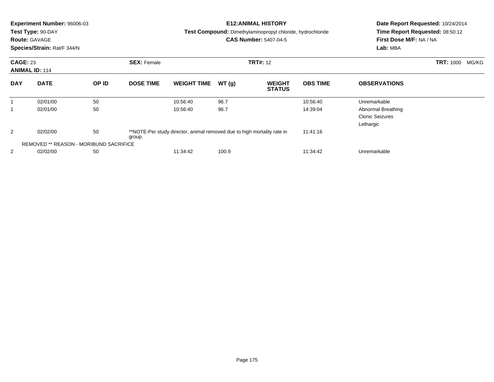|            | <b>Experiment Number: 96006-03</b><br>Test Type: 90-DAY |       |                    |                                                                         |       | <b>E12: ANIMAL HISTORY</b><br><b>Test Compound:</b> Dimethylaminopropyl chloride, hydrochloride | Date Report Requested: 10/24/2014<br>Time Report Requested: 08:50:12<br>First Dose M/F: NA / NA |                                                           |                           |  |
|------------|---------------------------------------------------------|-------|--------------------|-------------------------------------------------------------------------|-------|-------------------------------------------------------------------------------------------------|-------------------------------------------------------------------------------------------------|-----------------------------------------------------------|---------------------------|--|
|            | <b>Route: GAVAGE</b><br>Species/Strain: Rat/F 344/N     |       |                    |                                                                         |       | <b>CAS Number: 5407-04-5</b>                                                                    |                                                                                                 | Lab: MBA                                                  |                           |  |
|            | <b>CAGE: 23</b><br><b>ANIMAL ID: 114</b>                |       | <b>SEX: Female</b> | <b>TRT#: 12</b>                                                         |       |                                                                                                 |                                                                                                 |                                                           | <b>TRT: 1000</b><br>MG/KG |  |
| <b>DAY</b> | <b>DATE</b>                                             | OP ID | <b>DOSE TIME</b>   | <b>WEIGHT TIME</b>                                                      | WT(g) | <b>WEIGHT</b><br><b>STATUS</b>                                                                  | <b>OBS TIME</b>                                                                                 | <b>OBSERVATIONS</b>                                       |                           |  |
| 1          | 02/01/00                                                | 50    |                    | 10:56:40                                                                | 96.7  |                                                                                                 | 10:56:40                                                                                        | Unremarkable                                              |                           |  |
| 1          | 02/01/00                                                | 50    |                    | 10:56:40                                                                | 96.7  |                                                                                                 | 14:39:04                                                                                        | Abnormal Breathing<br><b>Clonic Seizures</b><br>Lethargic |                           |  |
| 2          | 02/02/00                                                | 50    | group.             | **NOTE-Per study director, animal removed due to high mortality rate in |       |                                                                                                 | 11:41:16                                                                                        |                                                           |                           |  |
|            | <b>REMOVED ** REASON - MORIBUND SACRIFICE</b>           |       |                    |                                                                         |       |                                                                                                 |                                                                                                 |                                                           |                           |  |
| 2          | 02/02/00                                                | 50    |                    | 11:34:42                                                                | 100.9 |                                                                                                 | 11:34:42                                                                                        | Unremarkable                                              |                           |  |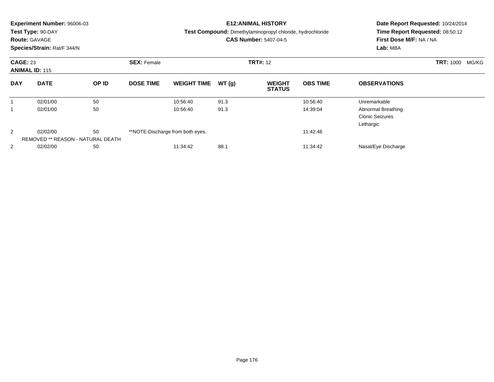|            | <b>Experiment Number: 96006-03</b><br>Test Type: 90-DAY<br><b>Route: GAVAGE</b><br>Species/Strain: Rat/F 344/N |       |                                       |                                  |       | <b>E12:ANIMAL HISTORY</b><br><b>Test Compound:</b> Dimethylaminopropyl chloride, hydrochloride<br><b>CAS Number: 5407-04-5</b> | Date Report Requested: 10/24/2014<br>Time Report Requested: 08:50:12<br>First Dose M/F: NA / NA<br>Lab: MBA |                                                           |  |
|------------|----------------------------------------------------------------------------------------------------------------|-------|---------------------------------------|----------------------------------|-------|--------------------------------------------------------------------------------------------------------------------------------|-------------------------------------------------------------------------------------------------------------|-----------------------------------------------------------|--|
|            | <b>CAGE: 23</b><br><b>ANIMAL ID: 115</b>                                                                       |       | <b>TRT#: 12</b><br><b>SEX: Female</b> |                                  |       |                                                                                                                                |                                                                                                             | <b>TRT: 1000</b><br>MG/KG                                 |  |
| <b>DAY</b> | <b>DATE</b>                                                                                                    | OP ID | <b>DOSE TIME</b>                      | <b>WEIGHT TIME</b>               | WT(g) | <b>WEIGHT</b><br><b>STATUS</b>                                                                                                 | <b>OBS TIME</b>                                                                                             | <b>OBSERVATIONS</b>                                       |  |
| 1          | 02/01/00                                                                                                       | 50    |                                       | 10:56:40                         | 91.3  |                                                                                                                                | 10:56:40                                                                                                    | Unremarkable                                              |  |
|            | 02/01/00                                                                                                       | 50    |                                       | 10:56:40                         | 91.3  |                                                                                                                                | 14:39:04                                                                                                    | Abnormal Breathing<br><b>Clonic Seizures</b><br>Lethargic |  |
| 2          | 02/02/00<br>REMOVED ** REASON - NATURAL DEATH                                                                  | 50    |                                       | **NOTE-Discharge from both eyes. |       |                                                                                                                                | 11:42:46                                                                                                    |                                                           |  |
| 2          | 02/02/00                                                                                                       | 50    |                                       | 11:34:42                         | 88.1  |                                                                                                                                | 11:34:42                                                                                                    | Nasal/Eye Discharge                                       |  |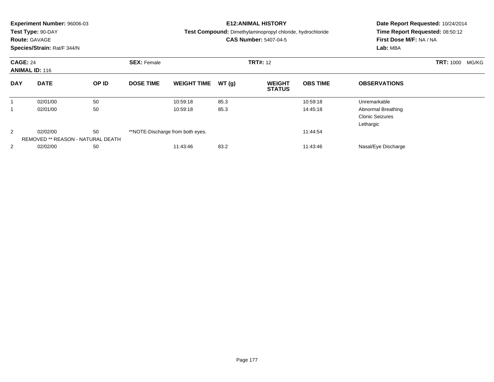|            | <b>Experiment Number: 96006-03</b><br>Test Type: 90-DAY<br><b>Route: GAVAGE</b><br>Species/Strain: Rat/F 344/N |    |                                       |                                  |       | <b>E12:ANIMAL HISTORY</b><br>Test Compound: Dimethylaminopropyl chloride, hydrochloride<br><b>CAS Number: 5407-04-5</b> | Date Report Requested: 10/24/2014<br>Time Report Requested: 08:50:12<br>First Dose M/F: NA / NA<br>Lab: MBA |                                                           |  |
|------------|----------------------------------------------------------------------------------------------------------------|----|---------------------------------------|----------------------------------|-------|-------------------------------------------------------------------------------------------------------------------------|-------------------------------------------------------------------------------------------------------------|-----------------------------------------------------------|--|
|            | <b>CAGE: 24</b><br><b>ANIMAL ID: 116</b><br><b>DATE</b><br>OP ID                                               |    | <b>SEX: Female</b><br><b>TRT#: 12</b> |                                  |       |                                                                                                                         |                                                                                                             | <b>TRT: 1000</b><br>MG/KG                                 |  |
| <b>DAY</b> |                                                                                                                |    | <b>DOSE TIME</b>                      | <b>WEIGHT TIME</b>               | WT(g) | <b>WEIGHT</b><br><b>STATUS</b>                                                                                          | <b>OBS TIME</b>                                                                                             | <b>OBSERVATIONS</b>                                       |  |
| 1          | 02/01/00                                                                                                       | 50 |                                       | 10:59:18                         | 85.3  |                                                                                                                         | 10:59:18                                                                                                    | Unremarkable                                              |  |
|            | 02/01/00                                                                                                       | 50 |                                       | 10:59:18                         | 85.3  |                                                                                                                         | 14:45:18                                                                                                    | Abnormal Breathing<br><b>Clonic Seizures</b><br>Lethargic |  |
| 2          | 02/02/00<br>REMOVED ** REASON - NATURAL DEATH                                                                  | 50 |                                       | **NOTE-Discharge from both eyes. |       |                                                                                                                         | 11:44:54                                                                                                    |                                                           |  |
| 2          | 02/02/00                                                                                                       | 50 |                                       | 11:43:46                         | 83.2  |                                                                                                                         | 11:43:46                                                                                                    | Nasal/Eye Discharge                                       |  |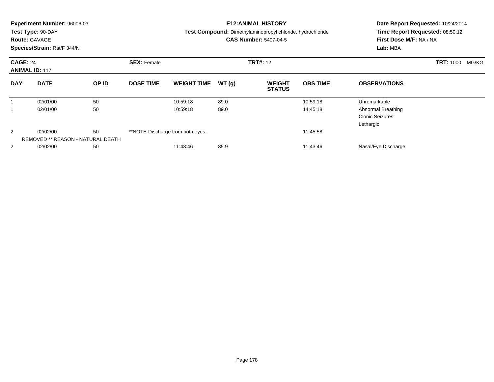| <b>CAGE: 24</b><br><b>SEX: Female</b><br><b>TRT#: 12</b><br><b>ANIMAL ID: 117</b><br><b>DATE</b><br>OP ID<br><b>DOSE TIME</b><br>WT(g)<br><b>OBS TIME</b><br><b>DAY</b><br><b>WEIGHT TIME</b><br><b>WEIGHT</b><br><b>OBSERVATIONS</b><br><b>STATUS</b><br>50<br>89.0<br>Unremarkable<br>02/01/00<br>10:59:18<br>10:59:18<br>1<br>50<br>89.0<br>02/01/00<br>10:59:18<br>14:45:18<br>Abnormal Breathing<br><b>Clonic Seizures</b><br>Lethargic<br>2<br>50<br>02/02/00<br>**NOTE-Discharge from both eyes.<br>11:45:58<br>REMOVED ** REASON - NATURAL DEATH<br>85.9<br>2<br>02/02/00<br>50<br>11:43:46<br>11:43:46<br>Nasal/Eye Discharge | <b>Experiment Number: 96006-03</b><br>Test Type: 90-DAY<br><b>Route: GAVAGE</b><br>Species/Strain: Rat/F 344/N |  |  |  |  | <b>E12:ANIMAL HISTORY</b><br>Test Compound: Dimethylaminopropyl chloride, hydrochloride<br><b>CAS Number: 5407-04-5</b> | Date Report Requested: 10/24/2014<br>Time Report Requested: 08:50:12<br>First Dose M/F: NA / NA<br>Lab: MBA |                           |  |
|----------------------------------------------------------------------------------------------------------------------------------------------------------------------------------------------------------------------------------------------------------------------------------------------------------------------------------------------------------------------------------------------------------------------------------------------------------------------------------------------------------------------------------------------------------------------------------------------------------------------------------------|----------------------------------------------------------------------------------------------------------------|--|--|--|--|-------------------------------------------------------------------------------------------------------------------------|-------------------------------------------------------------------------------------------------------------|---------------------------|--|
|                                                                                                                                                                                                                                                                                                                                                                                                                                                                                                                                                                                                                                        |                                                                                                                |  |  |  |  |                                                                                                                         |                                                                                                             | <b>TRT: 1000</b><br>MG/KG |  |
|                                                                                                                                                                                                                                                                                                                                                                                                                                                                                                                                                                                                                                        |                                                                                                                |  |  |  |  |                                                                                                                         |                                                                                                             |                           |  |
|                                                                                                                                                                                                                                                                                                                                                                                                                                                                                                                                                                                                                                        |                                                                                                                |  |  |  |  |                                                                                                                         |                                                                                                             |                           |  |
|                                                                                                                                                                                                                                                                                                                                                                                                                                                                                                                                                                                                                                        |                                                                                                                |  |  |  |  |                                                                                                                         |                                                                                                             |                           |  |
|                                                                                                                                                                                                                                                                                                                                                                                                                                                                                                                                                                                                                                        |                                                                                                                |  |  |  |  |                                                                                                                         |                                                                                                             |                           |  |
|                                                                                                                                                                                                                                                                                                                                                                                                                                                                                                                                                                                                                                        |                                                                                                                |  |  |  |  |                                                                                                                         |                                                                                                             |                           |  |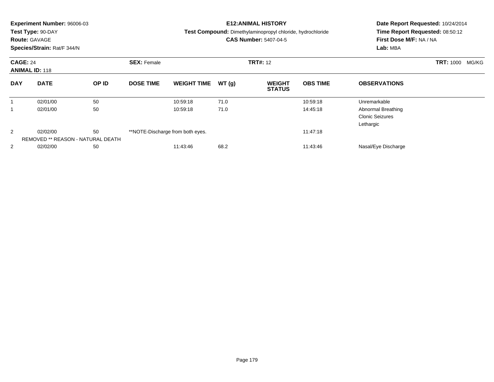|            | <b>Experiment Number: 96006-03</b><br>Test Type: 90-DAY<br><b>Route: GAVAGE</b><br>Species/Strain: Rat/F 344/N |    |                                       |                                  |       | <b>E12:ANIMAL HISTORY</b><br>Test Compound: Dimethylaminopropyl chloride, hydrochloride<br><b>CAS Number: 5407-04-5</b> | Date Report Requested: 10/24/2014<br>Time Report Requested: 08:50:12<br>First Dose M/F: NA / NA<br>Lab: MBA |                                                           |  |
|------------|----------------------------------------------------------------------------------------------------------------|----|---------------------------------------|----------------------------------|-------|-------------------------------------------------------------------------------------------------------------------------|-------------------------------------------------------------------------------------------------------------|-----------------------------------------------------------|--|
|            | <b>CAGE: 24</b><br><b>ANIMAL ID: 118</b><br><b>DATE</b><br>OP ID                                               |    | <b>TRT#: 12</b><br><b>SEX: Female</b> |                                  |       |                                                                                                                         |                                                                                                             | <b>TRT: 1000</b><br>MG/KG                                 |  |
| <b>DAY</b> |                                                                                                                |    | <b>DOSE TIME</b>                      | <b>WEIGHT TIME</b>               | WT(g) | <b>WEIGHT</b><br><b>STATUS</b>                                                                                          | <b>OBS TIME</b>                                                                                             | <b>OBSERVATIONS</b>                                       |  |
|            | 02/01/00                                                                                                       | 50 |                                       | 10:59:18                         | 71.0  |                                                                                                                         | 10:59:18                                                                                                    | Unremarkable                                              |  |
|            | 02/01/00                                                                                                       | 50 |                                       | 10:59:18                         | 71.0  |                                                                                                                         | 14:45:18                                                                                                    | Abnormal Breathing<br><b>Clonic Seizures</b><br>Lethargic |  |
| 2          | 02/02/00                                                                                                       | 50 |                                       | **NOTE-Discharge from both eyes. |       |                                                                                                                         | 11:47:18                                                                                                    |                                                           |  |
|            | REMOVED ** REASON - NATURAL DEATH                                                                              |    |                                       |                                  |       |                                                                                                                         |                                                                                                             |                                                           |  |
| 2          | 02/02/00                                                                                                       | 50 |                                       | 11:43:46                         | 68.2  |                                                                                                                         | 11:43:46                                                                                                    | Nasal/Eye Discharge                                       |  |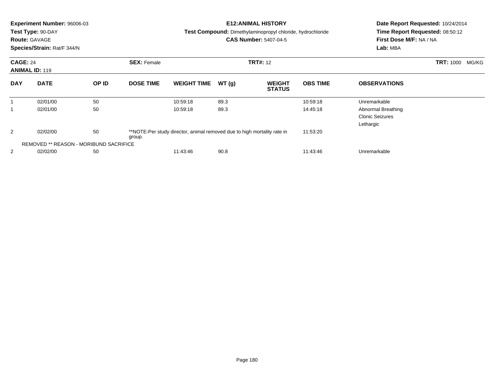| Experiment Number: 96006-03<br>Test Type: 90-DAY<br><b>Route: GAVAGE</b><br>Species/Strain: Rat/F 344/N |                                               |       |                  | <b>E12: ANIMAL HISTORY</b><br><b>Test Compound:</b> Dimethylaminopropyl chloride, hydrochloride<br><b>CAS Number: 5407-04-5</b> |       |                                |                 | Date Report Requested: 10/24/2014 |                           |  |
|---------------------------------------------------------------------------------------------------------|-----------------------------------------------|-------|------------------|---------------------------------------------------------------------------------------------------------------------------------|-------|--------------------------------|-----------------|-----------------------------------|---------------------------|--|
|                                                                                                         |                                               |       |                  |                                                                                                                                 |       |                                |                 | Time Report Requested: 08:50:12   |                           |  |
|                                                                                                         |                                               |       |                  |                                                                                                                                 |       |                                |                 | First Dose M/F: NA / NA           |                           |  |
|                                                                                                         |                                               |       |                  |                                                                                                                                 |       |                                |                 | Lab: MBA                          |                           |  |
| <b>CAGE: 24</b><br><b>SEX: Female</b>                                                                   |                                               |       |                  | <b>TRT#: 12</b>                                                                                                                 |       |                                |                 |                                   | <b>TRT: 1000</b><br>MG/KG |  |
|                                                                                                         | <b>ANIMAL ID: 119</b>                         |       |                  |                                                                                                                                 |       |                                |                 |                                   |                           |  |
| <b>DAY</b>                                                                                              | <b>DATE</b>                                   | OP ID | <b>DOSE TIME</b> | <b>WEIGHT TIME</b>                                                                                                              | WT(g) | <b>WEIGHT</b><br><b>STATUS</b> | <b>OBS TIME</b> | <b>OBSERVATIONS</b>               |                           |  |
| 1                                                                                                       | 02/01/00                                      | 50    |                  | 10:59:18                                                                                                                        | 89.3  |                                | 10:59:18        | Unremarkable                      |                           |  |
| 1                                                                                                       | 02/01/00                                      | 50    |                  | 10:59:18                                                                                                                        | 89.3  |                                | 14:45:18        | Abnormal Breathing                |                           |  |
|                                                                                                         |                                               |       |                  |                                                                                                                                 |       |                                |                 | <b>Clonic Seizures</b>            |                           |  |
|                                                                                                         |                                               |       |                  |                                                                                                                                 |       |                                |                 | Lethargic                         |                           |  |
| 2                                                                                                       | 02/02/00                                      | 50    | group.           | **NOTE-Per study director, animal removed due to high mortality rate in                                                         |       |                                | 11:53:20        |                                   |                           |  |
|                                                                                                         | <b>REMOVED ** REASON - MORIBUND SACRIFICE</b> |       |                  |                                                                                                                                 |       |                                |                 |                                   |                           |  |
| 2                                                                                                       | 02/02/00                                      | 50    |                  | 11:43:46                                                                                                                        | 90.8  |                                | 11:43:46        | Unremarkable                      |                           |  |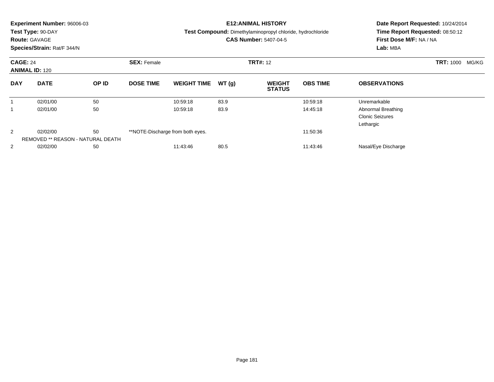|                 | <b>Experiment Number: 96006-03</b><br>Test Type: 90-DAY<br><b>Route: GAVAGE</b><br>Species/Strain: Rat/F 344/N |       |                                       |                                  |       | <b>E12:ANIMAL HISTORY</b><br>Test Compound: Dimethylaminopropyl chloride, hydrochloride<br><b>CAS Number: 5407-04-5</b> | Date Report Requested: 10/24/2014<br>Time Report Requested: 08:50:12<br>First Dose M/F: NA / NA<br>Lab: MBA |                                                           |  |
|-----------------|----------------------------------------------------------------------------------------------------------------|-------|---------------------------------------|----------------------------------|-------|-------------------------------------------------------------------------------------------------------------------------|-------------------------------------------------------------------------------------------------------------|-----------------------------------------------------------|--|
| <b>CAGE: 24</b> | <b>ANIMAL ID: 120</b>                                                                                          |       | <b>SEX: Female</b><br><b>TRT#: 12</b> |                                  |       |                                                                                                                         |                                                                                                             | <b>TRT: 1000</b><br>MG/KG                                 |  |
| <b>DAY</b>      | <b>DATE</b>                                                                                                    | OP ID | <b>DOSE TIME</b>                      | <b>WEIGHT TIME</b>               | WT(g) | <b>WEIGHT</b><br><b>STATUS</b>                                                                                          | <b>OBS TIME</b>                                                                                             | <b>OBSERVATIONS</b>                                       |  |
| 1               | 02/01/00                                                                                                       | 50    |                                       | 10:59:18                         | 83.9  |                                                                                                                         | 10:59:18                                                                                                    | Unremarkable                                              |  |
|                 | 02/01/00                                                                                                       | 50    |                                       | 10:59:18                         | 83.9  |                                                                                                                         | 14:45:18                                                                                                    | Abnormal Breathing<br><b>Clonic Seizures</b><br>Lethargic |  |
| 2               | 02/02/00<br>REMOVED ** REASON - NATURAL DEATH                                                                  | 50    |                                       | **NOTE-Discharge from both eyes. |       |                                                                                                                         | 11:50:36                                                                                                    |                                                           |  |
| 2               | 02/02/00                                                                                                       | 50    |                                       | 11:43:46                         | 80.5  |                                                                                                                         | 11:43:46                                                                                                    | Nasal/Eye Discharge                                       |  |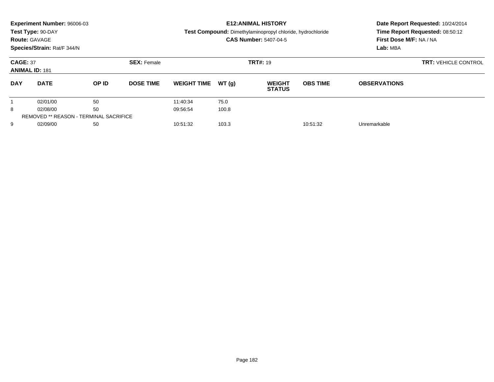|                 | Experiment Number: 96006-03                   |       |                    |                    |       | <b>E12: ANIMAL HISTORY</b>                                        | Date Report Requested: 10/24/2014 |                                 |                             |  |
|-----------------|-----------------------------------------------|-------|--------------------|--------------------|-------|-------------------------------------------------------------------|-----------------------------------|---------------------------------|-----------------------------|--|
|                 | Test Type: 90-DAY                             |       |                    |                    |       | <b>Test Compound:</b> Dimethylaminopropyl chloride, hydrochloride |                                   | Time Report Requested: 08:50:12 |                             |  |
|                 | <b>Route: GAVAGE</b>                          |       |                    |                    |       | <b>CAS Number: 5407-04-5</b>                                      |                                   | First Dose M/F: NA / NA         |                             |  |
|                 | Species/Strain: Rat/F 344/N                   |       |                    |                    |       |                                                                   |                                   | Lab: MBA                        |                             |  |
| <b>CAGE: 37</b> | <b>ANIMAL ID: 181</b>                         |       | <b>SEX: Female</b> | <b>TRT#: 19</b>    |       |                                                                   |                                   |                                 | <b>TRT: VEHICLE CONTROL</b> |  |
| <b>DAY</b>      | <b>DATE</b>                                   | OP ID | <b>DOSE TIME</b>   | <b>WEIGHT TIME</b> | WT(g) | <b>WEIGHT</b><br><b>STATUS</b>                                    | <b>OBS TIME</b>                   | <b>OBSERVATIONS</b>             |                             |  |
|                 | 02/01/00                                      | 50    |                    | 11:40:34           | 75.0  |                                                                   |                                   |                                 |                             |  |
| 8               | 02/08/00                                      | 50    |                    | 09:56:54           | 100.8 |                                                                   |                                   |                                 |                             |  |
|                 | <b>REMOVED ** REASON - TERMINAL SACRIFICE</b> |       |                    |                    |       |                                                                   |                                   |                                 |                             |  |
| 9               | 02/09/00                                      | 50    |                    | 10:51:32           | 103.3 |                                                                   | 10:51:32                          | Unremarkable                    |                             |  |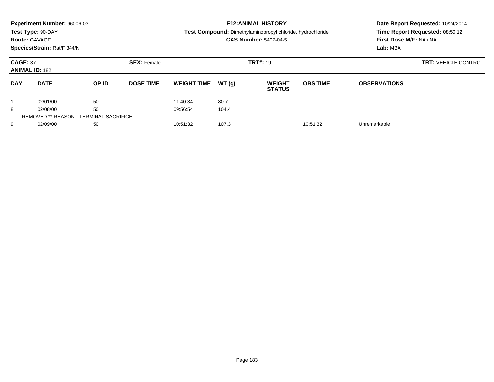|                 | Experiment Number: 96006-03                   |       |                    |                               |       | <b>E12: ANIMAL HISTORY</b>                                 | Date Report Requested: 10/24/2014 |                                 |  |  |
|-----------------|-----------------------------------------------|-------|--------------------|-------------------------------|-------|------------------------------------------------------------|-----------------------------------|---------------------------------|--|--|
|                 | Test Type: 90-DAY                             |       |                    |                               |       | Test Compound: Dimethylaminopropyl chloride, hydrochloride |                                   | Time Report Requested: 08:50:12 |  |  |
|                 | <b>Route: GAVAGE</b>                          |       |                    |                               |       | <b>CAS Number: 5407-04-5</b>                               |                                   | First Dose M/F: NA / NA         |  |  |
|                 | Species/Strain: Rat/F 344/N                   |       |                    |                               |       |                                                            |                                   | Lab: MBA                        |  |  |
| <b>CAGE: 37</b> | <b>ANIMAL ID: 182</b>                         |       | <b>SEX: Female</b> | <b>TRT#: 19</b>               |       |                                                            |                                   | <b>TRT: VEHICLE CONTROL</b>     |  |  |
| <b>DAY</b>      | <b>DATE</b>                                   | OP ID | <b>DOSE TIME</b>   | <b>WEIGHT TIME</b>            | WT(g) | <b>WEIGHT</b><br><b>STATUS</b>                             | <b>OBS TIME</b>                   | <b>OBSERVATIONS</b>             |  |  |
|                 | 02/01/00                                      | 50    |                    | 11:40:34                      | 80.7  |                                                            |                                   |                                 |  |  |
| 8               | 02/08/00                                      | 50    |                    | 09:56:54                      | 104.4 |                                                            |                                   |                                 |  |  |
|                 | <b>REMOVED ** REASON - TERMINAL SACRIFICE</b> |       |                    |                               |       |                                                            |                                   |                                 |  |  |
| 9               | 02/09/00<br>50                                |       |                    | 107.3<br>10:51:32<br>10:51:32 |       |                                                            | Unremarkable                      |                                 |  |  |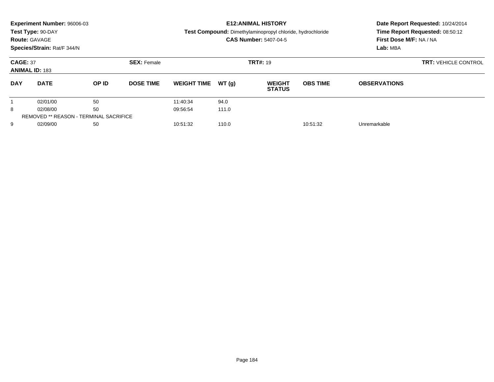|                 | Experiment Number: 96006-03                   |       |                    |                    |       | <b>E12: ANIMAL HISTORY</b>                                 | Date Report Requested: 10/24/2014 |                                 |                             |  |
|-----------------|-----------------------------------------------|-------|--------------------|--------------------|-------|------------------------------------------------------------|-----------------------------------|---------------------------------|-----------------------------|--|
|                 | Test Type: 90-DAY                             |       |                    |                    |       | Test Compound: Dimethylaminopropyl chloride, hydrochloride |                                   | Time Report Requested: 08:50:12 |                             |  |
|                 | <b>Route: GAVAGE</b>                          |       |                    |                    |       | <b>CAS Number: 5407-04-5</b>                               |                                   | First Dose M/F: NA / NA         |                             |  |
|                 | Species/Strain: Rat/F 344/N                   |       |                    |                    |       |                                                            |                                   | Lab: MBA                        |                             |  |
| <b>CAGE: 37</b> | <b>ANIMAL ID: 183</b>                         |       | <b>SEX: Female</b> | <b>TRT#: 19</b>    |       |                                                            |                                   |                                 | <b>TRT: VEHICLE CONTROL</b> |  |
| <b>DAY</b>      | <b>DATE</b>                                   | OP ID | <b>DOSE TIME</b>   | <b>WEIGHT TIME</b> | WT(g) | <b>WEIGHT</b><br><b>STATUS</b>                             | <b>OBS TIME</b>                   | <b>OBSERVATIONS</b>             |                             |  |
|                 | 02/01/00                                      | 50    |                    | 11:40:34           | 94.0  |                                                            |                                   |                                 |                             |  |
| 8               | 02/08/00                                      | 50    |                    | 09:56:54           | 111.0 |                                                            |                                   |                                 |                             |  |
|                 | <b>REMOVED ** REASON - TERMINAL SACRIFICE</b> |       |                    |                    |       |                                                            |                                   |                                 |                             |  |
| 9               | 02/09/00                                      | 50    |                    | 10:51:32           | 110.0 |                                                            | 10:51:32                          | Unremarkable                    |                             |  |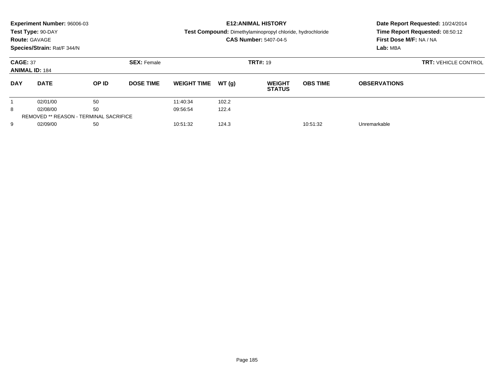|                 | Experiment Number: 96006-03                   |       |                    |                    |       | <b>E12: ANIMAL HISTORY</b>                                        | Date Report Requested: 10/24/2014 |                                 |                             |  |
|-----------------|-----------------------------------------------|-------|--------------------|--------------------|-------|-------------------------------------------------------------------|-----------------------------------|---------------------------------|-----------------------------|--|
|                 | Test Type: 90-DAY                             |       |                    |                    |       | <b>Test Compound:</b> Dimethylaminopropyl chloride, hydrochloride |                                   | Time Report Requested: 08:50:12 |                             |  |
|                 | <b>Route: GAVAGE</b>                          |       |                    |                    |       | <b>CAS Number: 5407-04-5</b>                                      |                                   | First Dose M/F: NA / NA         |                             |  |
|                 | Species/Strain: Rat/F 344/N                   |       |                    |                    |       |                                                                   |                                   | Lab: MBA                        |                             |  |
| <b>CAGE: 37</b> | <b>ANIMAL ID: 184</b>                         |       | <b>SEX: Female</b> | <b>TRT#: 19</b>    |       |                                                                   |                                   |                                 | <b>TRT: VEHICLE CONTROL</b> |  |
| <b>DAY</b>      | <b>DATE</b>                                   | OP ID | <b>DOSE TIME</b>   | <b>WEIGHT TIME</b> | WT(g) | <b>WEIGHT</b><br><b>STATUS</b>                                    | <b>OBS TIME</b>                   | <b>OBSERVATIONS</b>             |                             |  |
|                 | 02/01/00                                      | 50    |                    | 11:40:34           | 102.2 |                                                                   |                                   |                                 |                             |  |
| 8               | 02/08/00                                      | 50    |                    | 09:56:54           | 122.4 |                                                                   |                                   |                                 |                             |  |
|                 | <b>REMOVED ** REASON - TERMINAL SACRIFICE</b> |       |                    |                    |       |                                                                   |                                   |                                 |                             |  |
| 9               | 02/09/00                                      | 50    |                    | 10:51:32           | 124.3 |                                                                   | 10:51:32                          | Unremarkable                    |                             |  |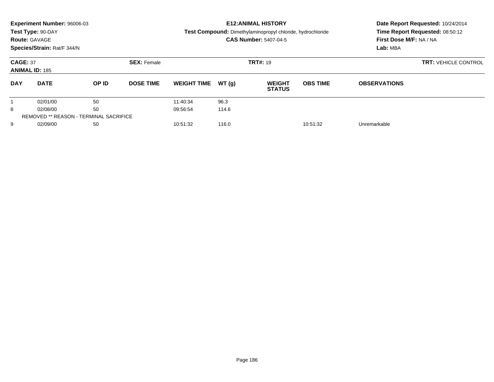|                 | Experiment Number: 96006-03                   |       |                    |                               |       | <b>E12: ANIMAL HISTORY</b>                                 | Date Report Requested: 10/24/2014 |                                 |  |  |
|-----------------|-----------------------------------------------|-------|--------------------|-------------------------------|-------|------------------------------------------------------------|-----------------------------------|---------------------------------|--|--|
|                 | Test Type: 90-DAY                             |       |                    |                               |       | Test Compound: Dimethylaminopropyl chloride, hydrochloride |                                   | Time Report Requested: 08:50:12 |  |  |
|                 | <b>Route: GAVAGE</b>                          |       |                    |                               |       | <b>CAS Number: 5407-04-5</b>                               |                                   | <b>First Dose M/F: NA / NA</b>  |  |  |
|                 | Species/Strain: Rat/F 344/N                   |       |                    |                               |       |                                                            |                                   | Lab: MBA                        |  |  |
| <b>CAGE: 37</b> |                                               |       | <b>SEX: Female</b> |                               |       | <b>TRT#: 19</b>                                            | <b>TRT: VEHICLE CONTROL</b>       |                                 |  |  |
|                 | <b>ANIMAL ID: 185</b>                         |       |                    |                               |       |                                                            |                                   |                                 |  |  |
| <b>DAY</b>      | <b>DATE</b>                                   | OP ID | <b>DOSE TIME</b>   | <b>WEIGHT TIME</b>            | WT(q) | <b>WEIGHT</b><br><b>STATUS</b>                             | <b>OBS TIME</b>                   | <b>OBSERVATIONS</b>             |  |  |
|                 | 02/01/00                                      | 50    |                    | 11:40:34                      | 96.3  |                                                            |                                   |                                 |  |  |
| 8               | 02/08/00                                      | 50    |                    | 09:56:54                      | 114.6 |                                                            |                                   |                                 |  |  |
|                 | <b>REMOVED ** REASON - TERMINAL SACRIFICE</b> |       |                    |                               |       |                                                            |                                   |                                 |  |  |
| 9               | 02/09/00                                      | 50    |                    | 116.0<br>10:51:32<br>10:51:32 |       |                                                            | Unremarkable                      |                                 |  |  |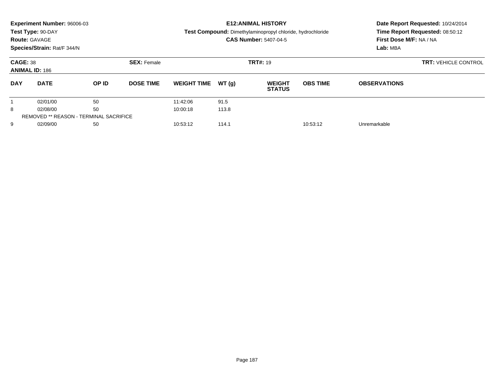|            | Experiment Number: 96006-03                                    |       |                  |                    |       | <b>E12: ANIMAL HISTORY</b>                                 | Date Report Requested: 10/24/2014 |                                 |  |  |
|------------|----------------------------------------------------------------|-------|------------------|--------------------|-------|------------------------------------------------------------|-----------------------------------|---------------------------------|--|--|
|            | Test Type: 90-DAY                                              |       |                  |                    |       | Test Compound: Dimethylaminopropyl chloride, hydrochloride |                                   | Time Report Requested: 08:50:12 |  |  |
|            | <b>Route: GAVAGE</b>                                           |       |                  |                    |       | <b>CAS Number: 5407-04-5</b>                               |                                   | First Dose M/F: NA / NA         |  |  |
|            | Species/Strain: Rat/F 344/N                                    |       |                  |                    |       |                                                            |                                   | Lab: MBA                        |  |  |
|            | <b>CAGE: 38</b><br><b>SEX: Female</b><br><b>ANIMAL ID: 186</b> |       |                  |                    |       | <b>TRT#: 19</b>                                            | <b>TRT: VEHICLE CONTROL</b>       |                                 |  |  |
|            |                                                                |       |                  |                    |       |                                                            |                                   |                                 |  |  |
| <b>DAY</b> | <b>DATE</b>                                                    | OP ID | <b>DOSE TIME</b> | <b>WEIGHT TIME</b> | WT(q) | <b>WEIGHT</b><br><b>STATUS</b>                             | <b>OBS TIME</b>                   | <b>OBSERVATIONS</b>             |  |  |
|            | 02/01/00                                                       | 50    |                  | 11:42:06           | 91.5  |                                                            |                                   |                                 |  |  |
| 8          | 02/08/00                                                       | 50    |                  | 10:00:18           | 113.8 |                                                            |                                   |                                 |  |  |
|            | <b>REMOVED ** REASON - TERMINAL SACRIFICE</b>                  |       |                  |                    |       |                                                            |                                   |                                 |  |  |
| 9          | 02/09/00                                                       | 50    |                  | 10:53:12           | 114.1 |                                                            | 10:53:12                          | Unremarkable                    |  |  |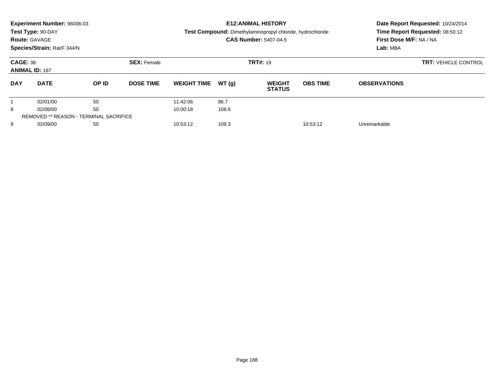|                 | Experiment Number: 96006-03                   |       |                    |                               |       | <b>E12: ANIMAL HISTORY</b>                                 | Date Report Requested: 10/24/2014 |                                 |  |  |
|-----------------|-----------------------------------------------|-------|--------------------|-------------------------------|-------|------------------------------------------------------------|-----------------------------------|---------------------------------|--|--|
|                 | Test Type: 90-DAY                             |       |                    |                               |       | Test Compound: Dimethylaminopropyl chloride, hydrochloride |                                   | Time Report Requested: 08:50:12 |  |  |
|                 | <b>Route: GAVAGE</b>                          |       |                    |                               |       | <b>CAS Number: 5407-04-5</b>                               |                                   | First Dose M/F: NA / NA         |  |  |
|                 | Species/Strain: Rat/F 344/N                   |       |                    |                               |       |                                                            |                                   | Lab: MBA                        |  |  |
| <b>CAGE: 38</b> | <b>ANIMAL ID: 187</b>                         |       | <b>SEX: Female</b> | <b>TRT#: 19</b>               |       |                                                            |                                   | <b>TRT: VEHICLE CONTROL</b>     |  |  |
| <b>DAY</b>      | <b>DATE</b>                                   | OP ID | <b>DOSE TIME</b>   | <b>WEIGHT TIME</b>            | WT(g) | <b>WEIGHT</b><br><b>STATUS</b>                             | <b>OBS TIME</b>                   | <b>OBSERVATIONS</b>             |  |  |
|                 | 02/01/00                                      | 50    |                    | 11:42:06                      | 86.7  |                                                            |                                   |                                 |  |  |
| 8               | 02/08/00                                      | 50    |                    | 10:00:18                      | 108.6 |                                                            |                                   |                                 |  |  |
|                 | <b>REMOVED ** REASON - TERMINAL SACRIFICE</b> |       |                    |                               |       |                                                            |                                   |                                 |  |  |
| 9               | 02/09/00<br>50                                |       |                    | 109.3<br>10:53:12<br>10:53:12 |       | Unremarkable                                               |                                   |                                 |  |  |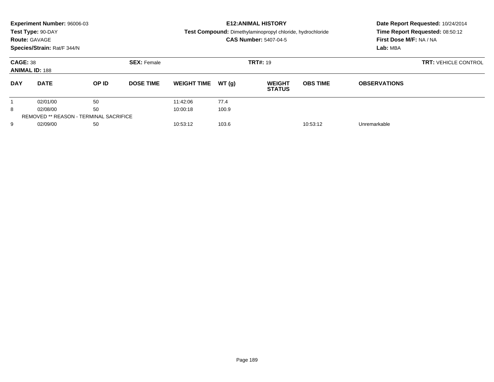|                 | Experiment Number: 96006-03                   |       |                    |                               |       | <b>E12: ANIMAL HISTORY</b>                                 | Date Report Requested: 10/24/2014 |                                 |                             |  |
|-----------------|-----------------------------------------------|-------|--------------------|-------------------------------|-------|------------------------------------------------------------|-----------------------------------|---------------------------------|-----------------------------|--|
|                 | Test Type: 90-DAY                             |       |                    |                               |       | Test Compound: Dimethylaminopropyl chloride, hydrochloride |                                   | Time Report Requested: 08:50:12 |                             |  |
|                 | <b>Route: GAVAGE</b>                          |       |                    |                               |       | <b>CAS Number: 5407-04-5</b>                               |                                   | First Dose M/F: NA / NA         |                             |  |
|                 | Species/Strain: Rat/F 344/N                   |       |                    |                               |       |                                                            |                                   | Lab: MBA                        |                             |  |
| <b>CAGE: 38</b> | <b>ANIMAL ID: 188</b>                         |       | <b>SEX: Female</b> | <b>TRT#: 19</b>               |       |                                                            |                                   |                                 | <b>TRT: VEHICLE CONTROL</b> |  |
| <b>DAY</b>      | <b>DATE</b>                                   | OP ID | <b>DOSE TIME</b>   | <b>WEIGHT TIME</b>            | WT(g) | <b>WEIGHT</b><br><b>STATUS</b>                             | <b>OBS TIME</b>                   | <b>OBSERVATIONS</b>             |                             |  |
|                 | 02/01/00                                      | 50    |                    | 11:42:06                      | 77.4  |                                                            |                                   |                                 |                             |  |
| 8               | 02/08/00                                      | 50    |                    | 10:00:18                      | 100.9 |                                                            |                                   |                                 |                             |  |
|                 | <b>REMOVED ** REASON - TERMINAL SACRIFICE</b> |       |                    |                               |       |                                                            |                                   |                                 |                             |  |
| 9               | 02/09/00<br>50                                |       |                    | 103.6<br>10:53:12<br>10:53:12 |       | Unremarkable                                               |                                   |                                 |                             |  |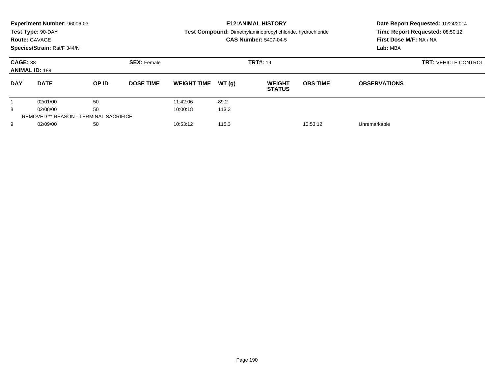|                 | Experiment Number: 96006-03                   |       |                    |                    |       | <b>E12: ANIMAL HISTORY</b>                                 | Date Report Requested: 10/24/2014 |                                 |  |  |
|-----------------|-----------------------------------------------|-------|--------------------|--------------------|-------|------------------------------------------------------------|-----------------------------------|---------------------------------|--|--|
|                 | Test Type: 90-DAY                             |       |                    |                    |       | Test Compound: Dimethylaminopropyl chloride, hydrochloride |                                   | Time Report Requested: 08:50:12 |  |  |
|                 | <b>Route: GAVAGE</b>                          |       |                    |                    |       | <b>CAS Number: 5407-04-5</b>                               |                                   | <b>First Dose M/F: NA / NA</b>  |  |  |
|                 | Species/Strain: Rat/F 344/N                   |       |                    |                    |       |                                                            |                                   | Lab: MBA                        |  |  |
| <b>CAGE: 38</b> | <b>ANIMAL ID: 189</b>                         |       | <b>SEX: Female</b> |                    |       | <b>TRT#: 19</b>                                            |                                   | <b>TRT: VEHICLE CONTROL</b>     |  |  |
| <b>DAY</b>      | <b>DATE</b>                                   | OP ID | <b>DOSE TIME</b>   | <b>WEIGHT TIME</b> | WT(q) | <b>WEIGHT</b><br><b>STATUS</b>                             | <b>OBS TIME</b>                   | <b>OBSERVATIONS</b>             |  |  |
|                 | 02/01/00                                      | 50    |                    | 11:42:06           | 89.2  |                                                            |                                   |                                 |  |  |
| 8               | 02/08/00                                      | 50    |                    | 10:00:18           | 113.3 |                                                            |                                   |                                 |  |  |
|                 | <b>REMOVED ** REASON - TERMINAL SACRIFICE</b> |       |                    |                    |       |                                                            |                                   |                                 |  |  |
| 9               | 02/09/00                                      | 50    |                    | 10:53:12           | 115.3 |                                                            | 10:53:12                          | Unremarkable                    |  |  |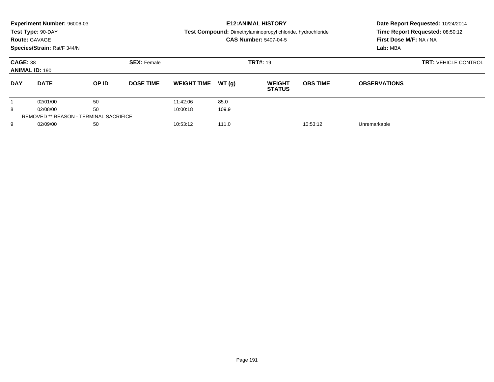|                 | Experiment Number: 96006-03                   |       |                    |                               |       | <b>E12: ANIMAL HISTORY</b>                                 | Date Report Requested: 10/24/2014 |                                 |  |  |
|-----------------|-----------------------------------------------|-------|--------------------|-------------------------------|-------|------------------------------------------------------------|-----------------------------------|---------------------------------|--|--|
|                 | Test Type: 90-DAY                             |       |                    |                               |       | Test Compound: Dimethylaminopropyl chloride, hydrochloride |                                   | Time Report Requested: 08:50:12 |  |  |
|                 | <b>Route: GAVAGE</b>                          |       |                    |                               |       | <b>CAS Number: 5407-04-5</b>                               |                                   | <b>First Dose M/F: NA / NA</b>  |  |  |
|                 | Species/Strain: Rat/F 344/N                   |       |                    |                               |       |                                                            |                                   | Lab: MBA                        |  |  |
| <b>CAGE: 38</b> | <b>ANIMAL ID: 190</b>                         |       | <b>SEX: Female</b> |                               |       | <b>TRT#: 19</b>                                            |                                   | <b>TRT: VEHICLE CONTROL</b>     |  |  |
| <b>DAY</b>      | <b>DATE</b>                                   | OP ID | <b>DOSE TIME</b>   | <b>WEIGHT TIME</b>            | WT(q) | <b>WEIGHT</b><br><b>STATUS</b>                             | <b>OBS TIME</b>                   | <b>OBSERVATIONS</b>             |  |  |
|                 | 02/01/00                                      | 50    |                    | 11:42:06                      | 85.0  |                                                            |                                   |                                 |  |  |
| 8               | 02/08/00                                      | 50    |                    | 10:00:18                      | 109.9 |                                                            |                                   |                                 |  |  |
|                 | <b>REMOVED ** REASON - TERMINAL SACRIFICE</b> |       |                    |                               |       |                                                            |                                   |                                 |  |  |
| 9               | 02/09/00                                      | 50    |                    | 111.0<br>10:53:12<br>10:53:12 |       | Unremarkable                                               |                                   |                                 |  |  |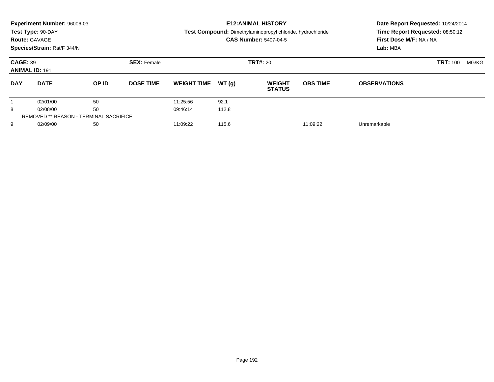| <b>Route: GAVAGE</b>                     | Experiment Number: 96006-03<br>Test Type: 90-DAY<br>Species/Strain: Rat/F 344/N |                                               |                    |                    |       | <b>E12: ANIMAL HISTORY</b><br>Test Compound: Dimethylaminopropyl chloride, hydrochloride<br><b>CAS Number: 5407-04-5</b> | Date Report Requested: 10/24/2014<br>Time Report Requested: 08:50:12<br>First Dose M/F: NA / NA<br>Lab: MBA |                     |                 |       |
|------------------------------------------|---------------------------------------------------------------------------------|-----------------------------------------------|--------------------|--------------------|-------|--------------------------------------------------------------------------------------------------------------------------|-------------------------------------------------------------------------------------------------------------|---------------------|-----------------|-------|
| <b>CAGE: 39</b><br><b>ANIMAL ID: 191</b> |                                                                                 |                                               | <b>SEX: Female</b> | <b>TRT#: 20</b>    |       |                                                                                                                          |                                                                                                             |                     | <b>TRT: 100</b> | MG/KG |
| <b>DAY</b>                               | <b>DATE</b>                                                                     | OP ID                                         | <b>DOSE TIME</b>   | <b>WEIGHT TIME</b> | WT(q) | <b>WEIGHT</b><br><b>STATUS</b>                                                                                           | <b>OBS TIME</b>                                                                                             | <b>OBSERVATIONS</b> |                 |       |
|                                          | 02/01/00                                                                        | 50                                            |                    | 11:25:56           | 92.1  |                                                                                                                          |                                                                                                             |                     |                 |       |
| 8                                        | 02/08/00                                                                        | 50                                            |                    | 09:46:14           | 112.8 |                                                                                                                          |                                                                                                             |                     |                 |       |
|                                          |                                                                                 | <b>REMOVED ** REASON - TERMINAL SACRIFICE</b> |                    |                    |       |                                                                                                                          |                                                                                                             |                     |                 |       |
| 9                                        | 02/09/00                                                                        | 50                                            |                    | 11:09:22           | 115.6 |                                                                                                                          | 11:09:22                                                                                                    | Unremarkable        |                 |       |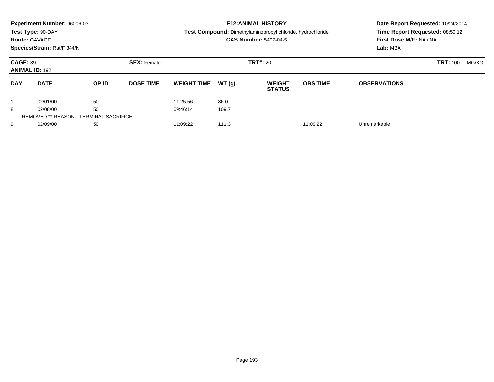| <b>Route: GAVAGE</b>                     | Experiment Number: 96006-03<br>Test Type: 90-DAY<br>Species/Strain: Rat/F 344/N |                                               |                    |                    |       | <b>E12: ANIMAL HISTORY</b><br>Test Compound: Dimethylaminopropyl chloride, hydrochloride<br><b>CAS Number: 5407-04-5</b> | Date Report Requested: 10/24/2014<br>Time Report Requested: 08:50:12<br>First Dose M/F: NA / NA<br>Lab: MBA |                     |                 |       |
|------------------------------------------|---------------------------------------------------------------------------------|-----------------------------------------------|--------------------|--------------------|-------|--------------------------------------------------------------------------------------------------------------------------|-------------------------------------------------------------------------------------------------------------|---------------------|-----------------|-------|
| <b>CAGE: 39</b><br><b>ANIMAL ID: 192</b> |                                                                                 |                                               | <b>SEX: Female</b> | <b>TRT#: 20</b>    |       |                                                                                                                          |                                                                                                             |                     | <b>TRT: 100</b> | MG/KG |
| <b>DAY</b>                               | <b>DATE</b>                                                                     | OP ID                                         | <b>DOSE TIME</b>   | <b>WEIGHT TIME</b> | WT(q) | <b>WEIGHT</b><br><b>STATUS</b>                                                                                           | <b>OBS TIME</b>                                                                                             | <b>OBSERVATIONS</b> |                 |       |
|                                          | 02/01/00                                                                        | 50                                            |                    | 11:25:56           | 86.0  |                                                                                                                          |                                                                                                             |                     |                 |       |
| 8                                        | 02/08/00                                                                        | 50                                            |                    | 09:46:14           | 109.7 |                                                                                                                          |                                                                                                             |                     |                 |       |
|                                          |                                                                                 | <b>REMOVED ** REASON - TERMINAL SACRIFICE</b> |                    |                    |       |                                                                                                                          |                                                                                                             |                     |                 |       |
| 9                                        | 02/09/00                                                                        | 50                                            |                    | 11:09:22           | 111.3 |                                                                                                                          | 11:09:22                                                                                                    | Unremarkable        |                 |       |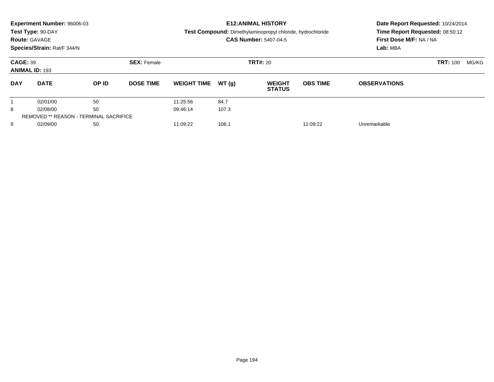| <b>Route: GAVAGE</b>                     | Experiment Number: 96006-03<br>Test Type: 90-DAY<br>Species/Strain: Rat/F 344/N |                                               |                    |                    | <b>E12: ANIMAL HISTORY</b><br>Test Compound: Dimethylaminopropyl chloride, hydrochloride<br><b>CAS Number: 5407-04-5</b> | Date Report Requested: 10/24/2014<br>Time Report Requested: 08:50:12<br>First Dose M/F: NA / NA<br>Lab: MBA |                 |                     |       |  |
|------------------------------------------|---------------------------------------------------------------------------------|-----------------------------------------------|--------------------|--------------------|--------------------------------------------------------------------------------------------------------------------------|-------------------------------------------------------------------------------------------------------------|-----------------|---------------------|-------|--|
| <b>CAGE: 39</b><br><b>ANIMAL ID: 193</b> |                                                                                 |                                               | <b>SEX: Female</b> | <b>TRT#: 20</b>    |                                                                                                                          |                                                                                                             |                 | <b>TRT: 100</b>     | MG/KG |  |
| <b>DAY</b>                               | <b>DATE</b>                                                                     | OP ID                                         | <b>DOSE TIME</b>   | <b>WEIGHT TIME</b> | WT(q)                                                                                                                    | <b>WEIGHT</b><br><b>STATUS</b>                                                                              | <b>OBS TIME</b> | <b>OBSERVATIONS</b> |       |  |
|                                          | 02/01/00                                                                        | 50                                            |                    | 11:25:56           | 84.7                                                                                                                     |                                                                                                             |                 |                     |       |  |
| 8                                        | 02/08/00                                                                        | 50                                            |                    | 09:46:14           | 107.3                                                                                                                    |                                                                                                             |                 |                     |       |  |
|                                          |                                                                                 | <b>REMOVED ** REASON - TERMINAL SACRIFICE</b> |                    |                    |                                                                                                                          |                                                                                                             |                 |                     |       |  |
| 9                                        | 02/09/00                                                                        | 50                                            |                    | 11:09:22           | 108.1                                                                                                                    |                                                                                                             | 11:09:22        | Unremarkable        |       |  |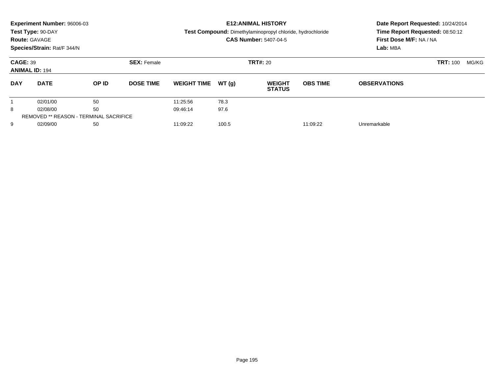|            | Experiment Number: 96006-03<br>Test Type: 90-DAY<br><b>Route: GAVAGE</b><br>Species/Strain: Rat/F 344/N |       |                    |                    |                 | <b>E12: ANIMAL HISTORY</b><br><b>Test Compound:</b> Dimethylaminopropyl chloride, hydrochloride<br><b>CAS Number: 5407-04-5</b> |                 | Date Report Requested: 10/24/2014<br>Time Report Requested: 08:50:12<br>First Dose M/F: NA / NA<br>Lab: MBA |                 |       |
|------------|---------------------------------------------------------------------------------------------------------|-------|--------------------|--------------------|-----------------|---------------------------------------------------------------------------------------------------------------------------------|-----------------|-------------------------------------------------------------------------------------------------------------|-----------------|-------|
|            | <b>CAGE: 39</b><br><b>ANIMAL ID: 194</b>                                                                |       | <b>SEX: Female</b> |                    | <b>TRT#: 20</b> |                                                                                                                                 |                 |                                                                                                             | <b>TRT: 100</b> | MG/KG |
| <b>DAY</b> | <b>DATE</b>                                                                                             | OP ID | <b>DOSE TIME</b>   | <b>WEIGHT TIME</b> | WT(q)           | <b>WEIGHT</b><br><b>STATUS</b>                                                                                                  | <b>OBS TIME</b> | <b>OBSERVATIONS</b>                                                                                         |                 |       |
|            | 02/01/00                                                                                                | 50    |                    | 11:25:56           | 78.3            |                                                                                                                                 |                 |                                                                                                             |                 |       |
| 8          | 02/08/00                                                                                                | 50    |                    | 09:46:14           | 97.6            |                                                                                                                                 |                 |                                                                                                             |                 |       |
|            | <b>REMOVED ** REASON - TERMINAL SACRIFICE</b>                                                           |       |                    |                    |                 |                                                                                                                                 |                 |                                                                                                             |                 |       |
| 9          | 02/09/00                                                                                                | 50    |                    | 11:09:22           | 100.5           |                                                                                                                                 | 11:09:22        | Unremarkable                                                                                                |                 |       |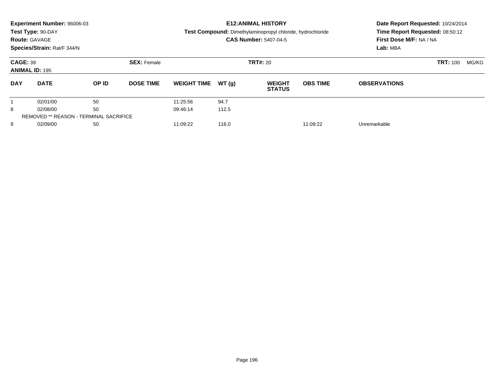| <b>Route: GAVAGE</b>                     | Experiment Number: 96006-03<br>Test Type: 90-DAY<br>Species/Strain: Rat/F 344/N |                                               |                    |                    | <b>E12: ANIMAL HISTORY</b><br>Test Compound: Dimethylaminopropyl chloride, hydrochloride<br><b>CAS Number: 5407-04-5</b> | Date Report Requested: 10/24/2014<br>Time Report Requested: 08:50:12<br>First Dose M/F: NA / NA<br>Lab: MBA |                 |                     |                 |       |
|------------------------------------------|---------------------------------------------------------------------------------|-----------------------------------------------|--------------------|--------------------|--------------------------------------------------------------------------------------------------------------------------|-------------------------------------------------------------------------------------------------------------|-----------------|---------------------|-----------------|-------|
| <b>CAGE: 39</b><br><b>ANIMAL ID: 195</b> |                                                                                 |                                               | <b>SEX: Female</b> |                    | <b>TRT#: 20</b>                                                                                                          |                                                                                                             |                 |                     | <b>TRT: 100</b> | MG/KG |
| <b>DAY</b>                               | <b>DATE</b>                                                                     | OP ID                                         | <b>DOSE TIME</b>   | <b>WEIGHT TIME</b> | WT(q)                                                                                                                    | <b>WEIGHT</b><br><b>STATUS</b>                                                                              | <b>OBS TIME</b> | <b>OBSERVATIONS</b> |                 |       |
|                                          | 02/01/00                                                                        | 50                                            |                    | 11:25:56           | 94.7                                                                                                                     |                                                                                                             |                 |                     |                 |       |
| 8                                        | 02/08/00                                                                        | 50                                            |                    | 09:46:14           | 112.5                                                                                                                    |                                                                                                             |                 |                     |                 |       |
|                                          |                                                                                 | <b>REMOVED ** REASON - TERMINAL SACRIFICE</b> |                    |                    |                                                                                                                          |                                                                                                             |                 |                     |                 |       |
| 9                                        | 02/09/00                                                                        | 50                                            |                    | 11:09:22           | 116.0                                                                                                                    |                                                                                                             | 11:09:22        | Unremarkable        |                 |       |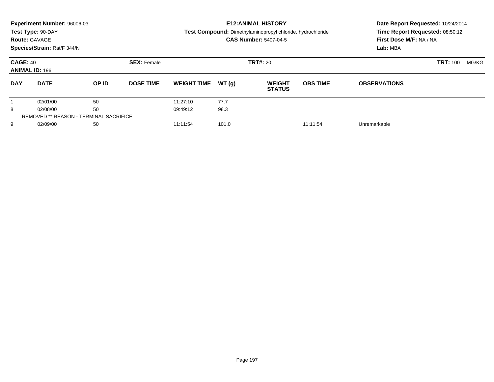|                                          | Experiment Number: 96006-03<br>Test Type: 90-DAY<br><b>Route: GAVAGE</b><br>Species/Strain: Rat/F 344/N |       |                                       |                    | <b>E12: ANIMAL HISTORY</b><br>Test Compound: Dimethylaminopropyl chloride, hydrochloride<br><b>CAS Number: 5407-04-5</b> |                                | Date Report Requested: 10/24/2014<br>Time Report Requested: 08:50:12<br>First Dose M/F: NA / NA<br>Lab: MBA |                     |                 |       |
|------------------------------------------|---------------------------------------------------------------------------------------------------------|-------|---------------------------------------|--------------------|--------------------------------------------------------------------------------------------------------------------------|--------------------------------|-------------------------------------------------------------------------------------------------------------|---------------------|-----------------|-------|
| <b>CAGE: 40</b><br><b>ANIMAL ID: 196</b> |                                                                                                         |       | <b>SEX: Female</b><br><b>TRT#: 20</b> |                    |                                                                                                                          |                                |                                                                                                             |                     | <b>TRT: 100</b> | MG/KG |
| <b>DAY</b>                               | <b>DATE</b>                                                                                             | OP ID | <b>DOSE TIME</b>                      | <b>WEIGHT TIME</b> | WT(q)                                                                                                                    | <b>WEIGHT</b><br><b>STATUS</b> | <b>OBS TIME</b>                                                                                             | <b>OBSERVATIONS</b> |                 |       |
|                                          | 02/01/00                                                                                                | 50    |                                       | 11:27:10           | 77.7                                                                                                                     |                                |                                                                                                             |                     |                 |       |
| 8                                        | 02/08/00                                                                                                | 50    |                                       | 09:49:12           | 98.3                                                                                                                     |                                |                                                                                                             |                     |                 |       |
|                                          | <b>REMOVED ** REASON - TERMINAL SACRIFICE</b>                                                           |       |                                       |                    |                                                                                                                          |                                |                                                                                                             |                     |                 |       |
| 9                                        | 02/09/00                                                                                                | 50    |                                       | 11:11:54           | 101.0                                                                                                                    |                                | 11:11:54                                                                                                    | Unremarkable        |                 |       |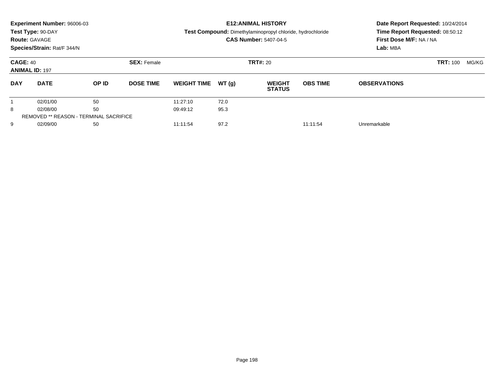|            | Experiment Number: 96006-03<br>Test Type: 90-DAY<br><b>Route: GAVAGE</b><br>Species/Strain: Rat/F 344/N |                                               |                    |                    | <b>E12: ANIMAL HISTORY</b><br>Test Compound: Dimethylaminopropyl chloride, hydrochloride<br><b>CAS Number: 5407-04-5</b> | Date Report Requested: 10/24/2014<br>Time Report Requested: 08:50:12<br>First Dose M/F: NA / NA<br>Lab: MBA |                 |                     |                 |       |
|------------|---------------------------------------------------------------------------------------------------------|-----------------------------------------------|--------------------|--------------------|--------------------------------------------------------------------------------------------------------------------------|-------------------------------------------------------------------------------------------------------------|-----------------|---------------------|-----------------|-------|
|            | <b>CAGE: 40</b><br><b>ANIMAL ID: 197</b>                                                                |                                               | <b>SEX: Female</b> | <b>TRT#: 20</b>    |                                                                                                                          |                                                                                                             |                 |                     | <b>TRT: 100</b> | MG/KG |
| <b>DAY</b> | <b>DATE</b>                                                                                             | OP ID                                         | <b>DOSE TIME</b>   | <b>WEIGHT TIME</b> | WT(q)                                                                                                                    | <b>WEIGHT</b><br><b>STATUS</b>                                                                              | <b>OBS TIME</b> | <b>OBSERVATIONS</b> |                 |       |
|            | 02/01/00                                                                                                | 50                                            |                    | 11:27:10           | 72.0                                                                                                                     |                                                                                                             |                 |                     |                 |       |
| 8          | 02/08/00                                                                                                | 50                                            |                    | 09:49:12           | 95.3                                                                                                                     |                                                                                                             |                 |                     |                 |       |
|            |                                                                                                         | <b>REMOVED ** REASON - TERMINAL SACRIFICE</b> |                    |                    |                                                                                                                          |                                                                                                             |                 |                     |                 |       |
| 9          | 02/09/00                                                                                                | 50                                            |                    | 11:11:54           | 97.2                                                                                                                     |                                                                                                             | 11:11:54        | Unremarkable        |                 |       |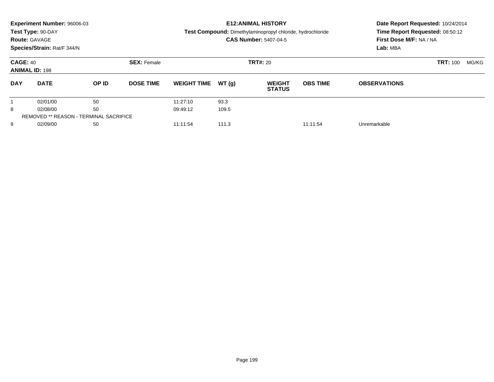|            | Experiment Number: 96006-03                   |       |                    |                    |       | <b>E12: ANIMAL HISTORY</b>                                 |                 | Date Report Requested: 10/24/2014 |                 |       |
|------------|-----------------------------------------------|-------|--------------------|--------------------|-------|------------------------------------------------------------|-----------------|-----------------------------------|-----------------|-------|
|            | Test Type: 90-DAY                             |       |                    |                    |       | Test Compound: Dimethylaminopropyl chloride, hydrochloride |                 | Time Report Requested: 08:50:12   |                 |       |
|            | <b>Route: GAVAGE</b>                          |       |                    |                    |       | <b>CAS Number: 5407-04-5</b>                               |                 | First Dose M/F: NA / NA           |                 |       |
|            | Species/Strain: Rat/F 344/N                   |       |                    |                    |       |                                                            |                 | Lab: MBA                          |                 |       |
|            | <b>CAGE: 40</b><br><b>ANIMAL ID: 198</b>      |       | <b>SEX: Female</b> |                    |       | <b>TRT#: 20</b>                                            |                 |                                   | <b>TRT: 100</b> | MG/KG |
|            |                                               |       |                    |                    |       |                                                            |                 |                                   |                 |       |
| <b>DAY</b> | <b>DATE</b>                                   | OP ID | <b>DOSE TIME</b>   | <b>WEIGHT TIME</b> | WT(q) | <b>WEIGHT</b><br><b>STATUS</b>                             | <b>OBS TIME</b> | <b>OBSERVATIONS</b>               |                 |       |
|            | 02/01/00                                      | 50    |                    | 11:27:10           | 93.3  |                                                            |                 |                                   |                 |       |
| 8          | 02/08/00                                      | 50    |                    | 09:49:12           | 109.5 |                                                            |                 |                                   |                 |       |
|            | <b>REMOVED ** REASON - TERMINAL SACRIFICE</b> |       |                    |                    |       |                                                            |                 |                                   |                 |       |
| 9          | 02/09/00                                      | 50    |                    | 11:11:54           | 111.3 |                                                            | 11:11:54        | Unremarkable                      |                 |       |
|            |                                               |       |                    |                    |       |                                                            |                 |                                   |                 |       |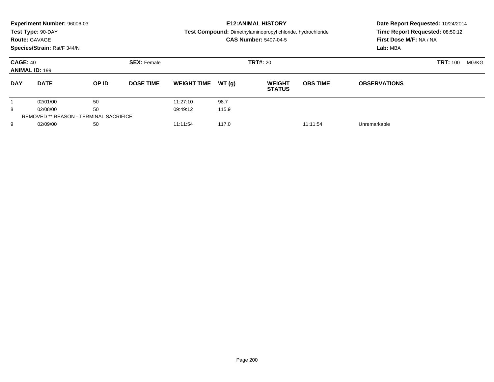|                                          | Experiment Number: 96006-03<br>Test Type: 90-DAY<br><b>Route: GAVAGE</b><br>Species/Strain: Rat/F 344/N |                                               |                    |                    |       | <b>E12: ANIMAL HISTORY</b><br><b>Test Compound:</b> Dimethylaminopropyl chloride, hydrochloride<br><b>CAS Number: 5407-04-5</b> |                 | Date Report Requested: 10/24/2014<br>Time Report Requested: 08:50:12<br>First Dose M/F: NA / NA<br>Lab: MBA |                 |       |
|------------------------------------------|---------------------------------------------------------------------------------------------------------|-----------------------------------------------|--------------------|--------------------|-------|---------------------------------------------------------------------------------------------------------------------------------|-----------------|-------------------------------------------------------------------------------------------------------------|-----------------|-------|
|                                          |                                                                                                         |                                               |                    |                    |       |                                                                                                                                 |                 |                                                                                                             |                 |       |
| <b>CAGE: 40</b><br><b>ANIMAL ID: 199</b> |                                                                                                         |                                               | <b>SEX: Female</b> | <b>TRT#: 20</b>    |       |                                                                                                                                 |                 |                                                                                                             | <b>TRT: 100</b> | MG/KG |
| <b>DAY</b>                               | <b>DATE</b>                                                                                             | OP ID                                         | <b>DOSE TIME</b>   | <b>WEIGHT TIME</b> | WT(q) | <b>WEIGHT</b><br><b>STATUS</b>                                                                                                  | <b>OBS TIME</b> | <b>OBSERVATIONS</b>                                                                                         |                 |       |
|                                          | 02/01/00                                                                                                | 50                                            |                    | 11:27:10           | 98.7  |                                                                                                                                 |                 |                                                                                                             |                 |       |
| 8                                        | 02/08/00                                                                                                | 50                                            |                    | 09:49:12           | 115.9 |                                                                                                                                 |                 |                                                                                                             |                 |       |
|                                          |                                                                                                         | <b>REMOVED ** REASON - TERMINAL SACRIFICE</b> |                    |                    |       |                                                                                                                                 |                 |                                                                                                             |                 |       |
| 9                                        | 02/09/00                                                                                                | 50                                            |                    | 11:11:54           | 117.0 |                                                                                                                                 | 11:11:54        | Unremarkable                                                                                                |                 |       |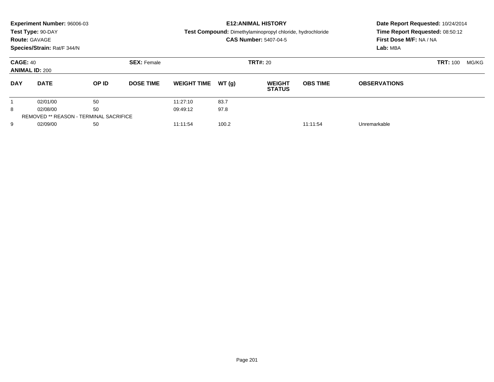| <b>Route: GAVAGE</b> | Experiment Number: 96006-03<br>Test Type: 90-DAY<br>Species/Strain: Rat/F 344/N |              |                    |                    |        | <b>E12: ANIMAL HISTORY</b><br><b>Test Compound:</b> Dimethylaminopropyl chloride, hydrochloride<br><b>CAS Number: 5407-04-5</b> | Date Report Requested: 10/24/2014<br>Time Report Requested: 08:50:12<br>First Dose M/F: NA / NA<br>Lab: MBA |                     |                 |       |
|----------------------|---------------------------------------------------------------------------------|--------------|--------------------|--------------------|--------|---------------------------------------------------------------------------------------------------------------------------------|-------------------------------------------------------------------------------------------------------------|---------------------|-----------------|-------|
|                      | <b>CAGE: 40</b><br><b>ANIMAL ID: 200</b>                                        |              | <b>SEX: Female</b> | <b>TRT#: 20</b>    |        |                                                                                                                                 |                                                                                                             |                     | <b>TRT: 100</b> | MG/KG |
| <b>DAY</b>           | <b>DATE</b>                                                                     | <b>OP ID</b> | <b>DOSE TIME</b>   | <b>WEIGHT TIME</b> | WT (q) | <b>WEIGHT</b><br><b>STATUS</b>                                                                                                  | <b>OBS TIME</b>                                                                                             | <b>OBSERVATIONS</b> |                 |       |
|                      | 02/01/00                                                                        | 50           |                    | 11:27:10           | 83.7   |                                                                                                                                 |                                                                                                             |                     |                 |       |
| 8                    | 02/08/00                                                                        | 50           |                    | 09:49:12           | 97.8   |                                                                                                                                 |                                                                                                             |                     |                 |       |
|                      | <b>REMOVED ** REASON - TERMINAL SACRIFICE</b>                                   |              |                    |                    |        |                                                                                                                                 |                                                                                                             |                     |                 |       |
| 9                    | 02/09/00                                                                        | 50           |                    | 11:11:54           | 100.2  |                                                                                                                                 | 11:11:54                                                                                                    | Unremarkable        |                 |       |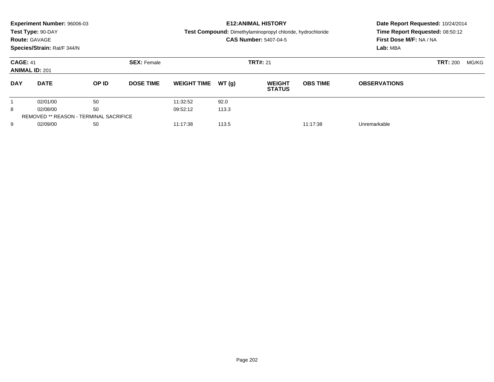|                                          | Experiment Number: 96006-03<br>Test Type: 90-DAY<br><b>Route: GAVAGE</b> |                                               |                                       |                    |       | <b>E12: ANIMAL HISTORY</b><br>Test Compound: Dimethylaminopropyl chloride, hydrochloride |                 | Date Report Requested: 10/24/2014<br>Time Report Requested: 08:50:12 |       |  |
|------------------------------------------|--------------------------------------------------------------------------|-----------------------------------------------|---------------------------------------|--------------------|-------|------------------------------------------------------------------------------------------|-----------------|----------------------------------------------------------------------|-------|--|
|                                          | Species/Strain: Rat/F 344/N                                              |                                               |                                       |                    |       | <b>CAS Number: 5407-04-5</b>                                                             |                 | First Dose M/F: NA / NA<br>Lab: MBA                                  |       |  |
| <b>CAGE: 41</b><br><b>ANIMAL ID: 201</b> |                                                                          |                                               | <b>SEX: Female</b><br><b>TRT#: 21</b> |                    |       |                                                                                          |                 | <b>TRT: 200</b>                                                      | MG/KG |  |
| <b>DAY</b>                               | <b>DATE</b>                                                              | <b>OP ID</b>                                  | <b>DOSE TIME</b>                      | <b>WEIGHT TIME</b> | WT(q) | <b>WEIGHT</b><br><b>STATUS</b>                                                           | <b>OBS TIME</b> | <b>OBSERVATIONS</b>                                                  |       |  |
|                                          | 02/01/00                                                                 | 50                                            |                                       | 11:32:52           | 92.0  |                                                                                          |                 |                                                                      |       |  |
| 8                                        | 02/08/00                                                                 | 50                                            |                                       | 09:52:12           | 113.3 |                                                                                          |                 |                                                                      |       |  |
|                                          |                                                                          | <b>REMOVED ** REASON - TERMINAL SACRIFICE</b> |                                       |                    |       |                                                                                          |                 |                                                                      |       |  |
| 9                                        | 02/09/00                                                                 | 50                                            |                                       | 11:17:38           | 113.5 |                                                                                          | 11:17:38        | Unremarkable                                                         |       |  |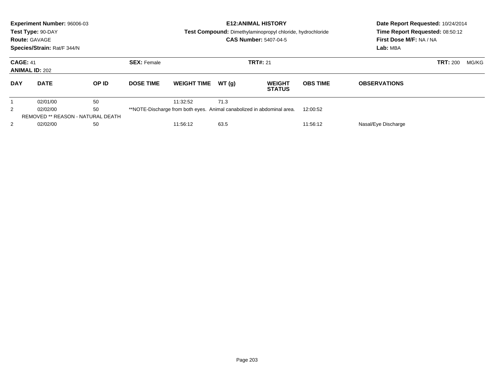| <b>Route: GAVAGE</b> | Experiment Number: 96006-03<br>Test Type: 90-DAY<br>Species/Strain: Rat/F 344/N |       |                    | <b>E12: ANIMAL HISTORY</b><br><b>Test Compound:</b> Dimethylaminopropyl chloride, hydrochloride<br><b>CAS Number: 5407-04-5</b> |       |                                                                        |                 | Date Report Requested: 10/24/2014<br>Time Report Requested: 08:50:12<br>First Dose M/F: NA / NA<br>Lab: MBA |                 |       |
|----------------------|---------------------------------------------------------------------------------|-------|--------------------|---------------------------------------------------------------------------------------------------------------------------------|-------|------------------------------------------------------------------------|-----------------|-------------------------------------------------------------------------------------------------------------|-----------------|-------|
|                      | <b>CAGE: 41</b><br><b>ANIMAL ID: 202</b>                                        |       | <b>SEX: Female</b> | <b>TRT#: 21</b>                                                                                                                 |       |                                                                        |                 |                                                                                                             | <b>TRT: 200</b> | MG/KG |
| <b>DAY</b>           | <b>DATE</b>                                                                     | OP ID | <b>DOSE TIME</b>   | <b>WEIGHT TIME</b>                                                                                                              | WT(q) | <b>WEIGHT</b><br><b>STATUS</b>                                         | <b>OBS TIME</b> | <b>OBSERVATIONS</b>                                                                                         |                 |       |
|                      | 02/01/00                                                                        | 50    |                    | 11:32:52                                                                                                                        | 71.3  |                                                                        |                 |                                                                                                             |                 |       |
| 2                    | 02/02/00                                                                        | 50    |                    |                                                                                                                                 |       | **NOTE-Discharge from both eyes. Animal canabolized in abdominal area. | 12:00:52        |                                                                                                             |                 |       |
|                      | <b>REMOVED ** REASON - NATURAL DEATH</b>                                        |       |                    |                                                                                                                                 |       |                                                                        |                 |                                                                                                             |                 |       |
| 2                    | 02/02/00                                                                        | 50    |                    | 11:56:12                                                                                                                        | 63.5  |                                                                        | 11:56:12        | Nasal/Eye Discharge                                                                                         |                 |       |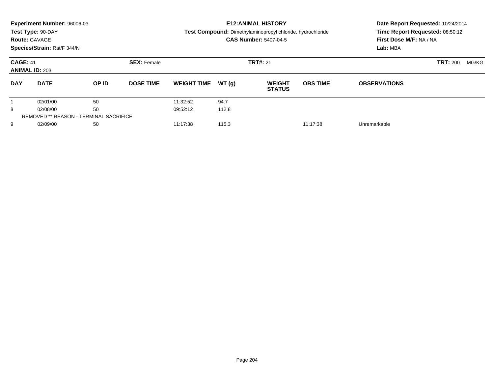|                                          | Experiment Number: 96006-03<br>Test Type: 90-DAY |                                               |                    |                    |       | <b>E12: ANIMAL HISTORY</b>                                 |                 | Date Report Requested: 10/24/2014 |                 |       |
|------------------------------------------|--------------------------------------------------|-----------------------------------------------|--------------------|--------------------|-------|------------------------------------------------------------|-----------------|-----------------------------------|-----------------|-------|
|                                          |                                                  |                                               |                    |                    |       | Test Compound: Dimethylaminopropyl chloride, hydrochloride |                 | Time Report Requested: 08:50:12   |                 |       |
| <b>Route: GAVAGE</b>                     |                                                  |                                               |                    |                    |       | <b>CAS Number: 5407-04-5</b>                               |                 | First Dose M/F: NA / NA           |                 |       |
|                                          | Species/Strain: Rat/F 344/N                      |                                               |                    |                    |       |                                                            |                 | Lab: MBA                          |                 |       |
| <b>CAGE: 41</b><br><b>ANIMAL ID: 203</b> |                                                  |                                               | <b>SEX: Female</b> |                    |       | <b>TRT#: 21</b>                                            |                 |                                   | <b>TRT: 200</b> | MG/KG |
| <b>DAY</b>                               | <b>DATE</b>                                      | OP ID                                         | <b>DOSE TIME</b>   | <b>WEIGHT TIME</b> | WT(q) | <b>WEIGHT</b><br><b>STATUS</b>                             | <b>OBS TIME</b> | <b>OBSERVATIONS</b>               |                 |       |
|                                          | 02/01/00                                         | 50                                            |                    | 11:32:52           | 94.7  |                                                            |                 |                                   |                 |       |
| 8                                        | 02/08/00                                         | 50                                            |                    | 09:52:12           | 112.8 |                                                            |                 |                                   |                 |       |
|                                          |                                                  | <b>REMOVED ** REASON - TERMINAL SACRIFICE</b> |                    |                    |       |                                                            |                 |                                   |                 |       |
| 9                                        | 02/09/00                                         | 50                                            |                    | 11:17:38           | 115.3 |                                                            | 11:17:38        | Unremarkable                      |                 |       |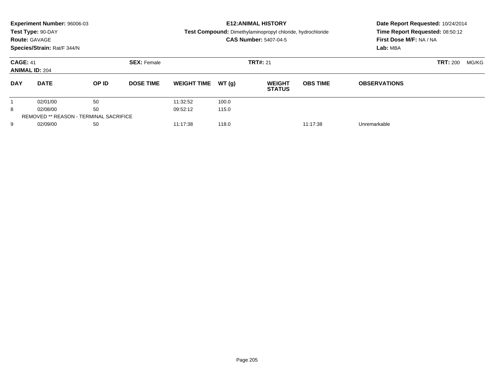|            | Experiment Number: 96006-03<br>Test Type: 90-DAY<br><b>Route: GAVAGE</b><br>Species/Strain: Rat/F 344/N |                                               |                    |                    |       | <b>E12: ANIMAL HISTORY</b><br>Test Compound: Dimethylaminopropyl chloride, hydrochloride<br><b>CAS Number: 5407-04-5</b> | Date Report Requested: 10/24/2014<br>Time Report Requested: 08:50:12<br>First Dose M/F: NA / NA<br>Lab: MBA |                     |                 |       |
|------------|---------------------------------------------------------------------------------------------------------|-----------------------------------------------|--------------------|--------------------|-------|--------------------------------------------------------------------------------------------------------------------------|-------------------------------------------------------------------------------------------------------------|---------------------|-----------------|-------|
|            | <b>CAGE: 41</b><br><b>ANIMAL ID: 204</b>                                                                |                                               | <b>SEX: Female</b> | <b>TRT#: 21</b>    |       |                                                                                                                          |                                                                                                             |                     | <b>TRT: 200</b> | MG/KG |
| <b>DAY</b> | <b>DATE</b>                                                                                             | <b>OP ID</b>                                  | <b>DOSE TIME</b>   | <b>WEIGHT TIME</b> | WT(q) | <b>WEIGHT</b><br><b>STATUS</b>                                                                                           | <b>OBS TIME</b>                                                                                             | <b>OBSERVATIONS</b> |                 |       |
|            | 02/01/00                                                                                                | 50                                            |                    | 11:32:52           | 100.0 |                                                                                                                          |                                                                                                             |                     |                 |       |
| 8          | 02/08/00                                                                                                | 50                                            |                    | 09:52:12           | 115.0 |                                                                                                                          |                                                                                                             |                     |                 |       |
|            |                                                                                                         | <b>REMOVED ** REASON - TERMINAL SACRIFICE</b> |                    |                    |       |                                                                                                                          |                                                                                                             |                     |                 |       |
| 9          | 02/09/00                                                                                                | 50                                            |                    | 11:17:38           | 118.0 |                                                                                                                          | 11:17:38                                                                                                    | Unremarkable        |                 |       |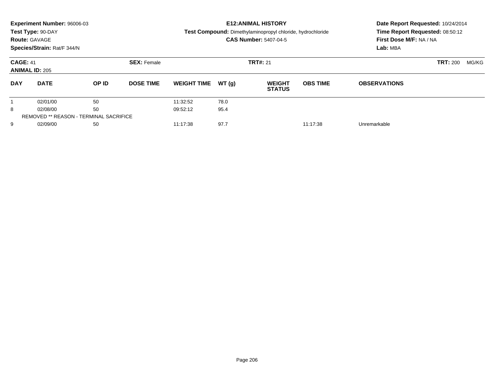| <b>Route: GAVAGE</b>                     | Experiment Number: 96006-03<br>Test Type: 90-DAY<br>Species/Strain: Rat/F 344/N |              |                    |                    | <b>E12: ANIMAL HISTORY</b><br>Test Compound: Dimethylaminopropyl chloride, hydrochloride<br><b>CAS Number: 5407-04-5</b> | Date Report Requested: 10/24/2014<br>Time Report Requested: 08:50:12<br>First Dose M/F: NA / NA<br>Lab: MBA |                 |                     |                 |       |
|------------------------------------------|---------------------------------------------------------------------------------|--------------|--------------------|--------------------|--------------------------------------------------------------------------------------------------------------------------|-------------------------------------------------------------------------------------------------------------|-----------------|---------------------|-----------------|-------|
| <b>CAGE: 41</b><br><b>ANIMAL ID: 205</b> |                                                                                 |              | <b>SEX: Female</b> | <b>TRT#: 21</b>    |                                                                                                                          |                                                                                                             |                 |                     | <b>TRT: 200</b> | MG/KG |
| <b>DAY</b>                               | <b>DATE</b>                                                                     | <b>OP ID</b> | <b>DOSE TIME</b>   | <b>WEIGHT TIME</b> | WT(q)                                                                                                                    | <b>WEIGHT</b><br><b>STATUS</b>                                                                              | <b>OBS TIME</b> | <b>OBSERVATIONS</b> |                 |       |
|                                          | 02/01/00                                                                        | 50           |                    | 11:32:52           | 78.0                                                                                                                     |                                                                                                             |                 |                     |                 |       |
| 8                                        | 02/08/00                                                                        | 50           |                    | 09:52:12           | 95.4                                                                                                                     |                                                                                                             |                 |                     |                 |       |
|                                          | <b>REMOVED ** REASON - TERMINAL SACRIFICE</b>                                   |              |                    |                    |                                                                                                                          |                                                                                                             |                 |                     |                 |       |
| 9                                        | 02/09/00                                                                        | 50           |                    | 11:17:38           | 97.7                                                                                                                     |                                                                                                             | 11:17:38        | Unremarkable        |                 |       |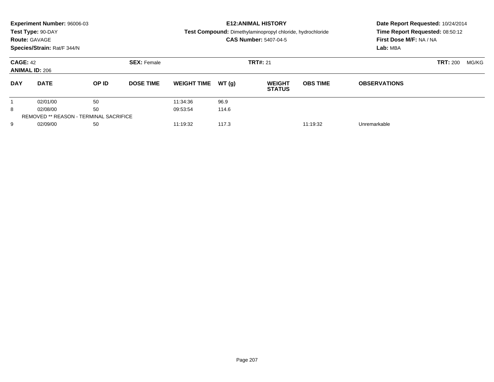| <b>Route: GAVAGE</b>                     | Experiment Number: 96006-03<br>Test Type: 90-DAY |                                               |                    |                    |       | <b>E12: ANIMAL HISTORY</b><br>Test Compound: Dimethylaminopropyl chloride, hydrochloride<br><b>CAS Number: 5407-04-5</b> |                 | Date Report Requested: 10/24/2014<br>Time Report Requested: 08:50:12<br>First Dose M/F: NA / NA |                 |       |
|------------------------------------------|--------------------------------------------------|-----------------------------------------------|--------------------|--------------------|-------|--------------------------------------------------------------------------------------------------------------------------|-----------------|-------------------------------------------------------------------------------------------------|-----------------|-------|
|                                          | Species/Strain: Rat/F 344/N                      |                                               |                    |                    |       |                                                                                                                          |                 | Lab: MBA                                                                                        |                 |       |
| <b>CAGE: 42</b><br><b>ANIMAL ID: 206</b> |                                                  |                                               | <b>SEX: Female</b> |                    |       | <b>TRT#: 21</b>                                                                                                          |                 |                                                                                                 | <b>TRT: 200</b> | MG/KG |
| <b>DAY</b>                               | <b>DATE</b>                                      | <b>OP ID</b>                                  | <b>DOSE TIME</b>   | <b>WEIGHT TIME</b> | WT(q) | <b>WEIGHT</b><br><b>STATUS</b>                                                                                           | <b>OBS TIME</b> | <b>OBSERVATIONS</b>                                                                             |                 |       |
|                                          | 02/01/00                                         | 50                                            |                    | 11:34:36           | 96.9  |                                                                                                                          |                 |                                                                                                 |                 |       |
| 8                                        | 02/08/00                                         | 50                                            |                    | 09:53:54           | 114.6 |                                                                                                                          |                 |                                                                                                 |                 |       |
|                                          |                                                  | <b>REMOVED ** REASON - TERMINAL SACRIFICE</b> |                    |                    |       |                                                                                                                          |                 |                                                                                                 |                 |       |
| 9                                        | 02/09/00                                         | 50                                            |                    | 11:19:32           | 117.3 |                                                                                                                          | 11:19:32        | Unremarkable                                                                                    |                 |       |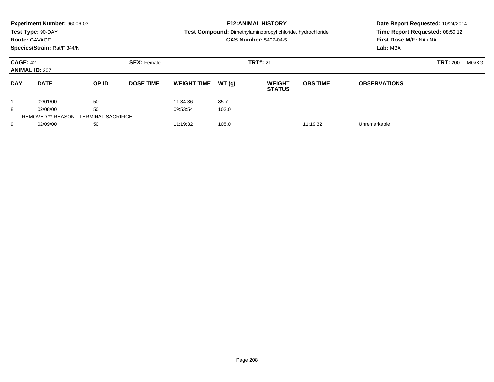|            | Experiment Number: 96006-03<br>Test Type: 90-DAY<br><b>Route: GAVAGE</b><br>Species/Strain: Rat/F 344/N |       |                                       |                    | <b>E12: ANIMAL HISTORY</b><br>Test Compound: Dimethylaminopropyl chloride, hydrochloride<br><b>CAS Number: 5407-04-5</b> |                                | Date Report Requested: 10/24/2014<br>Time Report Requested: 08:50:12<br>First Dose M/F: NA / NA<br>Lab: MBA |                     |       |  |
|------------|---------------------------------------------------------------------------------------------------------|-------|---------------------------------------|--------------------|--------------------------------------------------------------------------------------------------------------------------|--------------------------------|-------------------------------------------------------------------------------------------------------------|---------------------|-------|--|
|            | <b>CAGE: 42</b><br><b>ANIMAL ID: 207</b>                                                                |       | <b>TRT#: 21</b><br><b>SEX: Female</b> |                    |                                                                                                                          |                                |                                                                                                             | <b>TRT: 200</b>     | MG/KG |  |
| <b>DAY</b> | <b>DATE</b>                                                                                             | OP ID | <b>DOSE TIME</b>                      | <b>WEIGHT TIME</b> | WT(q)                                                                                                                    | <b>WEIGHT</b><br><b>STATUS</b> | <b>OBS TIME</b>                                                                                             | <b>OBSERVATIONS</b> |       |  |
|            | 02/01/00                                                                                                | 50    |                                       | 11:34:36           | 85.7                                                                                                                     |                                |                                                                                                             |                     |       |  |
| 8          | 02/08/00                                                                                                | 50    |                                       | 09:53:54           | 102.0                                                                                                                    |                                |                                                                                                             |                     |       |  |
|            | <b>REMOVED ** REASON - TERMINAL SACRIFICE</b>                                                           |       |                                       |                    |                                                                                                                          |                                |                                                                                                             |                     |       |  |
| 9          | 02/09/00                                                                                                | 50    |                                       | 11:19:32           | 105.0                                                                                                                    |                                | 11:19:32                                                                                                    | Unremarkable        |       |  |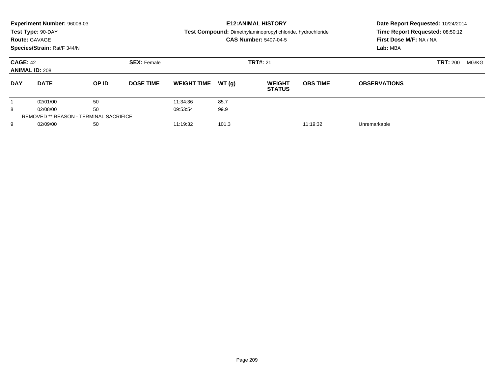|                      | Experiment Number: 96006-03              |                                               |                    |                    |       | <b>E12: ANIMAL HISTORY</b>                                        |                 | Date Report Requested: 10/24/2014 |                 |       |
|----------------------|------------------------------------------|-----------------------------------------------|--------------------|--------------------|-------|-------------------------------------------------------------------|-----------------|-----------------------------------|-----------------|-------|
|                      | Test Type: 90-DAY                        |                                               |                    |                    |       | <b>Test Compound:</b> Dimethylaminopropyl chloride, hydrochloride |                 | Time Report Requested: 08:50:12   |                 |       |
| <b>Route: GAVAGE</b> |                                          |                                               |                    |                    |       | <b>CAS Number: 5407-04-5</b>                                      |                 | First Dose M/F: NA / NA           |                 |       |
|                      | Species/Strain: Rat/F 344/N              |                                               |                    |                    |       |                                                                   |                 | Lab: MBA                          |                 |       |
|                      | <b>CAGE: 42</b><br><b>ANIMAL ID: 208</b> |                                               | <b>SEX: Female</b> |                    |       | <b>TRT#: 21</b>                                                   |                 |                                   | <b>TRT: 200</b> | MG/KG |
|                      |                                          |                                               |                    |                    |       |                                                                   |                 |                                   |                 |       |
| <b>DAY</b>           | <b>DATE</b>                              | <b>OP ID</b>                                  | <b>DOSE TIME</b>   | <b>WEIGHT TIME</b> | WT(q) | <b>WEIGHT</b><br><b>STATUS</b>                                    | <b>OBS TIME</b> | <b>OBSERVATIONS</b>               |                 |       |
|                      | 02/01/00                                 | 50                                            |                    | 11:34:36           | 85.7  |                                                                   |                 |                                   |                 |       |
| 8                    | 02/08/00                                 | 50                                            |                    | 09:53:54           | 99.9  |                                                                   |                 |                                   |                 |       |
|                      |                                          | <b>REMOVED ** REASON - TERMINAL SACRIFICE</b> |                    |                    |       |                                                                   |                 |                                   |                 |       |
| 9                    | 02/09/00                                 | 50                                            |                    | 11:19:32           | 101.3 |                                                                   | 11:19:32        | Unremarkable                      |                 |       |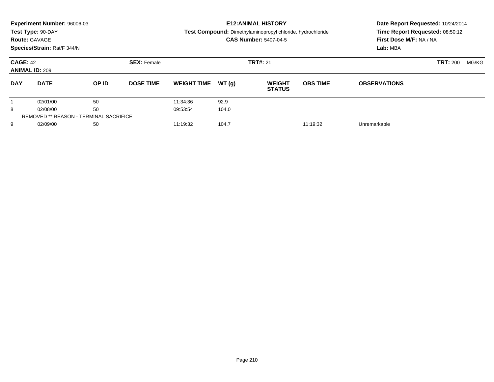|            | Experiment Number: 96006-03              |                                               |                    |                    |       | <b>E12: ANIMAL HISTORY</b>                                 |                 | Date Report Requested: 10/24/2014 |                 |       |  |
|------------|------------------------------------------|-----------------------------------------------|--------------------|--------------------|-------|------------------------------------------------------------|-----------------|-----------------------------------|-----------------|-------|--|
|            | Test Type: 90-DAY                        |                                               |                    |                    |       | Test Compound: Dimethylaminopropyl chloride, hydrochloride |                 | Time Report Requested: 08:50:12   |                 |       |  |
|            | <b>Route: GAVAGE</b>                     |                                               |                    |                    |       | <b>CAS Number: 5407-04-5</b>                               |                 | First Dose M/F: NA / NA           |                 |       |  |
|            | Species/Strain: Rat/F 344/N              |                                               |                    |                    |       |                                                            |                 | Lab: MBA                          |                 |       |  |
|            | <b>CAGE: 42</b><br><b>ANIMAL ID: 209</b> |                                               | <b>SEX: Female</b> |                    |       | <b>TRT#: 21</b>                                            |                 |                                   | <b>TRT: 200</b> | MG/KG |  |
| <b>DAY</b> | <b>DATE</b>                              | OP ID                                         | <b>DOSE TIME</b>   | <b>WEIGHT TIME</b> | WT(q) | <b>WEIGHT</b><br><b>STATUS</b>                             | <b>OBS TIME</b> | <b>OBSERVATIONS</b>               |                 |       |  |
|            | 02/01/00                                 | 50                                            |                    | 11:34:36           | 92.9  |                                                            |                 |                                   |                 |       |  |
| 8          | 02/08/00                                 | 50                                            |                    | 09:53:54           | 104.0 |                                                            |                 |                                   |                 |       |  |
|            |                                          | <b>REMOVED ** REASON - TERMINAL SACRIFICE</b> |                    |                    |       |                                                            |                 |                                   |                 |       |  |
| 9          | 02/09/00                                 | 50                                            |                    | 11:19:32           | 104.7 |                                                            | 11:19:32        | Unremarkable                      |                 |       |  |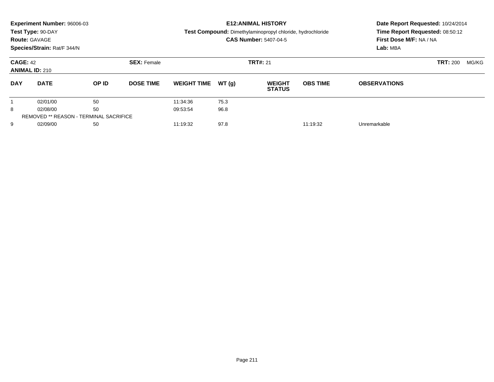|                                          | Experiment Number: 96006-03<br>Test Type: 90-DAY |                                               |                    |                    |       | <b>E12: ANIMAL HISTORY</b><br>Test Compound: Dimethylaminopropyl chloride, hydrochloride |                 | Date Report Requested: 10/24/2014<br>Time Report Requested: 08:50:12 |                 |       |
|------------------------------------------|--------------------------------------------------|-----------------------------------------------|--------------------|--------------------|-------|------------------------------------------------------------------------------------------|-----------------|----------------------------------------------------------------------|-----------------|-------|
| <b>Route: GAVAGE</b>                     |                                                  |                                               |                    |                    |       | <b>CAS Number: 5407-04-5</b>                                                             |                 | First Dose M/F: NA / NA                                              |                 |       |
|                                          | Species/Strain: Rat/F 344/N                      |                                               |                    |                    |       |                                                                                          |                 | Lab: MBA                                                             |                 |       |
| <b>CAGE: 42</b><br><b>ANIMAL ID: 210</b> |                                                  |                                               | <b>SEX: Female</b> | <b>TRT#: 21</b>    |       |                                                                                          |                 |                                                                      | <b>TRT: 200</b> | MG/KG |
| <b>DAY</b>                               | <b>DATE</b>                                      | OP ID                                         | <b>DOSE TIME</b>   | <b>WEIGHT TIME</b> | WT(q) | <b>WEIGHT</b><br><b>STATUS</b>                                                           | <b>OBS TIME</b> | <b>OBSERVATIONS</b>                                                  |                 |       |
|                                          | 02/01/00                                         | 50                                            |                    | 11:34:36           | 75.3  |                                                                                          |                 |                                                                      |                 |       |
| 8                                        | 02/08/00                                         | 50                                            |                    | 09:53:54           | 96.8  |                                                                                          |                 |                                                                      |                 |       |
|                                          |                                                  | <b>REMOVED ** REASON - TERMINAL SACRIFICE</b> |                    |                    |       |                                                                                          |                 |                                                                      |                 |       |
| 9                                        | 02/09/00                                         | 50                                            |                    | 11:19:32           | 97.8  |                                                                                          | 11:19:32        | Unremarkable                                                         |                 |       |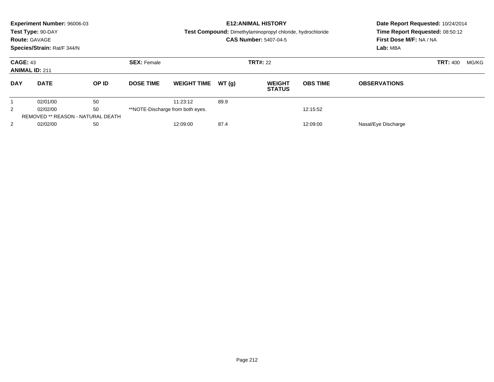|                | Experiment Number: 96006-03<br>Test Type: 90-DAY<br><b>Route: GAVAGE</b><br>Species/Strain: Rat/F 344/N |                           |                    |                                  |       | <b>E12: ANIMAL HISTORY</b><br>Test Compound: Dimethylaminopropyl chloride, hydrochloride<br><b>CAS Number: 5407-04-5</b> | Date Report Requested: 10/24/2014<br>Time Report Requested: 08:50:12<br>First Dose M/F: NA / NA<br>Lab: MBA |                     |                 |       |
|----------------|---------------------------------------------------------------------------------------------------------|---------------------------|--------------------|----------------------------------|-------|--------------------------------------------------------------------------------------------------------------------------|-------------------------------------------------------------------------------------------------------------|---------------------|-----------------|-------|
|                | <b>CAGE: 43</b><br><b>ANIMAL ID: 211</b>                                                                |                           | <b>SEX: Female</b> |                                  |       | <b>TRT#: 22</b>                                                                                                          |                                                                                                             |                     | <b>TRT: 400</b> | MG/KG |
| <b>DAY</b>     | <b>DATE</b>                                                                                             | OP ID<br><b>DOSE TIME</b> |                    | <b>WEIGHT TIME</b>               | WT(q) | <b>WEIGHT</b><br><b>STATUS</b>                                                                                           | <b>OBS TIME</b>                                                                                             | <b>OBSERVATIONS</b> |                 |       |
|                | 02/01/00                                                                                                | 50                        |                    | 11:23:12                         | 89.9  |                                                                                                                          |                                                                                                             |                     |                 |       |
| $\overline{2}$ | 02/02/00                                                                                                | 50                        |                    | **NOTE-Discharge from both eyes. |       |                                                                                                                          | 12:15:52                                                                                                    |                     |                 |       |
|                | <b>REMOVED ** REASON - NATURAL DEATH</b>                                                                |                           |                    |                                  |       |                                                                                                                          |                                                                                                             |                     |                 |       |
| $\overline{2}$ | 02/02/00                                                                                                | 50                        |                    | 12:09:00                         | 87.4  |                                                                                                                          | 12:09:00                                                                                                    | Nasal/Eye Discharge |                 |       |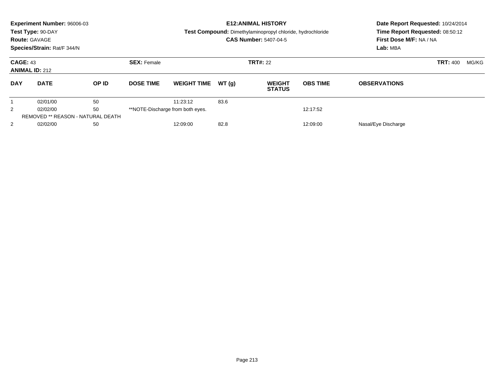|                | Experiment Number: 96006-03<br>Test Type: 90-DAY<br><b>Route: GAVAGE</b><br>Species/Strain: Rat/F 344/N<br><b>CAGE: 43</b> |       |                    |                                  |       | <b>E12: ANIMAL HISTORY</b><br><b>Test Compound:</b> Dimethylaminopropyl chloride, hydrochloride<br><b>CAS Number: 5407-04-5</b> | Date Report Requested: 10/24/2014<br>Time Report Requested: 08:50:12<br>First Dose M/F: NA / NA<br>Lab: MBA |                     |       |  |
|----------------|----------------------------------------------------------------------------------------------------------------------------|-------|--------------------|----------------------------------|-------|---------------------------------------------------------------------------------------------------------------------------------|-------------------------------------------------------------------------------------------------------------|---------------------|-------|--|
|                | <b>ANIMAL ID: 212</b>                                                                                                      |       | <b>SEX: Female</b> |                                  |       | <b>TRT#: 22</b>                                                                                                                 |                                                                                                             | <b>TRT: 400</b>     | MG/KG |  |
| <b>DAY</b>     | <b>DATE</b>                                                                                                                | OP ID | <b>DOSE TIME</b>   | <b>WEIGHT TIME</b>               | WT(q) | <b>WEIGHT</b><br><b>STATUS</b>                                                                                                  | <b>OBS TIME</b>                                                                                             | <b>OBSERVATIONS</b> |       |  |
|                | 02/01/00                                                                                                                   | 50    |                    | 11:23:12                         | 83.6  |                                                                                                                                 |                                                                                                             |                     |       |  |
| $\overline{2}$ | 02/02/00                                                                                                                   | 50    |                    | **NOTE-Discharge from both eyes. |       |                                                                                                                                 | 12:17:52                                                                                                    |                     |       |  |
|                | <b>REMOVED ** REASON - NATURAL DEATH</b>                                                                                   |       |                    |                                  |       |                                                                                                                                 |                                                                                                             |                     |       |  |
| $\overline{2}$ | 02/02/00                                                                                                                   | 50    |                    | 12:09:00                         | 82.8  |                                                                                                                                 | 12:09:00                                                                                                    | Nasal/Eye Discharge |       |  |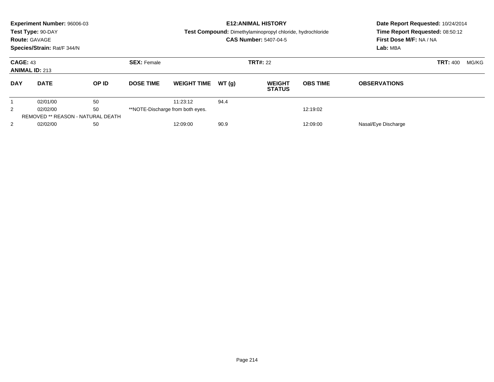|                | Experiment Number: 96006-03<br>Test Type: 90-DAY<br><b>Route: GAVAGE</b><br>Species/Strain: Rat/F 344/N<br><b>CAGE: 43</b> |       |                    |                                  |       | <b>E12: ANIMAL HISTORY</b><br><b>Test Compound:</b> Dimethylaminopropyl chloride, hydrochloride<br><b>CAS Number: 5407-04-5</b> | Date Report Requested: 10/24/2014<br>Time Report Requested: 08:50:12<br>First Dose M/F: NA / NA<br>Lab: MBA |                     |                 |       |
|----------------|----------------------------------------------------------------------------------------------------------------------------|-------|--------------------|----------------------------------|-------|---------------------------------------------------------------------------------------------------------------------------------|-------------------------------------------------------------------------------------------------------------|---------------------|-----------------|-------|
|                | <b>ANIMAL ID: 213</b>                                                                                                      |       | <b>SEX: Female</b> |                                  |       | <b>TRT#: 22</b>                                                                                                                 |                                                                                                             |                     | <b>TRT: 400</b> | MG/KG |
| <b>DAY</b>     | <b>DATE</b>                                                                                                                | OP ID | <b>DOSE TIME</b>   | <b>WEIGHT TIME</b>               | WT(q) | <b>WEIGHT</b><br><b>STATUS</b>                                                                                                  | <b>OBS TIME</b>                                                                                             | <b>OBSERVATIONS</b> |                 |       |
|                | 02/01/00                                                                                                                   | 50    |                    | 11:23:12                         | 94.4  |                                                                                                                                 |                                                                                                             |                     |                 |       |
| $\overline{2}$ | 02/02/00                                                                                                                   | 50    |                    | **NOTE-Discharge from both eyes. |       |                                                                                                                                 | 12:19:02                                                                                                    |                     |                 |       |
|                | <b>REMOVED ** REASON - NATURAL DEATH</b>                                                                                   |       |                    |                                  |       |                                                                                                                                 |                                                                                                             |                     |                 |       |
| $\overline{2}$ | 02/02/00                                                                                                                   | 50    |                    | 12:09:00                         | 90.9  |                                                                                                                                 | 12:09:00                                                                                                    | Nasal/Eye Discharge |                 |       |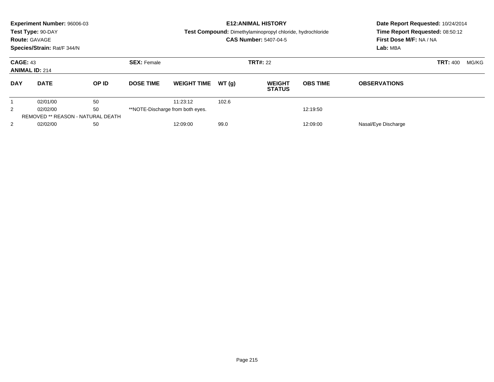|                | Experiment Number: 96006-03<br>Test Type: 90-DAY<br><b>Route: GAVAGE</b><br>Species/Strain: Rat/F 344/N<br><b>CAGE: 43</b> |       |                    |                                  |       | <b>E12: ANIMAL HISTORY</b><br><b>Test Compound:</b> Dimethylaminopropyl chloride, hydrochloride<br><b>CAS Number: 5407-04-5</b> | Date Report Requested: 10/24/2014<br>Time Report Requested: 08:50:12<br>First Dose M/F: NA / NA<br>Lab: MBA |                     |       |  |
|----------------|----------------------------------------------------------------------------------------------------------------------------|-------|--------------------|----------------------------------|-------|---------------------------------------------------------------------------------------------------------------------------------|-------------------------------------------------------------------------------------------------------------|---------------------|-------|--|
|                | <b>ANIMAL ID: 214</b>                                                                                                      |       | <b>SEX: Female</b> |                                  |       | <b>TRT#: 22</b>                                                                                                                 |                                                                                                             | <b>TRT: 400</b>     | MG/KG |  |
| <b>DAY</b>     | <b>DATE</b>                                                                                                                | OP ID | <b>DOSE TIME</b>   | <b>WEIGHT TIME</b>               | WT(q) | <b>WEIGHT</b><br><b>STATUS</b>                                                                                                  | <b>OBS TIME</b>                                                                                             | <b>OBSERVATIONS</b> |       |  |
|                | 02/01/00                                                                                                                   | 50    |                    | 11:23:12                         | 102.6 |                                                                                                                                 |                                                                                                             |                     |       |  |
| $\overline{2}$ | 02/02/00                                                                                                                   | 50    |                    | **NOTE-Discharge from both eyes. |       |                                                                                                                                 | 12:19:50                                                                                                    |                     |       |  |
|                | <b>REMOVED ** REASON - NATURAL DEATH</b>                                                                                   |       |                    |                                  |       |                                                                                                                                 |                                                                                                             |                     |       |  |
| $\overline{2}$ | 02/02/00                                                                                                                   | 50    |                    | 12:09:00                         | 99.0  |                                                                                                                                 | 12:09:00                                                                                                    | Nasal/Eye Discharge |       |  |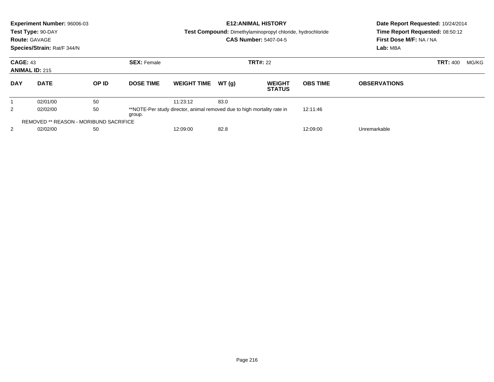|                | Experiment Number: 96006-03<br>Test Type: 90-DAY<br><b>Route: GAVAGE</b><br>Species/Strain: Rat/F 344/N |                                                                                            |                    |          |                                                                         | <b>E12: ANIMAL HISTORY</b><br><b>Test Compound:</b> Dimethylaminopropyl chloride, hydrochloride<br><b>CAS Number: 5407-04-5</b> | Date Report Requested: 10/24/2014<br>Time Report Requested: 08:50:12<br>First Dose M/F: NA / NA<br>Lab: MBA |  |                 |       |
|----------------|---------------------------------------------------------------------------------------------------------|--------------------------------------------------------------------------------------------|--------------------|----------|-------------------------------------------------------------------------|---------------------------------------------------------------------------------------------------------------------------------|-------------------------------------------------------------------------------------------------------------|--|-----------------|-------|
|                | <b>CAGE: 43</b><br><b>ANIMAL ID: 215</b>                                                                |                                                                                            | <b>SEX: Female</b> |          |                                                                         | <b>TRT#: 22</b>                                                                                                                 |                                                                                                             |  | <b>TRT: 400</b> | MG/KG |
| <b>DAY</b>     | <b>DATE</b>                                                                                             | OP ID<br>WT(q)<br><b>DOSE TIME</b><br><b>WEIGHT TIME</b><br><b>WEIGHT</b><br><b>STATUS</b> |                    |          | <b>OBS TIME</b>                                                         | <b>OBSERVATIONS</b>                                                                                                             |                                                                                                             |  |                 |       |
|                | 02/01/00                                                                                                | 50                                                                                         |                    | 11:23:12 | 83.0                                                                    |                                                                                                                                 |                                                                                                             |  |                 |       |
| $\overline{2}$ | 02/02/00                                                                                                | 50                                                                                         | group.             |          | **NOTE-Per study director, animal removed due to high mortality rate in |                                                                                                                                 |                                                                                                             |  |                 |       |
|                | <b>REMOVED ** REASON - MORIBUND SACRIFICE</b>                                                           |                                                                                            |                    |          |                                                                         |                                                                                                                                 |                                                                                                             |  |                 |       |
| 2              | 50<br>02/02/00<br>12:09:00<br>82.8                                                                      |                                                                                            |                    |          | 12:09:00                                                                | Unremarkable                                                                                                                    |                                                                                                             |  |                 |       |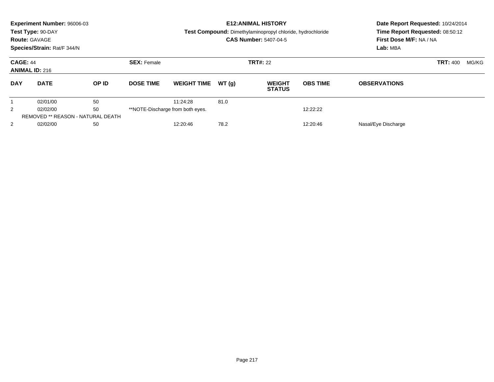| <b>Route: GAVAGE</b> | Experiment Number: 96006-03<br>Test Type: 90-DAY<br>Species/Strain: Rat/F 344/N |       |                    | <b>E12: ANIMAL HISTORY</b><br>Test Compound: Dimethylaminopropyl chloride, hydrochloride<br><b>CAS Number: 5407-04-5</b> |       |                                |                 | Date Report Requested: 10/24/2014<br>Time Report Requested: 08:50:12<br>First Dose M/F: NA / NA<br>Lab: MBA |                 |       |
|----------------------|---------------------------------------------------------------------------------|-------|--------------------|--------------------------------------------------------------------------------------------------------------------------|-------|--------------------------------|-----------------|-------------------------------------------------------------------------------------------------------------|-----------------|-------|
|                      | <b>CAGE: 44</b><br><b>ANIMAL ID: 216</b>                                        |       | <b>SEX: Female</b> |                                                                                                                          |       | <b>TRT#: 22</b>                |                 |                                                                                                             | <b>TRT: 400</b> | MG/KG |
| <b>DAY</b>           | <b>DATE</b>                                                                     | OP ID | <b>DOSE TIME</b>   | <b>WEIGHT TIME</b>                                                                                                       | WT(q) | <b>WEIGHT</b><br><b>STATUS</b> | <b>OBS TIME</b> | <b>OBSERVATIONS</b>                                                                                         |                 |       |
|                      | 02/01/00                                                                        | 50    |                    | 11:24:28                                                                                                                 | 81.0  |                                |                 |                                                                                                             |                 |       |
| $\overline{2}$       | 02/02/00                                                                        | 50    |                    | **NOTE-Discharge from both eyes.                                                                                         |       |                                | 12:22:22        |                                                                                                             |                 |       |
|                      | <b>REMOVED ** REASON - NATURAL DEATH</b>                                        |       |                    |                                                                                                                          |       |                                |                 |                                                                                                             |                 |       |
| $\overline{2}$       | 02/02/00                                                                        | 50    |                    | 12:20:46                                                                                                                 | 78.2  |                                | 12:20:46        | Nasal/Eye Discharge                                                                                         |                 |       |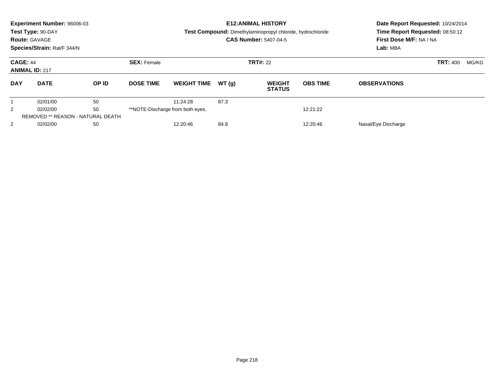|                | Experiment Number: 96006-03<br>Test Type: 90-DAY<br><b>Route: GAVAGE</b><br>Species/Strain: Rat/F 344/N<br><b>CAGE: 44</b> |       |                    |                                  |       | <b>E12: ANIMAL HISTORY</b><br><b>Test Compound:</b> Dimethylaminopropyl chloride, hydrochloride<br><b>CAS Number: 5407-04-5</b> | Date Report Requested: 10/24/2014<br>Time Report Requested: 08:50:12<br>First Dose M/F: NA / NA<br>Lab: MBA |                     |       |  |
|----------------|----------------------------------------------------------------------------------------------------------------------------|-------|--------------------|----------------------------------|-------|---------------------------------------------------------------------------------------------------------------------------------|-------------------------------------------------------------------------------------------------------------|---------------------|-------|--|
|                | <b>ANIMAL ID: 217</b>                                                                                                      |       | <b>SEX: Female</b> |                                  |       | <b>TRT#: 22</b>                                                                                                                 |                                                                                                             | <b>TRT: 400</b>     | MG/KG |  |
| <b>DAY</b>     | <b>DATE</b>                                                                                                                | OP ID | <b>DOSE TIME</b>   | <b>WEIGHT TIME</b>               | WT(q) | <b>WEIGHT</b><br><b>STATUS</b>                                                                                                  | <b>OBS TIME</b>                                                                                             | <b>OBSERVATIONS</b> |       |  |
|                | 02/01/00                                                                                                                   | 50    |                    | 11:24:28                         | 87.3  |                                                                                                                                 |                                                                                                             |                     |       |  |
| $\overline{2}$ | 02/02/00                                                                                                                   | 50    |                    | **NOTE-Discharge from both eyes. |       |                                                                                                                                 | 12:21:22                                                                                                    |                     |       |  |
|                | <b>REMOVED ** REASON - NATURAL DEATH</b>                                                                                   |       |                    |                                  |       |                                                                                                                                 |                                                                                                             |                     |       |  |
| $\overline{2}$ | 02/02/00                                                                                                                   | 50    |                    | 12:20:46                         | 84.8  |                                                                                                                                 | 12:20:46                                                                                                    | Nasal/Eye Discharge |       |  |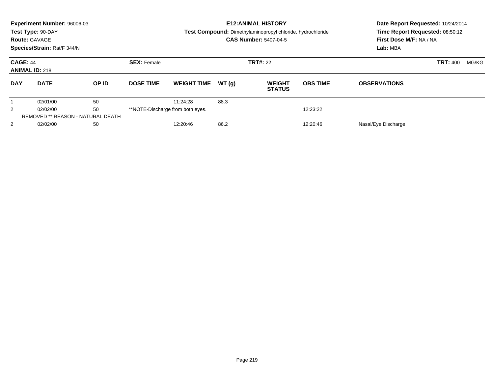|                | Experiment Number: 96006-03<br>Test Type: 90-DAY<br><b>Route: GAVAGE</b><br>Species/Strain: Rat/F 344/N |       |                    | <b>E12: ANIMAL HISTORY</b><br>Test Compound: Dimethylaminopropyl chloride, hydrochloride<br><b>CAS Number: 5407-04-5</b> |       |                                |                 | Date Report Requested: 10/24/2014<br>Time Report Requested: 08:50:12<br>First Dose M/F: NA / NA<br>Lab: MBA |                 |       |
|----------------|---------------------------------------------------------------------------------------------------------|-------|--------------------|--------------------------------------------------------------------------------------------------------------------------|-------|--------------------------------|-----------------|-------------------------------------------------------------------------------------------------------------|-----------------|-------|
|                | <b>CAGE: 44</b><br><b>ANIMAL ID: 218</b>                                                                |       | <b>SEX: Female</b> |                                                                                                                          |       | <b>TRT#: 22</b>                |                 |                                                                                                             | <b>TRT: 400</b> | MG/KG |
| <b>DAY</b>     | <b>DATE</b>                                                                                             | OP ID | <b>DOSE TIME</b>   | <b>WEIGHT TIME</b>                                                                                                       | WT(q) | <b>WEIGHT</b><br><b>STATUS</b> | <b>OBS TIME</b> | <b>OBSERVATIONS</b>                                                                                         |                 |       |
|                | 02/01/00                                                                                                | 50    |                    | 11:24:28                                                                                                                 | 88.3  |                                |                 |                                                                                                             |                 |       |
| $\overline{2}$ | 02/02/00                                                                                                | 50    |                    | **NOTE-Discharge from both eyes.                                                                                         |       |                                | 12:23:22        |                                                                                                             |                 |       |
|                | <b>REMOVED ** REASON - NATURAL DEATH</b>                                                                |       |                    |                                                                                                                          |       |                                |                 |                                                                                                             |                 |       |
| $\overline{2}$ | 02/02/00                                                                                                | 50    |                    | 12:20:46                                                                                                                 | 86.2  |                                | 12:20:46        | Nasal/Eye Discharge                                                                                         |                 |       |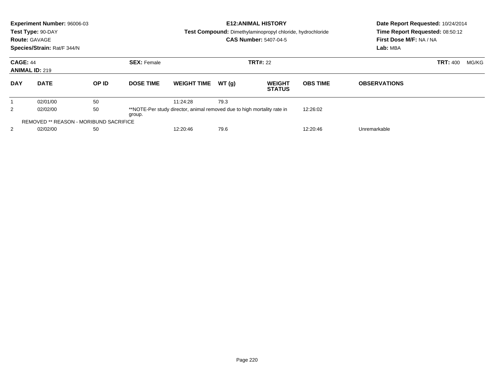|                | <b>Experiment Number: 96006-03</b><br>Test Type: 90-DAY<br><b>Route: GAVAGE</b><br>Species/Strain: Rat/F 344/N |       |                    | <b>E12: ANIMAL HISTORY</b><br>Date Report Requested: 10/24/2014<br>Time Report Requested: 08:50:12<br>Test Compound: Dimethylaminopropyl chloride, hydrochloride<br><b>CAS Number: 5407-04-5</b><br>First Dose M/F: NA / NA<br>Lab: MBA |       |                                |                 |                     |                 |       |
|----------------|----------------------------------------------------------------------------------------------------------------|-------|--------------------|-----------------------------------------------------------------------------------------------------------------------------------------------------------------------------------------------------------------------------------------|-------|--------------------------------|-----------------|---------------------|-----------------|-------|
|                | <b>CAGE: 44</b><br><b>ANIMAL ID: 219</b>                                                                       |       | <b>SEX: Female</b> |                                                                                                                                                                                                                                         |       | <b>TRT#: 22</b>                |                 |                     | <b>TRT: 400</b> | MG/KG |
| <b>DAY</b>     | <b>DATE</b>                                                                                                    | OP ID | <b>DOSE TIME</b>   | <b>WEIGHT TIME</b>                                                                                                                                                                                                                      | WT(q) | <b>WEIGHT</b><br><b>STATUS</b> | <b>OBS TIME</b> | <b>OBSERVATIONS</b> |                 |       |
|                | 02/01/00                                                                                                       | 50    |                    | 11:24:28                                                                                                                                                                                                                                | 79.3  |                                |                 |                     |                 |       |
| $\overline{2}$ | 02/02/00                                                                                                       | 50    | group.             | **NOTE-Per study director, animal removed due to high mortality rate in                                                                                                                                                                 |       |                                | 12:26:02        |                     |                 |       |
|                | <b>REMOVED ** REASON - MORIBUND SACRIFICE</b>                                                                  |       |                    |                                                                                                                                                                                                                                         |       |                                |                 |                     |                 |       |
| 2              | 02/02/00                                                                                                       | 50    |                    | 79.6<br>12:20:46                                                                                                                                                                                                                        |       |                                | 12:20:46        | Unremarkable        |                 |       |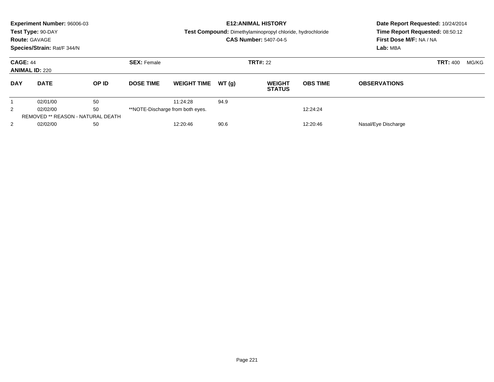|                 | Experiment Number: 96006-03<br>Test Type: 90-DAY<br><b>Route: GAVAGE</b><br>Species/Strain: Rat/F 344/N |       |                    | <b>E12: ANIMAL HISTORY</b><br>Test Compound: Dimethylaminopropyl chloride, hydrochloride<br><b>CAS Number: 5407-04-5</b> |       |                                |                 | Date Report Requested: 10/24/2014<br>Time Report Requested: 08:50:12<br>First Dose M/F: NA / NA<br>Lab: MBA |                 |       |
|-----------------|---------------------------------------------------------------------------------------------------------|-------|--------------------|--------------------------------------------------------------------------------------------------------------------------|-------|--------------------------------|-----------------|-------------------------------------------------------------------------------------------------------------|-----------------|-------|
| <b>CAGE: 44</b> | <b>ANIMAL ID: 220</b>                                                                                   |       | <b>SEX: Female</b> |                                                                                                                          |       | <b>TRT#: 22</b>                |                 |                                                                                                             | <b>TRT: 400</b> | MG/KG |
| <b>DAY</b>      | <b>DATE</b>                                                                                             | OP ID | <b>DOSE TIME</b>   | <b>WEIGHT TIME</b>                                                                                                       | WT(q) | <b>WEIGHT</b><br><b>STATUS</b> | <b>OBS TIME</b> | <b>OBSERVATIONS</b>                                                                                         |                 |       |
|                 | 02/01/00                                                                                                | 50    |                    | 11:24:28                                                                                                                 | 94.9  |                                |                 |                                                                                                             |                 |       |
| $\overline{2}$  | 02/02/00                                                                                                | 50    |                    | **NOTE-Discharge from both eyes.                                                                                         |       |                                | 12:24:24        |                                                                                                             |                 |       |
|                 | <b>REMOVED ** REASON - NATURAL DEATH</b>                                                                |       |                    |                                                                                                                          |       |                                |                 |                                                                                                             |                 |       |
| $\overline{2}$  | 02/02/00                                                                                                | 50    |                    | 12:20:46                                                                                                                 | 90.6  |                                | 12:20:46        | Nasal/Eye Discharge                                                                                         |                 |       |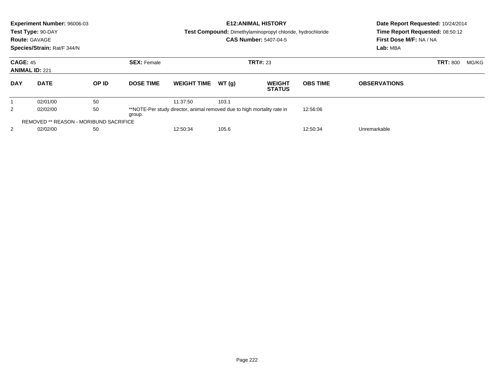|            | Experiment Number: 96006-03<br>Test Type: 90-DAY<br><b>Route: GAVAGE</b><br>Species/Strain: Rat/F 344/N |       |                                       |                                                                         |       | <b>E12: ANIMAL HISTORY</b><br><b>Test Compound:</b> Dimethylaminopropyl chloride, hydrochloride<br><b>CAS Number: 5407-04-5</b> | Date Report Requested: 10/24/2014<br>Time Report Requested: 08:50:12<br>First Dose M/F: NA / NA<br>Lab: MBA |                     |                 |       |
|------------|---------------------------------------------------------------------------------------------------------|-------|---------------------------------------|-------------------------------------------------------------------------|-------|---------------------------------------------------------------------------------------------------------------------------------|-------------------------------------------------------------------------------------------------------------|---------------------|-----------------|-------|
|            | <b>CAGE: 45</b><br><b>ANIMAL ID: 221</b>                                                                |       | <b>SEX: Female</b><br><b>TRT#: 23</b> |                                                                         |       |                                                                                                                                 |                                                                                                             |                     | <b>TRT: 800</b> | MG/KG |
| <b>DAY</b> | <b>DATE</b>                                                                                             | OP ID | <b>DOSE TIME</b>                      | <b>WEIGHT TIME</b>                                                      | WT(q) | <b>WEIGHT</b><br><b>STATUS</b>                                                                                                  | <b>OBS TIME</b>                                                                                             | <b>OBSERVATIONS</b> |                 |       |
|            | 02/01/00                                                                                                | 50    |                                       | 11:37:50                                                                | 103.1 |                                                                                                                                 |                                                                                                             |                     |                 |       |
| 2          | 02/02/00                                                                                                | 50    | group.                                | **NOTE-Per study director, animal removed due to high mortality rate in |       |                                                                                                                                 | 12:56:06                                                                                                    |                     |                 |       |
|            | <b>REMOVED ** REASON - MORIBUND SACRIFICE</b>                                                           |       |                                       |                                                                         |       |                                                                                                                                 |                                                                                                             |                     |                 |       |
| 2          | 02/02/00                                                                                                | 50    |                                       | 12:50:34<br>105.6                                                       |       |                                                                                                                                 | 12:50:34                                                                                                    | Unremarkable        |                 |       |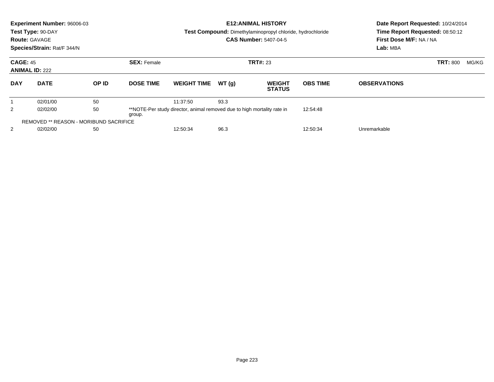|            | Experiment Number: 96006-03<br>Test Type: 90-DAY<br><b>Route: GAVAGE</b><br>Species/Strain: Rat/F 344/N |       |                                       |                                                                         |       | <b>E12: ANIMAL HISTORY</b><br><b>Test Compound:</b> Dimethylaminopropyl chloride, hydrochloride<br><b>CAS Number: 5407-04-5</b> | Date Report Requested: 10/24/2014<br>Time Report Requested: 08:50:12<br>First Dose M/F: NA / NA<br>Lab: MBA |                     |                 |       |
|------------|---------------------------------------------------------------------------------------------------------|-------|---------------------------------------|-------------------------------------------------------------------------|-------|---------------------------------------------------------------------------------------------------------------------------------|-------------------------------------------------------------------------------------------------------------|---------------------|-----------------|-------|
|            | <b>CAGE: 45</b><br><b>ANIMAL ID: 222</b>                                                                |       | <b>SEX: Female</b><br><b>TRT#: 23</b> |                                                                         |       |                                                                                                                                 |                                                                                                             |                     | <b>TRT: 800</b> | MG/KG |
| <b>DAY</b> | <b>DATE</b>                                                                                             | OP ID | <b>DOSE TIME</b>                      | <b>WEIGHT TIME</b>                                                      | WT(q) | <b>WEIGHT</b><br><b>STATUS</b>                                                                                                  | <b>OBS TIME</b>                                                                                             | <b>OBSERVATIONS</b> |                 |       |
|            | 02/01/00                                                                                                | 50    |                                       | 11:37:50                                                                | 93.3  |                                                                                                                                 |                                                                                                             |                     |                 |       |
| 2          | 02/02/00                                                                                                | 50    | group.                                | **NOTE-Per study director, animal removed due to high mortality rate in |       |                                                                                                                                 | 12:54:48                                                                                                    |                     |                 |       |
|            | <b>REMOVED ** REASON - MORIBUND SACRIFICE</b>                                                           |       |                                       |                                                                         |       |                                                                                                                                 |                                                                                                             |                     |                 |       |
| 2          | 02/02/00                                                                                                | 50    |                                       | 96.3<br>12:50:34                                                        |       |                                                                                                                                 | 12:50:34                                                                                                    | Unremarkable        |                 |       |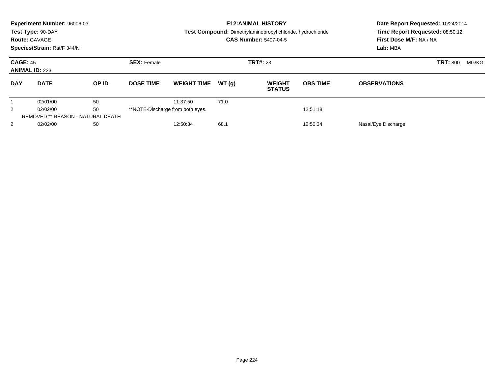|                | Experiment Number: 96006-03<br>Test Type: 90-DAY<br><b>Route: GAVAGE</b><br>Species/Strain: Rat/F 344/N<br><b>CAGE: 45</b> |       |                    |                                  |       | <b>E12: ANIMAL HISTORY</b><br><b>Test Compound:</b> Dimethylaminopropyl chloride, hydrochloride<br><b>CAS Number: 5407-04-5</b> | Date Report Requested: 10/24/2014<br>Time Report Requested: 08:50:12<br>First Dose M/F: NA / NA<br>Lab: MBA |                     |                 |       |
|----------------|----------------------------------------------------------------------------------------------------------------------------|-------|--------------------|----------------------------------|-------|---------------------------------------------------------------------------------------------------------------------------------|-------------------------------------------------------------------------------------------------------------|---------------------|-----------------|-------|
|                | <b>ANIMAL ID: 223</b>                                                                                                      |       | <b>SEX: Female</b> |                                  |       | <b>TRT#: 23</b>                                                                                                                 |                                                                                                             |                     | <b>TRT: 800</b> | MG/KG |
| <b>DAY</b>     | <b>DATE</b>                                                                                                                | OP ID | <b>DOSE TIME</b>   | <b>WEIGHT TIME</b>               | WT(q) | <b>WEIGHT</b><br><b>STATUS</b>                                                                                                  | <b>OBS TIME</b>                                                                                             | <b>OBSERVATIONS</b> |                 |       |
|                | 02/01/00                                                                                                                   | 50    |                    | 11:37:50                         | 71.0  |                                                                                                                                 |                                                                                                             |                     |                 |       |
| $\overline{2}$ | 02/02/00                                                                                                                   | 50    |                    | **NOTE-Discharge from both eyes. |       |                                                                                                                                 | 12:51:18                                                                                                    |                     |                 |       |
|                | <b>REMOVED ** REASON - NATURAL DEATH</b>                                                                                   |       |                    |                                  |       |                                                                                                                                 |                                                                                                             |                     |                 |       |
| $\overline{2}$ | 02/02/00                                                                                                                   | 50    |                    | 12:50:34                         | 68.7  |                                                                                                                                 | 12:50:34                                                                                                    | Nasal/Eye Discharge |                 |       |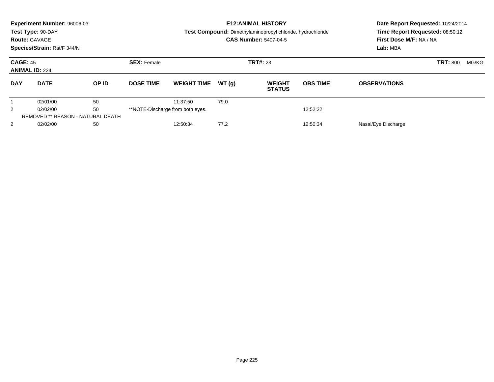|                | Experiment Number: 96006-03<br>Test Type: 90-DAY<br><b>Route: GAVAGE</b><br>Species/Strain: Rat/F 344/N<br><b>CAGE: 45</b> |       |                    |                                  |       | <b>E12: ANIMAL HISTORY</b><br><b>Test Compound:</b> Dimethylaminopropyl chloride, hydrochloride<br><b>CAS Number: 5407-04-5</b> | Date Report Requested: 10/24/2014<br>Time Report Requested: 08:50:12<br>First Dose M/F: NA / NA<br>Lab: MBA |                     |                 |       |
|----------------|----------------------------------------------------------------------------------------------------------------------------|-------|--------------------|----------------------------------|-------|---------------------------------------------------------------------------------------------------------------------------------|-------------------------------------------------------------------------------------------------------------|---------------------|-----------------|-------|
|                | <b>ANIMAL ID: 224</b>                                                                                                      |       | <b>SEX: Female</b> |                                  |       | <b>TRT#: 23</b>                                                                                                                 |                                                                                                             |                     | <b>TRT: 800</b> | MG/KG |
| <b>DAY</b>     | <b>DATE</b>                                                                                                                | OP ID | <b>DOSE TIME</b>   | <b>WEIGHT TIME</b>               | WT(q) | <b>WEIGHT</b><br><b>STATUS</b>                                                                                                  | <b>OBS TIME</b>                                                                                             | <b>OBSERVATIONS</b> |                 |       |
|                | 02/01/00                                                                                                                   | 50    |                    | 11:37:50                         | 79.0  |                                                                                                                                 |                                                                                                             |                     |                 |       |
| $\overline{2}$ | 02/02/00                                                                                                                   | 50    |                    | **NOTE-Discharge from both eyes. |       |                                                                                                                                 | 12:52:22                                                                                                    |                     |                 |       |
|                | <b>REMOVED ** REASON - NATURAL DEATH</b>                                                                                   |       |                    |                                  |       |                                                                                                                                 |                                                                                                             |                     |                 |       |
| $\overline{2}$ | 02/02/00                                                                                                                   | 50    |                    | 12:50:34                         | 77.2  |                                                                                                                                 | 12:50:34                                                                                                    | Nasal/Eye Discharge |                 |       |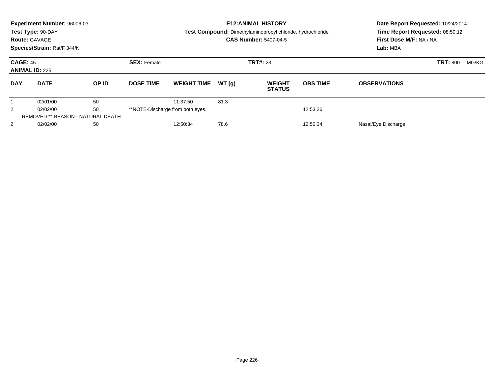| <b>Route: GAVAGE</b>                     | Experiment Number: 96006-03<br>Test Type: 90-DAY<br>Species/Strain: Rat/F 344/N |       |                    | <b>E12: ANIMAL HISTORY</b><br>Test Compound: Dimethylaminopropyl chloride, hydrochloride<br><b>CAS Number: 5407-04-5</b> |       |                                |                 | Date Report Requested: 10/24/2014<br>Time Report Requested: 08:50:12<br>First Dose M/F: NA / NA<br>Lab: MBA |                 |       |
|------------------------------------------|---------------------------------------------------------------------------------|-------|--------------------|--------------------------------------------------------------------------------------------------------------------------|-------|--------------------------------|-----------------|-------------------------------------------------------------------------------------------------------------|-----------------|-------|
| <b>CAGE: 45</b><br><b>ANIMAL ID: 225</b> |                                                                                 |       | <b>SEX: Female</b> |                                                                                                                          |       | <b>TRT#: 23</b>                |                 |                                                                                                             | <b>TRT: 800</b> | MG/KG |
| <b>DAY</b>                               | <b>DATE</b>                                                                     | OP ID | <b>DOSE TIME</b>   | <b>WEIGHT TIME</b>                                                                                                       | WT(q) | <b>WEIGHT</b><br><b>STATUS</b> | <b>OBS TIME</b> | <b>OBSERVATIONS</b>                                                                                         |                 |       |
|                                          | 02/01/00                                                                        | 50    |                    | 11:37:50                                                                                                                 | 81.3  |                                |                 |                                                                                                             |                 |       |
| $\overline{2}$                           | 02/02/00                                                                        | 50    |                    | **NOTE-Discharge from both eyes.                                                                                         |       |                                | 12:53:26        |                                                                                                             |                 |       |
|                                          | <b>REMOVED ** REASON - NATURAL DEATH</b>                                        |       |                    |                                                                                                                          |       |                                |                 |                                                                                                             |                 |       |
| $\overline{2}$                           | 02/02/00                                                                        | 50    |                    | 12:50:34                                                                                                                 | 78.6  |                                | 12:50:34        | Nasal/Eye Discharge                                                                                         |                 |       |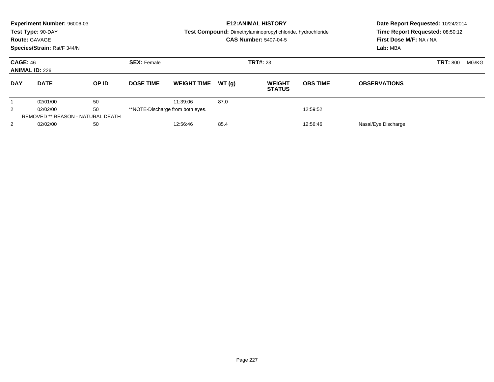| <b>Route: GAVAGE</b> | Experiment Number: 96006-03<br>Test Type: 90-DAY<br>Species/Strain: Rat/F 344/N |       |                                       | <b>E12: ANIMAL HISTORY</b><br>Test Compound: Dimethylaminopropyl chloride, hydrochloride<br><b>CAS Number: 5407-04-5</b> |       |                                |                 | Date Report Requested: 10/24/2014<br>Time Report Requested: 08:50:12<br>First Dose M/F: NA / NA<br>Lab: MBA |       |  |
|----------------------|---------------------------------------------------------------------------------|-------|---------------------------------------|--------------------------------------------------------------------------------------------------------------------------|-------|--------------------------------|-----------------|-------------------------------------------------------------------------------------------------------------|-------|--|
| <b>CAGE: 46</b>      | <b>ANIMAL ID: 226</b>                                                           |       | <b>SEX: Female</b><br><b>TRT#: 23</b> |                                                                                                                          |       |                                |                 | <b>TRT: 800</b>                                                                                             | MG/KG |  |
| <b>DAY</b>           | <b>DATE</b>                                                                     | OP ID | <b>DOSE TIME</b>                      | <b>WEIGHT TIME</b>                                                                                                       | WT(q) | <b>WEIGHT</b><br><b>STATUS</b> | <b>OBS TIME</b> | <b>OBSERVATIONS</b>                                                                                         |       |  |
|                      | 02/01/00                                                                        | 50    |                                       | 11:39:06                                                                                                                 | 87.0  |                                |                 |                                                                                                             |       |  |
| $\overline{2}$       | 02/02/00                                                                        | 50    |                                       | **NOTE-Discharge from both eyes.                                                                                         |       |                                | 12:59:52        |                                                                                                             |       |  |
|                      | <b>REMOVED ** REASON - NATURAL DEATH</b>                                        |       |                                       |                                                                                                                          |       |                                |                 |                                                                                                             |       |  |
| $\overline{2}$       | 02/02/00                                                                        | 50    |                                       | 12:56:46                                                                                                                 | 85.4  |                                | 12:56:46        | Nasal/Eye Discharge                                                                                         |       |  |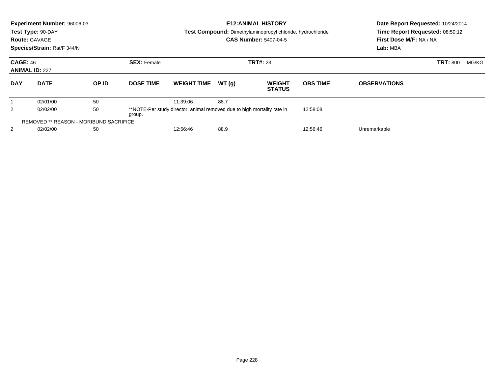| <b>Route: GAVAGE</b> | <b>Experiment Number: 96006-03</b><br>Test Type: 90-DAY<br>Species/Strain: Rat/F 344/N |       |                    |                                                                         |                 | <b>E12: ANIMAL HISTORY</b><br>Test Compound: Dimethylaminopropyl chloride, hydrochloride<br><b>CAS Number: 5407-04-5</b> | Date Report Requested: 10/24/2014<br>Time Report Requested: 08:50:12<br>First Dose M/F: NA / NA<br>Lab: MBA |                     |                 |       |
|----------------------|----------------------------------------------------------------------------------------|-------|--------------------|-------------------------------------------------------------------------|-----------------|--------------------------------------------------------------------------------------------------------------------------|-------------------------------------------------------------------------------------------------------------|---------------------|-----------------|-------|
|                      | <b>CAGE: 46</b><br><b>ANIMAL ID: 227</b>                                               |       | <b>SEX: Female</b> |                                                                         | <b>TRT#: 23</b> |                                                                                                                          |                                                                                                             |                     | <b>TRT: 800</b> | MG/KG |
| <b>DAY</b>           | <b>DATE</b>                                                                            | OP ID | <b>DOSE TIME</b>   | <b>WEIGHT TIME</b>                                                      | WT(q)           | <b>WEIGHT</b><br><b>STATUS</b>                                                                                           | <b>OBS TIME</b>                                                                                             | <b>OBSERVATIONS</b> |                 |       |
|                      | 02/01/00                                                                               | 50    |                    | 11:39:06                                                                | 88.7            |                                                                                                                          |                                                                                                             |                     |                 |       |
| 2                    | 02/02/00                                                                               | 50    | group.             | **NOTE-Per study director, animal removed due to high mortality rate in |                 |                                                                                                                          | 12:58:08                                                                                                    |                     |                 |       |
|                      | <b>REMOVED ** REASON - MORIBUND SACRIFICE</b>                                          |       |                    |                                                                         |                 |                                                                                                                          |                                                                                                             |                     |                 |       |
| 2                    | 02/02/00                                                                               | 50    |                    | 12:56:46<br>88.9                                                        |                 |                                                                                                                          | 12:56:46                                                                                                    | Unremarkable        |                 |       |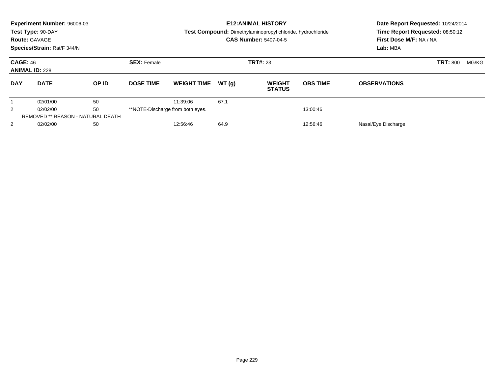| <b>Route: GAVAGE</b>                     | Experiment Number: 96006-03<br>Test Type: 90-DAY<br>Species/Strain: Rat/F 344/N |       |                    |                                              |       | <b>E12: ANIMAL HISTORY</b><br>Test Compound: Dimethylaminopropyl chloride, hydrochloride<br><b>CAS Number: 5407-04-5</b> | Date Report Requested: 10/24/2014<br>Time Report Requested: 08:50:12<br>First Dose M/F: NA / NA<br>Lab: MBA |                     |       |  |
|------------------------------------------|---------------------------------------------------------------------------------|-------|--------------------|----------------------------------------------|-------|--------------------------------------------------------------------------------------------------------------------------|-------------------------------------------------------------------------------------------------------------|---------------------|-------|--|
| <b>CAGE: 46</b><br><b>ANIMAL ID: 228</b> |                                                                                 |       | <b>SEX: Female</b> |                                              |       | <b>TRT#: 23</b>                                                                                                          |                                                                                                             | <b>TRT: 800</b>     | MG/KG |  |
| <b>DAY</b>                               | <b>DATE</b>                                                                     | OP ID | <b>DOSE TIME</b>   | <b>WEIGHT TIME</b>                           | WT(q) | <b>WEIGHT</b><br><b>STATUS</b>                                                                                           | <b>OBS TIME</b>                                                                                             | <b>OBSERVATIONS</b> |       |  |
|                                          | 02/01/00                                                                        | 50    |                    | 11:39:06                                     | 67.1  |                                                                                                                          |                                                                                                             |                     |       |  |
| $\overline{2}$                           | 50<br>02/02/00                                                                  |       |                    | **NOTE-Discharge from both eyes.<br>13:00:46 |       |                                                                                                                          |                                                                                                             |                     |       |  |
|                                          | <b>REMOVED ** REASON - NATURAL DEATH</b>                                        |       |                    |                                              |       |                                                                                                                          |                                                                                                             |                     |       |  |
| $\overline{2}$                           | 02/02/00<br>50                                                                  |       |                    | 64.9<br>12:56:46<br>12:56:46                 |       |                                                                                                                          | Nasal/Eye Discharge                                                                                         |                     |       |  |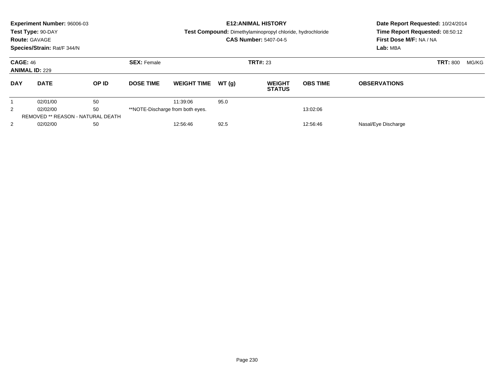| <b>Route: GAVAGE</b>                     | Experiment Number: 96006-03<br>Test Type: 90-DAY<br>Species/Strain: Rat/F 344/N |       |                    |                                              |       | <b>E12: ANIMAL HISTORY</b><br>Test Compound: Dimethylaminopropyl chloride, hydrochloride<br><b>CAS Number: 5407-04-5</b> | Date Report Requested: 10/24/2014<br>Time Report Requested: 08:50:12<br>First Dose M/F: NA / NA<br>Lab: MBA |                     |       |  |
|------------------------------------------|---------------------------------------------------------------------------------|-------|--------------------|----------------------------------------------|-------|--------------------------------------------------------------------------------------------------------------------------|-------------------------------------------------------------------------------------------------------------|---------------------|-------|--|
| <b>CAGE: 46</b><br><b>ANIMAL ID: 229</b> |                                                                                 |       | <b>SEX: Female</b> |                                              |       | <b>TRT#: 23</b>                                                                                                          |                                                                                                             | <b>TRT: 800</b>     | MG/KG |  |
| <b>DAY</b>                               | <b>DATE</b>                                                                     | OP ID | <b>DOSE TIME</b>   | <b>WEIGHT TIME</b>                           | WT(q) | <b>WEIGHT</b><br><b>STATUS</b>                                                                                           | <b>OBS TIME</b>                                                                                             | <b>OBSERVATIONS</b> |       |  |
|                                          | 02/01/00                                                                        | 50    |                    | 11:39:06                                     | 95.0  |                                                                                                                          |                                                                                                             |                     |       |  |
| $\overline{2}$                           | 50<br>02/02/00                                                                  |       |                    | **NOTE-Discharge from both eyes.<br>13:02:06 |       |                                                                                                                          |                                                                                                             |                     |       |  |
|                                          | <b>REMOVED ** REASON - NATURAL DEATH</b>                                        |       |                    |                                              |       |                                                                                                                          |                                                                                                             |                     |       |  |
| $\overline{2}$                           | 02/02/00<br>50                                                                  |       |                    | 92.5<br>12:56:46<br>12:56:46                 |       |                                                                                                                          | Nasal/Eye Discharge                                                                                         |                     |       |  |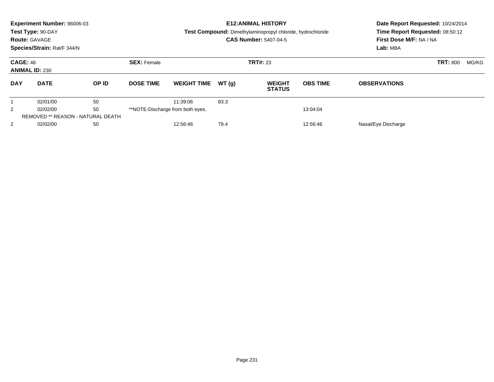| <b>Route: GAVAGE</b> | Experiment Number: 96006-03<br>Test Type: 90-DAY<br>Species/Strain: Rat/F 344/N |       |                    |                                              |       | <b>E12: ANIMAL HISTORY</b><br>Test Compound: Dimethylaminopropyl chloride, hydrochloride<br><b>CAS Number: 5407-04-5</b> | Date Report Requested: 10/24/2014<br>Time Report Requested: 08:50:12<br>First Dose M/F: NA / NA<br>Lab: MBA |                     |                 |       |
|----------------------|---------------------------------------------------------------------------------|-------|--------------------|----------------------------------------------|-------|--------------------------------------------------------------------------------------------------------------------------|-------------------------------------------------------------------------------------------------------------|---------------------|-----------------|-------|
| <b>CAGE: 46</b>      | <b>ANIMAL ID: 230</b>                                                           |       | <b>SEX: Female</b> | <b>TRT#: 23</b>                              |       |                                                                                                                          |                                                                                                             |                     | <b>TRT: 800</b> | MG/KG |
| <b>DAY</b>           | <b>DATE</b>                                                                     | OP ID | <b>DOSE TIME</b>   | <b>WEIGHT TIME</b>                           | WT(q) | <b>WEIGHT</b><br><b>STATUS</b>                                                                                           | <b>OBS TIME</b>                                                                                             | <b>OBSERVATIONS</b> |                 |       |
|                      | 02/01/00                                                                        | 50    |                    | 11:39:06                                     | 83.3  |                                                                                                                          |                                                                                                             |                     |                 |       |
| $\overline{2}$       | 50<br>02/02/00                                                                  |       |                    | **NOTE-Discharge from both eyes.<br>13:04:04 |       |                                                                                                                          |                                                                                                             |                     |                 |       |
|                      | <b>REMOVED ** REASON - NATURAL DEATH</b>                                        |       |                    |                                              |       |                                                                                                                          |                                                                                                             |                     |                 |       |
| $\overline{2}$       | 02/02/00<br>50                                                                  |       |                    | 79.4<br>12:56:46<br>12:56:46                 |       |                                                                                                                          | Nasal/Eye Discharge                                                                                         |                     |                 |       |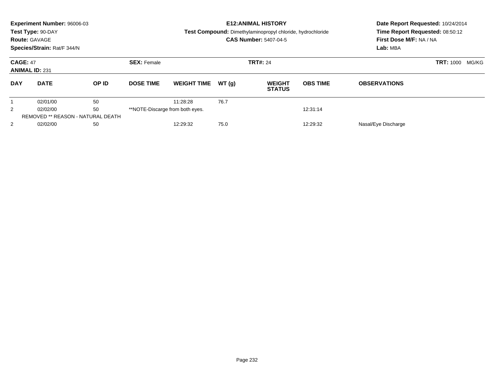|                                          | Experiment Number: 96006-03<br>Test Type: 90-DAY<br><b>Route: GAVAGE</b><br>Species/Strain: Rat/F 344/N |       |                                       |                    |       | <b>E12: ANIMAL HISTORY</b><br>Test Compound: Dimethylaminopropyl chloride, hydrochloride<br><b>CAS Number: 5407-04-5</b> | Date Report Requested: 10/24/2014<br>Time Report Requested: 08:50:12<br>First Dose M/F: NA / NA<br>Lab: MBA |                     |                           |
|------------------------------------------|---------------------------------------------------------------------------------------------------------|-------|---------------------------------------|--------------------|-------|--------------------------------------------------------------------------------------------------------------------------|-------------------------------------------------------------------------------------------------------------|---------------------|---------------------------|
| <b>CAGE: 47</b><br><b>ANIMAL ID: 231</b> |                                                                                                         |       | <b>SEX: Female</b><br><b>TRT#: 24</b> |                    |       |                                                                                                                          |                                                                                                             |                     | <b>TRT: 1000</b><br>MG/KG |
| <b>DAY</b>                               | <b>DATE</b>                                                                                             | OP ID | <b>DOSE TIME</b>                      | <b>WEIGHT TIME</b> | WT(q) | <b>WEIGHT</b><br><b>STATUS</b>                                                                                           | <b>OBS TIME</b>                                                                                             | <b>OBSERVATIONS</b> |                           |
|                                          | 02/01/00                                                                                                | 50    |                                       | 11:28:28           | 76.7  |                                                                                                                          |                                                                                                             |                     |                           |
| $\overline{2}$                           | 50<br>02/02/00                                                                                          |       | **NOTE-Discarge from both eyes.       |                    |       |                                                                                                                          | 12:31:14                                                                                                    |                     |                           |
|                                          | <b>REMOVED ** REASON - NATURAL DEATH</b>                                                                |       |                                       |                    |       |                                                                                                                          |                                                                                                             |                     |                           |
| $\overline{2}$                           | 02/02/00                                                                                                | 50    |                                       | 12:29:32           | 75.0  |                                                                                                                          | 12:29:32                                                                                                    | Nasal/Eye Discharge |                           |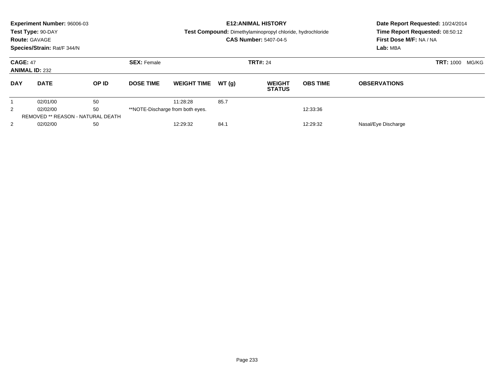| <b>Route: GAVAGE</b>                     | Experiment Number: 96006-03<br>Test Type: 90-DAY<br>Species/Strain: Rat/F 344/N |                                  |                                       |                              |          | <b>E12: ANIMAL HISTORY</b><br>Test Compound: Dimethylaminopropyl chloride, hydrochloride<br><b>CAS Number: 5407-04-5</b> | Date Report Requested: 10/24/2014<br>Time Report Requested: 08:50:12<br>First Dose M/F: NA / NA<br>Lab: MBA |                     |                           |
|------------------------------------------|---------------------------------------------------------------------------------|----------------------------------|---------------------------------------|------------------------------|----------|--------------------------------------------------------------------------------------------------------------------------|-------------------------------------------------------------------------------------------------------------|---------------------|---------------------------|
| <b>CAGE: 47</b><br><b>ANIMAL ID: 232</b> |                                                                                 |                                  | <b>SEX: Female</b><br><b>TRT#: 24</b> |                              |          |                                                                                                                          |                                                                                                             |                     | <b>TRT: 1000</b><br>MG/KG |
| <b>DAY</b>                               | <b>DATE</b>                                                                     | OP ID                            | <b>DOSE TIME</b>                      | <b>WEIGHT TIME</b>           | WT(q)    | <b>WEIGHT</b><br><b>STATUS</b>                                                                                           | <b>OBS TIME</b>                                                                                             | <b>OBSERVATIONS</b> |                           |
|                                          | 02/01/00                                                                        | 50                               |                                       | 11:28:28                     | 85.7     |                                                                                                                          |                                                                                                             |                     |                           |
| 50<br>2<br>02/02/00                      |                                                                                 | **NOTE-Discharge from both eyes. |                                       |                              | 12:33:36 |                                                                                                                          |                                                                                                             |                     |                           |
|                                          | <b>REMOVED ** REASON - NATURAL DEATH</b>                                        |                                  |                                       |                              |          |                                                                                                                          |                                                                                                             |                     |                           |
| 2                                        | 02/02/00<br>50                                                                  |                                  |                                       | 84.1<br>12:29:32<br>12:29:32 |          | Nasal/Eye Discharge                                                                                                      |                                                                                                             |                     |                           |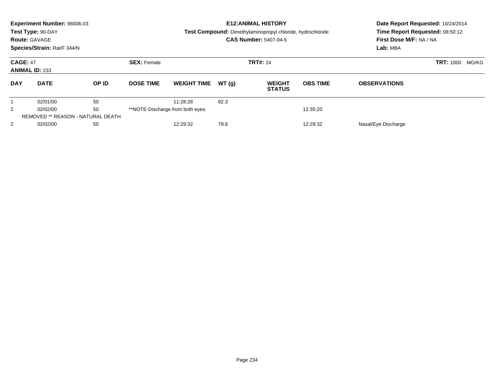| <b>Route: GAVAGE</b>                     | Experiment Number: 96006-03<br>Test Type: 90-DAY<br>Species/Strain: Rat/F 344/N |       |                                       |                              |       | <b>E12: ANIMAL HISTORY</b><br>Test Compound: Dimethylaminopropyl chloride, hydrochloride<br><b>CAS Number: 5407-04-5</b> | Date Report Requested: 10/24/2014<br>Time Report Requested: 08:50:12<br>First Dose M/F: NA / NA<br>Lab: MBA |                     |                           |
|------------------------------------------|---------------------------------------------------------------------------------|-------|---------------------------------------|------------------------------|-------|--------------------------------------------------------------------------------------------------------------------------|-------------------------------------------------------------------------------------------------------------|---------------------|---------------------------|
| <b>CAGE: 47</b><br><b>ANIMAL ID: 233</b> |                                                                                 |       | <b>SEX: Female</b><br><b>TRT#: 24</b> |                              |       |                                                                                                                          |                                                                                                             |                     | <b>TRT: 1000</b><br>MG/KG |
| <b>DAY</b>                               | <b>DATE</b>                                                                     | OP ID | <b>DOSE TIME</b>                      | <b>WEIGHT TIME</b>           | WT(q) | <b>WEIGHT</b><br><b>STATUS</b>                                                                                           | <b>OBS TIME</b>                                                                                             | <b>OBSERVATIONS</b> |                           |
|                                          | 02/01/00                                                                        | 50    |                                       | 11:28:28                     | 82.3  |                                                                                                                          |                                                                                                             |                     |                           |
| 50<br>2<br>02/02/00                      |                                                                                 |       | **NOTE-Discharge from both eyes.      |                              |       | 12:35:20                                                                                                                 |                                                                                                             |                     |                           |
|                                          | <b>REMOVED ** REASON - NATURAL DEATH</b>                                        |       |                                       |                              |       |                                                                                                                          |                                                                                                             |                     |                           |
| 2                                        | 02/02/00<br>50                                                                  |       |                                       | 79.6<br>12:29:32<br>12:29:32 |       | Nasal/Eye Discharge                                                                                                      |                                                                                                             |                     |                           |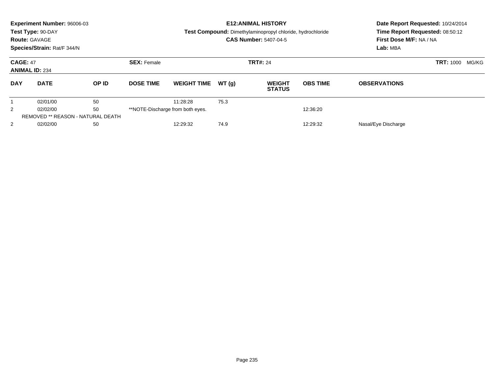| <b>Route: GAVAGE</b>                     | Experiment Number: 96006-03<br>Test Type: 90-DAY<br>Species/Strain: Rat/F 344/N |       |                                       |                              |       | <b>E12: ANIMAL HISTORY</b><br>Test Compound: Dimethylaminopropyl chloride, hydrochloride<br><b>CAS Number: 5407-04-5</b> | Date Report Requested: 10/24/2014<br>Time Report Requested: 08:50:12<br>First Dose M/F: NA / NA<br>Lab: MBA |                           |  |
|------------------------------------------|---------------------------------------------------------------------------------|-------|---------------------------------------|------------------------------|-------|--------------------------------------------------------------------------------------------------------------------------|-------------------------------------------------------------------------------------------------------------|---------------------------|--|
| <b>CAGE: 47</b><br><b>ANIMAL ID: 234</b> |                                                                                 |       | <b>SEX: Female</b><br><b>TRT#: 24</b> |                              |       |                                                                                                                          |                                                                                                             | <b>TRT: 1000</b><br>MG/KG |  |
| <b>DAY</b>                               | <b>DATE</b>                                                                     | OP ID | <b>DOSE TIME</b>                      | <b>WEIGHT TIME</b>           | WT(q) | <b>WEIGHT</b><br><b>STATUS</b>                                                                                           | <b>OBS TIME</b>                                                                                             | <b>OBSERVATIONS</b>       |  |
|                                          | 02/01/00                                                                        | 50    |                                       | 11:28:28                     | 75.3  |                                                                                                                          |                                                                                                             |                           |  |
| 2                                        | 50<br>02/02/00                                                                  |       | **NOTE-Discharge from both eyes.      |                              |       | 12:36:20                                                                                                                 |                                                                                                             |                           |  |
|                                          | <b>REMOVED ** REASON - NATURAL DEATH</b>                                        |       |                                       |                              |       |                                                                                                                          |                                                                                                             |                           |  |
| 2                                        | 02/02/00<br>50                                                                  |       |                                       | 74.9<br>12:29:32<br>12:29:32 |       |                                                                                                                          |                                                                                                             | Nasal/Eye Discharge       |  |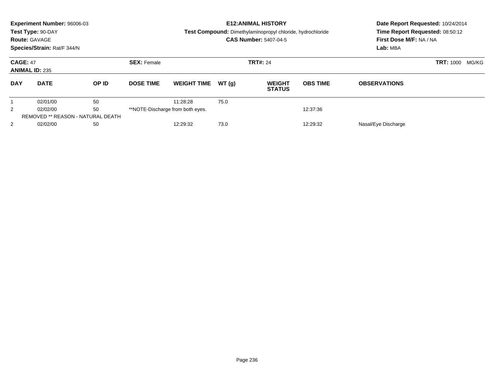| <b>Route: GAVAGE</b>                                    | Experiment Number: 96006-03<br>Test Type: 90-DAY<br>Species/Strain: Rat/F 344/N |       |                                       |                    |          | <b>E12: ANIMAL HISTORY</b><br>Test Compound: Dimethylaminopropyl chloride, hydrochloride<br><b>CAS Number: 5407-04-5</b> | Date Report Requested: 10/24/2014<br>Time Report Requested: 08:50:12<br>First Dose M/F: NA / NA<br>Lab: MBA |                           |  |
|---------------------------------------------------------|---------------------------------------------------------------------------------|-------|---------------------------------------|--------------------|----------|--------------------------------------------------------------------------------------------------------------------------|-------------------------------------------------------------------------------------------------------------|---------------------------|--|
| <b>CAGE: 47</b><br><b>ANIMAL ID: 235</b>                |                                                                                 |       | <b>SEX: Female</b><br><b>TRT#: 24</b> |                    |          |                                                                                                                          |                                                                                                             | <b>TRT: 1000</b><br>MG/KG |  |
| <b>DAY</b>                                              | <b>DATE</b>                                                                     | OP ID | <b>DOSE TIME</b>                      | <b>WEIGHT TIME</b> | WT(q)    | <b>WEIGHT</b><br><b>STATUS</b>                                                                                           | <b>OBS TIME</b>                                                                                             | <b>OBSERVATIONS</b>       |  |
|                                                         | 02/01/00                                                                        | 50    |                                       | 11:28:28           | 75.0     |                                                                                                                          |                                                                                                             |                           |  |
| 50<br>2<br>02/02/00<br>**NOTE-Discharge from both eyes. |                                                                                 |       |                                       |                    | 12:37:36 |                                                                                                                          |                                                                                                             |                           |  |
|                                                         | <b>REMOVED ** REASON - NATURAL DEATH</b>                                        |       |                                       |                    |          |                                                                                                                          |                                                                                                             |                           |  |
| 2                                                       | 02/02/00                                                                        | 50    |                                       | 12:29:32           | 73.0     |                                                                                                                          | 12:29:32                                                                                                    | Nasal/Eye Discharge       |  |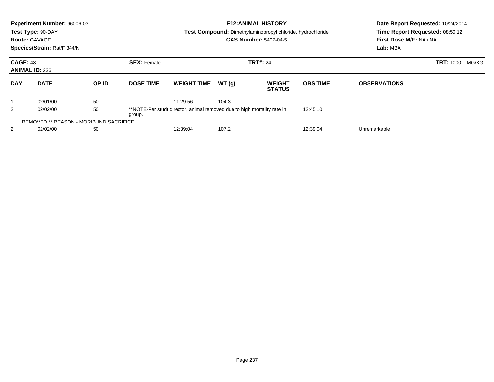|                                                                                                          | Experiment Number: 96006-03<br>Test Type: 90-DAY<br><b>Route: GAVAGE</b><br>Species/Strain: Rat/F 344/N |       |                    |                    |       | <b>E12: ANIMAL HISTORY</b><br><b>Test Compound:</b> Dimethylaminopropyl chloride, hydrochloride<br><b>CAS Number: 5407-04-5</b> | Date Report Requested: 10/24/2014<br>Time Report Requested: 08:50:12<br>First Dose M/F: NA / NA<br>Lab: MBA |                           |  |  |
|----------------------------------------------------------------------------------------------------------|---------------------------------------------------------------------------------------------------------|-------|--------------------|--------------------|-------|---------------------------------------------------------------------------------------------------------------------------------|-------------------------------------------------------------------------------------------------------------|---------------------------|--|--|
| <b>CAGE: 48</b>                                                                                          | <b>ANIMAL ID: 236</b>                                                                                   |       | <b>SEX: Female</b> |                    |       | <b>TRT#: 24</b>                                                                                                                 |                                                                                                             | <b>TRT: 1000</b><br>MG/KG |  |  |
| <b>DAY</b>                                                                                               | <b>DATE</b>                                                                                             | OP ID | <b>DOSE TIME</b>   | <b>WEIGHT TIME</b> | WT(q) | <b>WEIGHT</b><br><b>STATUS</b>                                                                                                  | <b>OBS TIME</b>                                                                                             | <b>OBSERVATIONS</b>       |  |  |
|                                                                                                          | 02/01/00                                                                                                | 50    |                    | 11:29:56           | 104.3 |                                                                                                                                 |                                                                                                             |                           |  |  |
| 2<br>50<br>02/02/00<br>**NOTE-Per studt director, animal removed due to high mortality rate in<br>group. |                                                                                                         |       |                    |                    |       |                                                                                                                                 | 12:45:10                                                                                                    |                           |  |  |
|                                                                                                          | <b>REMOVED ** REASON - MORIBUND SACRIFICE</b>                                                           |       |                    |                    |       |                                                                                                                                 |                                                                                                             |                           |  |  |
| 2                                                                                                        | 02/02/00<br>50                                                                                          |       |                    | 12:39:04<br>107.2  |       |                                                                                                                                 | 12:39:04                                                                                                    | Unremarkable              |  |  |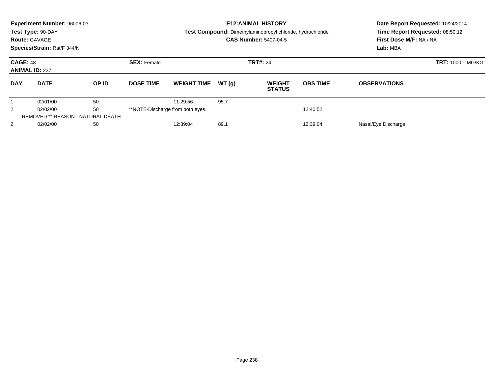|                 | Experiment Number: 96006-03<br>Test Type: 90-DAY<br><b>Route: GAVAGE</b><br>Species/Strain: Rat/F 344/N |       |                                       |                                  |       | <b>E12: ANIMAL HISTORY</b><br>Test Compound: Dimethylaminopropyl chloride, hydrochloride<br><b>CAS Number: 5407-04-5</b> | Date Report Requested: 10/24/2014<br>Time Report Requested: 08:50:12<br>First Dose M/F: NA / NA<br>Lab: MBA |                     |  |
|-----------------|---------------------------------------------------------------------------------------------------------|-------|---------------------------------------|----------------------------------|-------|--------------------------------------------------------------------------------------------------------------------------|-------------------------------------------------------------------------------------------------------------|---------------------|--|
| <b>CAGE: 48</b> | <b>ANIMAL ID: 237</b>                                                                                   |       | <b>SEX: Female</b><br><b>TRT#: 24</b> |                                  |       |                                                                                                                          | <b>TRT: 1000</b><br>MG/KG                                                                                   |                     |  |
| <b>DAY</b>      | <b>DATE</b>                                                                                             | OP ID | <b>DOSE TIME</b>                      | <b>WEIGHT TIME</b>               | WT(q) | <b>WEIGHT</b><br><b>STATUS</b>                                                                                           | <b>OBS TIME</b>                                                                                             | <b>OBSERVATIONS</b> |  |
|                 | 02/01/00                                                                                                | 50    |                                       | 11:29:56                         | 95.7  |                                                                                                                          |                                                                                                             |                     |  |
| $\overline{2}$  | 50<br>02/02/00                                                                                          |       |                                       | **NOTE-Discharge from both eyes. |       |                                                                                                                          | 12:40:52                                                                                                    |                     |  |
|                 | <b>REMOVED ** REASON - NATURAL DEATH</b>                                                                |       |                                       |                                  |       |                                                                                                                          |                                                                                                             |                     |  |
| $\overline{2}$  | 02/02/00                                                                                                | 50    |                                       | 12:39:04                         | 89.1  |                                                                                                                          | 12:39:04                                                                                                    | Nasal/Eye Discharge |  |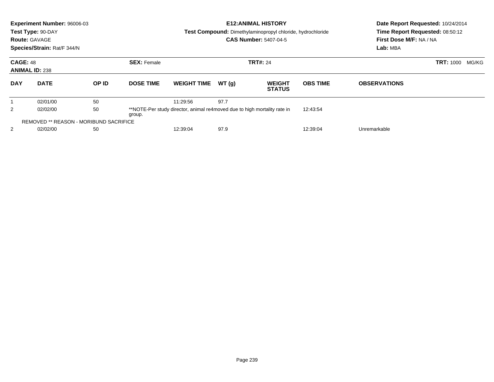|                                                                                                           | <b>Experiment Number: 96006-03</b><br>Test Type: 90-DAY<br><b>Route: GAVAGE</b><br>Species/Strain: Rat/F 344/N |       |                    |                    |       | <b>E12:ANIMAL HISTORY</b><br>Test Compound: Dimethylaminopropyl chloride, hydrochloride<br><b>CAS Number: 5407-04-5</b> | Date Report Requested: 10/24/2014<br>Time Report Requested: 08:50:12<br>First Dose M/F: NA / NA<br>Lab: MBA |                     |       |  |
|-----------------------------------------------------------------------------------------------------------|----------------------------------------------------------------------------------------------------------------|-------|--------------------|--------------------|-------|-------------------------------------------------------------------------------------------------------------------------|-------------------------------------------------------------------------------------------------------------|---------------------|-------|--|
| <b>CAGE: 48</b>                                                                                           | <b>ANIMAL ID: 238</b>                                                                                          |       | <b>SEX: Female</b> |                    |       | <b>TRT#: 24</b>                                                                                                         |                                                                                                             | <b>TRT: 1000</b>    | MG/KG |  |
| <b>DAY</b>                                                                                                | <b>DATE</b>                                                                                                    | OP ID | <b>DOSE TIME</b>   | <b>WEIGHT TIME</b> | WT(q) | <b>WEIGHT</b><br><b>STATUS</b>                                                                                          | <b>OBS TIME</b>                                                                                             | <b>OBSERVATIONS</b> |       |  |
|                                                                                                           | 02/01/00                                                                                                       | 50    |                    | 11:29:56           | 97.7  |                                                                                                                         |                                                                                                             |                     |       |  |
| 50<br>2<br>02/02/00<br>**NOTE-Per study director, animal re4moved due to high mortality rate in<br>group. |                                                                                                                |       |                    |                    |       | 12:43:54                                                                                                                |                                                                                                             |                     |       |  |
|                                                                                                           | REMOVED ** REASON - MORIBUND SACRIFICE                                                                         |       |                    |                    |       |                                                                                                                         |                                                                                                             |                     |       |  |
| 2                                                                                                         | 50<br>02/02/00                                                                                                 |       |                    | 97.9<br>12:39:04   |       |                                                                                                                         | 12:39:04                                                                                                    | Unremarkable        |       |  |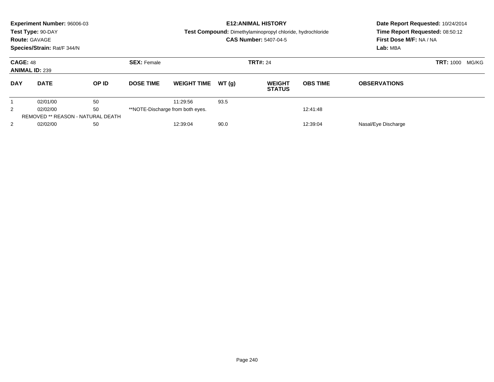|                 | Experiment Number: 96006-03<br>Test Type: 90-DAY<br><b>Route: GAVAGE</b><br>Species/Strain: Rat/F 344/N |       |                                       |                                              |       | <b>E12: ANIMAL HISTORY</b><br>Test Compound: Dimethylaminopropyl chloride, hydrochloride<br><b>CAS Number: 5407-04-5</b> | Date Report Requested: 10/24/2014<br>Time Report Requested: 08:50:12<br>First Dose M/F: NA / NA<br>Lab: MBA |                     |  |
|-----------------|---------------------------------------------------------------------------------------------------------|-------|---------------------------------------|----------------------------------------------|-------|--------------------------------------------------------------------------------------------------------------------------|-------------------------------------------------------------------------------------------------------------|---------------------|--|
| <b>CAGE: 48</b> | <b>ANIMAL ID: 239</b>                                                                                   |       | <b>SEX: Female</b><br><b>TRT#: 24</b> |                                              |       |                                                                                                                          | <b>TRT: 1000</b>                                                                                            |                     |  |
| <b>DAY</b>      | <b>DATE</b>                                                                                             | OP ID | <b>DOSE TIME</b>                      | <b>WEIGHT TIME</b>                           | WT(q) | <b>WEIGHT</b><br><b>STATUS</b>                                                                                           | <b>OBS TIME</b>                                                                                             | <b>OBSERVATIONS</b> |  |
|                 | 02/01/00                                                                                                | 50    |                                       | 11:29:56                                     | 93.5  |                                                                                                                          |                                                                                                             |                     |  |
| $\overline{2}$  | 50<br>02/02/00                                                                                          |       |                                       | **NOTE-Discharge from both eyes.<br>12:41:48 |       |                                                                                                                          |                                                                                                             |                     |  |
|                 | <b>REMOVED ** REASON - NATURAL DEATH</b>                                                                |       |                                       |                                              |       |                                                                                                                          |                                                                                                             |                     |  |
| $\overline{2}$  | 02/02/00                                                                                                | 50    |                                       | 12:39:04                                     | 90.0  |                                                                                                                          | 12:39:04                                                                                                    | Nasal/Eye Discharge |  |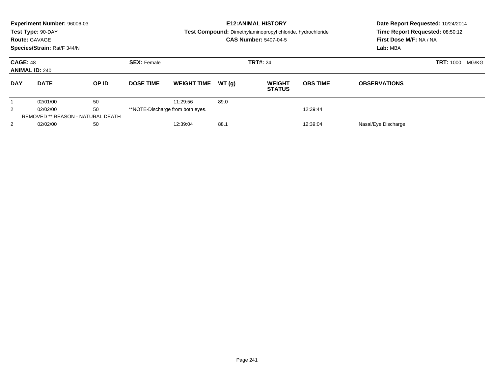| Experiment Number: 96006-03<br>Test Type: 90-DAY<br><b>Route: GAVAGE</b><br>Species/Strain: Rat/F 344/N |                                          |       | <b>E12: ANIMAL HISTORY</b><br>Test Compound: Dimethylaminopropyl chloride, hydrochloride<br><b>CAS Number: 5407-04-5</b> |                                  |       |                                |                 | Date Report Requested: 10/24/2014<br>Time Report Requested: 08:50:12<br>First Dose M/F: NA / NA<br>Lab: MBA |  |
|---------------------------------------------------------------------------------------------------------|------------------------------------------|-------|--------------------------------------------------------------------------------------------------------------------------|----------------------------------|-------|--------------------------------|-----------------|-------------------------------------------------------------------------------------------------------------|--|
| <b>CAGE: 48</b><br><b>ANIMAL ID: 240</b>                                                                |                                          |       | <b>SEX: Female</b>                                                                                                       |                                  |       | <b>TRT#: 24</b>                |                 | <b>TRT: 1000</b><br>MG/KG                                                                                   |  |
| <b>DAY</b>                                                                                              | <b>DATE</b>                              | OP ID | <b>DOSE TIME</b>                                                                                                         | <b>WEIGHT TIME</b>               | WT(q) | <b>WEIGHT</b><br><b>STATUS</b> | <b>OBS TIME</b> | <b>OBSERVATIONS</b>                                                                                         |  |
|                                                                                                         | 02/01/00                                 | 50    |                                                                                                                          | 11:29:56                         | 89.0  |                                |                 |                                                                                                             |  |
| $\overline{2}$                                                                                          | 02/02/00                                 | 50    |                                                                                                                          | **NOTE-Discharge from both eyes. |       |                                | 12:39:44        |                                                                                                             |  |
|                                                                                                         | <b>REMOVED ** REASON - NATURAL DEATH</b> |       |                                                                                                                          |                                  |       |                                |                 |                                                                                                             |  |
| $\overline{2}$                                                                                          | 02/02/00                                 | 50    |                                                                                                                          | 12:39:04                         | 88.1  |                                | 12:39:04        | Nasal/Eye Discharge                                                                                         |  |